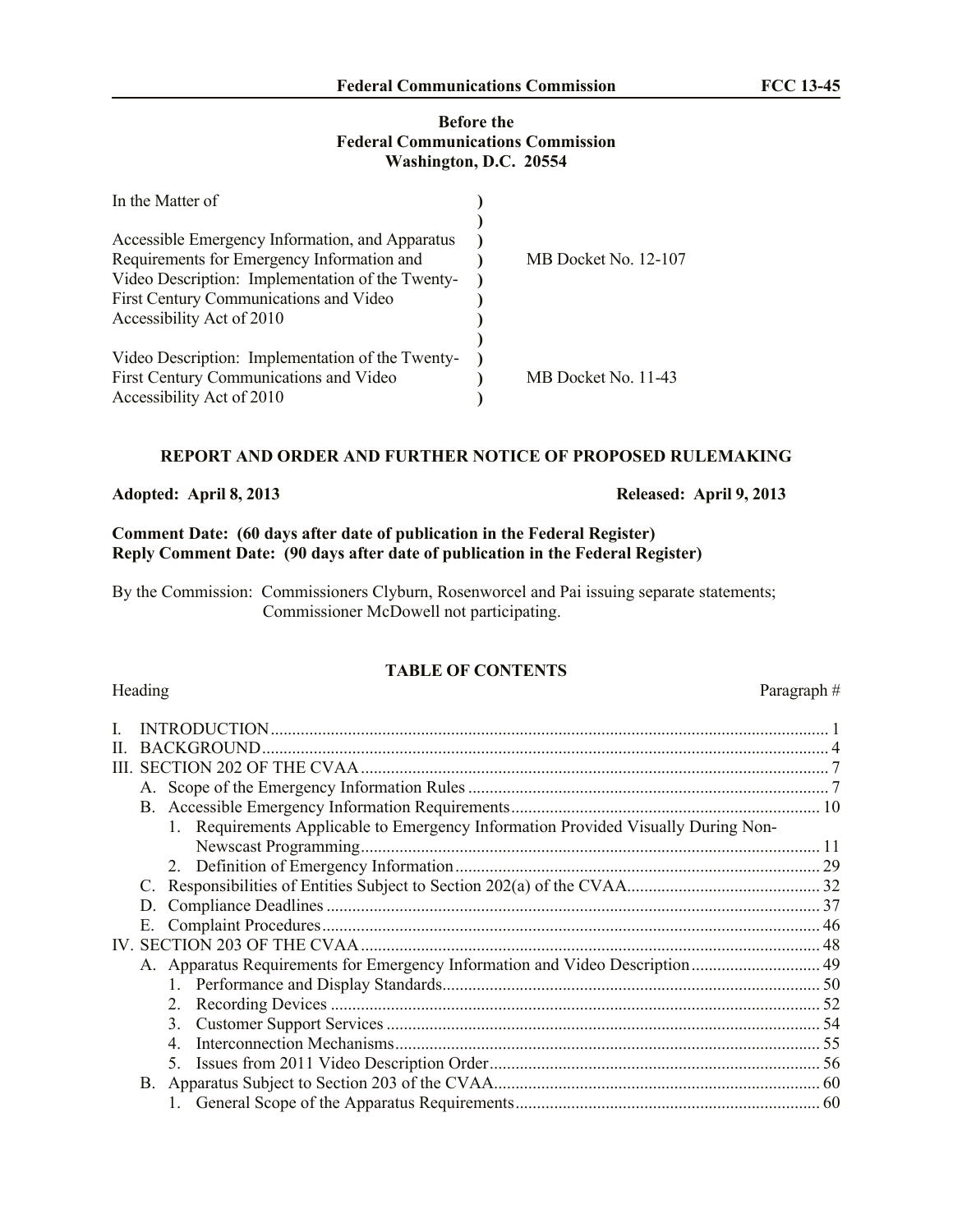# **Before the Federal Communications Commission Washington, D.C. 20554**

| In the Matter of                                 |                      |
|--------------------------------------------------|----------------------|
|                                                  |                      |
| Accessible Emergency Information, and Apparatus  |                      |
| Requirements for Emergency Information and       | MB Docket No. 12-107 |
| Video Description: Implementation of the Twenty- |                      |
| First Century Communications and Video           |                      |
| Accessibility Act of 2010                        |                      |
|                                                  |                      |
| Video Description: Implementation of the Twenty- |                      |
| First Century Communications and Video           | MB Docket No. 11-43  |
| Accessibility Act of 2010                        |                      |

# **REPORT AND ORDER AND FURTHER NOTICE OF PROPOSED RULEMAKING**

**Adopted: April 8, 2013 Released: April 9, 2013**

# **Comment Date: (60 days after date of publication in the Federal Register) Reply Comment Date: (90 days after date of publication in the Federal Register)**

By the Commission: Commissioners Clyburn, Rosenworcel and Pai issuing separate statements; Commissioner McDowell not participating.

# **TABLE OF CONTENTS**

Heading Paragraph #

|  | <b>BACKGROUND.</b>                                                                |  |
|--|-----------------------------------------------------------------------------------|--|
|  |                                                                                   |  |
|  |                                                                                   |  |
|  |                                                                                   |  |
|  | 1. Requirements Applicable to Emergency Information Provided Visually During Non- |  |
|  | Newscast Programming                                                              |  |
|  |                                                                                   |  |
|  |                                                                                   |  |
|  |                                                                                   |  |
|  |                                                                                   |  |
|  |                                                                                   |  |
|  |                                                                                   |  |
|  |                                                                                   |  |
|  |                                                                                   |  |
|  | 3 <sub>1</sub>                                                                    |  |
|  |                                                                                   |  |
|  |                                                                                   |  |
|  |                                                                                   |  |
|  |                                                                                   |  |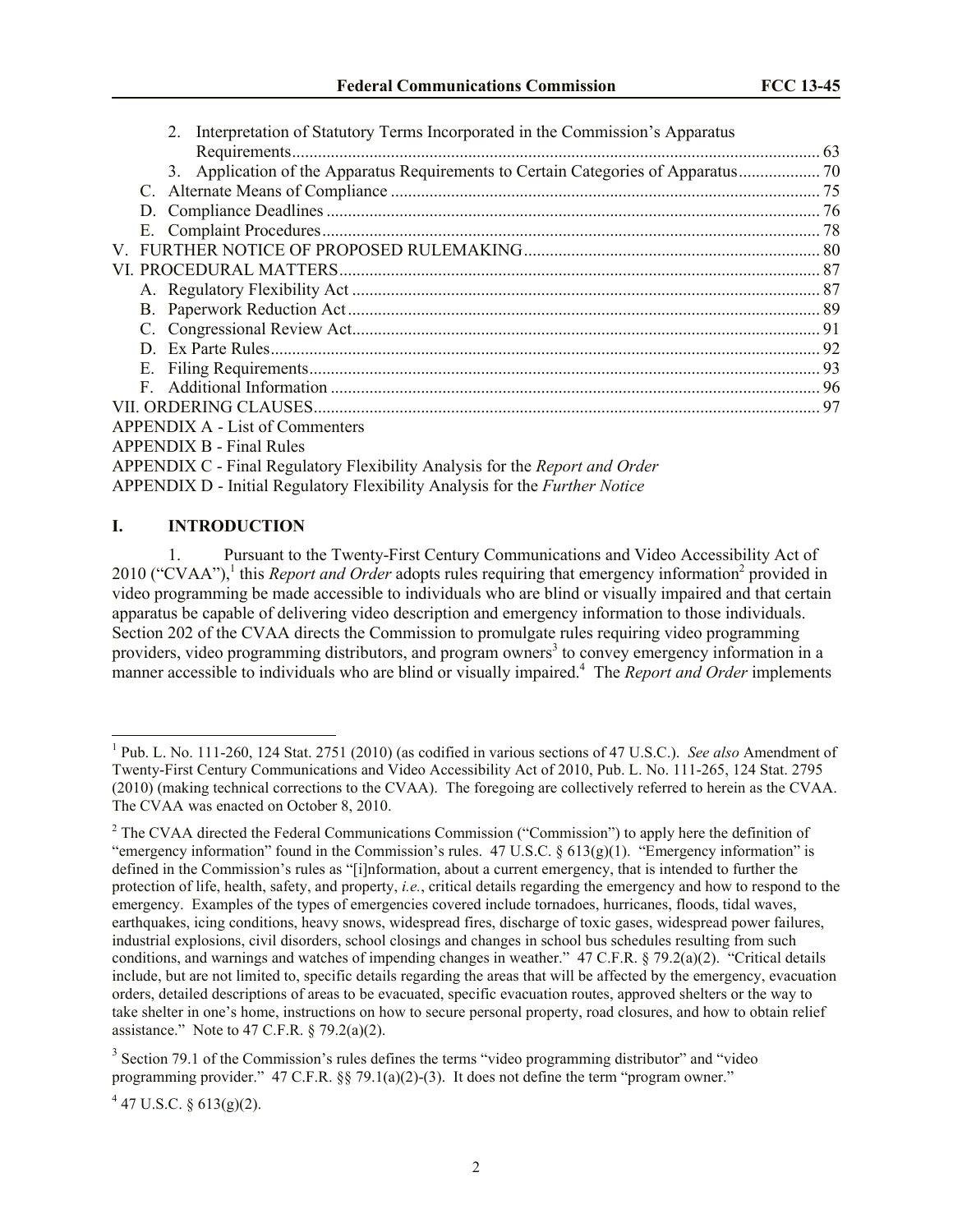| 2. Interpretation of Statutory Terms Incorporated in the Commission's Apparatus    |  |
|------------------------------------------------------------------------------------|--|
|                                                                                    |  |
| 3. Application of the Apparatus Requirements to Certain Categories of Apparatus 70 |  |
|                                                                                    |  |
|                                                                                    |  |
|                                                                                    |  |
|                                                                                    |  |
|                                                                                    |  |
|                                                                                    |  |
|                                                                                    |  |
|                                                                                    |  |
|                                                                                    |  |
|                                                                                    |  |
|                                                                                    |  |
|                                                                                    |  |
| <b>APPENDIX A - List of Commenters</b>                                             |  |
| <b>APPENDIX B - Final Rules</b>                                                    |  |
| APPENDIX C - Final Regulatory Flexibility Analysis for the <i>Report and Order</i> |  |
| APPENDIX D - Initial Regulatory Flexibility Analysis for the <i>Further Notice</i> |  |

# <span id="page-1-0"></span>**I. INTRODUCTION**

 $\overline{a}$ 

1. Pursuant to the Twenty-First Century Communications and Video Accessibility Act of 2010 ("CVAA"),<sup>1</sup> this *Report and Order* adopts rules requiring that emergency information<sup>2</sup> provided in video programming be made accessible to individuals who are blind or visually impaired and that certain apparatus be capable of delivering video description and emergency information to those individuals. Section 202 of the CVAA directs the Commission to promulgate rules requiring video programming providers, video programming distributors, and program owners<sup>3</sup> to convey emergency information in a manner accessible to individuals who are blind or visually impaired.<sup>4</sup> The *Report and Order* implements

 $4$  47 U.S.C. § 613(g)(2).

<sup>1</sup> Pub. L. No. 111-260, 124 Stat. 2751 (2010) (as codified in various sections of 47 U.S.C.). *See also* Amendment of Twenty-First Century Communications and Video Accessibility Act of 2010, Pub. L. No. 111-265, 124 Stat. 2795 (2010) (making technical corrections to the CVAA). The foregoing are collectively referred to herein as the CVAA. The CVAA was enacted on October 8, 2010.

<sup>&</sup>lt;sup>2</sup> The CVAA directed the Federal Communications Commission ("Commission") to apply here the definition of "emergency information" found in the Commission's rules.  $47 \text{ U.S.C.} \& 613(g)(1)$ . "Emergency information" is defined in the Commission's rules as "[i]nformation, about a current emergency, that is intended to further the protection of life, health, safety, and property, *i.e.*, critical details regarding the emergency and how to respond to the emergency. Examples of the types of emergencies covered include tornadoes, hurricanes, floods, tidal waves, earthquakes, icing conditions, heavy snows, widespread fires, discharge of toxic gases, widespread power failures, industrial explosions, civil disorders, school closings and changes in school bus schedules resulting from such conditions, and warnings and watches of impending changes in weather." 47 C.F.R. § 79.2(a)(2). "Critical details include, but are not limited to, specific details regarding the areas that will be affected by the emergency, evacuation orders, detailed descriptions of areas to be evacuated, specific evacuation routes, approved shelters or the way to take shelter in one's home, instructions on how to secure personal property, road closures, and how to obtain relief assistance." Note to 47 C.F.R.  $\S$  79.2(a)(2).

 $3$  Section 79.1 of the Commission's rules defines the terms "video programming distributor" and "video programming provider." 47 C.F.R. §§ 79.1(a)(2)-(3). It does not define the term "program owner."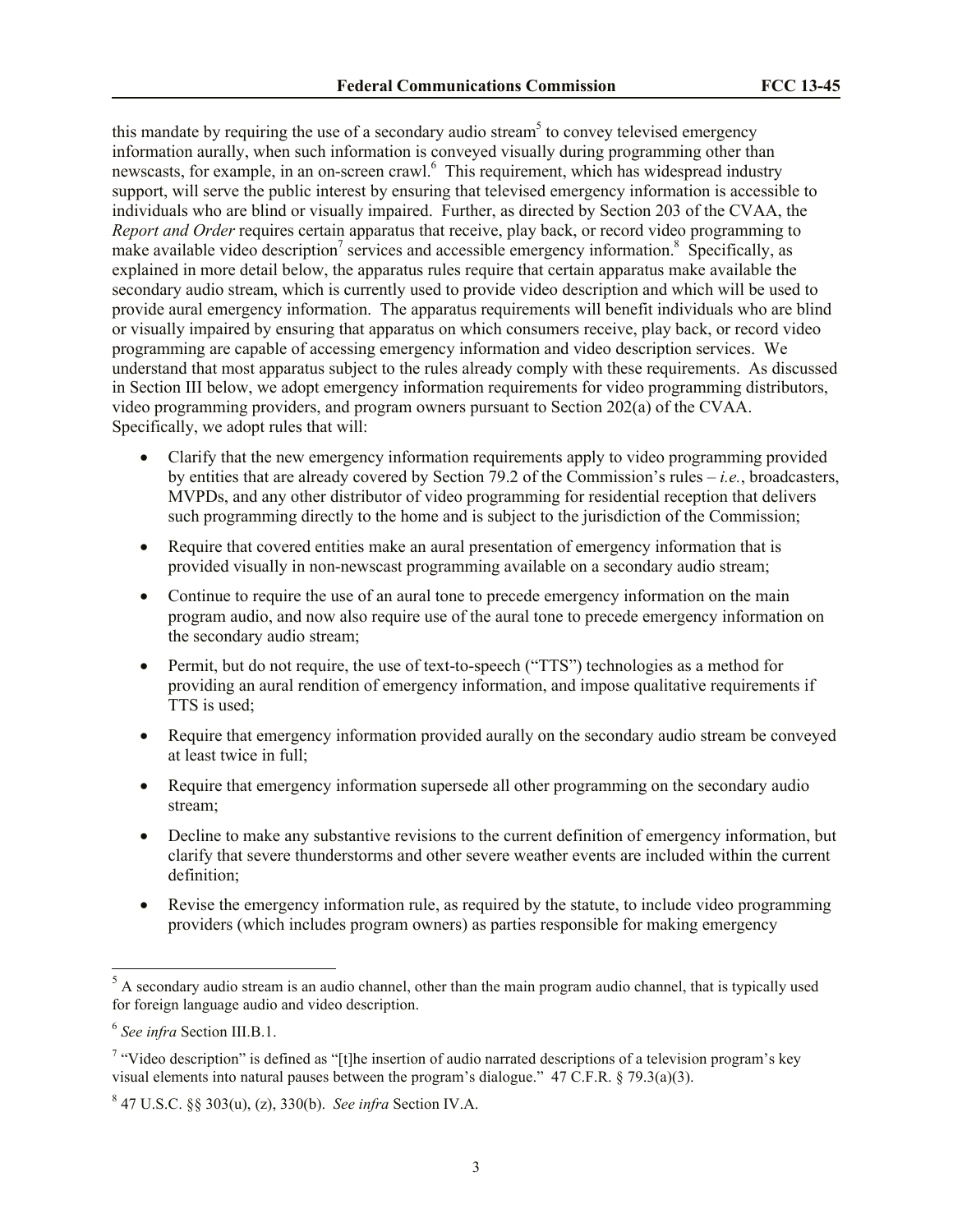this mandate by requiring the use of a secondary audio stream<sup>5</sup> to convey televised emergency information aurally, when such information is conveyed visually during programming other than newscasts, for example, in an on-screen crawl.<sup>6</sup> This requirement, which has widespread industry support, will serve the public interest by ensuring that televised emergency information is accessible to individuals who are blind or visually impaired. Further, as directed by Section 203 of the CVAA, the *Report and Order* requires certain apparatus that receive, play back, or record video programming to make available video description<sup>7</sup> services and accessible emergency information.<sup>8</sup> Specifically, as explained in more detail below, the apparatus rules require that certain apparatus make available the secondary audio stream, which is currently used to provide video description and which will be used to provide aural emergency information. The apparatus requirements will benefit individuals who are blind or visually impaired by ensuring that apparatus on which consumers receive, play back, or record video programming are capable of accessing emergency information and video description services. We understand that most apparatus subject to the rules already comply with these requirements. As discussed in Section III below, we adopt emergency information requirements for video programming distributors, video programming providers, and program owners pursuant to Section 202(a) of the CVAA. Specifically, we adopt rules that will:

- Clarify that the new emergency information requirements apply to video programming provided by entities that are already covered by Section 79.2 of the Commission's rules – *i.e.*, broadcasters, MVPDs, and any other distributor of video programming for residential reception that delivers such programming directly to the home and is subject to the jurisdiction of the Commission;
- Require that covered entities make an aural presentation of emergency information that is provided visually in non-newscast programming available on a secondary audio stream;
- Continue to require the use of an aural tone to precede emergency information on the main program audio, and now also require use of the aural tone to precede emergency information on the secondary audio stream;
- Permit, but do not require, the use of text-to-speech ("TTS") technologies as a method for providing an aural rendition of emergency information, and impose qualitative requirements if TTS is used;
- Require that emergency information provided aurally on the secondary audio stream be conveyed at least twice in full;
- Require that emergency information supersede all other programming on the secondary audio stream;
- Decline to make any substantive revisions to the current definition of emergency information, but clarify that severe thunderstorms and other severe weather events are included within the current definition;
- Revise the emergency information rule, as required by the statute, to include video programming providers (which includes program owners) as parties responsible for making emergency

 $\overline{a}$ 

 $<sup>5</sup>$  A secondary audio stream is an audio channel, other than the main program audio channel, that is typically used</sup> for foreign language audio and video description.

<sup>6</sup> *See infra* Section III.B.1.

<sup>&</sup>lt;sup>7</sup> "Video description" is defined as "[t]he insertion of audio narrated descriptions of a television program's key visual elements into natural pauses between the program's dialogue." 47 C.F.R. § 79.3(a)(3).

<sup>8</sup> 47 U.S.C. §§ 303(u), (z), 330(b). *See infra* Section IV.A.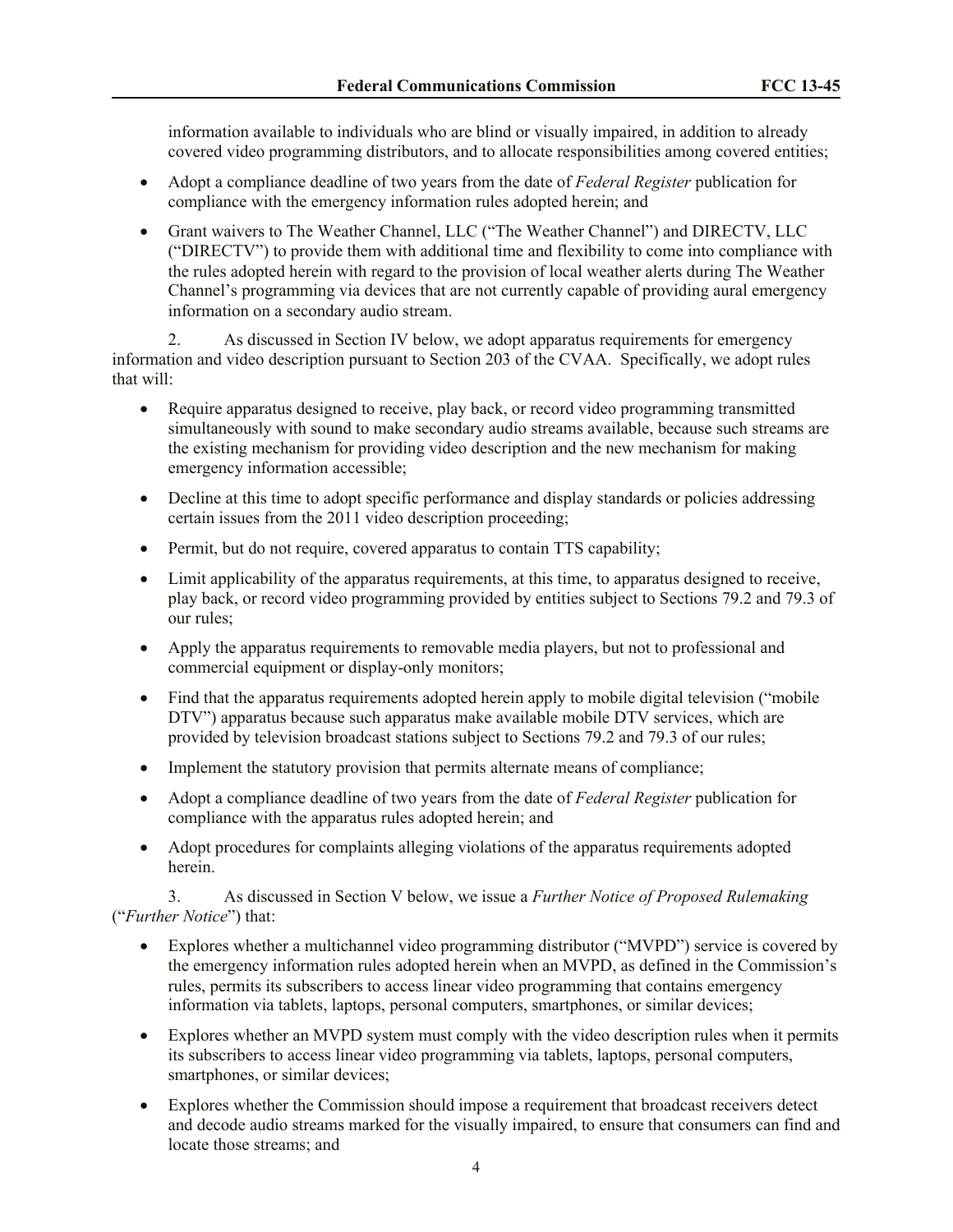information available to individuals who are blind or visually impaired, in addition to already covered video programming distributors, and to allocate responsibilities among covered entities;

- Adopt a compliance deadline of two years from the date of *Federal Register* publication for compliance with the emergency information rules adopted herein; and
- Grant waivers to The Weather Channel, LLC ("The Weather Channel") and DIRECTV, LLC ("DIRECTV") to provide them with additional time and flexibility to come into compliance with the rules adopted herein with regard to the provision of local weather alerts during The Weather Channel's programming via devices that are not currently capable of providing aural emergency information on a secondary audio stream.

2. As discussed in Section IV below, we adopt apparatus requirements for emergency information and video description pursuant to Section 203 of the CVAA. Specifically, we adopt rules that will:

- Require apparatus designed to receive, play back, or record video programming transmitted simultaneously with sound to make secondary audio streams available, because such streams are the existing mechanism for providing video description and the new mechanism for making emergency information accessible;
- Decline at this time to adopt specific performance and display standards or policies addressing certain issues from the 2011 video description proceeding;
- Permit, but do not require, covered apparatus to contain TTS capability;
- Limit applicability of the apparatus requirements, at this time, to apparatus designed to receive, play back, or record video programming provided by entities subject to Sections 79.2 and 79.3 of our rules;
- Apply the apparatus requirements to removable media players, but not to professional and commercial equipment or display-only monitors;
- Find that the apparatus requirements adopted herein apply to mobile digital television ("mobile" DTV") apparatus because such apparatus make available mobile DTV services, which are provided by television broadcast stations subject to Sections 79.2 and 79.3 of our rules;
- Implement the statutory provision that permits alternate means of compliance;
- Adopt a compliance deadline of two years from the date of *Federal Register* publication for compliance with the apparatus rules adopted herein; and
- Adopt procedures for complaints alleging violations of the apparatus requirements adopted herein.

3. As discussed in Section V below, we issue a *Further Notice of Proposed Rulemaking* ("*Further Notice*") that:

- Explores whether a multichannel video programming distributor ("MVPD") service is covered by the emergency information rules adopted herein when an MVPD, as defined in the Commission's rules, permits its subscribers to access linear video programming that contains emergency information via tablets, laptops, personal computers, smartphones, or similar devices;
- Explores whether an MVPD system must comply with the video description rules when it permits its subscribers to access linear video programming via tablets, laptops, personal computers, smartphones, or similar devices;
- Explores whether the Commission should impose a requirement that broadcast receivers detect and decode audio streams marked for the visually impaired, to ensure that consumers can find and locate those streams; and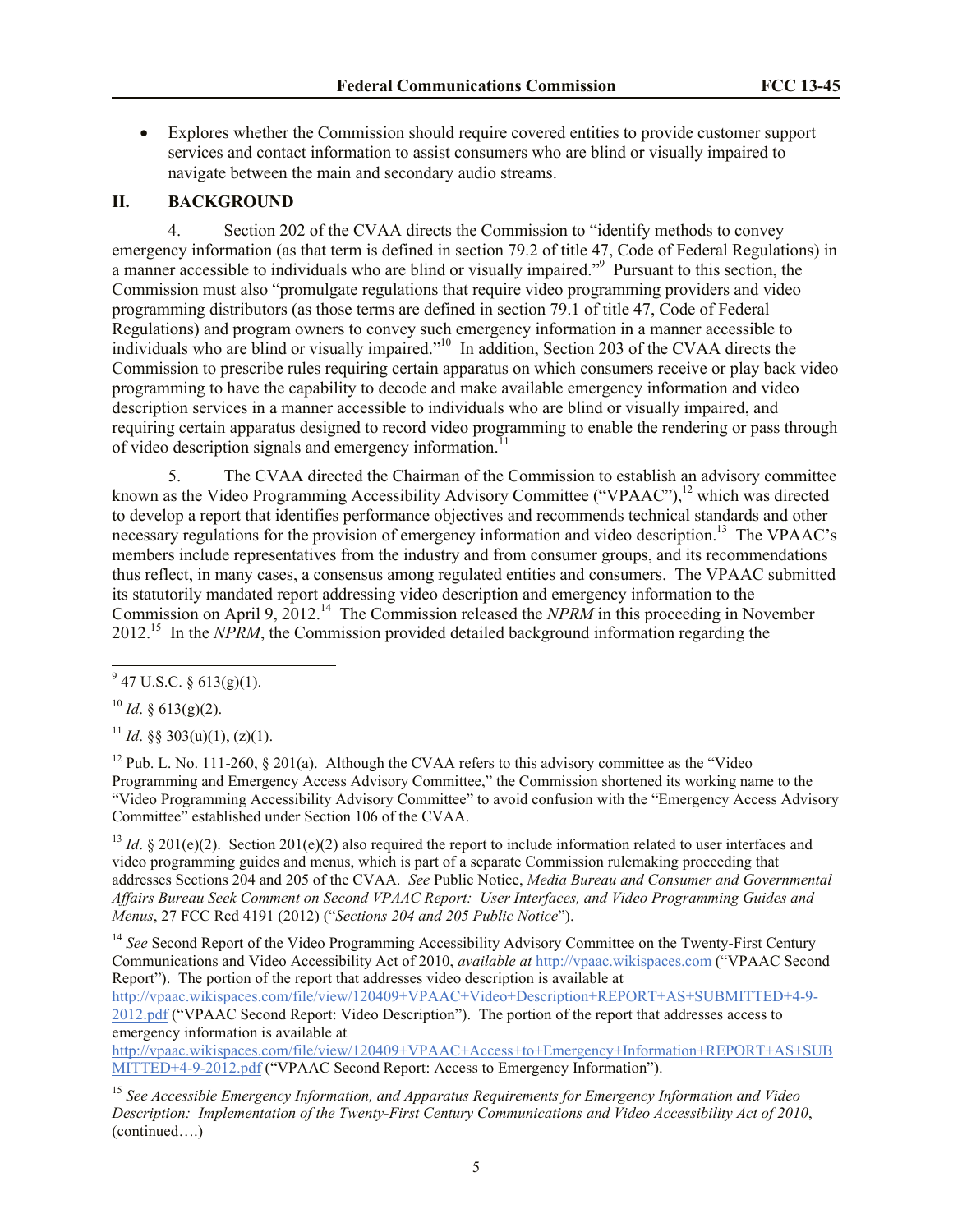<span id="page-4-0"></span> Explores whether the Commission should require covered entities to provide customer support services and contact information to assist consumers who are blind or visually impaired to navigate between the main and secondary audio streams.

# **II. BACKGROUND**

4. Section 202 of the CVAA directs the Commission to "identify methods to convey emergency information (as that term is defined in section 79.2 of title 47, Code of Federal Regulations) in a manner accessible to individuals who are blind or visually impaired."<sup>9</sup> Pursuant to this section, the Commission must also "promulgate regulations that require video programming providers and video programming distributors (as those terms are defined in section 79.1 of title 47, Code of Federal Regulations) and program owners to convey such emergency information in a manner accessible to individuals who are blind or visually impaired."<sup>10</sup> In addition, Section 203 of the CVAA directs the Commission to prescribe rules requiring certain apparatus on which consumers receive or play back video programming to have the capability to decode and make available emergency information and video description services in a manner accessible to individuals who are blind or visually impaired, and requiring certain apparatus designed to record video programming to enable the rendering or pass through of video description signals and emergency information.<sup>1</sup>

5. The CVAA directed the Chairman of the Commission to establish an advisory committee known as the Video Programming Accessibility Advisory Committee ("VPAAC"),<sup>12</sup> which was directed to develop a report that identifies performance objectives and recommends technical standards and other necessary regulations for the provision of emergency information and video description.<sup>13</sup> The VPAAC's members include representatives from the industry and from consumer groups, and its recommendations thus reflect, in many cases, a consensus among regulated entities and consumers. The VPAAC submitted its statutorily mandated report addressing video description and emergency information to the Commission on April 9, 2012.<sup>14</sup> The Commission released the *NPRM* in this proceeding in November 2012.<sup>15</sup> In the *NPRM*, the Commission provided detailed background information regarding the

<sup>11</sup> *Id.* §§ 303(u)(1), (z)(1).

<sup>12</sup> Pub. L. No. 111-260,  $\S$  201(a). Although the CVAA refers to this advisory committee as the "Video" Programming and Emergency Access Advisory Committee," the Commission shortened its working name to the "Video Programming Accessibility Advisory Committee" to avoid confusion with the "Emergency Access Advisory Committee" established under Section 106 of the CVAA.

<sup>13</sup> *Id.* § 201(e)(2). Section 201(e)(2) also required the report to include information related to user interfaces and video programming guides and menus, which is part of a separate Commission rulemaking proceeding that addresses Sections 204 and 205 of the CVAA. *See* Public Notice, *Media Bureau and Consumer and Governmental Affairs Bureau Seek Comment on Second VPAAC Report: User Interfaces, and Video Programming Guides and Menus*, 27 FCC Rcd 4191 (2012) ("*Sections 204 and 205 Public Notice*").

<sup>14</sup> See Second Report of the Video Programming Accessibility Advisory Committee on the Twenty-First Century Communications and Video Accessibility Act of 2010, *available at* http://vpaac.wikispaces.com ("VPAAC Second Report"). The portion of the report that addresses video description is available at

http://vpaac.wikispaces.com/file/view/120409+VPAAC+Video+Description+REPORT+AS+SUBMITTED+4-9- 2012.pdf ("VPAAC Second Report: Video Description"). The portion of the report that addresses access to emergency information is available at

http://vpaac.wikispaces.com/file/view/120409+VPAAC+Access+to+Emergency+Information+REPORT+AS+SUB MITTED+4-9-2012.pdf ("VPAAC Second Report: Access to Emergency Information").

<sup>15</sup> *See Accessible Emergency Information, and Apparatus Requirements for Emergency Information and Video Description: Implementation of the Twenty-First Century Communications and Video Accessibility Act of 2010*, (continued….)

 $\overline{a}$  $9^9$  47 U.S.C. § 613(g)(1).

 $^{10}$  *Id.* § 613(g)(2).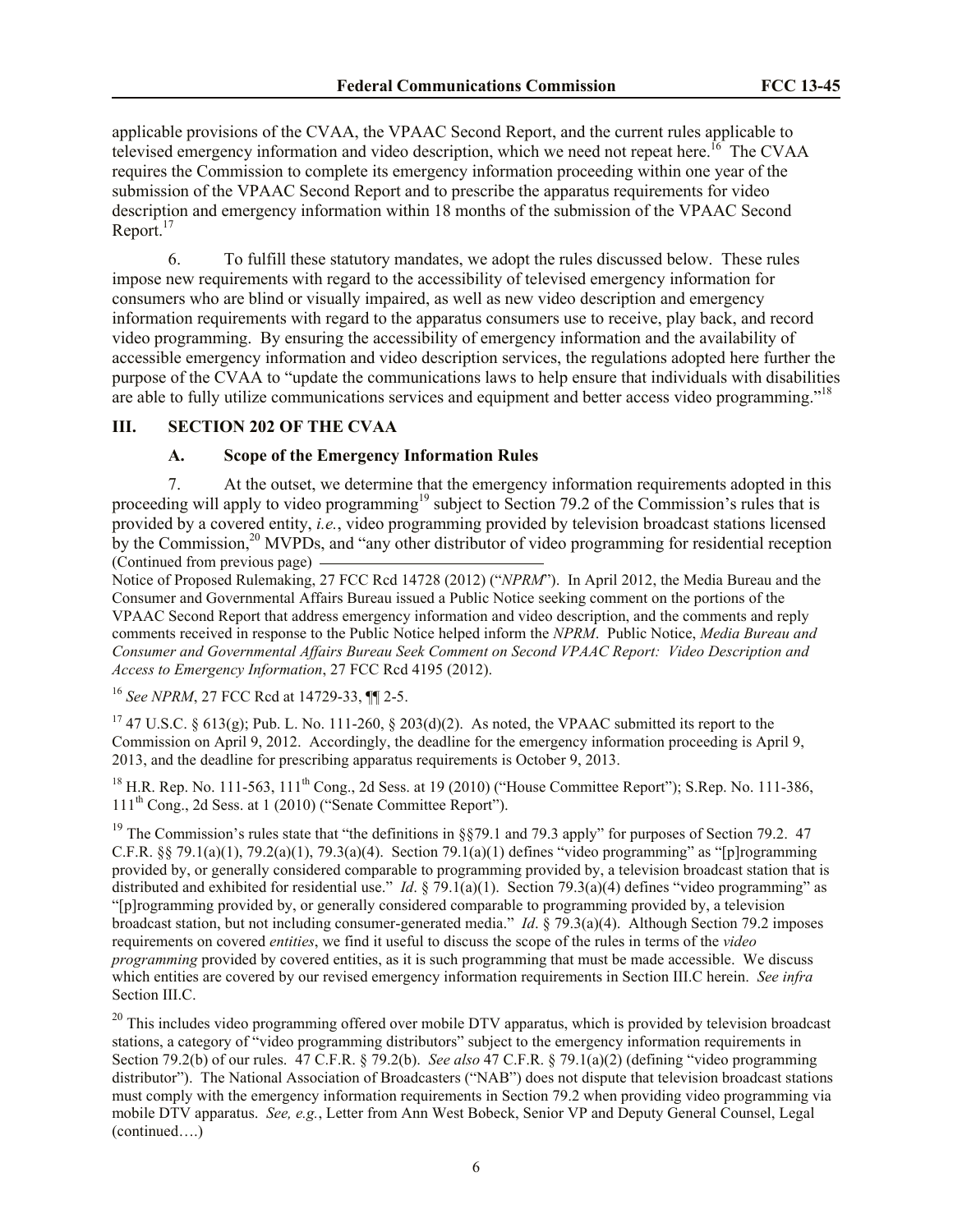applicable provisions of the CVAA, the VPAAC Second Report, and the current rules applicable to televised emergency information and video description, which we need not repeat here.<sup>16</sup> The CVAA requires the Commission to complete its emergency information proceeding within one year of the submission of the VPAAC Second Report and to prescribe the apparatus requirements for video description and emergency information within 18 months of the submission of the VPAAC Second Report. $17$ 

6. To fulfill these statutory mandates, we adopt the rules discussed below. These rules impose new requirements with regard to the accessibility of televised emergency information for consumers who are blind or visually impaired, as well as new video description and emergency information requirements with regard to the apparatus consumers use to receive, play back, and record video programming. By ensuring the accessibility of emergency information and the availability of accessible emergency information and video description services, the regulations adopted here further the purpose of the CVAA to "update the communications laws to help ensure that individuals with disabilities are able to fully utilize communications services and equipment and better access video programming."<sup>18</sup>

# **III. SECTION 202 OF THE CVAA**

# <span id="page-5-1"></span><span id="page-5-0"></span>**A. Scope of the Emergency Information Rules**

7. At the outset, we determine that the emergency information requirements adopted in this proceeding will apply to video programming<sup>19</sup> subject to Section 79.2 of the Commission's rules that is provided by a covered entity, *i.e.*, video programming provided by television broadcast stations licensed by the Commission,<sup>20</sup> MVPDs, and "any other distributor of video programming for residential reception (Continued from previous page)

Notice of Proposed Rulemaking, 27 FCC Rcd 14728 (2012) ("*NPRM*"). In April 2012, the Media Bureau and the Consumer and Governmental Affairs Bureau issued a Public Notice seeking comment on the portions of the VPAAC Second Report that address emergency information and video description, and the comments and reply comments received in response to the Public Notice helped inform the *NPRM*. Public Notice, *Media Bureau and Consumer and Governmental Affairs Bureau Seek Comment on Second VPAAC Report: Video Description and Access to Emergency Information*, 27 FCC Rcd 4195 (2012).

# <sup>16</sup> *See NPRM*, 27 FCC Rcd at 14729-33, ¶¶ 2-5.

<sup>17</sup> 47 U.S.C. § 613(g); Pub. L. No. 111-260, § 203(d)(2). As noted, the VPAAC submitted its report to the Commission on April 9, 2012. Accordingly, the deadline for the emergency information proceeding is April 9, 2013, and the deadline for prescribing apparatus requirements is October 9, 2013.

<sup>18</sup> H.R. Rep. No. 111-563,  $111<sup>th</sup>$  Cong., 2d Sess. at 19 (2010) ("House Committee Report"); S.Rep. No. 111-386, 111th Cong., 2d Sess. at 1 (2010) ("Senate Committee Report").

<sup>19</sup> The Commission's rules state that "the definitions in §§79.1 and 79.3 apply" for purposes of Section 79.2. 47 C.F.R. §§ 79.1(a)(1), 79.2(a)(1), 79.3(a)(4). Section 79.1(a)(1) defines "video programming" as "[p]rogramming provided by, or generally considered comparable to programming provided by, a television broadcast station that is distributed and exhibited for residential use." *Id.* § 79.1(a)(1). Section 79.3(a)(4) defines "video programming" as "[p]rogramming provided by, or generally considered comparable to programming provided by, a television broadcast station, but not including consumer-generated media." *Id*. § 79.3(a)(4). Although Section 79.2 imposes requirements on covered *entities*, we find it useful to discuss the scope of the rules in terms of the *video programming* provided by covered entities, as it is such programming that must be made accessible. We discuss which entities are covered by our revised emergency information requirements in Section III.C herein. *See infra* Section III.C.

<sup>20</sup> This includes video programming offered over mobile DTV apparatus, which is provided by television broadcast stations, a category of "video programming distributors" subject to the emergency information requirements in Section 79.2(b) of our rules. 47 C.F.R. § 79.2(b). *See also* 47 C.F.R. § 79.1(a)(2) (defining "video programming distributor"). The National Association of Broadcasters ("NAB") does not dispute that television broadcast stations must comply with the emergency information requirements in Section 79.2 when providing video programming via mobile DTV apparatus. *See, e.g.*, Letter from Ann West Bobeck, Senior VP and Deputy General Counsel, Legal (continued….)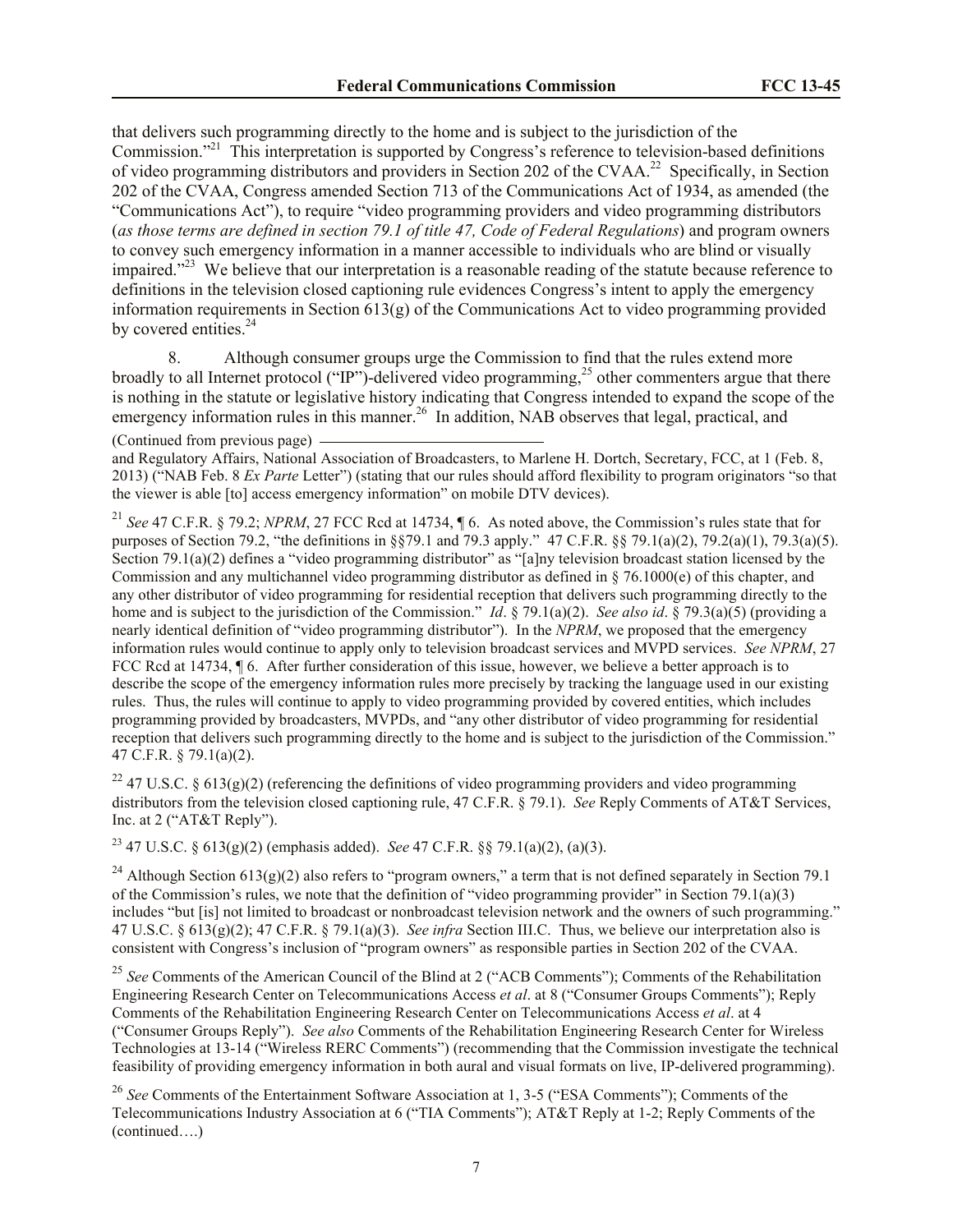that delivers such programming directly to the home and is subject to the jurisdiction of the Commission."<sup>21</sup> This interpretation is supported by Congress's reference to television-based definitions of video programming distributors and providers in Section 202 of the CVAA.<sup>22</sup> Specifically, in Section 202 of the CVAA, Congress amended Section 713 of the Communications Act of 1934, as amended (the "Communications Act"), to require "video programming providers and video programming distributors (*as those terms are defined in section 79.1 of title 47, Code of Federal Regulations*) and program owners to convey such emergency information in a manner accessible to individuals who are blind or visually impaired."<sup>23</sup> We believe that our interpretation is a reasonable reading of the statute because reference to definitions in the television closed captioning rule evidences Congress's intent to apply the emergency information requirements in Section 613(g) of the Communications Act to video programming provided by covered entities.<sup>24</sup>

8. Although consumer groups urge the Commission to find that the rules extend more broadly to all Internet protocol ("IP")-delivered video programming,<sup>25</sup> other commenters argue that there is nothing in the statute or legislative history indicating that Congress intended to expand the scope of the emergency information rules in this manner.<sup>26</sup> In addition, NAB observes that legal, practical, and

(Continued from previous page)

and Regulatory Affairs, National Association of Broadcasters, to Marlene H. Dortch, Secretary, FCC, at 1 (Feb. 8, 2013) ("NAB Feb. 8 *Ex Parte* Letter") (stating that our rules should afford flexibility to program originators "so that the viewer is able [to] access emergency information" on mobile DTV devices).

<sup>21</sup> *See* 47 C.F.R. § 79.2; *NPRM*, 27 FCC Rcd at 14734, ¶ 6. As noted above, the Commission's rules state that for purposes of Section 79.2, "the definitions in §§79.1 and 79.3 apply." 47 C.F.R. §§ 79.1(a)(2), 79.2(a)(1), 79.3(a)(5). Section 79.1(a)(2) defines a "video programming distributor" as "[a]ny television broadcast station licensed by the Commission and any multichannel video programming distributor as defined in § 76.1000(e) of this chapter, and any other distributor of video programming for residential reception that delivers such programming directly to the home and is subject to the jurisdiction of the Commission." *Id*. § 79.1(a)(2). *See also id*. § 79.3(a)(5) (providing a nearly identical definition of "video programming distributor"). In the *NPRM*, we proposed that the emergency information rules would continue to apply only to television broadcast services and MVPD services. *See NPRM*, 27 FCC Rcd at 14734,  $\P$  6. After further consideration of this issue, however, we believe a better approach is to describe the scope of the emergency information rules more precisely by tracking the language used in our existing rules. Thus, the rules will continue to apply to video programming provided by covered entities, which includes programming provided by broadcasters, MVPDs, and "any other distributor of video programming for residential reception that delivers such programming directly to the home and is subject to the jurisdiction of the Commission." 47 C.F.R. § 79.1(a)(2).

<sup>22</sup> 47 U.S.C. § 613(g)(2) (referencing the definitions of video programming providers and video programming distributors from the television closed captioning rule, 47 C.F.R. § 79.1). *See* Reply Comments of AT&T Services, Inc. at 2 ("AT&T Reply").

<sup>23</sup> 47 U.S.C. § 613(g)(2) (emphasis added). *See* 47 C.F.R. §§ 79.1(a)(2), (a)(3).

<sup>24</sup> Although Section 613(g)(2) also refers to "program owners," a term that is not defined separately in Section 79.1 of the Commission's rules, we note that the definition of "video programming provider" in Section 79.1(a)(3) includes "but [is] not limited to broadcast or nonbroadcast television network and the owners of such programming." 47 U.S.C. § 613(g)(2); 47 C.F.R. § 79.1(a)(3). *See infra* Section III.C. Thus, we believe our interpretation also is consistent with Congress's inclusion of "program owners" as responsible parties in Section 202 of the CVAA.

<sup>25</sup> See Comments of the American Council of the Blind at 2 ("ACB Comments"); Comments of the Rehabilitation Engineering Research Center on Telecommunications Access *et al*. at 8 ("Consumer Groups Comments"); Reply Comments of the Rehabilitation Engineering Research Center on Telecommunications Access *et al*. at 4 ("Consumer Groups Reply"). *See also* Comments of the Rehabilitation Engineering Research Center for Wireless Technologies at 13-14 ("Wireless RERC Comments") (recommending that the Commission investigate the technical feasibility of providing emergency information in both aural and visual formats on live, IP-delivered programming).

<sup>26</sup> See Comments of the Entertainment Software Association at 1, 3-5 ("ESA Comments"); Comments of the Telecommunications Industry Association at 6 ("TIA Comments"); AT&T Reply at 1-2; Reply Comments of the (continued….)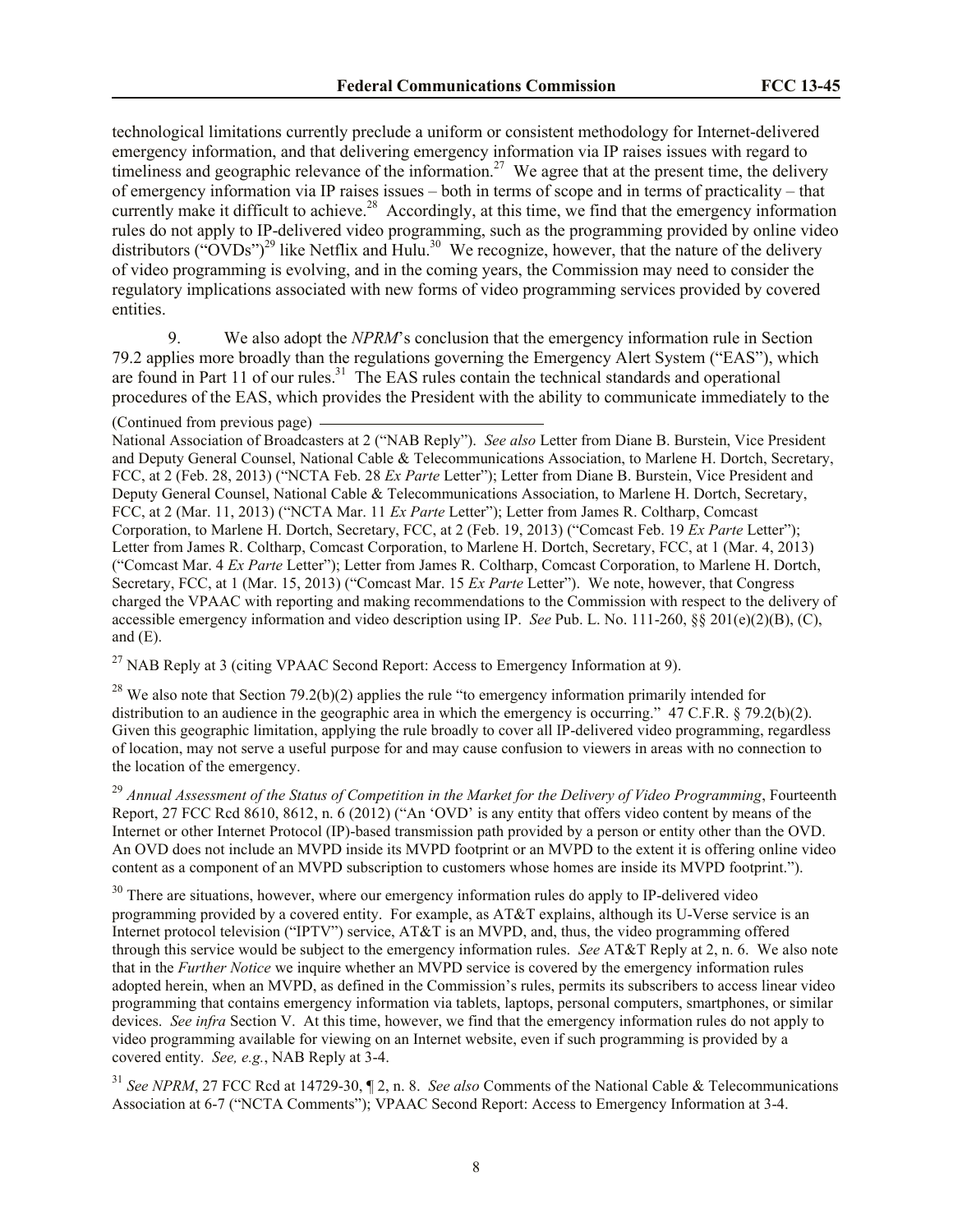technological limitations currently preclude a uniform or consistent methodology for Internet-delivered emergency information, and that delivering emergency information via IP raises issues with regard to timeliness and geographic relevance of the information.<sup>27</sup> We agree that at the present time, the delivery of emergency information via IP raises issues – both in terms of scope and in terms of practicality – that currently make it difficult to achieve.<sup>28</sup> Accordingly, at this time, we find that the emergency information rules do not apply to IP-delivered video programming, such as the programming provided by online video distributors ("OVDs")<sup>29</sup> like Netflix and Hulu.<sup>30</sup> We recognize, however, that the nature of the delivery of video programming is evolving, and in the coming years, the Commission may need to consider the regulatory implications associated with new forms of video programming services provided by covered entities.

9. We also adopt the *NPRM*'s conclusion that the emergency information rule in Section 79.2 applies more broadly than the regulations governing the Emergency Alert System ("EAS"), which are found in Part 11 of our rules.<sup>31</sup> The EAS rules contain the technical standards and operational procedures of the EAS, which provides the President with the ability to communicate immediately to the

### (Continued from previous page)

National Association of Broadcasters at 2 ("NAB Reply"). *See also* Letter from Diane B. Burstein, Vice President and Deputy General Counsel, National Cable & Telecommunications Association, to Marlene H. Dortch, Secretary, FCC, at 2 (Feb. 28, 2013) ("NCTA Feb. 28 *Ex Parte* Letter"); Letter from Diane B. Burstein, Vice President and Deputy General Counsel, National Cable & Telecommunications Association, to Marlene H. Dortch, Secretary, FCC, at 2 (Mar. 11, 2013) ("NCTA Mar. 11 *Ex Parte* Letter"); Letter from James R. Coltharp, Comcast Corporation, to Marlene H. Dortch, Secretary, FCC, at 2 (Feb. 19, 2013) ("Comcast Feb. 19 *Ex Parte* Letter"); Letter from James R. Coltharp, Comcast Corporation, to Marlene H. Dortch, Secretary, FCC, at 1 (Mar. 4, 2013) ("Comcast Mar. 4 *Ex Parte* Letter"); Letter from James R. Coltharp, Comcast Corporation, to Marlene H. Dortch, Secretary, FCC, at 1 (Mar. 15, 2013) ("Comcast Mar. 15 *Ex Parte* Letter"). We note, however, that Congress charged the VPAAC with reporting and making recommendations to the Commission with respect to the delivery of accessible emergency information and video description using IP. *See* Pub. L. No. 111-260, §§ 201(e)(2)(B), (C), and  $(E)$ .

 $^{27}$  NAB Reply at 3 (citing VPAAC Second Report: Access to Emergency Information at 9).

 $^{28}$  We also note that Section 79.2(b)(2) applies the rule "to emergency information primarily intended for distribution to an audience in the geographic area in which the emergency is occurring." 47 C.F.R. § 79.2(b)(2). Given this geographic limitation, applying the rule broadly to cover all IP-delivered video programming, regardless of location, may not serve a useful purpose for and may cause confusion to viewers in areas with no connection to the location of the emergency.

<sup>29</sup> *Annual Assessment of the Status of Competition in the Market for the Delivery of Video Programming*, Fourteenth Report, 27 FCC Rcd 8610, 8612, n. 6 (2012) ("An 'OVD' is any entity that offers video content by means of the Internet or other Internet Protocol (IP)-based transmission path provided by a person or entity other than the OVD. An OVD does not include an MVPD inside its MVPD footprint or an MVPD to the extent it is offering online video content as a component of an MVPD subscription to customers whose homes are inside its MVPD footprint.").

<sup>30</sup> There are situations, however, where our emergency information rules do apply to IP-delivered video programming provided by a covered entity. For example, as AT&T explains, although its U-Verse service is an Internet protocol television ("IPTV") service, AT&T is an MVPD, and, thus, the video programming offered through this service would be subject to the emergency information rules. *See* AT&T Reply at 2, n. 6. We also note that in the *Further Notice* we inquire whether an MVPD service is covered by the emergency information rules adopted herein, when an MVPD, as defined in the Commission's rules, permits its subscribers to access linear video programming that contains emergency information via tablets, laptops, personal computers, smartphones, or similar devices. *See infra* Section V. At this time, however, we find that the emergency information rules do not apply to video programming available for viewing on an Internet website, even if such programming is provided by a covered entity. *See, e.g.*, NAB Reply at 3-4.

<sup>31</sup> *See NPRM*, 27 FCC Rcd at 14729-30, ¶ 2, n. 8. *See also* Comments of the National Cable & Telecommunications Association at 6-7 ("NCTA Comments"); VPAAC Second Report: Access to Emergency Information at 3-4.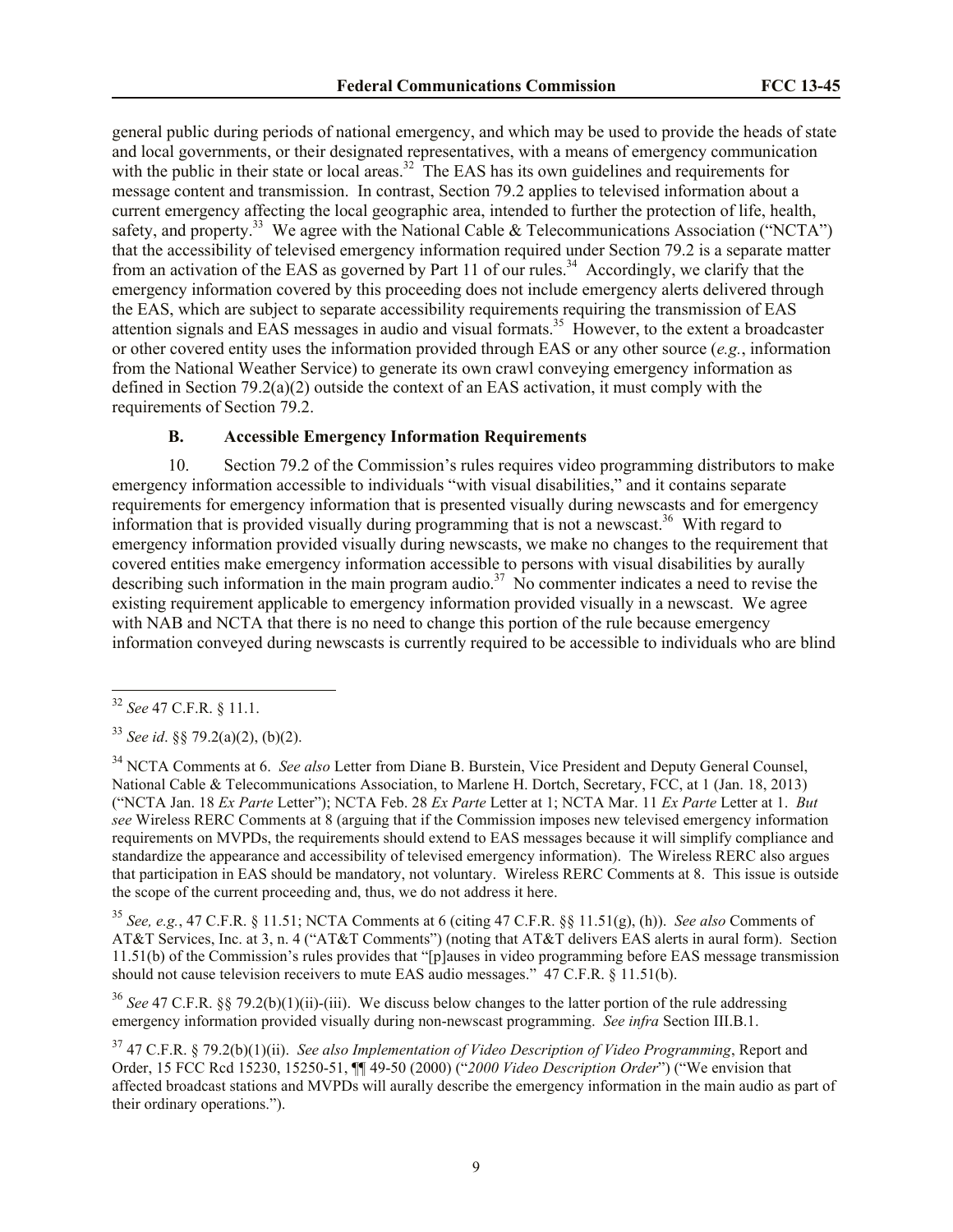general public during periods of national emergency, and which may be used to provide the heads of state and local governments, or their designated representatives, with a means of emergency communication with the public in their state or local areas.<sup>32</sup> The EAS has its own guidelines and requirements for message content and transmission. In contrast, Section 79.2 applies to televised information about a current emergency affecting the local geographic area, intended to further the protection of life, health, safety, and property.<sup>33</sup> We agree with the National Cable & Telecommunications Association ("NCTA") that the accessibility of televised emergency information required under Section 79.2 is a separate matter from an activation of the EAS as governed by Part 11 of our rules.<sup>34</sup> Accordingly, we clarify that the emergency information covered by this proceeding does not include emergency alerts delivered through the EAS, which are subject to separate accessibility requirements requiring the transmission of EAS attention signals and EAS messages in audio and visual formats. 35 However, to the extent a broadcaster or other covered entity uses the information provided through EAS or any other source (*e.g.*, information from the National Weather Service) to generate its own crawl conveying emergency information as defined in Section 79.2(a)(2) outside the context of an EAS activation, it must comply with the requirements of Section 79.2.

# <span id="page-8-0"></span>**B. Accessible Emergency Information Requirements**

10. Section 79.2 of the Commission's rules requires video programming distributors to make emergency information accessible to individuals "with visual disabilities," and it contains separate requirements for emergency information that is presented visually during newscasts and for emergency information that is provided visually during programming that is not a newscast.<sup>36</sup> With regard to emergency information provided visually during newscasts, we make no changes to the requirement that covered entities make emergency information accessible to persons with visual disabilities by aurally describing such information in the main program audio.<sup>37</sup> No commenter indicates a need to revise the existing requirement applicable to emergency information provided visually in a newscast. We agree with NAB and NCTA that there is no need to change this portion of the rule because emergency information conveyed during newscasts is currently required to be accessible to individuals who are blind

l

<sup>35</sup> *See, e.g.*, 47 C.F.R. § 11.51; NCTA Comments at 6 (citing 47 C.F.R. §§ 11.51(g), (h)). *See also* Comments of AT&T Services, Inc. at 3, n. 4 ("AT&T Comments") (noting that AT&T delivers EAS alerts in aural form). Section 11.51(b) of the Commission's rules provides that "[p]auses in video programming before EAS message transmission should not cause television receivers to mute EAS audio messages." 47 C.F.R. § 11.51(b).

<sup>36</sup> See 47 C.F.R. §§ 79.2(b)(1)(ii)-(iii). We discuss below changes to the latter portion of the rule addressing emergency information provided visually during non-newscast programming. *See infra* Section III.B.1.

<sup>37</sup> 47 C.F.R. § 79.2(b)(1)(ii). *See also Implementation of Video Description of Video Programming*, Report and Order, 15 FCC Rcd 15230, 15250-51, ¶¶ 49-50 (2000) ("*2000 Video Description Order*") ("We envision that affected broadcast stations and MVPDs will aurally describe the emergency information in the main audio as part of their ordinary operations.").

<sup>32</sup> *See* 47 C.F.R. § 11.1.

<sup>33</sup> *See id*. §§ 79.2(a)(2), (b)(2).

<sup>34</sup> NCTA Comments at 6. *See also* Letter from Diane B. Burstein, Vice President and Deputy General Counsel, National Cable & Telecommunications Association, to Marlene H. Dortch, Secretary, FCC, at 1 (Jan. 18, 2013) ("NCTA Jan. 18 *Ex Parte* Letter"); NCTA Feb. 28 *Ex Parte* Letter at 1; NCTA Mar. 11 *Ex Parte* Letter at 1. *But see* Wireless RERC Comments at 8 (arguing that if the Commission imposes new televised emergency information requirements on MVPDs, the requirements should extend to EAS messages because it will simplify compliance and standardize the appearance and accessibility of televised emergency information). The Wireless RERC also argues that participation in EAS should be mandatory, not voluntary. Wireless RERC Comments at 8. This issue is outside the scope of the current proceeding and, thus, we do not address it here.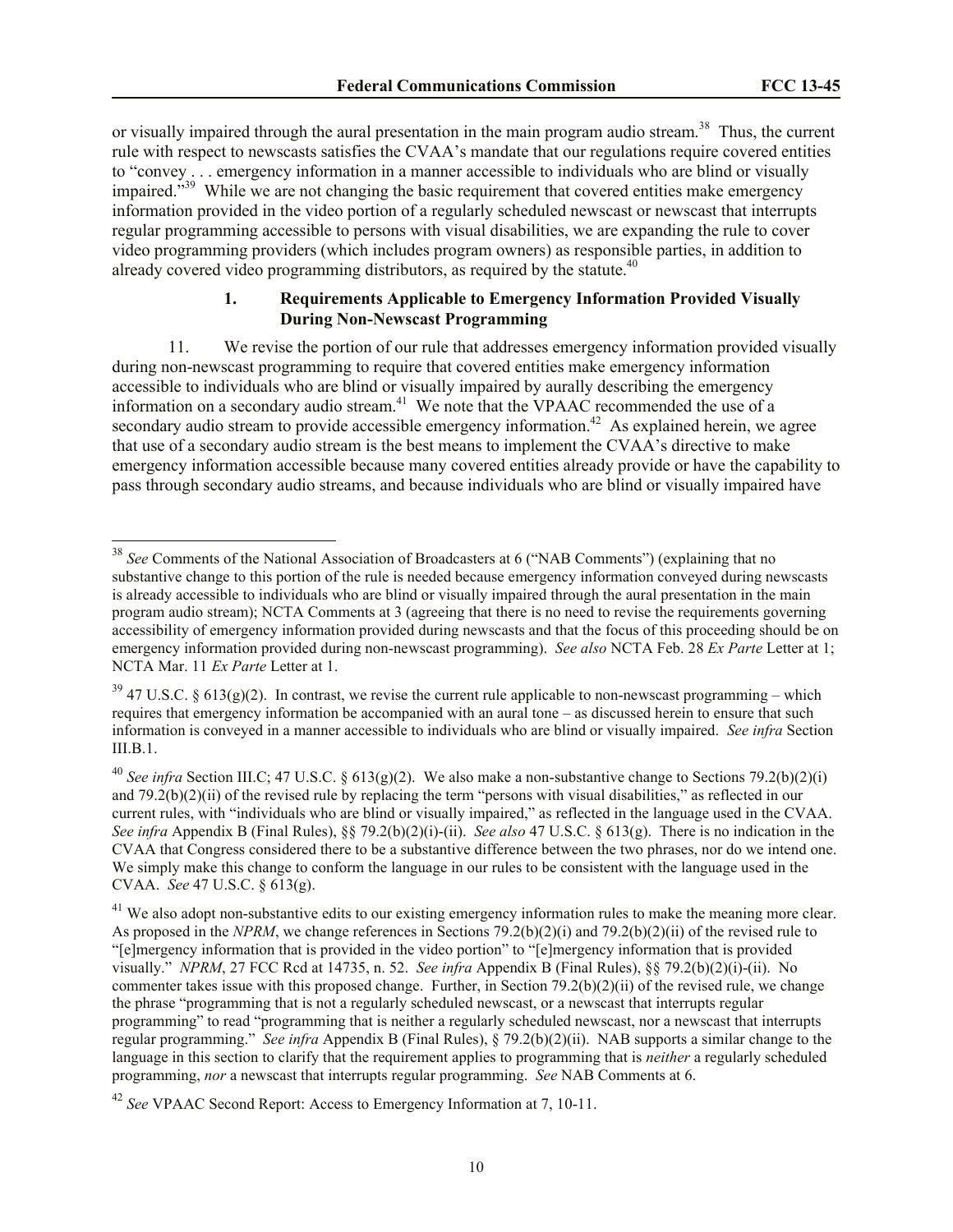or visually impaired through the aural presentation in the main program audio stream.<sup>38</sup> Thus, the current rule with respect to newscasts satisfies the CVAA's mandate that our regulations require covered entities to "convey . . . emergency information in a manner accessible to individuals who are blind or visually impaired."<sup>39</sup> While we are not changing the basic requirement that covered entities make emergency information provided in the video portion of a regularly scheduled newscast or newscast that interrupts regular programming accessible to persons with visual disabilities, we are expanding the rule to cover video programming providers (which includes program owners) as responsible parties, in addition to already covered video programming distributors, as required by the statute.<sup>40</sup>

# <span id="page-9-0"></span>**1. Requirements Applicable to Emergency Information Provided Visually During Non-Newscast Programming**

11. We revise the portion of our rule that addresses emergency information provided visually during non-newscast programming to require that covered entities make emergency information accessible to individuals who are blind or visually impaired by aurally describing the emergency information on a secondary audio stream. <sup>41</sup> We note that the VPAAC recommended the use of a secondary audio stream to provide accessible emergency information.<sup>42</sup> As explained herein, we agree that use of a secondary audio stream is the best means to implement the CVAA's directive to make emergency information accessible because many covered entities already provide or have the capability to pass through secondary audio streams, and because individuals who are blind or visually impaired have

l

<sup>38</sup> *See* Comments of the National Association of Broadcasters at 6 ("NAB Comments") (explaining that no substantive change to this portion of the rule is needed because emergency information conveyed during newscasts is already accessible to individuals who are blind or visually impaired through the aural presentation in the main program audio stream); NCTA Comments at 3 (agreeing that there is no need to revise the requirements governing accessibility of emergency information provided during newscasts and that the focus of this proceeding should be on emergency information provided during non-newscast programming). *See also* NCTA Feb. 28 *Ex Parte* Letter at 1; NCTA Mar. 11 *Ex Parte* Letter at 1.

 $39$  47 U.S.C. § 613(g)(2). In contrast, we revise the current rule applicable to non-newscast programming – which requires that emergency information be accompanied with an aural tone – as discussed herein to ensure that such information is conveyed in a manner accessible to individuals who are blind or visually impaired. *See infra* Section  $III$  $B$ <sup>1</sup>

<sup>&</sup>lt;sup>40</sup> *See infra* Section III.C; 47 U.S.C. § 613(g)(2). We also make a non-substantive change to Sections 79.2(b)(2)(i) and 79.2(b)(2)(ii) of the revised rule by replacing the term "persons with visual disabilities," as reflected in our current rules, with "individuals who are blind or visually impaired," as reflected in the language used in the CVAA. *See infra* Appendix B (Final Rules), §§ 79.2(b)(2)(i)-(ii). *See also* 47 U.S.C. § 613(g). There is no indication in the CVAA that Congress considered there to be a substantive difference between the two phrases, nor do we intend one. We simply make this change to conform the language in our rules to be consistent with the language used in the CVAA. *See* 47 U.S.C. § 613(g).

<sup>&</sup>lt;sup>41</sup> We also adopt non-substantive edits to our existing emergency information rules to make the meaning more clear. As proposed in the *NPRM*, we change references in Sections 79.2(b)(2)(i) and 79.2(b)(2)(ii) of the revised rule to "[e]mergency information that is provided in the video portion" to "[e]mergency information that is provided visually." *NPRM*, 27 FCC Rcd at 14735, n. 52. *See infra* Appendix B (Final Rules), §§ 79.2(b)(2)(i)-(ii). No commenter takes issue with this proposed change. Further, in Section 79.2(b)(2)(ii) of the revised rule, we change the phrase "programming that is not a regularly scheduled newscast, or a newscast that interrupts regular programming" to read "programming that is neither a regularly scheduled newscast, nor a newscast that interrupts regular programming." *See infra* Appendix B (Final Rules), § 79.2(b)(2)(ii). NAB supports a similar change to the language in this section to clarify that the requirement applies to programming that is *neither* a regularly scheduled programming, *nor* a newscast that interrupts regular programming. *See* NAB Comments at 6.

<sup>42</sup> *See* VPAAC Second Report: Access to Emergency Information at 7, 10-11.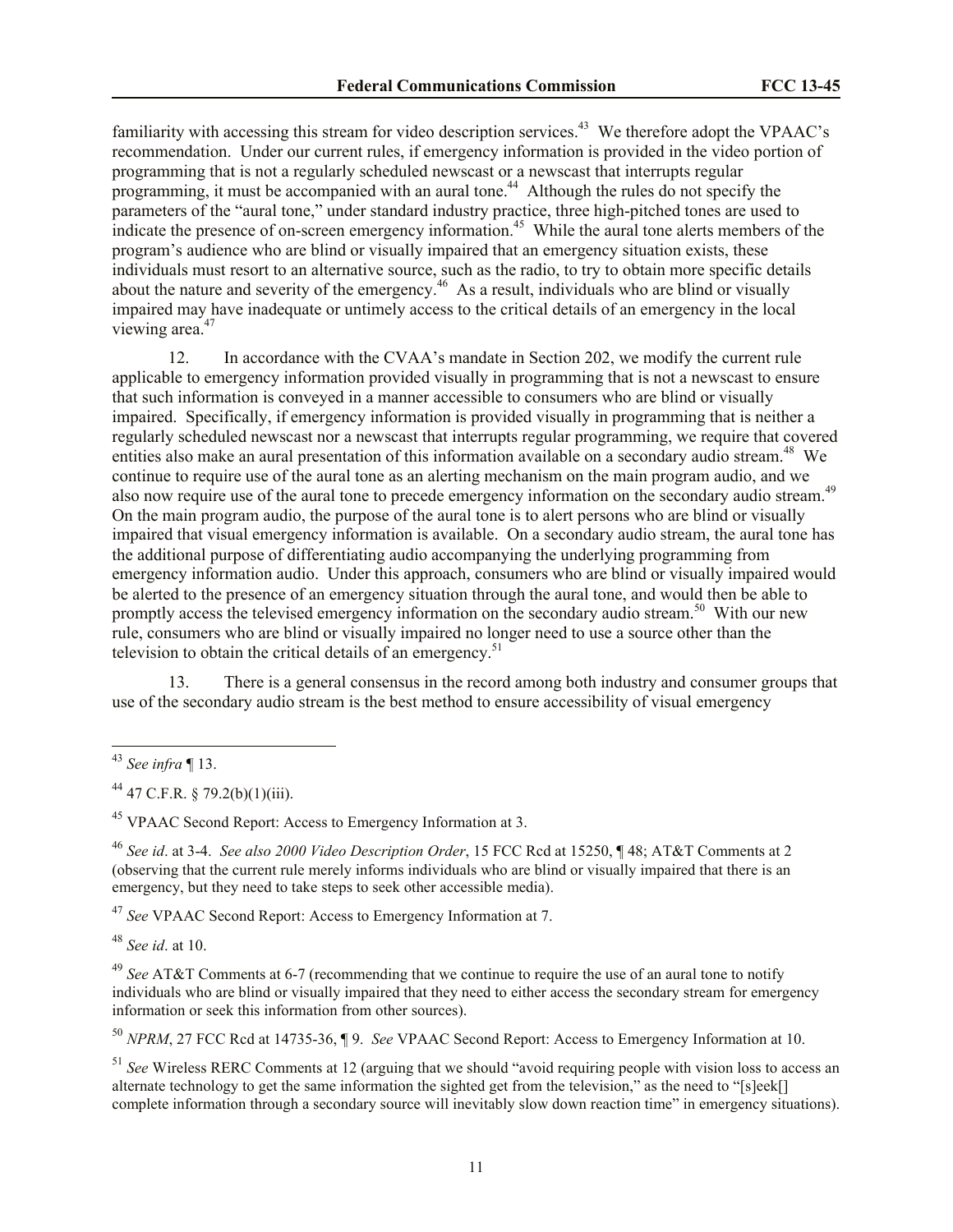familiarity with accessing this stream for video description services.<sup>43</sup> We therefore adopt the VPAAC's recommendation. Under our current rules, if emergency information is provided in the video portion of programming that is not a regularly scheduled newscast or a newscast that interrupts regular programming, it must be accompanied with an aural tone.<sup>44</sup> Although the rules do not specify the parameters of the "aural tone," under standard industry practice, three high-pitched tones are used to indicate the presence of on-screen emergency information.<sup>45</sup> While the aural tone alerts members of the program's audience who are blind or visually impaired that an emergency situation exists, these individuals must resort to an alternative source, such as the radio, to try to obtain more specific details about the nature and severity of the emergency.<sup>46</sup> As a result, individuals who are blind or visually impaired may have inadequate or untimely access to the critical details of an emergency in the local viewing area.<sup>47</sup>

12. In accordance with the CVAA's mandate in Section 202, we modify the current rule applicable to emergency information provided visually in programming that is not a newscast to ensure that such information is conveyed in a manner accessible to consumers who are blind or visually impaired. Specifically, if emergency information is provided visually in programming that is neither a regularly scheduled newscast nor a newscast that interrupts regular programming, we require that covered entities also make an aural presentation of this information available on a secondary audio stream.<sup>48</sup> We continue to require use of the aural tone as an alerting mechanism on the main program audio, and we also now require use of the aural tone to precede emergency information on the secondary audio stream.<sup>49</sup> On the main program audio, the purpose of the aural tone is to alert persons who are blind or visually impaired that visual emergency information is available. On a secondary audio stream, the aural tone has the additional purpose of differentiating audio accompanying the underlying programming from emergency information audio. Under this approach, consumers who are blind or visually impaired would be alerted to the presence of an emergency situation through the aural tone, and would then be able to promptly access the televised emergency information on the secondary audio stream.<sup>50</sup> With our new rule, consumers who are blind or visually impaired no longer need to use a source other than the television to obtain the critical details of an emergency.<sup>51</sup>

13. There is a general consensus in the record among both industry and consumer groups that use of the secondary audio stream is the best method to ensure accessibility of visual emergency

l

<sup>45</sup> VPAAC Second Report: Access to Emergency Information at 3.

<sup>46</sup> *See id*. at 3-4. *See also 2000 Video Description Order*, 15 FCC Rcd at 15250, ¶ 48; AT&T Comments at 2 (observing that the current rule merely informs individuals who are blind or visually impaired that there is an emergency, but they need to take steps to seek other accessible media).

<sup>47</sup> *See* VPAAC Second Report: Access to Emergency Information at 7.

<sup>48</sup> *See id*. at 10.

<sup>49</sup> *See* AT&T Comments at 6-7 (recommending that we continue to require the use of an aural tone to notify individuals who are blind or visually impaired that they need to either access the secondary stream for emergency information or seek this information from other sources).

<sup>50</sup> *NPRM*, 27 FCC Rcd at 14735-36, ¶ 9. *See* VPAAC Second Report: Access to Emergency Information at 10.

<sup>51</sup> *See* Wireless RERC Comments at 12 (arguing that we should "avoid requiring people with vision loss to access an alternate technology to get the same information the sighted get from the television," as the need to "[s]eek[] complete information through a secondary source will inevitably slow down reaction time" in emergency situations).

<sup>43</sup> *See infra* ¶ 13.

 $44$  47 C.F.R. § 79.2(b)(1)(iii).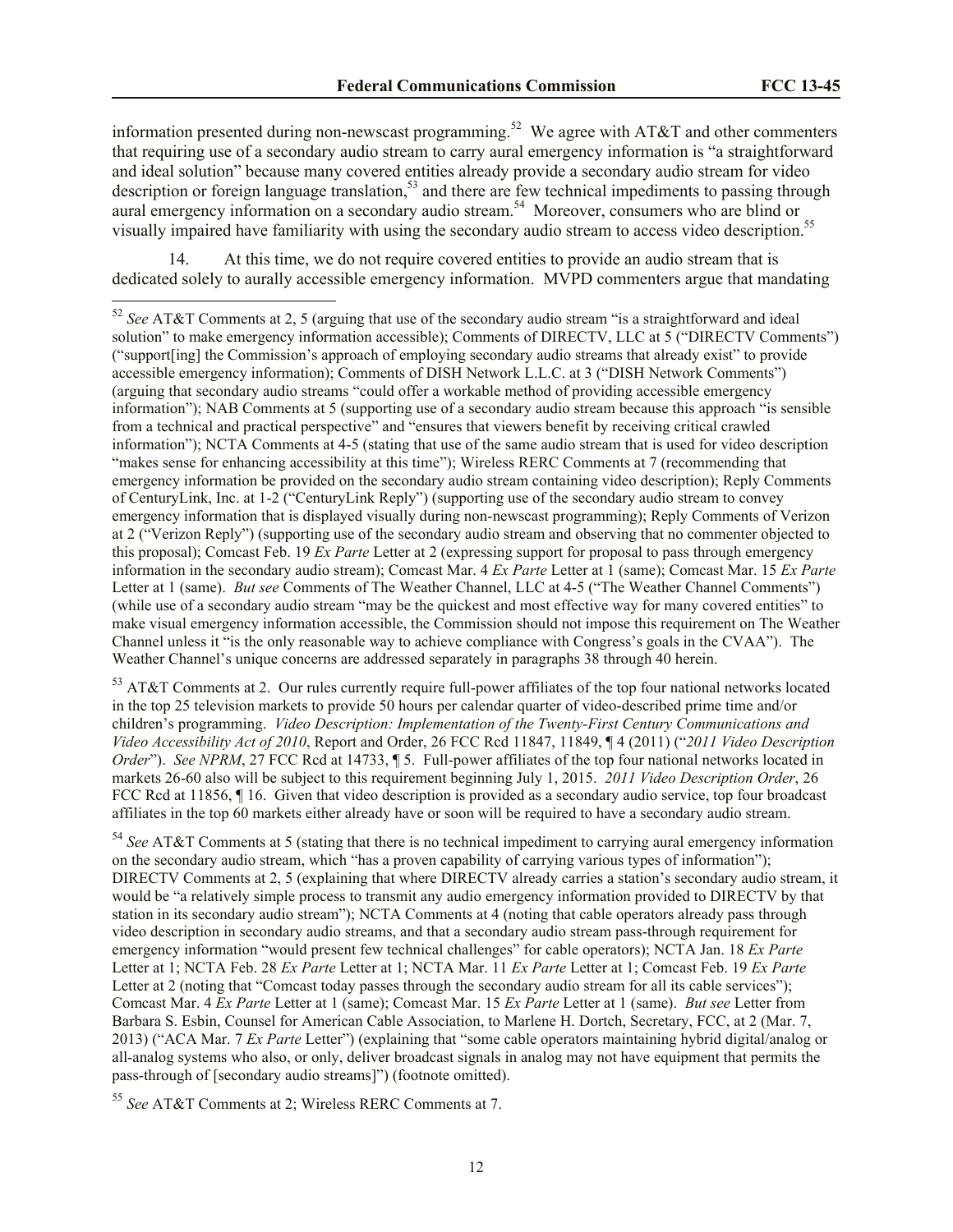information presented during non-newscast programming.<sup>52</sup> We agree with AT&T and other commenters that requiring use of a secondary audio stream to carry aural emergency information is "a straightforward and ideal solution" because many covered entities already provide a secondary audio stream for video description or foreign language translation,<sup>53</sup> and there are few technical impediments to passing through aural emergency information on a secondary audio stream.<sup>54</sup> Moreover, consumers who are blind or visually impaired have familiarity with using the secondary audio stream to access video description.<sup>55</sup>

At this time, we do not require covered entities to provide an audio stream that is dedicated solely to aurally accessible emergency information. MVPD commenters argue that mandating

<sup>53</sup> AT&T Comments at 2. Our rules currently require full-power affiliates of the top four national networks located in the top 25 television markets to provide 50 hours per calendar quarter of video-described prime time and/or children's programming. *Video Description: Implementation of the Twenty-First Century Communications and Video Accessibility Act of 2010*, Report and Order, 26 FCC Rcd 11847, 11849, ¶ 4 (2011) ("*2011 Video Description Order*"). *See NPRM*, 27 FCC Rcd at 14733, ¶ 5. Full-power affiliates of the top four national networks located in markets 26-60 also will be subject to this requirement beginning July 1, 2015. *2011 Video Description Order*, 26 FCC Rcd at 11856, ¶16. Given that video description is provided as a secondary audio service, top four broadcast affiliates in the top 60 markets either already have or soon will be required to have a secondary audio stream.

<sup>54</sup> *See* AT&T Comments at 5 (stating that there is no technical impediment to carrying aural emergency information on the secondary audio stream, which "has a proven capability of carrying various types of information"); DIRECTV Comments at 2, 5 (explaining that where DIRECTV already carries a station's secondary audio stream, it would be "a relatively simple process to transmit any audio emergency information provided to DIRECTV by that station in its secondary audio stream"); NCTA Comments at 4 (noting that cable operators already pass through video description in secondary audio streams, and that a secondary audio stream pass-through requirement for emergency information "would present few technical challenges" for cable operators); NCTA Jan. 18 *Ex Parte* Letter at 1; NCTA Feb. 28 *Ex Parte* Letter at 1; NCTA Mar. 11 *Ex Parte* Letter at 1; Comcast Feb. 19 *Ex Parte* Letter at 2 (noting that "Comcast today passes through the secondary audio stream for all its cable services"); Comcast Mar. 4 *Ex Parte* Letter at 1 (same); Comcast Mar. 15 *Ex Parte* Letter at 1 (same). *But see* Letter from Barbara S. Esbin, Counsel for American Cable Association, to Marlene H. Dortch, Secretary, FCC, at 2 (Mar. 7, 2013) ("ACA Mar. 7 *Ex Parte* Letter") (explaining that "some cable operators maintaining hybrid digital/analog or all-analog systems who also, or only, deliver broadcast signals in analog may not have equipment that permits the pass-through of [secondary audio streams]") (footnote omitted).

<sup>55</sup> *See* AT&T Comments at 2; Wireless RERC Comments at 7.

 $\overline{a}$ 

<sup>52</sup> *See* AT&T Comments at 2, 5 (arguing that use of the secondary audio stream "is a straightforward and ideal solution" to make emergency information accessible); Comments of DIRECTV, LLC at 5 ("DIRECTV Comments") ("support[ing] the Commission's approach of employing secondary audio streams that already exist" to provide accessible emergency information); Comments of DISH Network L.L.C. at 3 ("DISH Network Comments") (arguing that secondary audio streams "could offer a workable method of providing accessible emergency information"); NAB Comments at 5 (supporting use of a secondary audio stream because this approach "is sensible from a technical and practical perspective" and "ensures that viewers benefit by receiving critical crawled information"); NCTA Comments at 4-5 (stating that use of the same audio stream that is used for video description "makes sense for enhancing accessibility at this time"); Wireless RERC Comments at 7 (recommending that emergency information be provided on the secondary audio stream containing video description); Reply Comments of CenturyLink, Inc. at 1-2 ("CenturyLink Reply") (supporting use of the secondary audio stream to convey emergency information that is displayed visually during non-newscast programming); Reply Comments of Verizon at 2 ("Verizon Reply") (supporting use of the secondary audio stream and observing that no commenter objected to this proposal); Comcast Feb. 19 *Ex Parte* Letter at 2 (expressing support for proposal to pass through emergency information in the secondary audio stream); Comcast Mar. 4 *Ex Parte* Letter at 1 (same); Comcast Mar. 15 *Ex Parte* Letter at 1 (same). *But see* Comments of The Weather Channel, LLC at 4-5 ("The Weather Channel Comments") (while use of a secondary audio stream "may be the quickest and most effective way for many covered entities" to make visual emergency information accessible, the Commission should not impose this requirement on The Weather Channel unless it "is the only reasonable way to achieve compliance with Congress's goals in the CVAA"). The Weather Channel's unique concerns are addressed separately in paragraphs 38 through 40 herein.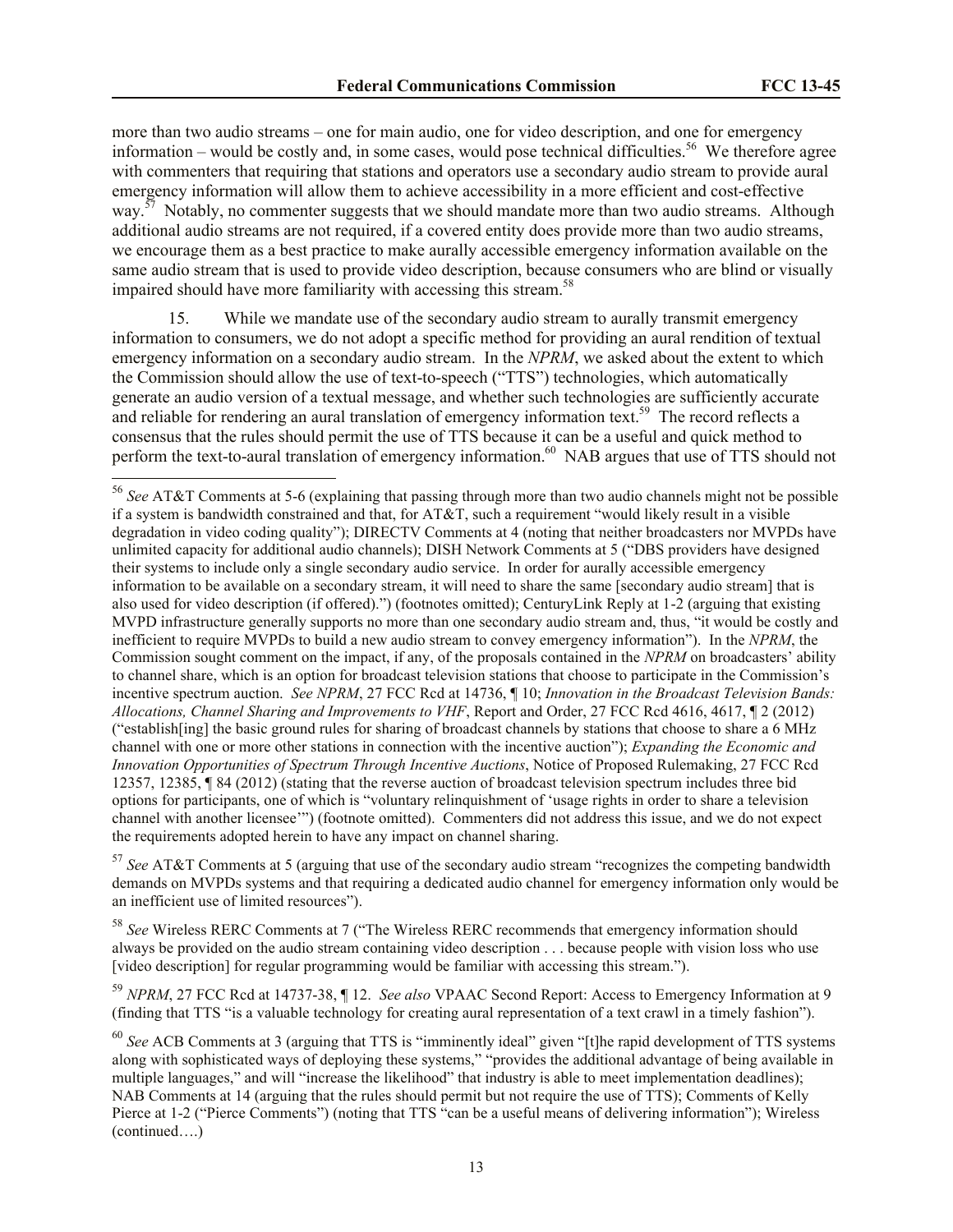more than two audio streams – one for main audio, one for video description, and one for emergency information – would be costly and, in some cases, would pose technical difficulties.<sup>56</sup> We therefore agree with commenters that requiring that stations and operators use a secondary audio stream to provide aural emergency information will allow them to achieve accessibility in a more efficient and cost-effective way.<sup>57</sup> Notably, no commenter suggests that we should mandate more than two audio streams. Although additional audio streams are not required, if a covered entity does provide more than two audio streams, we encourage them as a best practice to make aurally accessible emergency information available on the same audio stream that is used to provide video description, because consumers who are blind or visually impaired should have more familiarity with accessing this stream.<sup>58</sup>

15. While we mandate use of the secondary audio stream to aurally transmit emergency information to consumers, we do not adopt a specific method for providing an aural rendition of textual emergency information on a secondary audio stream. In the *NPRM*, we asked about the extent to which the Commission should allow the use of text-to-speech ("TTS") technologies, which automatically generate an audio version of a textual message, and whether such technologies are sufficiently accurate and reliable for rendering an aural translation of emergency information text.<sup>59</sup> The record reflects a consensus that the rules should permit the use of TTS because it can be a useful and quick method to perform the text-to-aural translation of emergency information.<sup>60</sup> NAB argues that use of TTS should not

 $\overline{a}$ 

<sup>57</sup> *See* AT&T Comments at 5 (arguing that use of the secondary audio stream "recognizes the competing bandwidth demands on MVPDs systems and that requiring a dedicated audio channel for emergency information only would be an inefficient use of limited resources").

<sup>58</sup> *See* Wireless RERC Comments at 7 ("The Wireless RERC recommends that emergency information should always be provided on the audio stream containing video description . . . because people with vision loss who use [video description] for regular programming would be familiar with accessing this stream.").

<sup>59</sup> *NPRM*, 27 FCC Rcd at 14737-38, ¶ 12. *See also* VPAAC Second Report: Access to Emergency Information at 9 (finding that TTS "is a valuable technology for creating aural representation of a text crawl in a timely fashion").

<sup>56</sup> *See* AT&T Comments at 5-6 (explaining that passing through more than two audio channels might not be possible if a system is bandwidth constrained and that, for AT&T, such a requirement "would likely result in a visible degradation in video coding quality"); DIRECTV Comments at 4 (noting that neither broadcasters nor MVPDs have unlimited capacity for additional audio channels); DISH Network Comments at 5 ("DBS providers have designed their systems to include only a single secondary audio service. In order for aurally accessible emergency information to be available on a secondary stream, it will need to share the same [secondary audio stream] that is also used for video description (if offered).") (footnotes omitted); CenturyLink Reply at 1-2 (arguing that existing MVPD infrastructure generally supports no more than one secondary audio stream and, thus, "it would be costly and inefficient to require MVPDs to build a new audio stream to convey emergency information"). In the *NPRM*, the Commission sought comment on the impact, if any, of the proposals contained in the *NPRM* on broadcasters' ability to channel share, which is an option for broadcast television stations that choose to participate in the Commission's incentive spectrum auction. *See NPRM*, 27 FCC Rcd at 14736, ¶ 10; *Innovation in the Broadcast Television Bands: Allocations, Channel Sharing and Improvements to VHF*, Report and Order, 27 FCC Rcd 4616, 4617, ¶ 2 (2012) ("establish[ing] the basic ground rules for sharing of broadcast channels by stations that choose to share a 6 MHz channel with one or more other stations in connection with the incentive auction"); *Expanding the Economic and Innovation Opportunities of Spectrum Through Incentive Auctions*, Notice of Proposed Rulemaking, 27 FCC Rcd 12357, 12385, ¶ 84 (2012) (stating that the reverse auction of broadcast television spectrum includes three bid options for participants, one of which is "voluntary relinquishment of 'usage rights in order to share a television channel with another licensee'") (footnote omitted). Commenters did not address this issue, and we do not expect the requirements adopted herein to have any impact on channel sharing.

<sup>60</sup> *See* ACB Comments at 3 (arguing that TTS is "imminently ideal" given "[t]he rapid development of TTS systems along with sophisticated ways of deploying these systems," "provides the additional advantage of being available in multiple languages," and will "increase the likelihood" that industry is able to meet implementation deadlines); NAB Comments at 14 (arguing that the rules should permit but not require the use of TTS); Comments of Kelly Pierce at 1-2 ("Pierce Comments") (noting that TTS "can be a useful means of delivering information"); Wireless (continued….)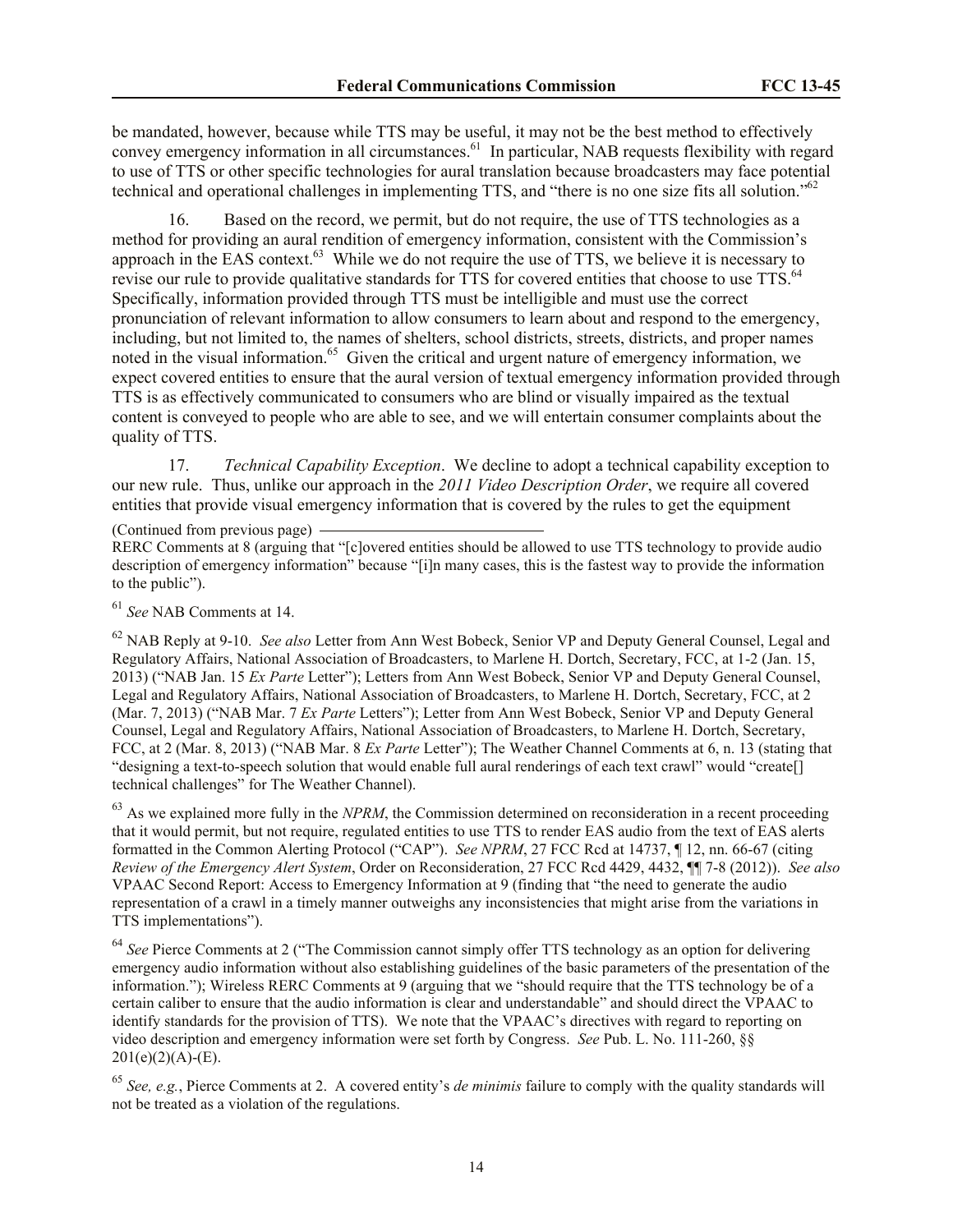be mandated, however, because while TTS may be useful, it may not be the best method to effectively convey emergency information in all circumstances.<sup>61</sup> In particular, NAB requests flexibility with regard to use of TTS or other specific technologies for aural translation because broadcasters may face potential technical and operational challenges in implementing TTS, and "there is no one size fits all solution."<sup>62</sup>

16. Based on the record, we permit, but do not require, the use of TTS technologies as a method for providing an aural rendition of emergency information, consistent with the Commission's approach in the EAS context.<sup>63</sup> While we do not require the use of TTS, we believe it is necessary to revise our rule to provide qualitative standards for TTS for covered entities that choose to use TTS.<sup>64</sup> Specifically, information provided through TTS must be intelligible and must use the correct pronunciation of relevant information to allow consumers to learn about and respond to the emergency, including, but not limited to, the names of shelters, school districts, streets, districts, and proper names noted in the visual information.<sup>65</sup> Given the critical and urgent nature of emergency information, we expect covered entities to ensure that the aural version of textual emergency information provided through TTS is as effectively communicated to consumers who are blind or visually impaired as the textual content is conveyed to people who are able to see, and we will entertain consumer complaints about the quality of TTS.

17. *Technical Capability Exception*. We decline to adopt a technical capability exception to our new rule. Thus, unlike our approach in the *2011 Video Description Order*, we require all covered entities that provide visual emergency information that is covered by the rules to get the equipment

(Continued from previous page)

RERC Comments at 8 (arguing that "[c]overed entities should be allowed to use TTS technology to provide audio description of emergency information" because "[i]n many cases, this is the fastest way to provide the information to the public").

<sup>61</sup> *See* NAB Comments at 14.

<sup>62</sup> NAB Reply at 9-10. *See also* Letter from Ann West Bobeck, Senior VP and Deputy General Counsel, Legal and Regulatory Affairs, National Association of Broadcasters, to Marlene H. Dortch, Secretary, FCC, at 1-2 (Jan. 15, 2013) ("NAB Jan. 15 *Ex Parte* Letter"); Letters from Ann West Bobeck, Senior VP and Deputy General Counsel, Legal and Regulatory Affairs, National Association of Broadcasters, to Marlene H. Dortch, Secretary, FCC, at 2 (Mar. 7, 2013) ("NAB Mar. 7 *Ex Parte* Letters"); Letter from Ann West Bobeck, Senior VP and Deputy General Counsel, Legal and Regulatory Affairs, National Association of Broadcasters, to Marlene H. Dortch, Secretary, FCC, at 2 (Mar. 8, 2013) ("NAB Mar. 8 *Ex Parte* Letter"); The Weather Channel Comments at 6, n. 13 (stating that "designing a text-to-speech solution that would enable full aural renderings of each text crawl" would "create[] technical challenges" for The Weather Channel).

<sup>63</sup> As we explained more fully in the *NPRM*, the Commission determined on reconsideration in a recent proceeding that it would permit, but not require, regulated entities to use TTS to render EAS audio from the text of EAS alerts formatted in the Common Alerting Protocol ("CAP"). *See NPRM*, 27 FCC Rcd at 14737, ¶ 12, nn. 66-67 (citing *Review of the Emergency Alert System*, Order on Reconsideration, 27 FCC Rcd 4429, 4432, ¶¶ 7-8 (2012)). *See also* VPAAC Second Report: Access to Emergency Information at 9 (finding that "the need to generate the audio representation of a crawl in a timely manner outweighs any inconsistencies that might arise from the variations in TTS implementations").

<sup>64</sup> See Pierce Comments at 2 ("The Commission cannot simply offer TTS technology as an option for delivering emergency audio information without also establishing guidelines of the basic parameters of the presentation of the information."); Wireless RERC Comments at 9 (arguing that we "should require that the TTS technology be of a certain caliber to ensure that the audio information is clear and understandable" and should direct the VPAAC to identify standards for the provision of TTS). We note that the VPAAC's directives with regard to reporting on video description and emergency information were set forth by Congress. *See* Pub. L. No. 111-260, §§  $201(e)(2)(A)-(E)$ .

<sup>65</sup> *See, e.g.*, Pierce Comments at 2. A covered entity's *de minimis* failure to comply with the quality standards will not be treated as a violation of the regulations.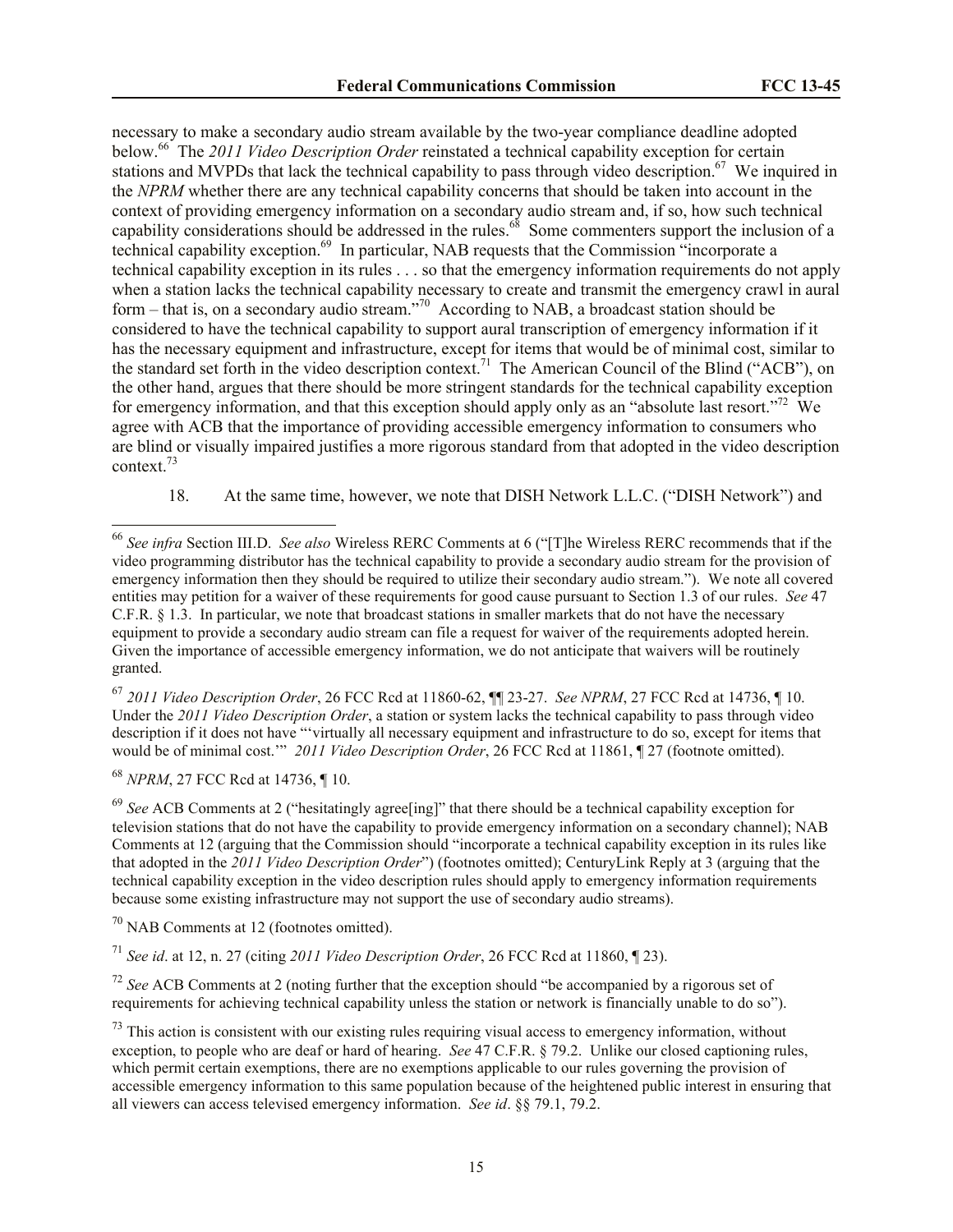necessary to make a secondary audio stream available by the two-year compliance deadline adopted below.<sup>66</sup> The 2011 Video Description Order reinstated a technical capability exception for certain stations and MVPDs that lack the technical capability to pass through video description.<sup>67</sup> We inquired in the *NPRM* whether there are any technical capability concerns that should be taken into account in the context of providing emergency information on a secondary audio stream and, if so, how such technical capability considerations should be addressed in the rules.<sup>68</sup> Some commenters support the inclusion of a technical capability exception.<sup>69</sup> In particular, NAB requests that the Commission "incorporate a technical capability exception in its rules . . . so that the emergency information requirements do not apply when a station lacks the technical capability necessary to create and transmit the emergency crawl in aural form – that is, on a secondary audio stream.<sup>770</sup> According to NAB, a broadcast station should be considered to have the technical capability to support aural transcription of emergency information if it has the necessary equipment and infrastructure, except for items that would be of minimal cost, similar to the standard set forth in the video description context.<sup>71</sup> The American Council of the Blind ("ACB"), on the other hand, argues that there should be more stringent standards for the technical capability exception for emergency information, and that this exception should apply only as an "absolute last resort."<sup>72</sup> We agree with ACB that the importance of providing accessible emergency information to consumers who are blind or visually impaired justifies a more rigorous standard from that adopted in the video description context.<sup>73</sup>

18. At the same time, however, we note that DISH Network L.L.C. ("DISH Network") and

<sup>67</sup> *2011 Video Description Order*, 26 FCC Rcd at 11860-62, ¶¶ 23-27. *See NPRM*, 27 FCC Rcd at 14736, ¶ 10. Under the *2011 Video Description Order*, a station or system lacks the technical capability to pass through video description if it does not have "'virtually all necessary equipment and infrastructure to do so, except for items that would be of minimal cost.'" *2011 Video Description Order*, 26 FCC Rcd at 11861, ¶ 27 (footnote omitted).

<sup>68</sup> *NPRM*, 27 FCC Rcd at 14736, ¶ 10.

 $\overline{a}$ 

<sup>69</sup> *See* ACB Comments at 2 ("hesitatingly agree[ing]" that there should be a technical capability exception for television stations that do not have the capability to provide emergency information on a secondary channel); NAB Comments at 12 (arguing that the Commission should "incorporate a technical capability exception in its rules like that adopted in the *2011 Video Description Order*") (footnotes omitted); CenturyLink Reply at 3 (arguing that the technical capability exception in the video description rules should apply to emergency information requirements because some existing infrastructure may not support the use of secondary audio streams).

 $70$  NAB Comments at 12 (footnotes omitted).

<sup>71</sup> *See id*. at 12, n. 27 (citing *2011 Video Description Order*, 26 FCC Rcd at 11860, ¶ 23).

<sup>72</sup> *See* ACB Comments at 2 (noting further that the exception should "be accompanied by a rigorous set of requirements for achieving technical capability unless the station or network is financially unable to do so").

 $73$  This action is consistent with our existing rules requiring visual access to emergency information, without exception, to people who are deaf or hard of hearing. *See* 47 C.F.R. § 79.2. Unlike our closed captioning rules, which permit certain exemptions, there are no exemptions applicable to our rules governing the provision of accessible emergency information to this same population because of the heightened public interest in ensuring that all viewers can access televised emergency information. *See id*. §§ 79.1, 79.2.

<sup>66</sup> *See infra* Section III.D. *See also* Wireless RERC Comments at 6 ("[T]he Wireless RERC recommends that if the video programming distributor has the technical capability to provide a secondary audio stream for the provision of emergency information then they should be required to utilize their secondary audio stream."). We note all covered entities may petition for a waiver of these requirements for good cause pursuant to Section 1.3 of our rules. *See* 47 C.F.R. § 1.3. In particular, we note that broadcast stations in smaller markets that do not have the necessary equipment to provide a secondary audio stream can file a request for waiver of the requirements adopted herein. Given the importance of accessible emergency information, we do not anticipate that waivers will be routinely granted.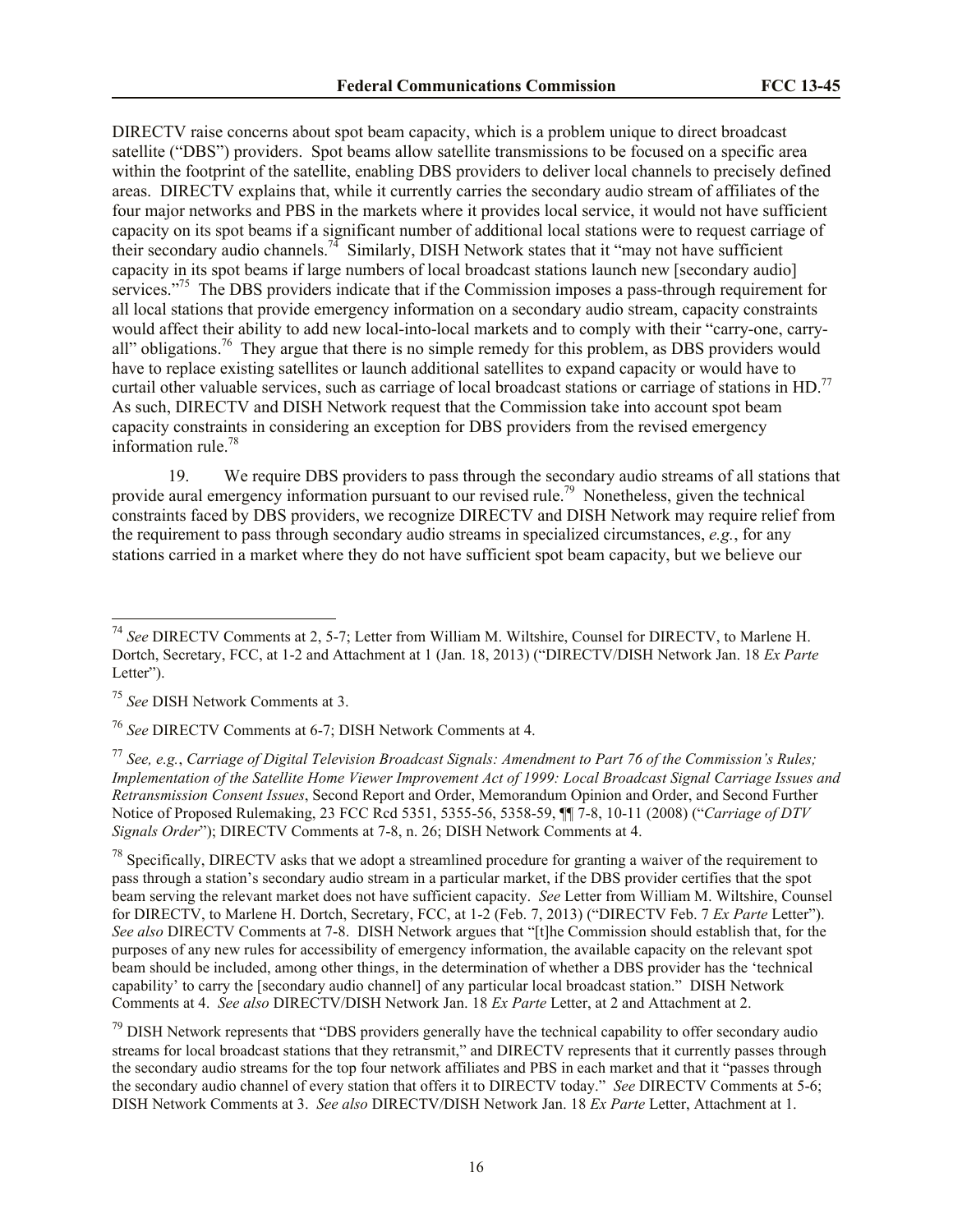DIRECTV raise concerns about spot beam capacity, which is a problem unique to direct broadcast satellite ("DBS") providers. Spot beams allow satellite transmissions to be focused on a specific area within the footprint of the satellite, enabling DBS providers to deliver local channels to precisely defined areas. DIRECTV explains that, while it currently carries the secondary audio stream of affiliates of the four major networks and PBS in the markets where it provides local service, it would not have sufficient capacity on its spot beams if a significant number of additional local stations were to request carriage of their secondary audio channels.<sup>74</sup> Similarly, DISH Network states that it "may not have sufficient capacity in its spot beams if large numbers of local broadcast stations launch new [secondary audio] services."<sup>75</sup> The DBS providers indicate that if the Commission imposes a pass-through requirement for all local stations that provide emergency information on a secondary audio stream, capacity constraints would affect their ability to add new local-into-local markets and to comply with their "carry-one, carryall" obligations.<sup>76</sup> They argue that there is no simple remedy for this problem, as DBS providers would have to replace existing satellites or launch additional satellites to expand capacity or would have to curtail other valuable services, such as carriage of local broadcast stations or carriage of stations in HD.<sup>77</sup> As such, DIRECTV and DISH Network request that the Commission take into account spot beam capacity constraints in considering an exception for DBS providers from the revised emergency information rule.<sup>78</sup>

19. We require DBS providers to pass through the secondary audio streams of all stations that provide aural emergency information pursuant to our revised rule.<sup>79</sup> Nonetheless, given the technical constraints faced by DBS providers, we recognize DIRECTV and DISH Network may require relief from the requirement to pass through secondary audio streams in specialized circumstances, *e.g.*, for any stations carried in a market where they do not have sufficient spot beam capacity, but we believe our

 $\overline{a}$ 

<sup>74</sup> *See* DIRECTV Comments at 2, 5-7; Letter from William M. Wiltshire, Counsel for DIRECTV, to Marlene H. Dortch, Secretary, FCC, at 1-2 and Attachment at 1 (Jan. 18, 2013) ("DIRECTV/DISH Network Jan. 18 *Ex Parte* Letter").

<sup>75</sup> *See* DISH Network Comments at 3.

<sup>76</sup> *See* DIRECTV Comments at 6-7; DISH Network Comments at 4.

<sup>77</sup> *See, e.g.*, *Carriage of Digital Television Broadcast Signals: Amendment to Part 76 of the Commission's Rules; Implementation of the Satellite Home Viewer Improvement Act of 1999: Local Broadcast Signal Carriage Issues and Retransmission Consent Issues*, Second Report and Order, Memorandum Opinion and Order, and Second Further Notice of Proposed Rulemaking, 23 FCC Rcd 5351, 5355-56, 5358-59, ¶¶ 7-8, 10-11 (2008) ("*Carriage of DTV Signals Order*"); DIRECTV Comments at 7-8, n. 26; DISH Network Comments at 4.

 $^{78}$  Specifically, DIRECTV asks that we adopt a streamlined procedure for granting a waiver of the requirement to pass through a station's secondary audio stream in a particular market, if the DBS provider certifies that the spot beam serving the relevant market does not have sufficient capacity. *See* Letter from William M. Wiltshire, Counsel for DIRECTV, to Marlene H. Dortch, Secretary, FCC, at 1-2 (Feb. 7, 2013) ("DIRECTV Feb. 7 *Ex Parte* Letter"). *See also* DIRECTV Comments at 7-8. DISH Network argues that "[t]he Commission should establish that, for the purposes of any new rules for accessibility of emergency information, the available capacity on the relevant spot beam should be included, among other things, in the determination of whether a DBS provider has the 'technical capability' to carry the [secondary audio channel] of any particular local broadcast station." DISH Network Comments at 4. *See also* DIRECTV/DISH Network Jan. 18 *Ex Parte* Letter, at 2 and Attachment at 2.

<sup>&</sup>lt;sup>79</sup> DISH Network represents that "DBS providers generally have the technical capability to offer secondary audio streams for local broadcast stations that they retransmit," and DIRECTV represents that it currently passes through the secondary audio streams for the top four network affiliates and PBS in each market and that it "passes through the secondary audio channel of every station that offers it to DIRECTV today." *See* DIRECTV Comments at 5-6; DISH Network Comments at 3. *See also* DIRECTV/DISH Network Jan. 18 *Ex Parte* Letter, Attachment at 1.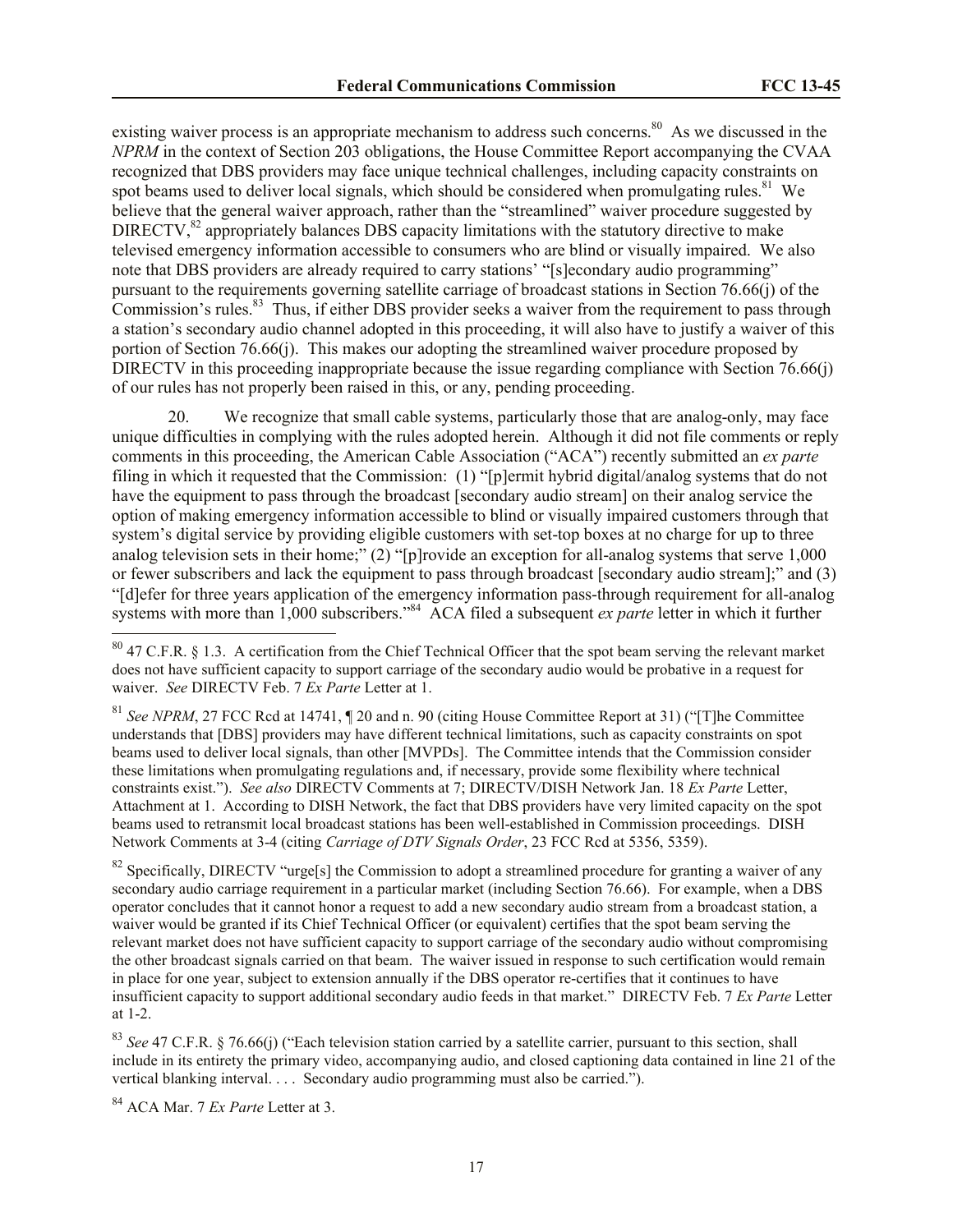existing waiver process is an appropriate mechanism to address such concerns.<sup>80</sup> As we discussed in the *NPRM* in the context of Section 203 obligations, the House Committee Report accompanying the CVAA recognized that DBS providers may face unique technical challenges, including capacity constraints on spot beams used to deliver local signals, which should be considered when promulgating rules.<sup>81</sup> We believe that the general waiver approach, rather than the "streamlined" waiver procedure suggested by DIRECTV, $82$  appropriately balances DBS capacity limitations with the statutory directive to make televised emergency information accessible to consumers who are blind or visually impaired. We also note that DBS providers are already required to carry stations' "[s]econdary audio programming" pursuant to the requirements governing satellite carriage of broadcast stations in Section 76.66(j) of the Commission's rules.<sup>83</sup> Thus, if either DBS provider seeks a waiver from the requirement to pass through a station's secondary audio channel adopted in this proceeding, it will also have to justify a waiver of this portion of Section 76.66(j). This makes our adopting the streamlined waiver procedure proposed by DIRECTV in this proceeding inappropriate because the issue regarding compliance with Section 76.66(j) of our rules has not properly been raised in this, or any, pending proceeding.

20. We recognize that small cable systems, particularly those that are analog-only, may face unique difficulties in complying with the rules adopted herein. Although it did not file comments or reply comments in this proceeding, the American Cable Association ("ACA") recently submitted an *ex parte*  filing in which it requested that the Commission: (1) "[p]ermit hybrid digital/analog systems that do not have the equipment to pass through the broadcast [secondary audio stream] on their analog service the option of making emergency information accessible to blind or visually impaired customers through that system's digital service by providing eligible customers with set-top boxes at no charge for up to three analog television sets in their home;" (2) "[p]rovide an exception for all-analog systems that serve 1,000 or fewer subscribers and lack the equipment to pass through broadcast [secondary audio stream];" and (3) "[d]efer for three years application of the emergency information pass-through requirement for all-analog systems with more than 1,000 subscribers."<sup>84</sup> ACA filed a subsequent *ex parte* letter in which it further  $\overline{a}$ 

<sup>81</sup> See NPRM, 27 FCC Rcd at 14741, ¶ 20 and n. 90 (citing House Committee Report at 31) ("[T]he Committee understands that [DBS] providers may have different technical limitations, such as capacity constraints on spot beams used to deliver local signals, than other [MVPDs]. The Committee intends that the Commission consider these limitations when promulgating regulations and, if necessary, provide some flexibility where technical constraints exist."). *See also* DIRECTV Comments at 7; DIRECTV/DISH Network Jan. 18 *Ex Parte* Letter, Attachment at 1. According to DISH Network, the fact that DBS providers have very limited capacity on the spot beams used to retransmit local broadcast stations has been well-established in Commission proceedings. DISH Network Comments at 3-4 (citing *Carriage of DTV Signals Order*, 23 FCC Rcd at 5356, 5359).

<sup>82</sup> Specifically, DIRECTV "urge[s] the Commission to adopt a streamlined procedure for granting a waiver of any secondary audio carriage requirement in a particular market (including Section 76.66). For example, when a DBS operator concludes that it cannot honor a request to add a new secondary audio stream from a broadcast station, a waiver would be granted if its Chief Technical Officer (or equivalent) certifies that the spot beam serving the relevant market does not have sufficient capacity to support carriage of the secondary audio without compromising the other broadcast signals carried on that beam. The waiver issued in response to such certification would remain in place for one year, subject to extension annually if the DBS operator re-certifies that it continues to have insufficient capacity to support additional secondary audio feeds in that market." DIRECTV Feb. 7 *Ex Parte* Letter at 1-2.

<sup>83</sup> See 47 C.F.R. § 76.66(j) ("Each television station carried by a satellite carrier, pursuant to this section, shall include in its entirety the primary video, accompanying audio, and closed captioning data contained in line 21 of the vertical blanking interval. . . . Secondary audio programming must also be carried.").

<sup>84</sup> ACA Mar. 7 *Ex Parte* Letter at 3.

 $80$  47 C.F.R. § 1.3. A certification from the Chief Technical Officer that the spot beam serving the relevant market does not have sufficient capacity to support carriage of the secondary audio would be probative in a request for waiver. *See* DIRECTV Feb. 7 *Ex Parte* Letter at 1.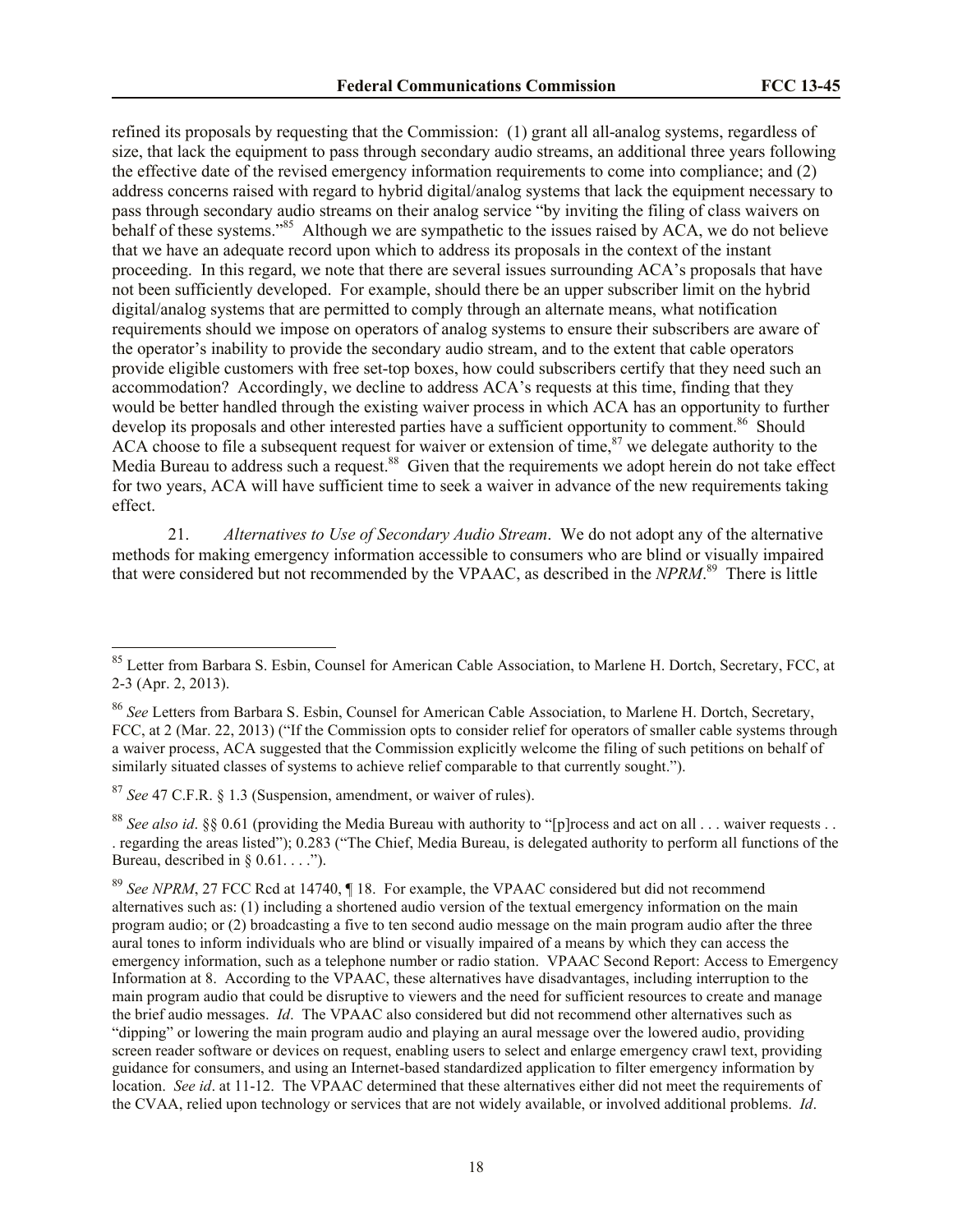refined its proposals by requesting that the Commission: (1) grant all all-analog systems, regardless of size, that lack the equipment to pass through secondary audio streams, an additional three years following the effective date of the revised emergency information requirements to come into compliance; and (2) address concerns raised with regard to hybrid digital/analog systems that lack the equipment necessary to pass through secondary audio streams on their analog service "by inviting the filing of class waivers on behalf of these systems."<sup>85</sup> Although we are sympathetic to the issues raised by ACA, we do not believe that we have an adequate record upon which to address its proposals in the context of the instant proceeding. In this regard, we note that there are several issues surrounding ACA's proposals that have not been sufficiently developed. For example, should there be an upper subscriber limit on the hybrid digital/analog systems that are permitted to comply through an alternate means, what notification requirements should we impose on operators of analog systems to ensure their subscribers are aware of the operator's inability to provide the secondary audio stream, and to the extent that cable operators provide eligible customers with free set-top boxes, how could subscribers certify that they need such an accommodation? Accordingly, we decline to address ACA's requests at this time, finding that they would be better handled through the existing waiver process in which ACA has an opportunity to further develop its proposals and other interested parties have a sufficient opportunity to comment.<sup>86</sup> Should ACA choose to file a subsequent request for waiver or extension of time,  $87$  we delegate authority to the Media Bureau to address such a request.<sup>88</sup> Given that the requirements we adopt herein do not take effect for two years, ACA will have sufficient time to seek a waiver in advance of the new requirements taking effect.

21. *Alternatives to Use of Secondary Audio Stream*. We do not adopt any of the alternative methods for making emergency information accessible to consumers who are blind or visually impaired that were considered but not recommended by the VPAAC, as described in the *NPRM*. 89 There is little

<sup>87</sup> *See* 47 C.F.R. § 1.3 (Suspension, amendment, or waiver of rules).

l

<sup>&</sup>lt;sup>85</sup> Letter from Barbara S. Esbin, Counsel for American Cable Association, to Marlene H. Dortch, Secretary, FCC, at 2-3 (Apr. 2, 2013).

<sup>86</sup> *See* Letters from Barbara S. Esbin, Counsel for American Cable Association, to Marlene H. Dortch, Secretary, FCC, at 2 (Mar. 22, 2013) ("If the Commission opts to consider relief for operators of smaller cable systems through a waiver process, ACA suggested that the Commission explicitly welcome the filing of such petitions on behalf of similarly situated classes of systems to achieve relief comparable to that currently sought.").

<sup>&</sup>lt;sup>88</sup> *See also id.* §§ 0.61 (providing the Media Bureau with authority to "[p]rocess and act on all . . . waiver requests . . . regarding the areas listed"); 0.283 ("The Chief, Media Bureau, is delegated authority to perform all functions of the Bureau, described in  $\S$  0.61. . . .").

<sup>&</sup>lt;sup>89</sup> See NPRM, 27 FCC Rcd at 14740, ¶ 18. For example, the VPAAC considered but did not recommend alternatives such as: (1) including a shortened audio version of the textual emergency information on the main program audio; or (2) broadcasting a five to ten second audio message on the main program audio after the three aural tones to inform individuals who are blind or visually impaired of a means by which they can access the emergency information, such as a telephone number or radio station. VPAAC Second Report: Access to Emergency Information at 8. According to the VPAAC, these alternatives have disadvantages, including interruption to the main program audio that could be disruptive to viewers and the need for sufficient resources to create and manage the brief audio messages. *Id*. The VPAAC also considered but did not recommend other alternatives such as "dipping" or lowering the main program audio and playing an aural message over the lowered audio, providing screen reader software or devices on request, enabling users to select and enlarge emergency crawl text, providing guidance for consumers, and using an Internet-based standardized application to filter emergency information by location. *See id.* at 11-12. The VPAAC determined that these alternatives either did not meet the requirements of the CVAA, relied upon technology or services that are not widely available, or involved additional problems. *Id*.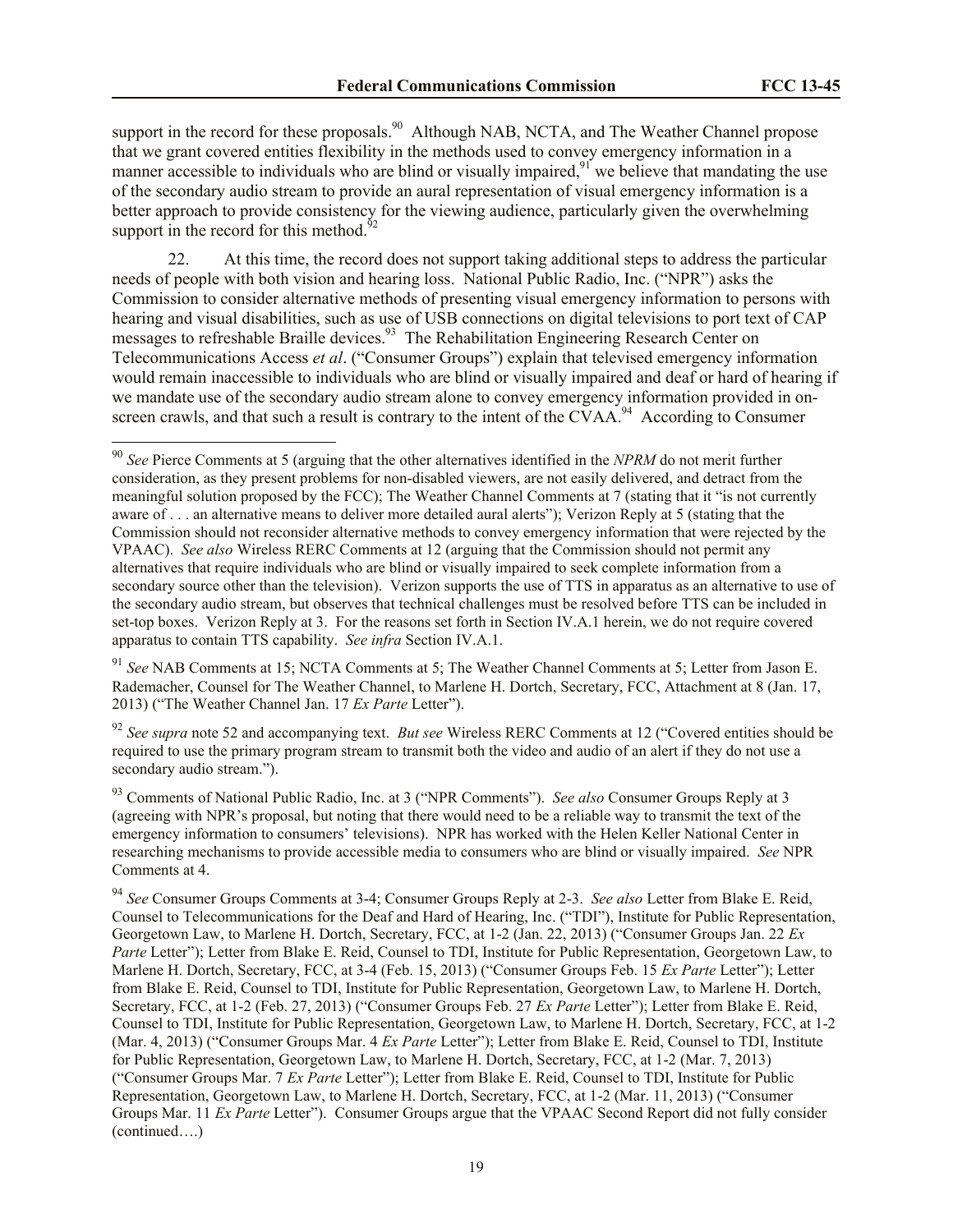support in the record for these proposals.<sup>90</sup> Although NAB, NCTA, and The Weather Channel propose that we grant covered entities flexibility in the methods used to convey emergency information in a manner accessible to individuals who are blind or visually impaired,<sup>91</sup> we believe that mandating the use of the secondary audio stream to provide an aural representation of visual emergency information is a better approach to provide consistency for the viewing audience, particularly given the overwhelming support in the record for this method. $^{52}$ 

22. At this time, the record does not support taking additional steps to address the particular needs of people with both vision and hearing loss. National Public Radio, Inc. ("NPR") asks the Commission to consider alternative methods of presenting visual emergency information to persons with hearing and visual disabilities, such as use of USB connections on digital televisions to port text of CAP messages to refreshable Braille devices.<sup>93</sup> The Rehabilitation Engineering Research Center on Telecommunications Access *et al*. ("Consumer Groups") explain that televised emergency information would remain inaccessible to individuals who are blind or visually impaired and deaf or hard of hearing if we mandate use of the secondary audio stream alone to convey emergency information provided in onscreen crawls, and that such a result is contrary to the intent of the CVAA.<sup>94</sup> According to Consumer

l

<sup>91</sup> *See* NAB Comments at 15; NCTA Comments at 5; The Weather Channel Comments at 5; Letter from Jason E. Rademacher, Counsel for The Weather Channel, to Marlene H. Dortch, Secretary, FCC, Attachment at 8 (Jan. 17, 2013) ("The Weather Channel Jan. 17 *Ex Parte* Letter").

<sup>92</sup> *See supra* note 52 and accompanying text. *But see* Wireless RERC Comments at 12 ("Covered entities should be required to use the primary program stream to transmit both the video and audio of an alert if they do not use a secondary audio stream.").

<sup>93</sup> Comments of National Public Radio, Inc. at 3 ("NPR Comments"). *See also* Consumer Groups Reply at 3 (agreeing with NPR's proposal, but noting that there would need to be a reliable way to transmit the text of the emergency information to consumers' televisions). NPR has worked with the Helen Keller National Center in researching mechanisms to provide accessible media to consumers who are blind or visually impaired. *See* NPR Comments at 4.

<sup>94</sup> *See* Consumer Groups Comments at 3-4; Consumer Groups Reply at 2-3. *See also* Letter from Blake E. Reid, Counsel to Telecommunications for the Deaf and Hard of Hearing, Inc. ("TDI"), Institute for Public Representation, Georgetown Law, to Marlene H. Dortch, Secretary, FCC, at 1-2 (Jan. 22, 2013) ("Consumer Groups Jan. 22 *Ex Parte* Letter"); Letter from Blake E. Reid, Counsel to TDI, Institute for Public Representation, Georgetown Law, to Marlene H. Dortch, Secretary, FCC, at 3-4 (Feb. 15, 2013) ("Consumer Groups Feb. 15 *Ex Parte* Letter"); Letter from Blake E. Reid, Counsel to TDI, Institute for Public Representation, Georgetown Law, to Marlene H. Dortch, Secretary, FCC, at 1-2 (Feb. 27, 2013) ("Consumer Groups Feb. 27 *Ex Parte* Letter"); Letter from Blake E. Reid, Counsel to TDI, Institute for Public Representation, Georgetown Law, to Marlene H. Dortch, Secretary, FCC, at 1-2 (Mar. 4, 2013) ("Consumer Groups Mar. 4 *Ex Parte* Letter"); Letter from Blake E. Reid, Counsel to TDI, Institute for Public Representation, Georgetown Law, to Marlene H. Dortch, Secretary, FCC, at 1-2 (Mar. 7, 2013) ("Consumer Groups Mar. 7 *Ex Parte* Letter"); Letter from Blake E. Reid, Counsel to TDI, Institute for Public Representation, Georgetown Law, to Marlene H. Dortch, Secretary, FCC, at 1-2 (Mar. 11, 2013) ("Consumer Groups Mar. 11 *Ex Parte* Letter"). Consumer Groups argue that the VPAAC Second Report did not fully consider (continued….)

<sup>90</sup> *See* Pierce Comments at 5 (arguing that the other alternatives identified in the *NPRM* do not merit further consideration, as they present problems for non-disabled viewers, are not easily delivered, and detract from the meaningful solution proposed by the FCC); The Weather Channel Comments at 7 (stating that it "is not currently aware of . . . an alternative means to deliver more detailed aural alerts"); Verizon Reply at 5 (stating that the Commission should not reconsider alternative methods to convey emergency information that were rejected by the VPAAC). *See also* Wireless RERC Comments at 12 (arguing that the Commission should not permit any alternatives that require individuals who are blind or visually impaired to seek complete information from a secondary source other than the television). Verizon supports the use of TTS in apparatus as an alternative to use of the secondary audio stream, but observes that technical challenges must be resolved before TTS can be included in set-top boxes. Verizon Reply at 3. For the reasons set forth in Section IV.A.1 herein, we do not require covered apparatus to contain TTS capability. *See infra* Section IV.A.1.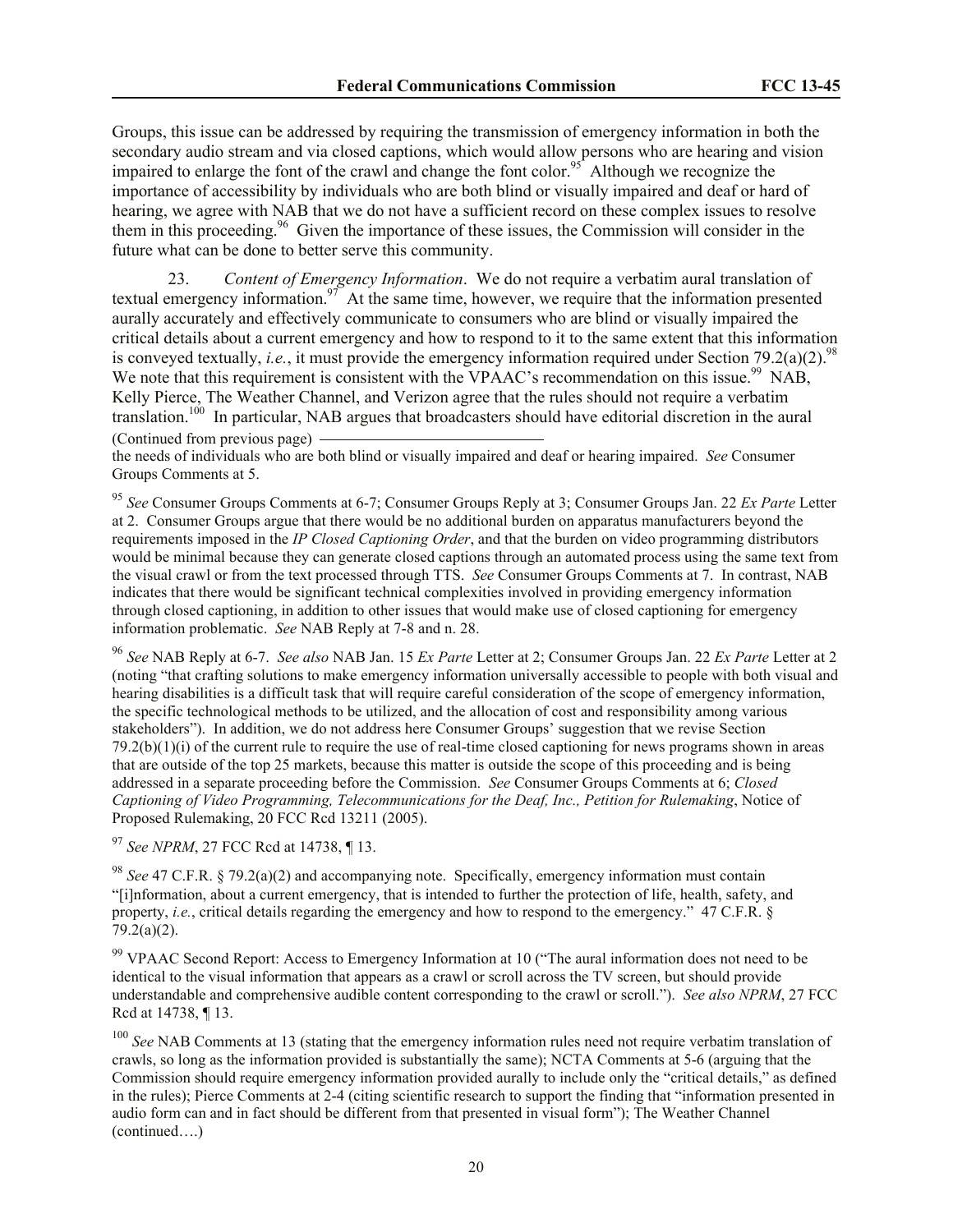Groups, this issue can be addressed by requiring the transmission of emergency information in both the secondary audio stream and via closed captions, which would allow persons who are hearing and vision impaired to enlarge the font of the crawl and change the font color.<sup>95</sup> Although we recognize the importance of accessibility by individuals who are both blind or visually impaired and deaf or hard of hearing, we agree with NAB that we do not have a sufficient record on these complex issues to resolve them in this proceeding. 96 Given the importance of these issues, the Commission will consider in the future what can be done to better serve this community.

23. *Content of Emergency Information*. We do not require a verbatim aural translation of textual emergency information.<sup>97</sup> At the same time, however, we require that the information presented aurally accurately and effectively communicate to consumers who are blind or visually impaired the critical details about a current emergency and how to respond to it to the same extent that this information is conveyed textually, *i.e.*, it must provide the emergency information required under Section 79.2(a)(2).<sup>98</sup> We note that this requirement is consistent with the VPAAC's recommendation on this issue.<sup>99</sup> NAB, Kelly Pierce, The Weather Channel, and Verizon agree that the rules should not require a verbatim translation.<sup>100</sup> In particular, NAB argues that broadcasters should have editorial discretion in the aural (Continued from previous page)

the needs of individuals who are both blind or visually impaired and deaf or hearing impaired. *See* Consumer Groups Comments at 5.

<sup>95</sup> *See* Consumer Groups Comments at 6-7; Consumer Groups Reply at 3; Consumer Groups Jan. 22 *Ex Parte* Letter at 2. Consumer Groups argue that there would be no additional burden on apparatus manufacturers beyond the requirements imposed in the *IP Closed Captioning Order*, and that the burden on video programming distributors would be minimal because they can generate closed captions through an automated process using the same text from the visual crawl or from the text processed through TTS. *See* Consumer Groups Comments at 7. In contrast, NAB indicates that there would be significant technical complexities involved in providing emergency information through closed captioning, in addition to other issues that would make use of closed captioning for emergency information problematic. *See* NAB Reply at 7-8 and n. 28.

<sup>96</sup> *See* NAB Reply at 6-7. *See also* NAB Jan. 15 *Ex Parte* Letter at 2; Consumer Groups Jan. 22 *Ex Parte* Letter at 2 (noting "that crafting solutions to make emergency information universally accessible to people with both visual and hearing disabilities is a difficult task that will require careful consideration of the scope of emergency information, the specific technological methods to be utilized, and the allocation of cost and responsibility among various stakeholders"). In addition, we do not address here Consumer Groups' suggestion that we revise Section  $79.2(b)(1)(i)$  of the current rule to require the use of real-time closed captioning for news programs shown in areas that are outside of the top 25 markets, because this matter is outside the scope of this proceeding and is being addressed in a separate proceeding before the Commission. *See* Consumer Groups Comments at 6; *Closed Captioning of Video Programming, Telecommunications for the Deaf, Inc., Petition for Rulemaking*, Notice of Proposed Rulemaking, 20 FCC Rcd 13211 (2005).

<sup>97</sup> *See NPRM*, 27 FCC Rcd at 14738, ¶ 13.

<sup>98</sup> *See* 47 C.F.R. § 79.2(a)(2) and accompanying note. Specifically, emergency information must contain "[i]nformation, about a current emergency, that is intended to further the protection of life, health, safety, and property, *i.e.*, critical details regarding the emergency and how to respond to the emergency." 47 C.F.R. § 79.2(a)(2).

<sup>99</sup> VPAAC Second Report: Access to Emergency Information at 10 ("The aural information does not need to be identical to the visual information that appears as a crawl or scroll across the TV screen, but should provide understandable and comprehensive audible content corresponding to the crawl or scroll."). *See also NPRM*, 27 FCC Rcd at 14738, ¶ 13.

<sup>100</sup> See NAB Comments at 13 (stating that the emergency information rules need not require verbatim translation of crawls, so long as the information provided is substantially the same); NCTA Comments at 5-6 (arguing that the Commission should require emergency information provided aurally to include only the "critical details," as defined in the rules); Pierce Comments at 2-4 (citing scientific research to support the finding that "information presented in audio form can and in fact should be different from that presented in visual form"); The Weather Channel (continued….)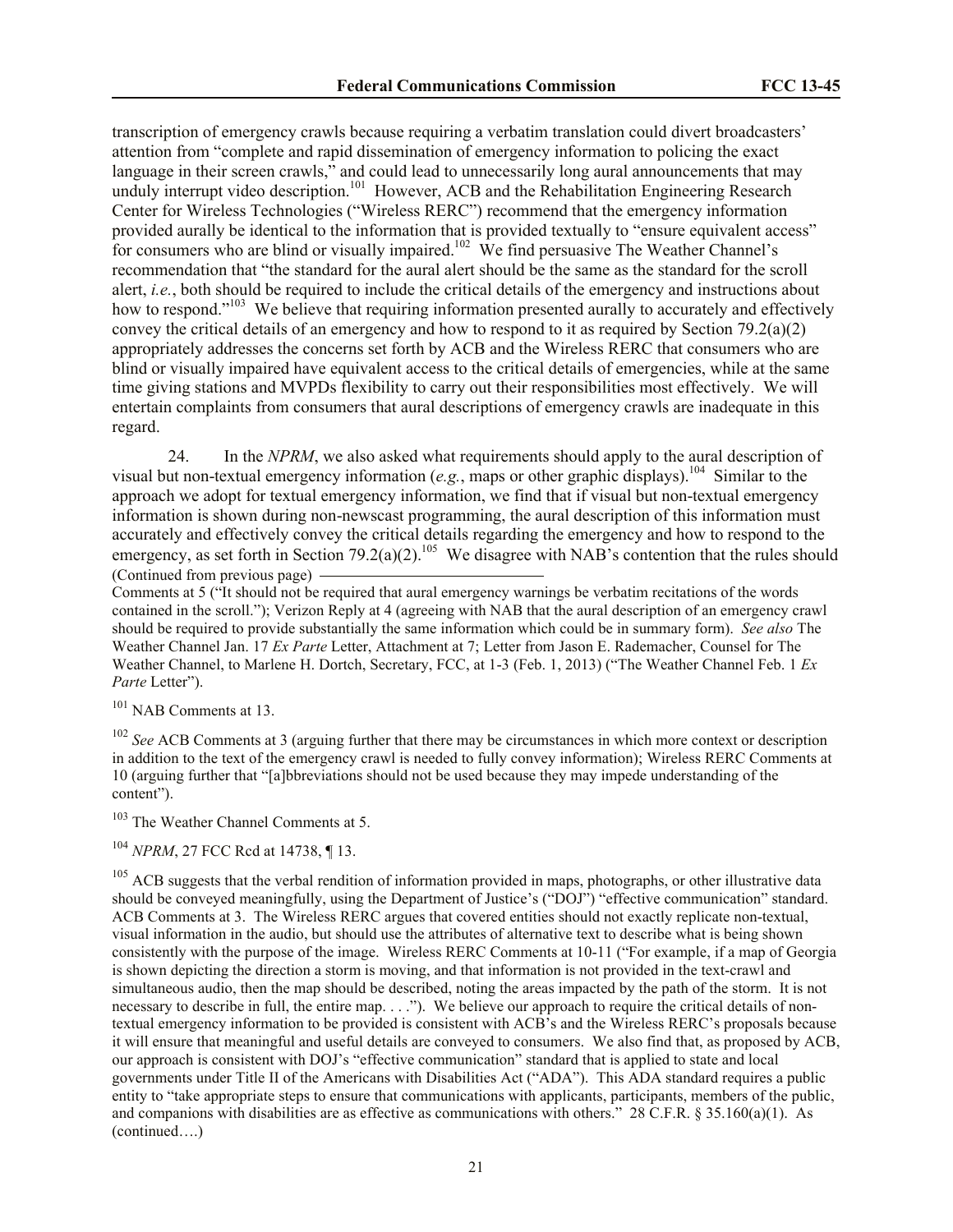transcription of emergency crawls because requiring a verbatim translation could divert broadcasters' attention from "complete and rapid dissemination of emergency information to policing the exact language in their screen crawls," and could lead to unnecessarily long aural announcements that may unduly interrupt video description.<sup>101</sup> However, ACB and the Rehabilitation Engineering Research Center for Wireless Technologies ("Wireless RERC") recommend that the emergency information provided aurally be identical to the information that is provided textually to "ensure equivalent access" for consumers who are blind or visually impaired.<sup>102</sup> We find persuasive The Weather Channel's recommendation that "the standard for the aural alert should be the same as the standard for the scroll alert, *i.e.*, both should be required to include the critical details of the emergency and instructions about how to respond."<sup>103</sup> We believe that requiring information presented aurally to accurately and effectively convey the critical details of an emergency and how to respond to it as required by Section 79.2(a)(2) appropriately addresses the concerns set forth by ACB and the Wireless RERC that consumers who are blind or visually impaired have equivalent access to the critical details of emergencies, while at the same time giving stations and MVPDs flexibility to carry out their responsibilities most effectively. We will entertain complaints from consumers that aural descriptions of emergency crawls are inadequate in this regard.

24. In the *NPRM*, we also asked what requirements should apply to the aural description of visual but non-textual emergency information (e.g., maps or other graphic displays).<sup>104</sup> Similar to the approach we adopt for textual emergency information, we find that if visual but non-textual emergency information is shown during non-newscast programming, the aural description of this information must accurately and effectively convey the critical details regarding the emergency and how to respond to the emergency, as set forth in Section 79.2(a)(2).<sup>105</sup> We disagree with NAB's contention that the rules should (Continued from previous page)

Comments at 5 ("It should not be required that aural emergency warnings be verbatim recitations of the words contained in the scroll."); Verizon Reply at 4 (agreeing with NAB that the aural description of an emergency crawl should be required to provide substantially the same information which could be in summary form). *See also* The Weather Channel Jan. 17 *Ex Parte* Letter, Attachment at 7; Letter from Jason E. Rademacher, Counsel for The Weather Channel, to Marlene H. Dortch, Secretary, FCC, at 1-3 (Feb. 1, 2013) ("The Weather Channel Feb. 1 *Ex Parte* Letter").

<sup>101</sup> NAB Comments at 13.

<sup>102</sup> *See* ACB Comments at 3 (arguing further that there may be circumstances in which more context or description in addition to the text of the emergency crawl is needed to fully convey information); Wireless RERC Comments at 10 (arguing further that "[a]bbreviations should not be used because they may impede understanding of the content").

<sup>103</sup> The Weather Channel Comments at 5.

# <sup>104</sup> *NPRM*, 27 FCC Rcd at 14738, 113.

<sup>105</sup> ACB suggests that the verbal rendition of information provided in maps, photographs, or other illustrative data should be conveyed meaningfully, using the Department of Justice's ("DOJ") "effective communication" standard. ACB Comments at 3. The Wireless RERC argues that covered entities should not exactly replicate non-textual, visual information in the audio, but should use the attributes of alternative text to describe what is being shown consistently with the purpose of the image. Wireless RERC Comments at 10-11 ("For example, if a map of Georgia is shown depicting the direction a storm is moving, and that information is not provided in the text-crawl and simultaneous audio, then the map should be described, noting the areas impacted by the path of the storm. It is not necessary to describe in full, the entire map. . . ."). We believe our approach to require the critical details of nontextual emergency information to be provided is consistent with ACB's and the Wireless RERC's proposals because it will ensure that meaningful and useful details are conveyed to consumers. We also find that, as proposed by ACB, our approach is consistent with DOJ's "effective communication" standard that is applied to state and local governments under Title II of the Americans with Disabilities Act ("ADA"). This ADA standard requires a public entity to "take appropriate steps to ensure that communications with applicants, participants, members of the public, and companions with disabilities are as effective as communications with others." 28 C.F.R. § 35.160(a)(1). As (continued….)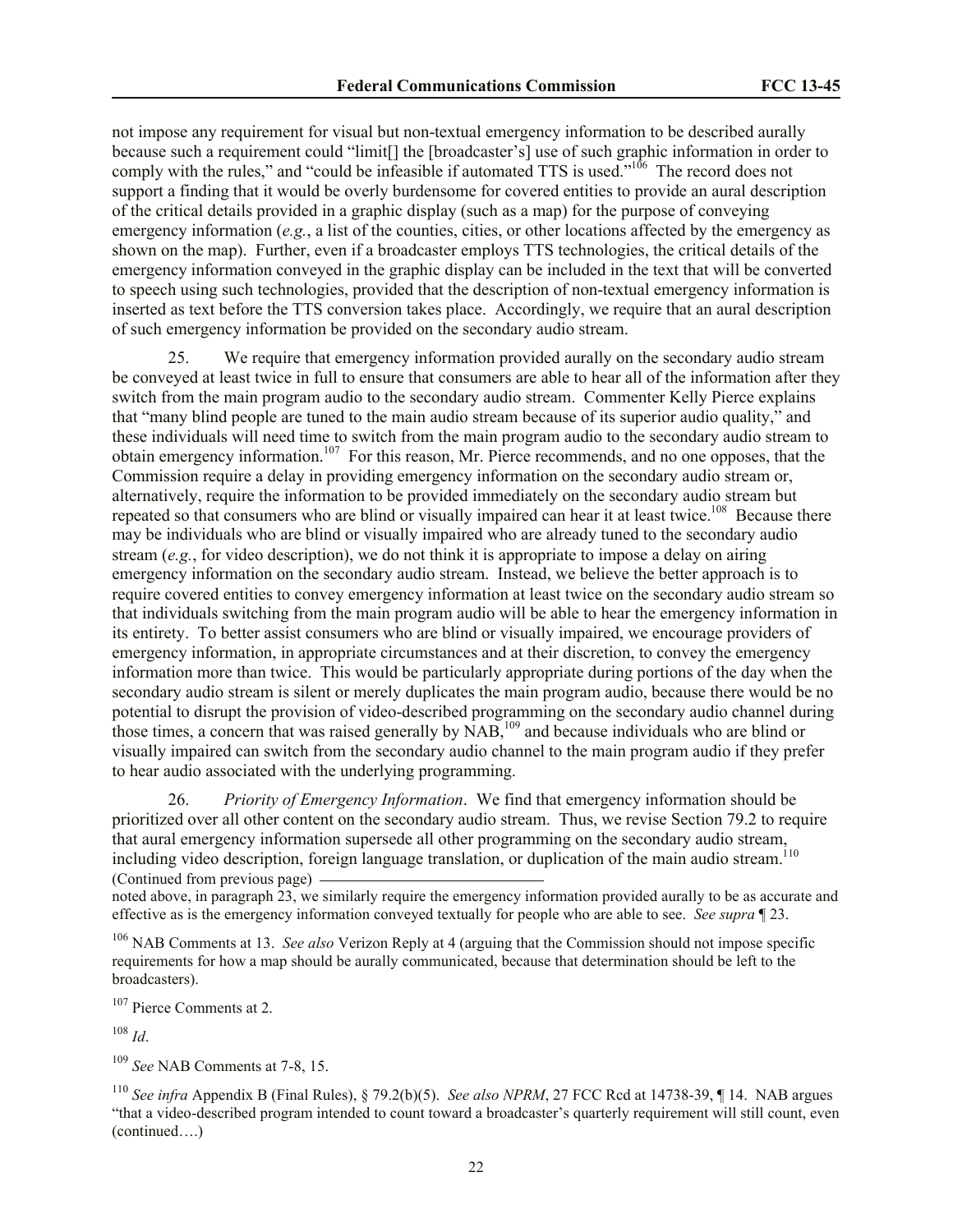not impose any requirement for visual but non-textual emergency information to be described aurally because such a requirement could "limit[] the [broadcaster's] use of such graphic information in order to comply with the rules," and "could be infeasible if automated TTS is used."<sup>106</sup> The record does not support a finding that it would be overly burdensome for covered entities to provide an aural description of the critical details provided in a graphic display (such as a map) for the purpose of conveying emergency information (*e.g.*, a list of the counties, cities, or other locations affected by the emergency as shown on the map). Further, even if a broadcaster employs TTS technologies, the critical details of the emergency information conveyed in the graphic display can be included in the text that will be converted to speech using such technologies, provided that the description of non-textual emergency information is inserted as text before the TTS conversion takes place. Accordingly, we require that an aural description of such emergency information be provided on the secondary audio stream.

We require that emergency information provided aurally on the secondary audio stream be conveyed at least twice in full to ensure that consumers are able to hear all of the information after they switch from the main program audio to the secondary audio stream. Commenter Kelly Pierce explains that "many blind people are tuned to the main audio stream because of its superior audio quality," and these individuals will need time to switch from the main program audio to the secondary audio stream to obtain emergency information.<sup>107</sup> For this reason, Mr. Pierce recommends, and no one opposes, that the Commission require a delay in providing emergency information on the secondary audio stream or, alternatively, require the information to be provided immediately on the secondary audio stream but repeated so that consumers who are blind or visually impaired can hear it at least twice.<sup>108</sup> Because there may be individuals who are blind or visually impaired who are already tuned to the secondary audio stream (*e.g.*, for video description), we do not think it is appropriate to impose a delay on airing emergency information on the secondary audio stream. Instead, we believe the better approach is to require covered entities to convey emergency information at least twice on the secondary audio stream so that individuals switching from the main program audio will be able to hear the emergency information in its entirety. To better assist consumers who are blind or visually impaired, we encourage providers of emergency information, in appropriate circumstances and at their discretion, to convey the emergency information more than twice. This would be particularly appropriate during portions of the day when the secondary audio stream is silent or merely duplicates the main program audio, because there would be no potential to disrupt the provision of video-described programming on the secondary audio channel during those times, a concern that was raised generally by NAB,<sup>109</sup> and because individuals who are blind or visually impaired can switch from the secondary audio channel to the main program audio if they prefer to hear audio associated with the underlying programming.

26. *Priority of Emergency Information*. We find that emergency information should be prioritized over all other content on the secondary audio stream. Thus, we revise Section 79.2 to require that aural emergency information supersede all other programming on the secondary audio stream, including video description, foreign language translation, or duplication of the main audio stream.<sup>110</sup> (Continued from previous page)

noted above, in paragraph 23, we similarly require the emergency information provided aurally to be as accurate and effective as is the emergency information conveyed textually for people who are able to see. *See supra* ¶ 23.

<sup>106</sup> NAB Comments at 13. *See also* Verizon Reply at 4 (arguing that the Commission should not impose specific requirements for how a map should be aurally communicated, because that determination should be left to the broadcasters).

<sup>107</sup> Pierce Comments at 2.

<sup>108</sup> *Id*.

<sup>109</sup> *See* NAB Comments at 7-8, 15.

<sup>110</sup> *See infra* Appendix B (Final Rules), § 79.2(b)(5). *See also NPRM*, 27 FCC Rcd at 14738-39, ¶ 14. NAB argues "that a video-described program intended to count toward a broadcaster's quarterly requirement will still count, even (continued….)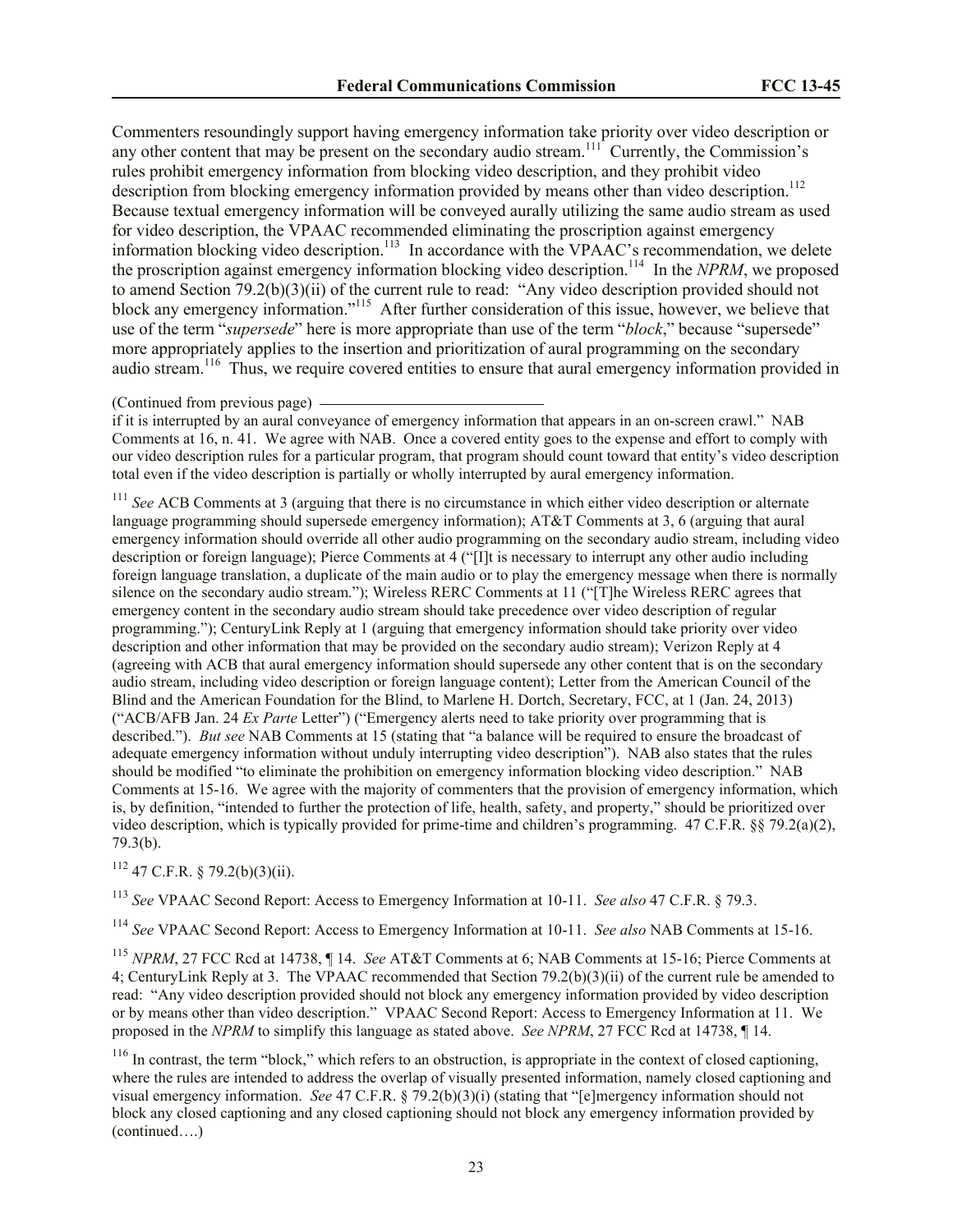Commenters resoundingly support having emergency information take priority over video description or any other content that may be present on the secondary audio stream.<sup>111</sup> Currently, the Commission's rules prohibit emergency information from blocking video description, and they prohibit video description from blocking emergency information provided by means other than video description.<sup>112</sup> Because textual emergency information will be conveyed aurally utilizing the same audio stream as used for video description, the VPAAC recommended eliminating the proscription against emergency information blocking video description. 113 In accordance with the VPAAC's recommendation, we delete the proscription against emergency information blocking video description.<sup>114</sup> In the *NPRM*, we proposed to amend Section 79.2(b)(3)(ii) of the current rule to read: "Any video description provided should not block any emergency information."<sup>115</sup> After further consideration of this issue, however, we believe that use of the term "*supersede*" here is more appropriate than use of the term "*block*," because "supersede" more appropriately applies to the insertion and prioritization of aural programming on the secondary audio stream.<sup>116</sup> Thus, we require covered entities to ensure that aural emergency information provided in

# (Continued from previous page)

if it is interrupted by an aural conveyance of emergency information that appears in an on-screen crawl." NAB Comments at 16, n. 41. We agree with NAB. Once a covered entity goes to the expense and effort to comply with our video description rules for a particular program, that program should count toward that entity's video description total even if the video description is partially or wholly interrupted by aural emergency information.

<sup>111</sup> See ACB Comments at 3 (arguing that there is no circumstance in which either video description or alternate language programming should supersede emergency information); AT&T Comments at 3, 6 (arguing that aural emergency information should override all other audio programming on the secondary audio stream, including video description or foreign language); Pierce Comments at 4 ("[I]t is necessary to interrupt any other audio including foreign language translation, a duplicate of the main audio or to play the emergency message when there is normally silence on the secondary audio stream."); Wireless RERC Comments at 11 ("[T]he Wireless RERC agrees that emergency content in the secondary audio stream should take precedence over video description of regular programming."); CenturyLink Reply at 1 (arguing that emergency information should take priority over video description and other information that may be provided on the secondary audio stream); Verizon Reply at 4 (agreeing with ACB that aural emergency information should supersede any other content that is on the secondary audio stream, including video description or foreign language content); Letter from the American Council of the Blind and the American Foundation for the Blind, to Marlene H. Dortch, Secretary, FCC, at 1 (Jan. 24, 2013) ("ACB/AFB Jan. 24 *Ex Parte* Letter") ("Emergency alerts need to take priority over programming that is described."). *But see* NAB Comments at 15 (stating that "a balance will be required to ensure the broadcast of adequate emergency information without unduly interrupting video description"). NAB also states that the rules should be modified "to eliminate the prohibition on emergency information blocking video description." NAB Comments at 15-16. We agree with the majority of commenters that the provision of emergency information, which is, by definition, "intended to further the protection of life, health, safety, and property," should be prioritized over video description, which is typically provided for prime-time and children's programming. 47 C.F.R. §§ 79.2(a)(2), 79.3(b).

<sup>112</sup> 47 C.F.R. § 79.2(b)(3)(ii).

<sup>113</sup> *See* VPAAC Second Report: Access to Emergency Information at 10-11. *See also* 47 C.F.R. § 79.3.

<sup>114</sup> *See* VPAAC Second Report: Access to Emergency Information at 10-11. *See also* NAB Comments at 15-16.

<sup>115</sup> *NPRM*, 27 FCC Rcd at 14738, ¶ 14. *See* AT&T Comments at 6; NAB Comments at 15-16; Pierce Comments at 4; CenturyLink Reply at 3. The VPAAC recommended that Section 79.2(b)(3)(ii) of the current rule be amended to read: "Any video description provided should not block any emergency information provided by video description or by means other than video description." VPAAC Second Report: Access to Emergency Information at 11. We proposed in the *NPRM* to simplify this language as stated above. *See NPRM*, 27 FCC Rcd at 14738, ¶ 14.

 $116$  In contrast, the term "block," which refers to an obstruction, is appropriate in the context of closed captioning, where the rules are intended to address the overlap of visually presented information, namely closed captioning and visual emergency information. *See* 47 C.F.R. § 79.2(b)(3)(i) (stating that "[e]mergency information should not block any closed captioning and any closed captioning should not block any emergency information provided by (continued….)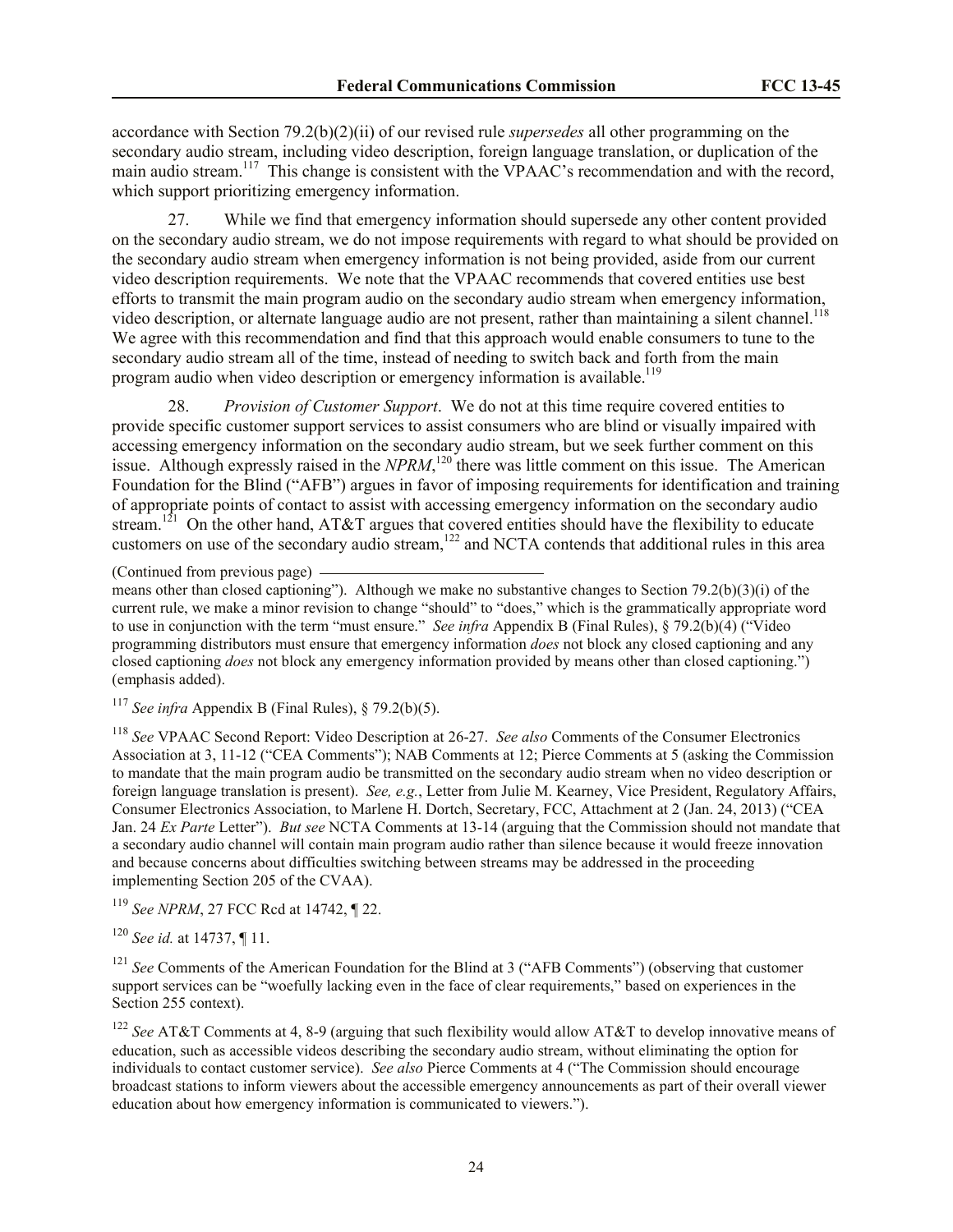accordance with Section 79.2(b)(2)(ii) of our revised rule *supersedes* all other programming on the secondary audio stream, including video description, foreign language translation, or duplication of the main audio stream.<sup>117</sup> This change is consistent with the VPAAC's recommendation and with the record, which support prioritizing emergency information.

27. While we find that emergency information should supersede any other content provided on the secondary audio stream, we do not impose requirements with regard to what should be provided on the secondary audio stream when emergency information is not being provided, aside from our current video description requirements. We note that the VPAAC recommends that covered entities use best efforts to transmit the main program audio on the secondary audio stream when emergency information, video description, or alternate language audio are not present, rather than maintaining a silent channel.<sup>118</sup> We agree with this recommendation and find that this approach would enable consumers to tune to the secondary audio stream all of the time, instead of needing to switch back and forth from the main program audio when video description or emergency information is available.<sup>119</sup>

28. *Provision of Customer Support*. We do not at this time require covered entities to provide specific customer support services to assist consumers who are blind or visually impaired with accessing emergency information on the secondary audio stream, but we seek further comment on this issue. Although expressly raised in the  $NPRM$ ,<sup>120</sup> there was little comment on this issue. The American Foundation for the Blind ("AFB") argues in favor of imposing requirements for identification and training of appropriate points of contact to assist with accessing emergency information on the secondary audio stream.<sup>121</sup> On the other hand, AT&T argues that covered entities should have the flexibility to educate customers on use of the secondary audio stream,<sup>122</sup> and NCTA contends that additional rules in this area

<sup>117</sup> *See infra* Appendix B (Final Rules), § 79.2(b)(5).

<sup>118</sup> *See* VPAAC Second Report: Video Description at 26-27. *See also* Comments of the Consumer Electronics Association at 3, 11-12 ("CEA Comments"); NAB Comments at 12; Pierce Comments at 5 (asking the Commission to mandate that the main program audio be transmitted on the secondary audio stream when no video description or foreign language translation is present). *See, e.g.*, Letter from Julie M. Kearney, Vice President, Regulatory Affairs, Consumer Electronics Association, to Marlene H. Dortch, Secretary, FCC, Attachment at 2 (Jan. 24, 2013) ("CEA Jan. 24 *Ex Parte* Letter"). *But see* NCTA Comments at 13-14 (arguing that the Commission should not mandate that a secondary audio channel will contain main program audio rather than silence because it would freeze innovation and because concerns about difficulties switching between streams may be addressed in the proceeding implementing Section 205 of the CVAA).

<sup>119</sup> *See NPRM*, 27 FCC Rcd at 14742, ¶ 22.

<sup>120</sup> *See id.* at 14737, ¶ 11.

<sup>121</sup> *See* Comments of the American Foundation for the Blind at 3 ("AFB Comments") (observing that customer support services can be "woefully lacking even in the face of clear requirements," based on experiences in the Section 255 context).

<sup>122</sup> *See* AT&T Comments at 4, 8-9 (arguing that such flexibility would allow AT&T to develop innovative means of education, such as accessible videos describing the secondary audio stream, without eliminating the option for individuals to contact customer service). *See also* Pierce Comments at 4 ("The Commission should encourage broadcast stations to inform viewers about the accessible emergency announcements as part of their overall viewer education about how emergency information is communicated to viewers.").

<sup>(</sup>Continued from previous page)

means other than closed captioning"). Although we make no substantive changes to Section 79.2(b)(3)(i) of the current rule, we make a minor revision to change "should" to "does," which is the grammatically appropriate word to use in conjunction with the term "must ensure." *See infra* Appendix B (Final Rules), § 79.2(b)(4) ("Video programming distributors must ensure that emergency information *does* not block any closed captioning and any closed captioning *does* not block any emergency information provided by means other than closed captioning.") (emphasis added).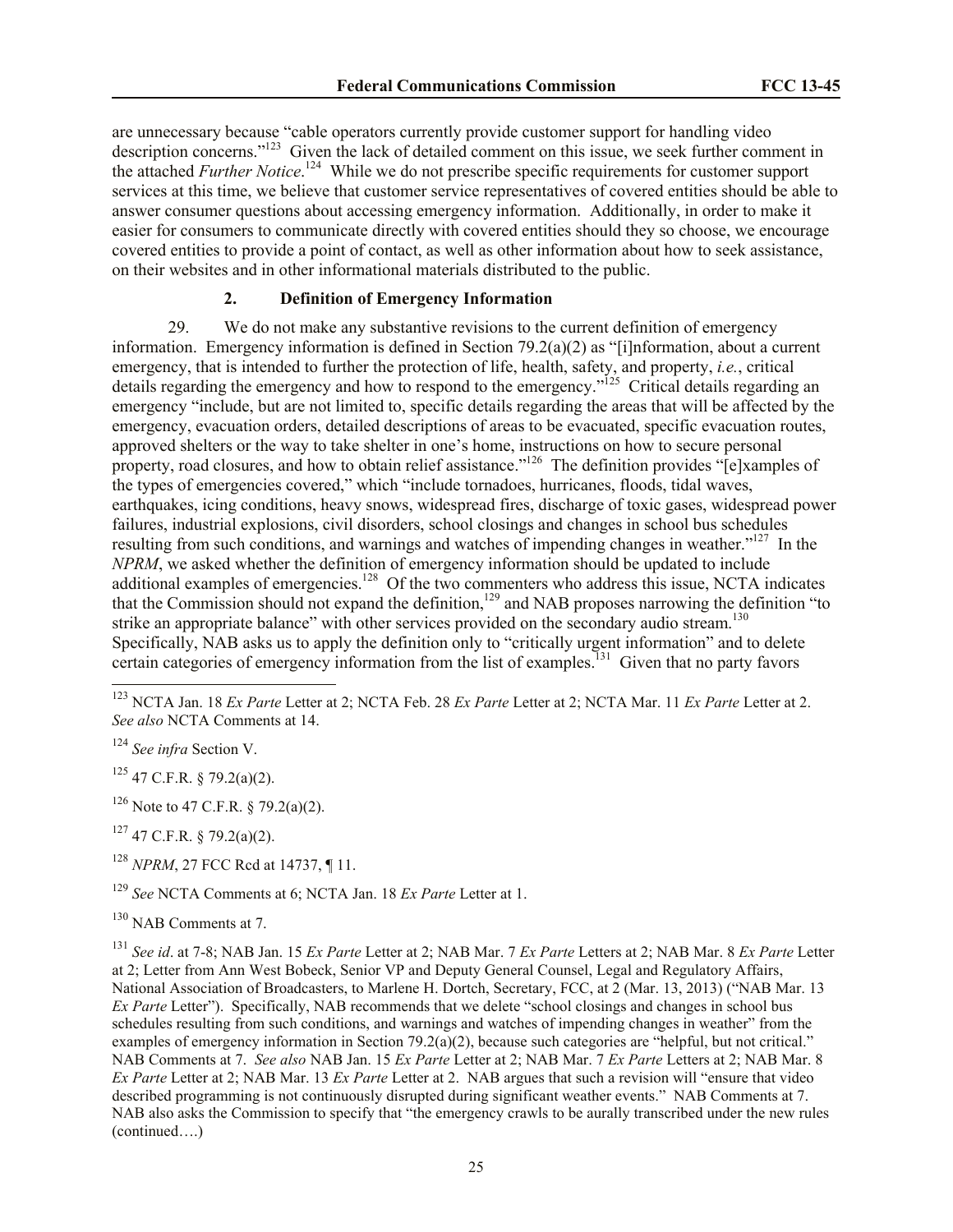are unnecessary because "cable operators currently provide customer support for handling video description concerns."<sup>123</sup> Given the lack of detailed comment on this issue, we seek further comment in the attached *Further Notice*. 124 While we do not prescribe specific requirements for customer support services at this time, we believe that customer service representatives of covered entities should be able to answer consumer questions about accessing emergency information. Additionally, in order to make it easier for consumers to communicate directly with covered entities should they so choose, we encourage covered entities to provide a point of contact, as well as other information about how to seek assistance, on their websites and in other informational materials distributed to the public.

# <span id="page-24-0"></span>**2. Definition of Emergency Information**

29. We do not make any substantive revisions to the current definition of emergency information. Emergency information is defined in Section 79.2(a)(2) as "[i]nformation, about a current emergency, that is intended to further the protection of life, health, safety, and property, *i.e.*, critical details regarding the emergency and how to respond to the emergency."<sup>125</sup> Critical details regarding an emergency "include, but are not limited to, specific details regarding the areas that will be affected by the emergency, evacuation orders, detailed descriptions of areas to be evacuated, specific evacuation routes, approved shelters or the way to take shelter in one's home, instructions on how to secure personal property, road closures, and how to obtain relief assistance."<sup>126</sup> The definition provides "[e]xamples of the types of emergencies covered," which "include tornadoes, hurricanes, floods, tidal waves, earthquakes, icing conditions, heavy snows, widespread fires, discharge of toxic gases, widespread power failures, industrial explosions, civil disorders, school closings and changes in school bus schedules resulting from such conditions, and warnings and watches of impending changes in weather."<sup>127</sup> In the *NPRM*, we asked whether the definition of emergency information should be updated to include additional examples of emergencies.<sup>128</sup> Of the two commenters who address this issue, NCTA indicates that the Commission should not expand the definition,<sup>129</sup> and NAB proposes narrowing the definition "to strike an appropriate balance" with other services provided on the secondary audio stream.<sup>130</sup> Specifically, NAB asks us to apply the definition only to "critically urgent information" and to delete certain categories of emergency information from the list of examples.<sup>131</sup> Given that no party favors

 $\overline{a}$ 

<sup>125</sup> 47 C.F.R. § 79.2(a)(2).

<sup>126</sup> Note to 47 C.F.R. § 79.2(a)(2).

 $127$  47 C.F.R. § 79.2(a)(2).

<sup>128</sup> *NPRM*, 27 FCC Rcd at 14737, ¶ 11.

<sup>129</sup> *See* NCTA Comments at 6; NCTA Jan. 18 *Ex Parte* Letter at 1.

<sup>130</sup> NAB Comments at 7.

<sup>131</sup> *See id*. at 7-8; NAB Jan. 15 *Ex Parte* Letter at 2; NAB Mar. 7 *Ex Parte* Letters at 2; NAB Mar. 8 *Ex Parte* Letter at 2; Letter from Ann West Bobeck, Senior VP and Deputy General Counsel, Legal and Regulatory Affairs, National Association of Broadcasters, to Marlene H. Dortch, Secretary, FCC, at 2 (Mar. 13, 2013) ("NAB Mar. 13 *Ex Parte* Letter"). Specifically, NAB recommends that we delete "school closings and changes in school bus schedules resulting from such conditions, and warnings and watches of impending changes in weather" from the examples of emergency information in Section 79.2(a)(2), because such categories are "helpful, but not critical." NAB Comments at 7. *See also* NAB Jan. 15 *Ex Parte* Letter at 2; NAB Mar. 7 *Ex Parte* Letters at 2; NAB Mar. 8 *Ex Parte* Letter at 2; NAB Mar. 13 *Ex Parte* Letter at 2. NAB argues that such a revision will "ensure that video described programming is not continuously disrupted during significant weather events." NAB Comments at 7. NAB also asks the Commission to specify that "the emergency crawls to be aurally transcribed under the new rules (continued….)

<sup>123</sup> NCTA Jan. 18 *Ex Parte* Letter at 2; NCTA Feb. 28 *Ex Parte* Letter at 2; NCTA Mar. 11 *Ex Parte* Letter at 2. *See also* NCTA Comments at 14.

<sup>124</sup> *See infra* Section V.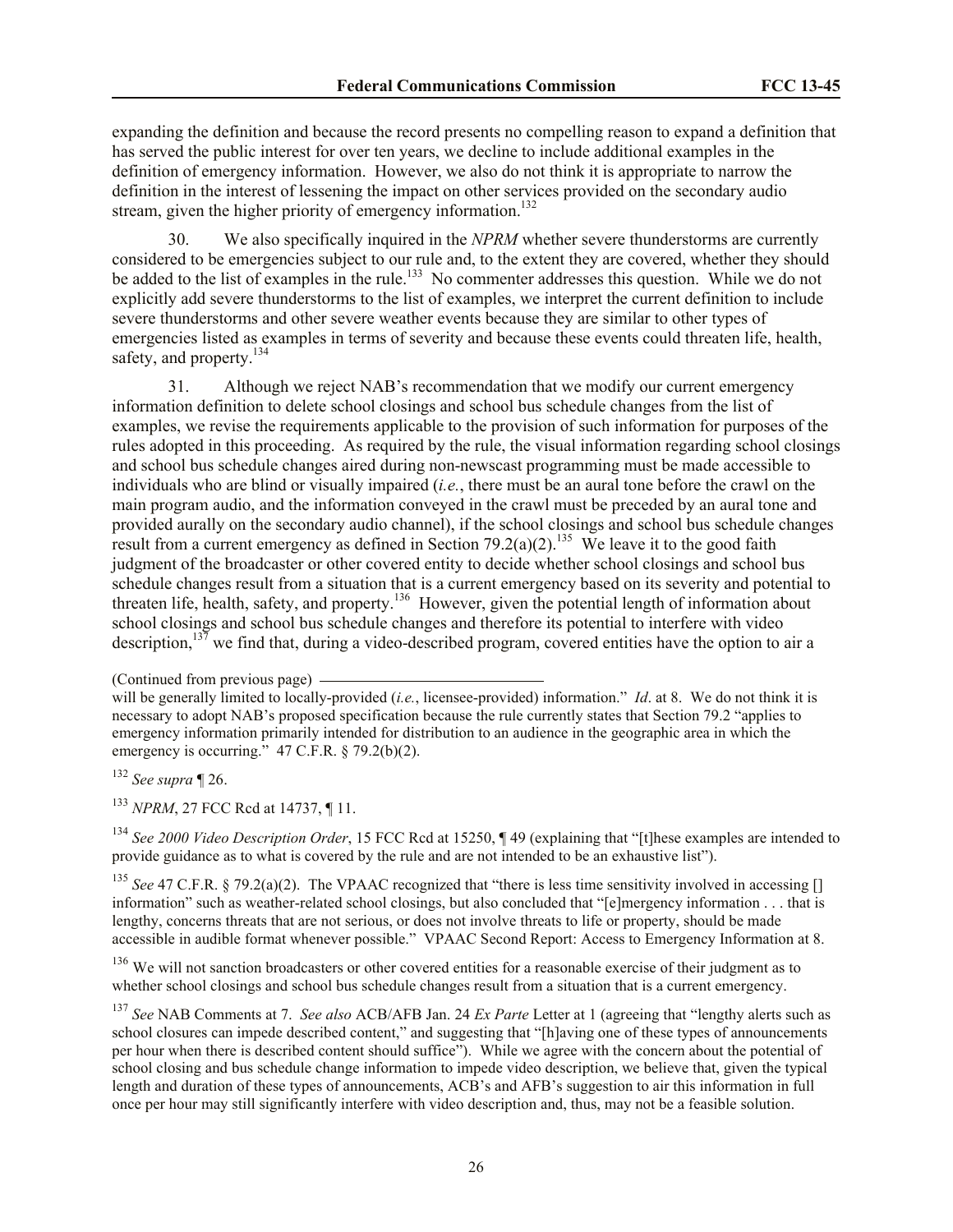expanding the definition and because the record presents no compelling reason to expand a definition that has served the public interest for over ten years, we decline to include additional examples in the definition of emergency information. However, we also do not think it is appropriate to narrow the definition in the interest of lessening the impact on other services provided on the secondary audio stream, given the higher priority of emergency information.<sup>132</sup>

30. We also specifically inquired in the *NPRM* whether severe thunderstorms are currently considered to be emergencies subject to our rule and, to the extent they are covered, whether they should be added to the list of examples in the rule.<sup>133</sup> No commenter addresses this question. While we do not explicitly add severe thunderstorms to the list of examples, we interpret the current definition to include severe thunderstorms and other severe weather events because they are similar to other types of emergencies listed as examples in terms of severity and because these events could threaten life, health, safety, and property.<sup>134</sup>

31. Although we reject NAB's recommendation that we modify our current emergency information definition to delete school closings and school bus schedule changes from the list of examples, we revise the requirements applicable to the provision of such information for purposes of the rules adopted in this proceeding. As required by the rule, the visual information regarding school closings and school bus schedule changes aired during non-newscast programming must be made accessible to individuals who are blind or visually impaired (*i.e.*, there must be an aural tone before the crawl on the main program audio, and the information conveyed in the crawl must be preceded by an aural tone and provided aurally on the secondary audio channel), if the school closings and school bus schedule changes result from a current emergency as defined in Section 79.2(a)(2).<sup>135</sup> We leave it to the good faith judgment of the broadcaster or other covered entity to decide whether school closings and school bus schedule changes result from a situation that is a current emergency based on its severity and potential to threaten life, health, safety, and property.<sup>136</sup> However, given the potential length of information about school closings and school bus schedule changes and therefore its potential to interfere with video description, $13\overline{7}$  we find that, during a video-described program, covered entities have the option to air a

<sup>133</sup> *NPRM*, 27 FCC Rcd at 14737, ¶ 11.

<sup>134</sup> *See 2000 Video Description Order*, 15 FCC Rcd at 15250, ¶ 49 (explaining that "[t]hese examples are intended to provide guidance as to what is covered by the rule and are not intended to be an exhaustive list").

<sup>135</sup> *See* 47 C.F.R. § 79.2(a)(2). The VPAAC recognized that "there is less time sensitivity involved in accessing [] information" such as weather-related school closings, but also concluded that "[e]mergency information . . . that is lengthy, concerns threats that are not serious, or does not involve threats to life or property, should be made accessible in audible format whenever possible." VPAAC Second Report: Access to Emergency Information at 8.

<sup>136</sup> We will not sanction broadcasters or other covered entities for a reasonable exercise of their judgment as to whether school closings and school bus schedule changes result from a situation that is a current emergency.

<sup>(</sup>Continued from previous page)

will be generally limited to locally-provided (*i.e.*, licensee-provided) information." *Id*. at 8. We do not think it is necessary to adopt NAB's proposed specification because the rule currently states that Section 79.2 "applies to emergency information primarily intended for distribution to an audience in the geographic area in which the emergency is occurring."  $47 \text{ C.F.R.}$  §  $79.2(b)(2)$ .

<sup>132</sup> *See supra* ¶ 26.

<sup>137</sup> *See* NAB Comments at 7. *See also* ACB/AFB Jan. 24 *Ex Parte* Letter at 1 (agreeing that "lengthy alerts such as school closures can impede described content," and suggesting that "[h]aving one of these types of announcements per hour when there is described content should suffice"). While we agree with the concern about the potential of school closing and bus schedule change information to impede video description, we believe that, given the typical length and duration of these types of announcements, ACB's and AFB's suggestion to air this information in full once per hour may still significantly interfere with video description and, thus, may not be a feasible solution.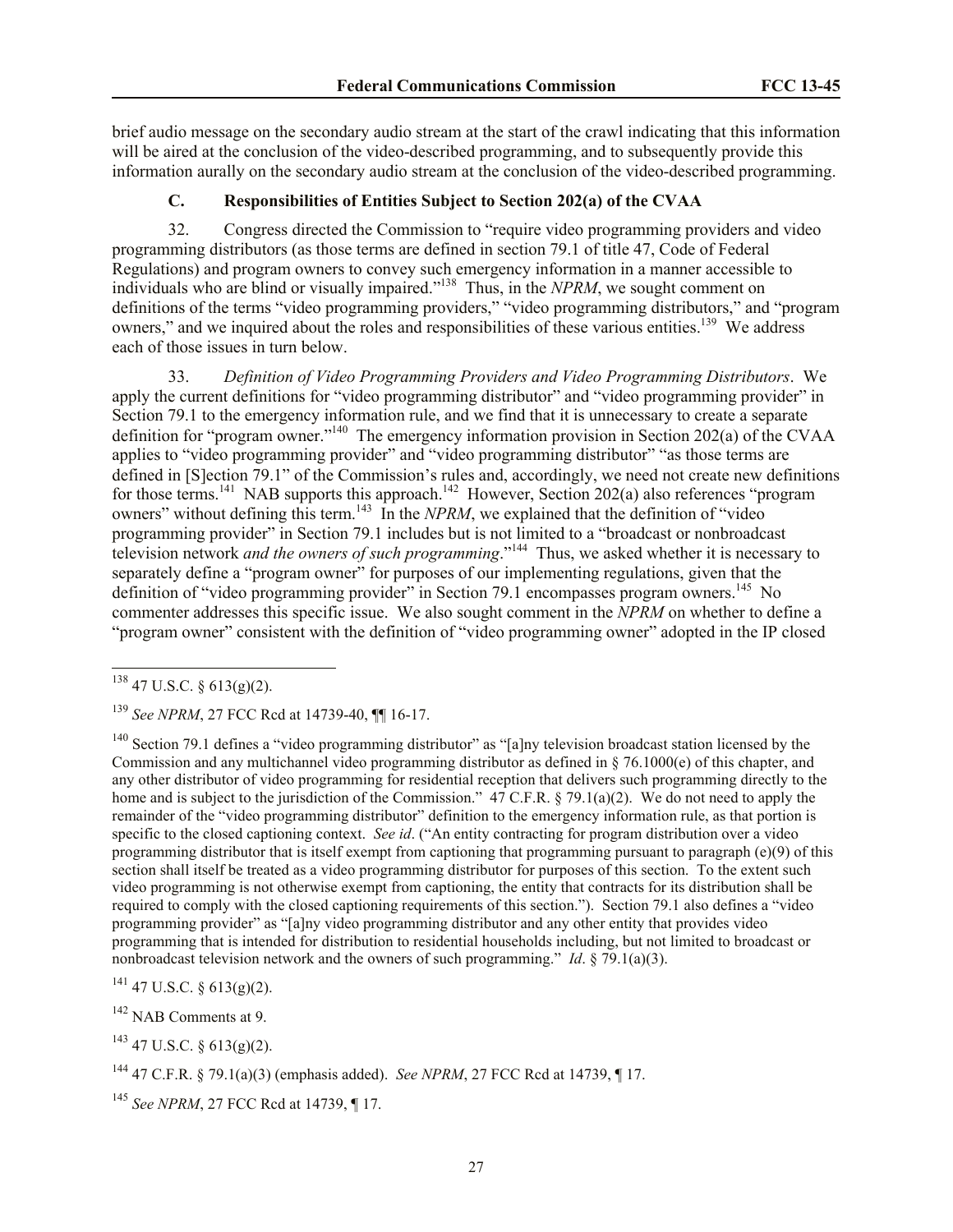brief audio message on the secondary audio stream at the start of the crawl indicating that this information will be aired at the conclusion of the video-described programming, and to subsequently provide this information aurally on the secondary audio stream at the conclusion of the video-described programming.

# <span id="page-26-0"></span>**C. Responsibilities of Entities Subject to Section 202(a) of the CVAA**

32. Congress directed the Commission to "require video programming providers and video programming distributors (as those terms are defined in section 79.1 of title 47, Code of Federal Regulations) and program owners to convey such emergency information in a manner accessible to individuals who are blind or visually impaired."<sup>138</sup> Thus, in the *NPRM*, we sought comment on definitions of the terms "video programming providers," "video programming distributors," and "program owners," and we inquired about the roles and responsibilities of these various entities.<sup>139</sup> We address each of those issues in turn below.

33. *Definition of Video Programming Providers and Video Programming Distributors*. We apply the current definitions for "video programming distributor" and "video programming provider" in Section 79.1 to the emergency information rule, and we find that it is unnecessary to create a separate definition for "program owner."<sup>140</sup> The emergency information provision in Section 202(a) of the CVAA applies to "video programming provider" and "video programming distributor" "as those terms are defined in [S]ection 79.1" of the Commission's rules and, accordingly, we need not create new definitions for those terms.<sup>141</sup> NAB supports this approach.<sup>142</sup> However, Section 202(a) also references "program owners" without defining this term.<sup>143</sup> In the *NPRM*, we explained that the definition of "video" programming provider" in Section 79.1 includes but is not limited to a "broadcast or nonbroadcast television network *and the owners of such programming*."<sup>144</sup> Thus, we asked whether it is necessary to separately define a "program owner" for purposes of our implementing regulations, given that the definition of "video programming provider" in Section 79.1 encompasses program owners.<sup>145</sup> No commenter addresses this specific issue. We also sought comment in the *NPRM* on whether to define a "program owner" consistent with the definition of "video programming owner" adopted in the IP closed

l

<sup>140</sup> Section 79.1 defines a "video programming distributor" as "[a]ny television broadcast station licensed by the Commission and any multichannel video programming distributor as defined in § 76.1000(e) of this chapter, and any other distributor of video programming for residential reception that delivers such programming directly to the home and is subject to the jurisdiction of the Commission." 47 C.F.R. § 79.1(a)(2). We do not need to apply the remainder of the "video programming distributor" definition to the emergency information rule, as that portion is specific to the closed captioning context. *See id*. ("An entity contracting for program distribution over a video programming distributor that is itself exempt from captioning that programming pursuant to paragraph (e)(9) of this section shall itself be treated as a video programming distributor for purposes of this section. To the extent such video programming is not otherwise exempt from captioning, the entity that contracts for its distribution shall be required to comply with the closed captioning requirements of this section."). Section 79.1 also defines a "video programming provider" as "[a]ny video programming distributor and any other entity that provides video programming that is intended for distribution to residential households including, but not limited to broadcast or nonbroadcast television network and the owners of such programming." *Id*. § 79.1(a)(3).

 $141$  47 U.S.C. § 613(g)(2).

<sup>143</sup> 47 U.S.C. § 613(g)(2).

 $138$  47 U.S.C. § 613(g)(2).

<sup>139</sup> *See NPRM*, 27 FCC Rcd at 14739-40, ¶¶ 16-17.

<sup>&</sup>lt;sup>142</sup> NAB Comments at 9.

<sup>144</sup> 47 C.F.R. § 79.1(a)(3) (emphasis added). *See NPRM*, 27 FCC Rcd at 14739, ¶ 17.

<sup>145</sup> *See NPRM*, 27 FCC Rcd at 14739, ¶ 17.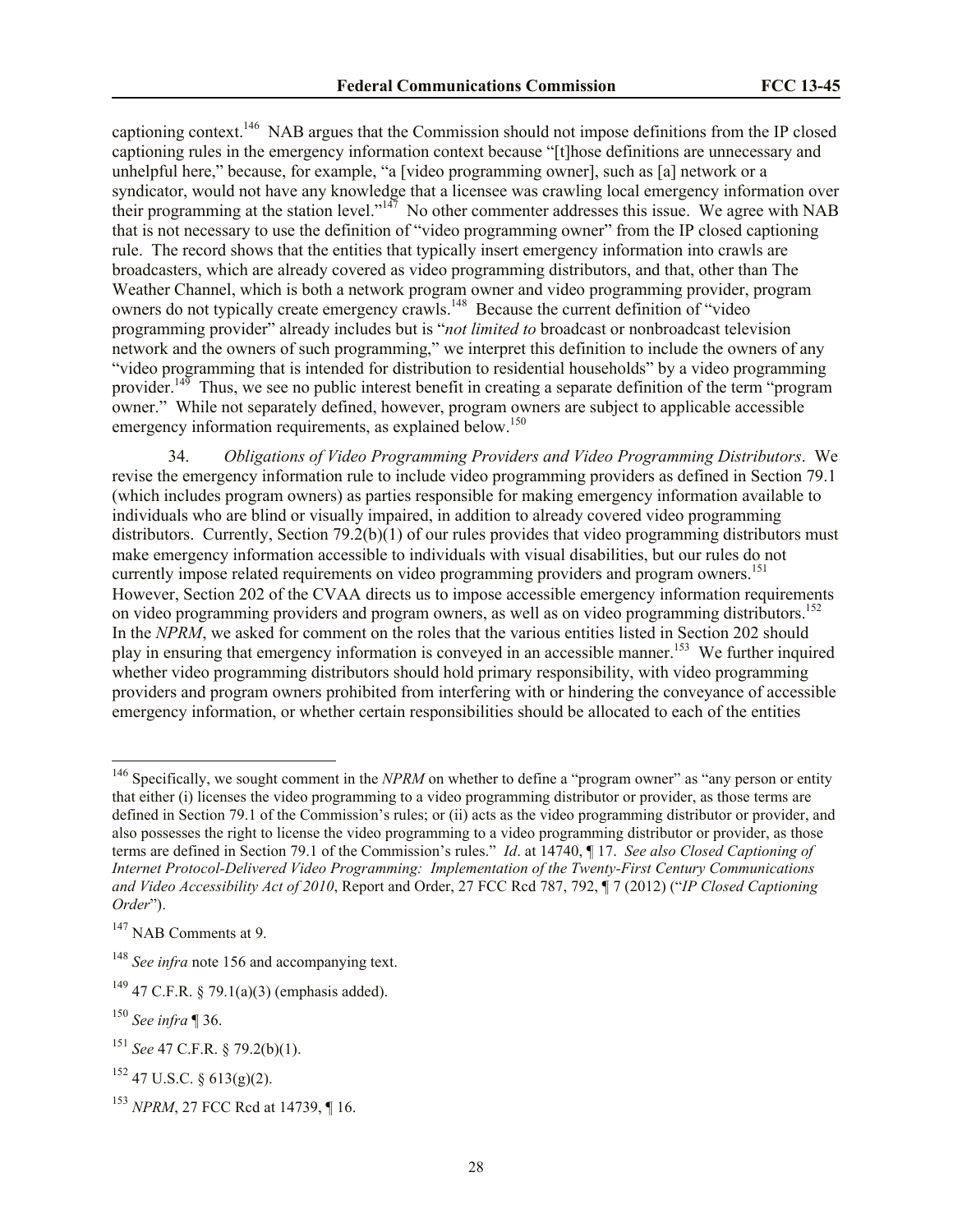captioning context.<sup>146</sup> NAB argues that the Commission should not impose definitions from the IP closed captioning rules in the emergency information context because "[t]hose definitions are unnecessary and unhelpful here," because, for example, "a [video programming owner], such as [a] network or a syndicator, would not have any knowledge that a licensee was crawling local emergency information over their programming at the station level."<sup>147</sup> No other commenter addresses this issue. We agree with NAB that is not necessary to use the definition of "video programming owner" from the IP closed captioning rule. The record shows that the entities that typically insert emergency information into crawls are broadcasters, which are already covered as video programming distributors, and that, other than The Weather Channel, which is both a network program owner and video programming provider, program owners do not typically create emergency crawls.<sup>148</sup> Because the current definition of "video" programming provider" already includes but is "*not limited to* broadcast or nonbroadcast television network and the owners of such programming," we interpret this definition to include the owners of any "video programming that is intended for distribution to residential households" by a video programming provider.<sup>149</sup> Thus, we see no public interest benefit in creating a separate definition of the term "program" owner." While not separately defined, however, program owners are subject to applicable accessible emergency information requirements, as explained below.<sup>150</sup>

34. *Obligations of Video Programming Providers and Video Programming Distributors*. We revise the emergency information rule to include video programming providers as defined in Section 79.1 (which includes program owners) as parties responsible for making emergency information available to individuals who are blind or visually impaired, in addition to already covered video programming distributors. Currently, Section 79.2(b)(1) of our rules provides that video programming distributors must make emergency information accessible to individuals with visual disabilities, but our rules do not currently impose related requirements on video programming providers and program owners.<sup>151</sup> However, Section 202 of the CVAA directs us to impose accessible emergency information requirements on video programming providers and program owners, as well as on video programming distributors.<sup>152</sup> In the *NPRM*, we asked for comment on the roles that the various entities listed in Section 202 should play in ensuring that emergency information is conveyed in an accessible manner.<sup>153</sup> We further inquired whether video programming distributors should hold primary responsibility, with video programming providers and program owners prohibited from interfering with or hindering the conveyance of accessible emergency information, or whether certain responsibilities should be allocated to each of the entities

 $\overline{a}$ 

<sup>&</sup>lt;sup>146</sup> Specifically, we sought comment in the *NPRM* on whether to define a "program owner" as "any person or entity that either (i) licenses the video programming to a video programming distributor or provider, as those terms are defined in Section 79.1 of the Commission's rules; or (ii) acts as the video programming distributor or provider, and also possesses the right to license the video programming to a video programming distributor or provider, as those terms are defined in Section 79.1 of the Commission's rules." *Id*. at 14740, ¶ 17. *See also Closed Captioning of Internet Protocol-Delivered Video Programming: Implementation of the Twenty-First Century Communications and Video Accessibility Act of 2010*, Report and Order, 27 FCC Rcd 787, 792, ¶ 7 (2012) ("*IP Closed Captioning Order*").

<sup>&</sup>lt;sup>147</sup> NAB Comments at 9.

<sup>&</sup>lt;sup>148</sup> *See infra* note 156 and accompanying text.

<sup>&</sup>lt;sup>149</sup> 47 C.F.R. § 79.1(a)(3) (emphasis added).

<sup>150</sup> *See infra* ¶ 36.

<sup>151</sup> *See* 47 C.F.R. § 79.2(b)(1).

 $152$  47 U.S.C. § 613(g)(2).

<sup>153</sup> *NPRM*, 27 FCC Rcd at 14739, ¶ 16.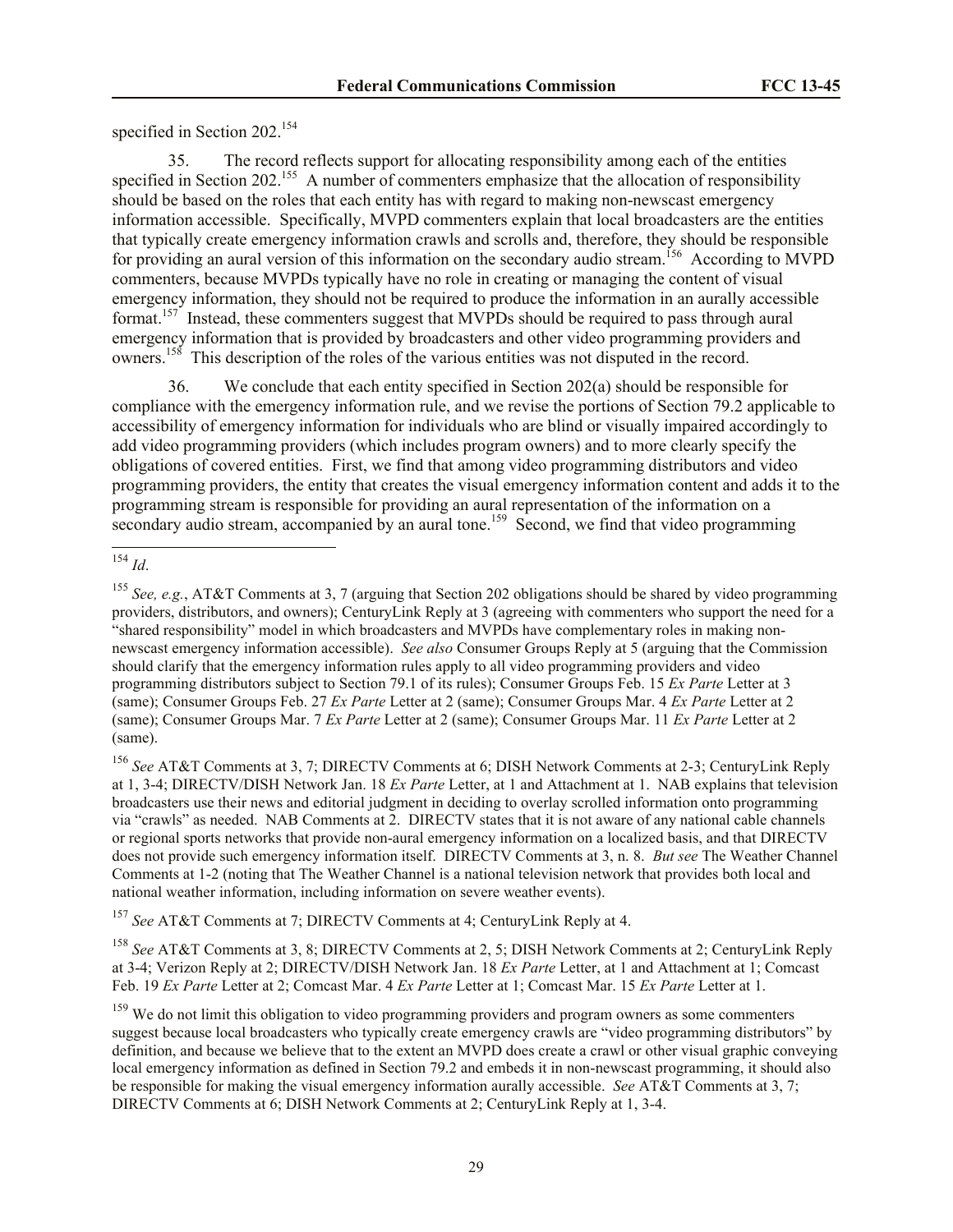specified in Section 202.<sup>154</sup>

35. The record reflects support for allocating responsibility among each of the entities specified in Section 202.<sup>155</sup> A number of commenters emphasize that the allocation of responsibility should be based on the roles that each entity has with regard to making non-newscast emergency information accessible. Specifically, MVPD commenters explain that local broadcasters are the entities that typically create emergency information crawls and scrolls and, therefore, they should be responsible for providing an aural version of this information on the secondary audio stream.<sup>156</sup> According to MVPD commenters, because MVPDs typically have no role in creating or managing the content of visual emergency information, they should not be required to produce the information in an aurally accessible format.<sup>157</sup> Instead, these commenters suggest that MVPDs should be required to pass through aural emergency information that is provided by broadcasters and other video programming providers and owners.<sup>158</sup> This description of the roles of the various entities was not disputed in the record.

36. We conclude that each entity specified in Section 202(a) should be responsible for compliance with the emergency information rule, and we revise the portions of Section 79.2 applicable to accessibility of emergency information for individuals who are blind or visually impaired accordingly to add video programming providers (which includes program owners) and to more clearly specify the obligations of covered entities. First, we find that among video programming distributors and video programming providers, the entity that creates the visual emergency information content and adds it to the programming stream is responsible for providing an aural representation of the information on a secondary audio stream, accompanied by an aural tone.<sup>159</sup> Second, we find that video programming

 $\overline{a}$ 

<sup>156</sup> *See* AT&T Comments at 3, 7; DIRECTV Comments at 6; DISH Network Comments at 2-3; CenturyLink Reply at 1, 3-4; DIRECTV/DISH Network Jan. 18 *Ex Parte* Letter, at 1 and Attachment at 1. NAB explains that television broadcasters use their news and editorial judgment in deciding to overlay scrolled information onto programming via "crawls" as needed. NAB Comments at 2. DIRECTV states that it is not aware of any national cable channels or regional sports networks that provide non-aural emergency information on a localized basis, and that DIRECTV does not provide such emergency information itself. DIRECTV Comments at 3, n. 8. *But see* The Weather Channel Comments at 1-2 (noting that The Weather Channel is a national television network that provides both local and national weather information, including information on severe weather events).

<sup>157</sup> *See* AT&T Comments at 7; DIRECTV Comments at 4; CenturyLink Reply at 4.

<sup>158</sup> *See* AT&T Comments at 3, 8; DIRECTV Comments at 2, 5; DISH Network Comments at 2; CenturyLink Reply at 3-4; Verizon Reply at 2; DIRECTV/DISH Network Jan. 18 *Ex Parte* Letter, at 1 and Attachment at 1; Comcast Feb. 19 *Ex Parte* Letter at 2; Comcast Mar. 4 *Ex Parte* Letter at 1; Comcast Mar. 15 *Ex Parte* Letter at 1.

<sup>154</sup> *Id*.

<sup>155</sup> *See, e.g.*, AT&T Comments at 3, 7 (arguing that Section 202 obligations should be shared by video programming providers, distributors, and owners); CenturyLink Reply at 3 (agreeing with commenters who support the need for a "shared responsibility" model in which broadcasters and MVPDs have complementary roles in making nonnewscast emergency information accessible). *See also* Consumer Groups Reply at 5 (arguing that the Commission should clarify that the emergency information rules apply to all video programming providers and video programming distributors subject to Section 79.1 of its rules); Consumer Groups Feb. 15 *Ex Parte* Letter at 3 (same); Consumer Groups Feb. 27 *Ex Parte* Letter at 2 (same); Consumer Groups Mar. 4 *Ex Parte* Letter at 2 (same); Consumer Groups Mar. 7 *Ex Parte* Letter at 2 (same); Consumer Groups Mar. 11 *Ex Parte* Letter at 2 (same).

<sup>&</sup>lt;sup>159</sup> We do not limit this obligation to video programming providers and program owners as some commenters suggest because local broadcasters who typically create emergency crawls are "video programming distributors" by definition, and because we believe that to the extent an MVPD does create a crawl or other visual graphic conveying local emergency information as defined in Section 79.2 and embeds it in non-newscast programming, it should also be responsible for making the visual emergency information aurally accessible. *See* AT&T Comments at 3, 7; DIRECTV Comments at 6; DISH Network Comments at 2; CenturyLink Reply at 1, 3-4.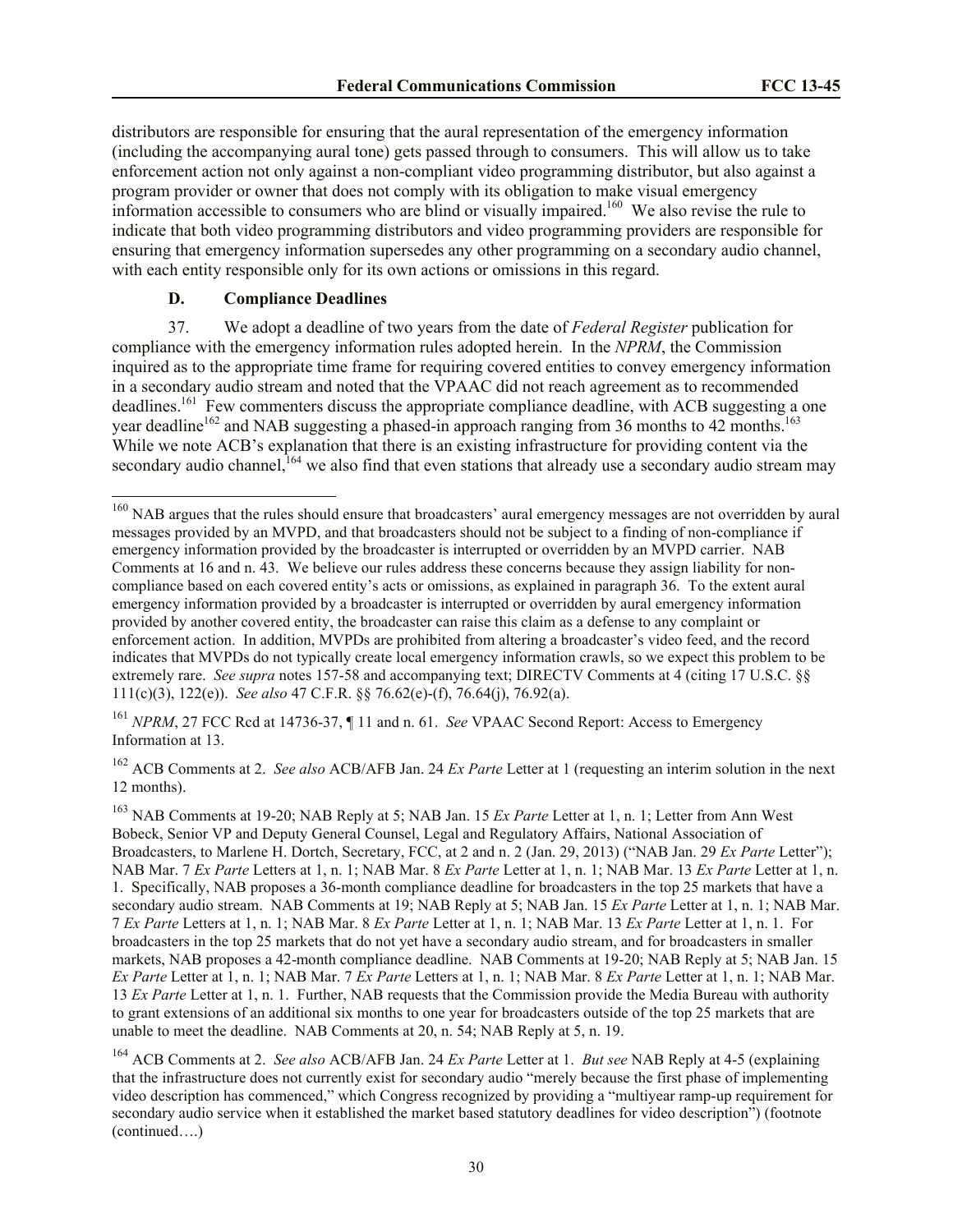distributors are responsible for ensuring that the aural representation of the emergency information (including the accompanying aural tone) gets passed through to consumers. This will allow us to take enforcement action not only against a non-compliant video programming distributor, but also against a program provider or owner that does not comply with its obligation to make visual emergency information accessible to consumers who are blind or visually impaired.<sup>160</sup> We also revise the rule to indicate that both video programming distributors and video programming providers are responsible for ensuring that emergency information supersedes any other programming on a secondary audio channel, with each entity responsible only for its own actions or omissions in this regard.

# <span id="page-29-0"></span>**D. Compliance Deadlines**

l

37. We adopt a deadline of two years from the date of *Federal Register* publication for compliance with the emergency information rules adopted herein. In the *NPRM*, the Commission inquired as to the appropriate time frame for requiring covered entities to convey emergency information in a secondary audio stream and noted that the VPAAC did not reach agreement as to recommended deadlines.<sup>161</sup> Few commenters discuss the appropriate compliance deadline, with ACB suggesting a one year deadline<sup>162</sup> and NAB suggesting a phased-in approach ranging from 36 months to 42 months.<sup>163</sup> While we note ACB's explanation that there is an existing infrastructure for providing content via the secondary audio channel,  $164$  we also find that even stations that already use a secondary audio stream may

<sup>161</sup> *NPRM*, 27 FCC Rcd at 14736-37, ¶ 11 and n. 61. *See* VPAAC Second Report: Access to Emergency Information at 13.

<sup>162</sup> ACB Comments at 2. *See also* ACB/AFB Jan. 24 *Ex Parte* Letter at 1 (requesting an interim solution in the next 12 months).

<sup>&</sup>lt;sup>160</sup> NAB argues that the rules should ensure that broadcasters' aural emergency messages are not overridden by aural messages provided by an MVPD, and that broadcasters should not be subject to a finding of non-compliance if emergency information provided by the broadcaster is interrupted or overridden by an MVPD carrier. NAB Comments at 16 and n. 43. We believe our rules address these concerns because they assign liability for noncompliance based on each covered entity's acts or omissions, as explained in paragraph 36. To the extent aural emergency information provided by a broadcaster is interrupted or overridden by aural emergency information provided by another covered entity, the broadcaster can raise this claim as a defense to any complaint or enforcement action. In addition, MVPDs are prohibited from altering a broadcaster's video feed, and the record indicates that MVPDs do not typically create local emergency information crawls, so we expect this problem to be extremely rare. *See supra* notes 157-58 and accompanying text; DIRECTV Comments at 4 (citing 17 U.S.C. §§ 111(c)(3), 122(e)). *See also* 47 C.F.R. §§ 76.62(e)-(f), 76.64(j), 76.92(a).

<sup>163</sup> NAB Comments at 19-20; NAB Reply at 5; NAB Jan. 15 *Ex Parte* Letter at 1, n. 1; Letter from Ann West Bobeck, Senior VP and Deputy General Counsel, Legal and Regulatory Affairs, National Association of Broadcasters, to Marlene H. Dortch, Secretary, FCC, at 2 and n. 2 (Jan. 29, 2013) ("NAB Jan. 29 *Ex Parte* Letter"); NAB Mar. 7 *Ex Parte* Letters at 1, n. 1; NAB Mar. 8 *Ex Parte* Letter at 1, n. 1; NAB Mar. 13 *Ex Parte* Letter at 1, n. 1. Specifically, NAB proposes a 36-month compliance deadline for broadcasters in the top 25 markets that have a secondary audio stream. NAB Comments at 19; NAB Reply at 5; NAB Jan. 15 *Ex Parte* Letter at 1, n. 1; NAB Mar. 7 *Ex Parte* Letters at 1, n. 1; NAB Mar. 8 *Ex Parte* Letter at 1, n. 1; NAB Mar. 13 *Ex Parte* Letter at 1, n. 1. For broadcasters in the top 25 markets that do not yet have a secondary audio stream, and for broadcasters in smaller markets, NAB proposes a 42-month compliance deadline. NAB Comments at 19-20; NAB Reply at 5; NAB Jan. 15 *Ex Parte* Letter at 1, n. 1; NAB Mar. 7 *Ex Parte* Letters at 1, n. 1; NAB Mar. 8 *Ex Parte* Letter at 1, n. 1; NAB Mar. 13 *Ex Parte* Letter at 1, n. 1. Further, NAB requests that the Commission provide the Media Bureau with authority to grant extensions of an additional six months to one year for broadcasters outside of the top 25 markets that are unable to meet the deadline. NAB Comments at 20, n. 54; NAB Reply at 5, n. 19.

<sup>164</sup> ACB Comments at 2. *See also* ACB/AFB Jan. 24 *Ex Parte* Letter at 1. *But see* NAB Reply at 4-5 (explaining that the infrastructure does not currently exist for secondary audio "merely because the first phase of implementing video description has commenced," which Congress recognized by providing a "multiyear ramp-up requirement for secondary audio service when it established the market based statutory deadlines for video description") (footnote (continued….)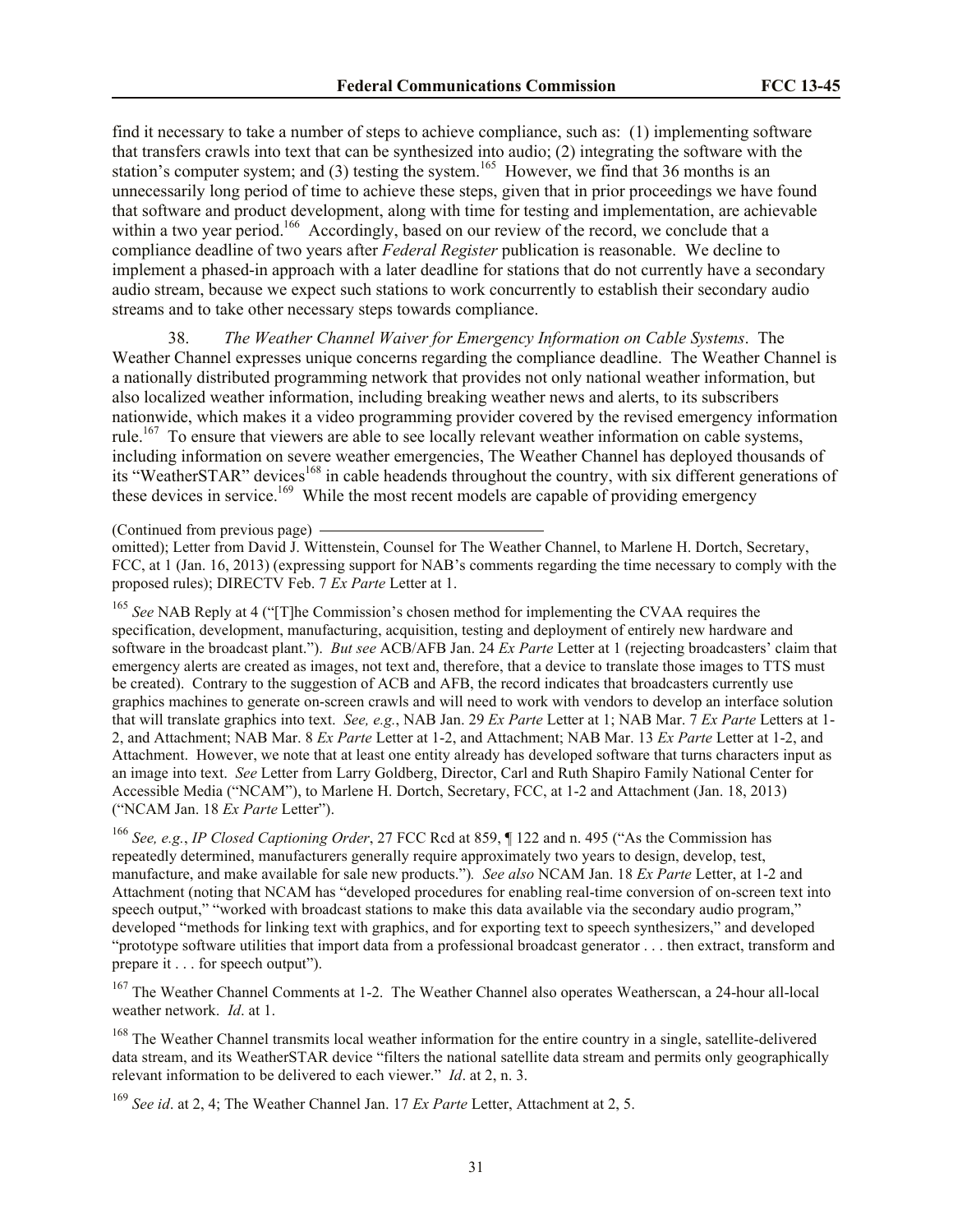find it necessary to take a number of steps to achieve compliance, such as: (1) implementing software that transfers crawls into text that can be synthesized into audio; (2) integrating the software with the station's computer system; and (3) testing the system.<sup>165</sup> However, we find that 36 months is an unnecessarily long period of time to achieve these steps, given that in prior proceedings we have found that software and product development, along with time for testing and implementation, are achievable within a two year period.<sup>166</sup> Accordingly, based on our review of the record, we conclude that a compliance deadline of two years after *Federal Register* publication is reasonable. We decline to implement a phased-in approach with a later deadline for stations that do not currently have a secondary audio stream, because we expect such stations to work concurrently to establish their secondary audio streams and to take other necessary steps towards compliance.

38. *The Weather Channel Waiver for Emergency Information on Cable Systems*. The Weather Channel expresses unique concerns regarding the compliance deadline. The Weather Channel is a nationally distributed programming network that provides not only national weather information, but also localized weather information, including breaking weather news and alerts, to its subscribers nationwide, which makes it a video programming provider covered by the revised emergency information rule.<sup>167</sup> To ensure that viewers are able to see locally relevant weather information on cable systems, including information on severe weather emergencies, The Weather Channel has deployed thousands of its "WeatherSTAR" devices<sup>168</sup> in cable headends throughout the country, with six different generations of these devices in service.<sup>169</sup> While the most recent models are capable of providing emergency

(Continued from previous page)

omitted); Letter from David J. Wittenstein, Counsel for The Weather Channel, to Marlene H. Dortch, Secretary, FCC, at 1 (Jan. 16, 2013) (expressing support for NAB's comments regarding the time necessary to comply with the proposed rules); DIRECTV Feb. 7 *Ex Parte* Letter at 1.

<sup>165</sup> See NAB Reply at 4 ("[T]he Commission's chosen method for implementing the CVAA requires the specification, development, manufacturing, acquisition, testing and deployment of entirely new hardware and software in the broadcast plant."). *But see* ACB/AFB Jan. 24 *Ex Parte* Letter at 1 (rejecting broadcasters' claim that emergency alerts are created as images, not text and, therefore, that a device to translate those images to TTS must be created). Contrary to the suggestion of ACB and AFB, the record indicates that broadcasters currently use graphics machines to generate on-screen crawls and will need to work with vendors to develop an interface solution that will translate graphics into text. *See, e.g.*, NAB Jan. 29 *Ex Parte* Letter at 1; NAB Mar. 7 *Ex Parte* Letters at 1- 2, and Attachment; NAB Mar. 8 *Ex Parte* Letter at 1-2, and Attachment; NAB Mar. 13 *Ex Parte* Letter at 1-2, and Attachment. However, we note that at least one entity already has developed software that turns characters input as an image into text. *See* Letter from Larry Goldberg, Director, Carl and Ruth Shapiro Family National Center for Accessible Media ("NCAM"), to Marlene H. Dortch, Secretary, FCC, at 1-2 and Attachment (Jan. 18, 2013) ("NCAM Jan. 18 *Ex Parte* Letter").

<sup>166</sup> *See, e.g.*, *IP Closed Captioning Order*, 27 FCC Rcd at 859, ¶ 122 and n. 495 ("As the Commission has repeatedly determined, manufacturers generally require approximately two years to design, develop, test, manufacture, and make available for sale new products.")*. See also* NCAM Jan. 18 *Ex Parte* Letter, at 1-2 and Attachment (noting that NCAM has "developed procedures for enabling real-time conversion of on-screen text into speech output," "worked with broadcast stations to make this data available via the secondary audio program," developed "methods for linking text with graphics, and for exporting text to speech synthesizers," and developed "prototype software utilities that import data from a professional broadcast generator . . . then extract, transform and prepare it . . . for speech output").

<sup>167</sup> The Weather Channel Comments at 1-2. The Weather Channel also operates Weatherscan, a 24-hour all-local weather network. *Id*. at 1.

<sup>168</sup> The Weather Channel transmits local weather information for the entire country in a single, satellite-delivered data stream, and its WeatherSTAR device "filters the national satellite data stream and permits only geographically relevant information to be delivered to each viewer." *Id*. at 2, n. 3.

<sup>169</sup> *See id*. at 2, 4; The Weather Channel Jan. 17 *Ex Parte* Letter, Attachment at 2, 5.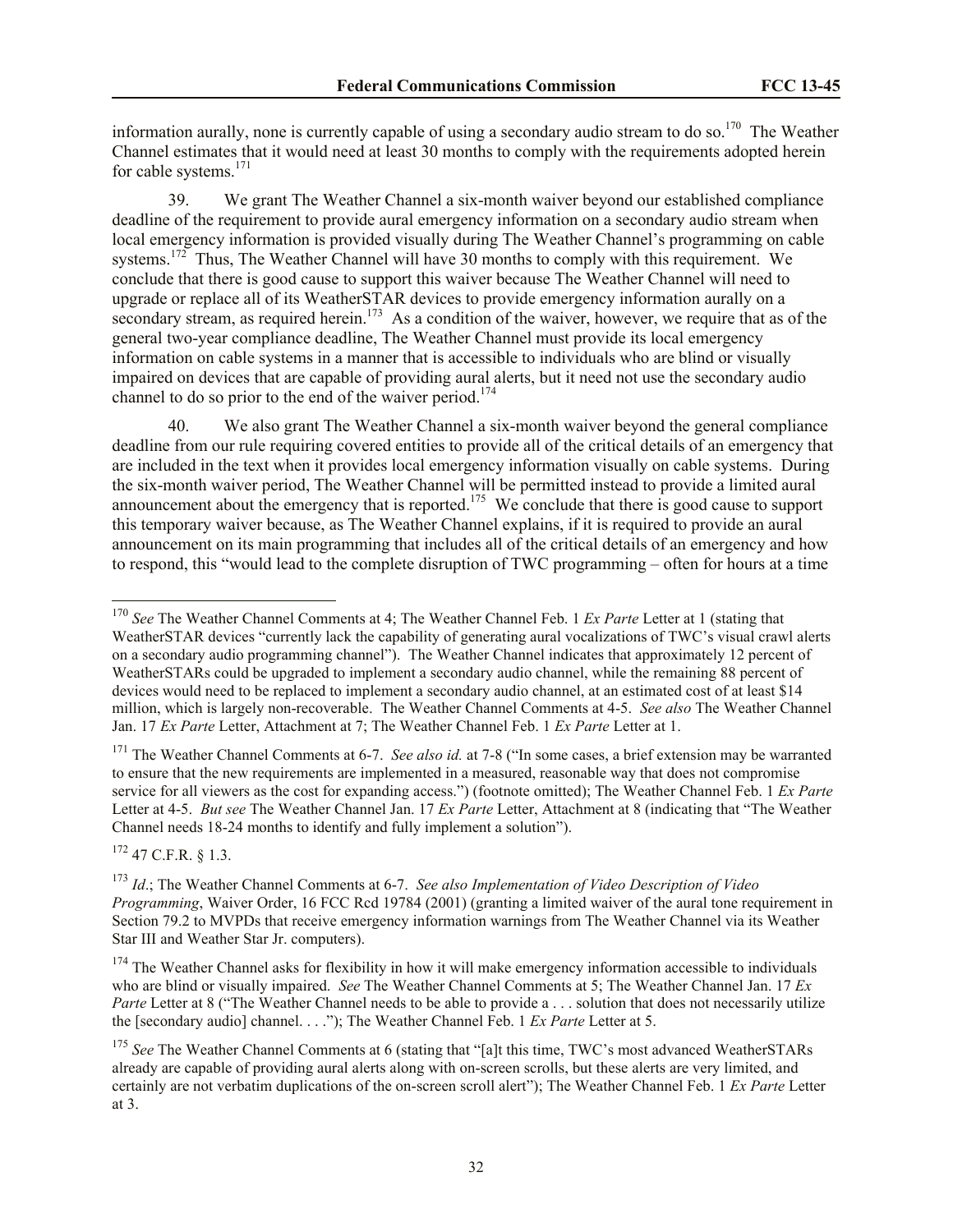information aurally, none is currently capable of using a secondary audio stream to do so.<sup>170</sup> The Weather Channel estimates that it would need at least 30 months to comply with the requirements adopted herein for cable systems.<sup>171</sup>

39. We grant The Weather Channel a six-month waiver beyond our established compliance deadline of the requirement to provide aural emergency information on a secondary audio stream when local emergency information is provided visually during The Weather Channel's programming on cable systems.<sup>172</sup> Thus, The Weather Channel will have 30 months to comply with this requirement. We conclude that there is good cause to support this waiver because The Weather Channel will need to upgrade or replace all of its WeatherSTAR devices to provide emergency information aurally on a secondary stream, as required herein.<sup>173</sup> As a condition of the waiver, however, we require that as of the general two-year compliance deadline, The Weather Channel must provide its local emergency information on cable systems in a manner that is accessible to individuals who are blind or visually impaired on devices that are capable of providing aural alerts, but it need not use the secondary audio channel to do so prior to the end of the waiver period.<sup>174</sup>

40. We also grant The Weather Channel a six-month waiver beyond the general compliance deadline from our rule requiring covered entities to provide all of the critical details of an emergency that are included in the text when it provides local emergency information visually on cable systems. During the six-month waiver period, The Weather Channel will be permitted instead to provide a limited aural announcement about the emergency that is reported.<sup>175</sup> We conclude that there is good cause to support this temporary waiver because, as The Weather Channel explains, if it is required to provide an aural announcement on its main programming that includes all of the critical details of an emergency and how to respond, this "would lead to the complete disruption of TWC programming – often for hours at a time

<sup>171</sup> The Weather Channel Comments at 6-7. *See also id.* at 7-8 ("In some cases, a brief extension may be warranted to ensure that the new requirements are implemented in a measured, reasonable way that does not compromise service for all viewers as the cost for expanding access.") (footnote omitted); The Weather Channel Feb. 1 *Ex Parte*  Letter at 4-5. *But see* The Weather Channel Jan. 17 *Ex Parte* Letter, Attachment at 8 (indicating that "The Weather Channel needs 18-24 months to identify and fully implement a solution").

<sup>172</sup> 47 C.F.R. § 1.3.

 $\overline{a}$ 

<sup>170</sup> *See* The Weather Channel Comments at 4; The Weather Channel Feb. 1 *Ex Parte* Letter at 1 (stating that WeatherSTAR devices "currently lack the capability of generating aural vocalizations of TWC's visual crawl alerts on a secondary audio programming channel"). The Weather Channel indicates that approximately 12 percent of WeatherSTARs could be upgraded to implement a secondary audio channel, while the remaining 88 percent of devices would need to be replaced to implement a secondary audio channel, at an estimated cost of at least \$14 million, which is largely non-recoverable. The Weather Channel Comments at 4-5. *See also* The Weather Channel Jan. 17 *Ex Parte* Letter, Attachment at 7; The Weather Channel Feb. 1 *Ex Parte* Letter at 1.

<sup>173</sup> *Id*.; The Weather Channel Comments at 6-7. *See also Implementation of Video Description of Video Programming*, Waiver Order, 16 FCC Rcd 19784 (2001) (granting a limited waiver of the aural tone requirement in Section 79.2 to MVPDs that receive emergency information warnings from The Weather Channel via its Weather Star III and Weather Star Jr. computers).

<sup>&</sup>lt;sup>174</sup> The Weather Channel asks for flexibility in how it will make emergency information accessible to individuals who are blind or visually impaired. *See* The Weather Channel Comments at 5; The Weather Channel Jan. 17 *Ex Parte* Letter at 8 ("The Weather Channel needs to be able to provide a . . . solution that does not necessarily utilize the [secondary audio] channel. . . ."); The Weather Channel Feb. 1 *Ex Parte* Letter at 5.

<sup>&</sup>lt;sup>175</sup> See The Weather Channel Comments at 6 (stating that "[a]t this time, TWC's most advanced WeatherSTARs already are capable of providing aural alerts along with on-screen scrolls, but these alerts are very limited, and certainly are not verbatim duplications of the on-screen scroll alert"); The Weather Channel Feb. 1 *Ex Parte* Letter at 3.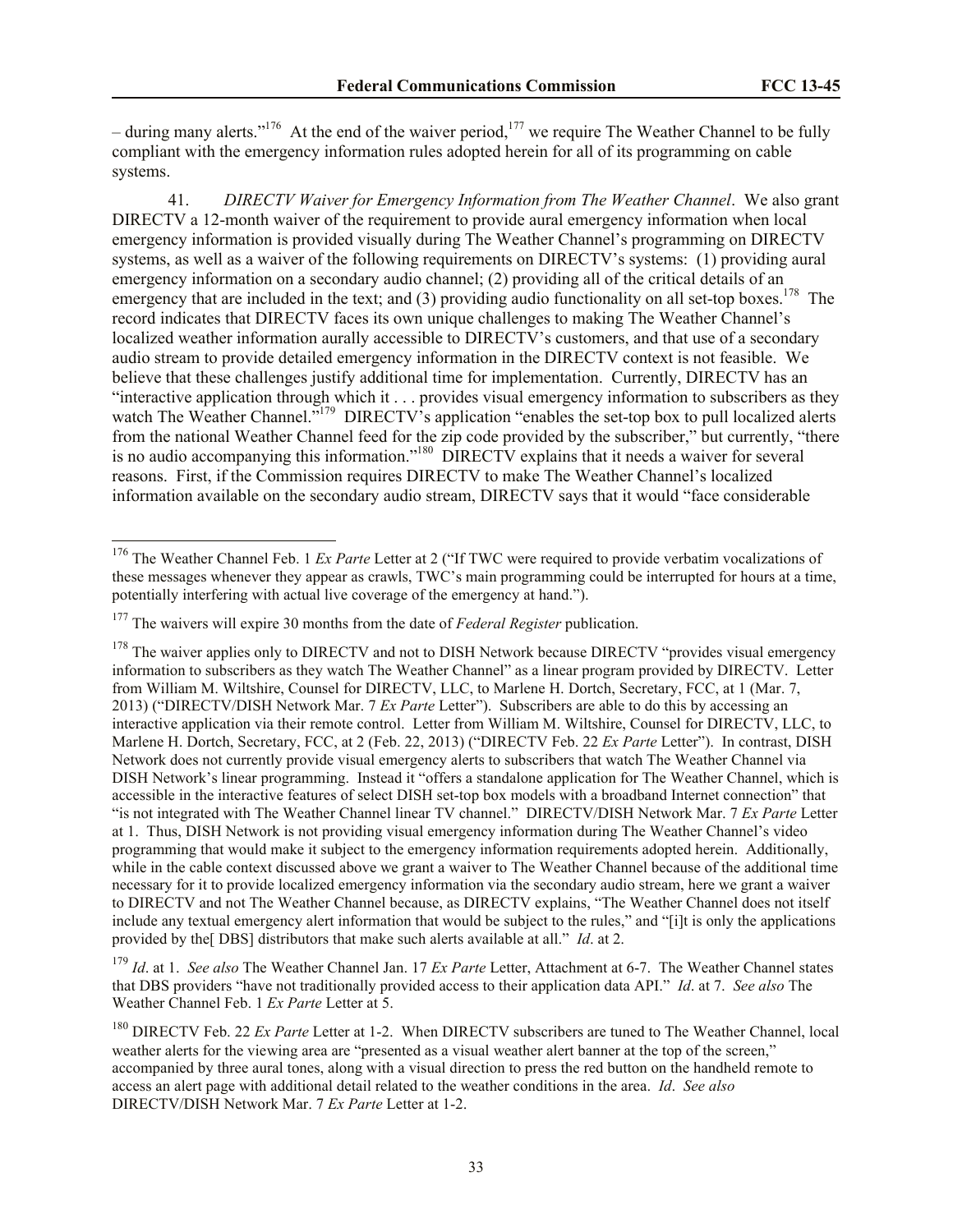– during many alerts."<sup>176</sup> At the end of the waiver period,<sup>177</sup> we require The Weather Channel to be fully compliant with the emergency information rules adopted herein for all of its programming on cable systems.

41. *DIRECTV Waiver for Emergency Information from The Weather Channel*. We also grant DIRECTV a 12-month waiver of the requirement to provide aural emergency information when local emergency information is provided visually during The Weather Channel's programming on DIRECTV systems, as well as a waiver of the following requirements on DIRECTV's systems: (1) providing aural emergency information on a secondary audio channel; (2) providing all of the critical details of an emergency that are included in the text; and (3) providing audio functionality on all set-top boxes.<sup>178</sup> The record indicates that DIRECTV faces its own unique challenges to making The Weather Channel's localized weather information aurally accessible to DIRECTV's customers, and that use of a secondary audio stream to provide detailed emergency information in the DIRECTV context is not feasible. We believe that these challenges justify additional time for implementation. Currently, DIRECTV has an "interactive application through which it . . . provides visual emergency information to subscribers as they watch The Weather Channel.<sup>5179</sup> DIRECTV's application "enables the set-top box to pull localized alerts from the national Weather Channel feed for the zip code provided by the subscriber," but currently, "there is no audio accompanying this information."<sup>180</sup> DIRECTV explains that it needs a waiver for several reasons. First, if the Commission requires DIRECTV to make The Weather Channel's localized information available on the secondary audio stream, DIRECTV says that it would "face considerable

l

<sup>179</sup> *Id*. at 1. *See also* The Weather Channel Jan. 17 *Ex Parte* Letter, Attachment at 6-7. The Weather Channel states that DBS providers "have not traditionally provided access to their application data API." *Id*. at 7. *See also* The Weather Channel Feb. 1 *Ex Parte* Letter at 5.

<sup>&</sup>lt;sup>176</sup> The Weather Channel Feb. 1 *Ex Parte* Letter at 2 ("If TWC were required to provide verbatim vocalizations of these messages whenever they appear as crawls, TWC's main programming could be interrupted for hours at a time, potentially interfering with actual live coverage of the emergency at hand.").

<sup>&</sup>lt;sup>177</sup> The waivers will expire 30 months from the date of *Federal Register* publication.

 $178$  The waiver applies only to DIRECTV and not to DISH Network because DIRECTV "provides visual emergency" information to subscribers as they watch The Weather Channel" as a linear program provided by DIRECTV. Letter from William M. Wiltshire, Counsel for DIRECTV, LLC, to Marlene H. Dortch, Secretary, FCC, at 1 (Mar. 7, 2013) ("DIRECTV/DISH Network Mar. 7 *Ex Parte* Letter"). Subscribers are able to do this by accessing an interactive application via their remote control. Letter from William M. Wiltshire, Counsel for DIRECTV, LLC, to Marlene H. Dortch, Secretary, FCC, at 2 (Feb. 22, 2013) ("DIRECTV Feb. 22 *Ex Parte* Letter"). In contrast, DISH Network does not currently provide visual emergency alerts to subscribers that watch The Weather Channel via DISH Network's linear programming. Instead it "offers a standalone application for The Weather Channel, which is accessible in the interactive features of select DISH set-top box models with a broadband Internet connection" that "is not integrated with The Weather Channel linear TV channel." DIRECTV/DISH Network Mar. 7 *Ex Parte* Letter at 1. Thus, DISH Network is not providing visual emergency information during The Weather Channel's video programming that would make it subject to the emergency information requirements adopted herein. Additionally, while in the cable context discussed above we grant a waiver to The Weather Channel because of the additional time necessary for it to provide localized emergency information via the secondary audio stream, here we grant a waiver to DIRECTV and not The Weather Channel because, as DIRECTV explains, "The Weather Channel does not itself include any textual emergency alert information that would be subject to the rules," and "[i]t is only the applications provided by the[ DBS] distributors that make such alerts available at all." *Id*. at 2.

<sup>&</sup>lt;sup>180</sup> DIRECTV Feb. 22 *Ex Parte* Letter at 1-2. When DIRECTV subscribers are tuned to The Weather Channel, local weather alerts for the viewing area are "presented as a visual weather alert banner at the top of the screen," accompanied by three aural tones, along with a visual direction to press the red button on the handheld remote to access an alert page with additional detail related to the weather conditions in the area. *Id*. *See also*  DIRECTV/DISH Network Mar. 7 *Ex Parte* Letter at 1-2.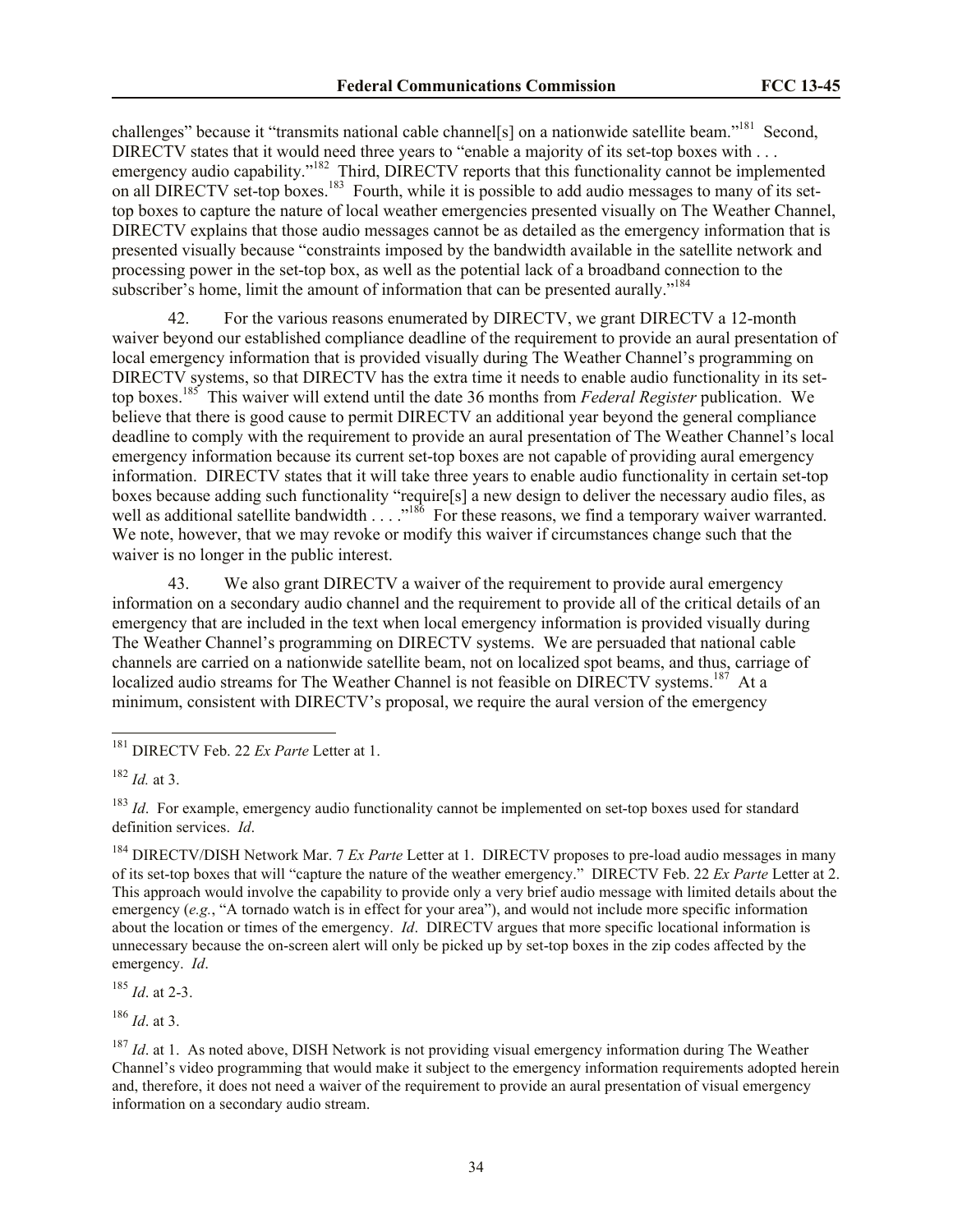challenges" because it "transmits national cable channel[s] on a nationwide satellite beam."<sup>181</sup> Second, DIRECTV states that it would need three years to "enable a majority of its set-top boxes with . . . emergency audio capability."<sup>182</sup> Third, DIRECTV reports that this functionality cannot be implemented on all DIRECTV set-top boxes.<sup>183</sup> Fourth, while it is possible to add audio messages to many of its settop boxes to capture the nature of local weather emergencies presented visually on The Weather Channel, DIRECTV explains that those audio messages cannot be as detailed as the emergency information that is presented visually because "constraints imposed by the bandwidth available in the satellite network and processing power in the set-top box, as well as the potential lack of a broadband connection to the subscriber's home, limit the amount of information that can be presented aurally."<sup>184</sup>

42. For the various reasons enumerated by DIRECTV, we grant DIRECTV a 12-month waiver beyond our established compliance deadline of the requirement to provide an aural presentation of local emergency information that is provided visually during The Weather Channel's programming on DIRECTV systems, so that DIRECTV has the extra time it needs to enable audio functionality in its settop boxes.<sup>185</sup> This waiver will extend until the date 36 months from *Federal Register* publication. We believe that there is good cause to permit DIRECTV an additional year beyond the general compliance deadline to comply with the requirement to provide an aural presentation of The Weather Channel's local emergency information because its current set-top boxes are not capable of providing aural emergency information. DIRECTV states that it will take three years to enable audio functionality in certain set-top boxes because adding such functionality "require[s] a new design to deliver the necessary audio files, as well as additional satellite bandwidth  $\ldots$ <sup>186</sup> For these reasons, we find a temporary waiver warranted. We note, however, that we may revoke or modify this waiver if circumstances change such that the waiver is no longer in the public interest.

43. We also grant DIRECTV a waiver of the requirement to provide aural emergency information on a secondary audio channel and the requirement to provide all of the critical details of an emergency that are included in the text when local emergency information is provided visually during The Weather Channel's programming on DIRECTV systems. We are persuaded that national cable channels are carried on a nationwide satellite beam, not on localized spot beams, and thus, carriage of localized audio streams for The Weather Channel is not feasible on DIRECTV systems.<sup>187</sup> At a minimum, consistent with DIRECTV's proposal, we require the aural version of the emergency

l

<sup>184</sup> DIRECTV/DISH Network Mar. 7 *Ex Parte* Letter at 1. DIRECTV proposes to pre-load audio messages in many of its set-top boxes that will "capture the nature of the weather emergency." DIRECTV Feb. 22 *Ex Parte* Letter at 2. This approach would involve the capability to provide only a very brief audio message with limited details about the emergency (*e.g.*, "A tornado watch is in effect for your area"), and would not include more specific information about the location or times of the emergency. *Id*. DIRECTV argues that more specific locational information is unnecessary because the on-screen alert will only be picked up by set-top boxes in the zip codes affected by the emergency. *Id*.

<sup>185</sup> *Id*. at 2-3.

<sup>186</sup> *Id*. at 3.

<sup>187</sup> *Id.* at 1. As noted above, DISH Network is not providing visual emergency information during The Weather Channel's video programming that would make it subject to the emergency information requirements adopted herein and, therefore, it does not need a waiver of the requirement to provide an aural presentation of visual emergency information on a secondary audio stream.

<sup>181</sup> DIRECTV Feb. 22 *Ex Parte* Letter at 1.

<sup>182</sup> *Id.* at 3.

<sup>&</sup>lt;sup>183</sup> *Id.* For example, emergency audio functionality cannot be implemented on set-top boxes used for standard definition services. *Id*.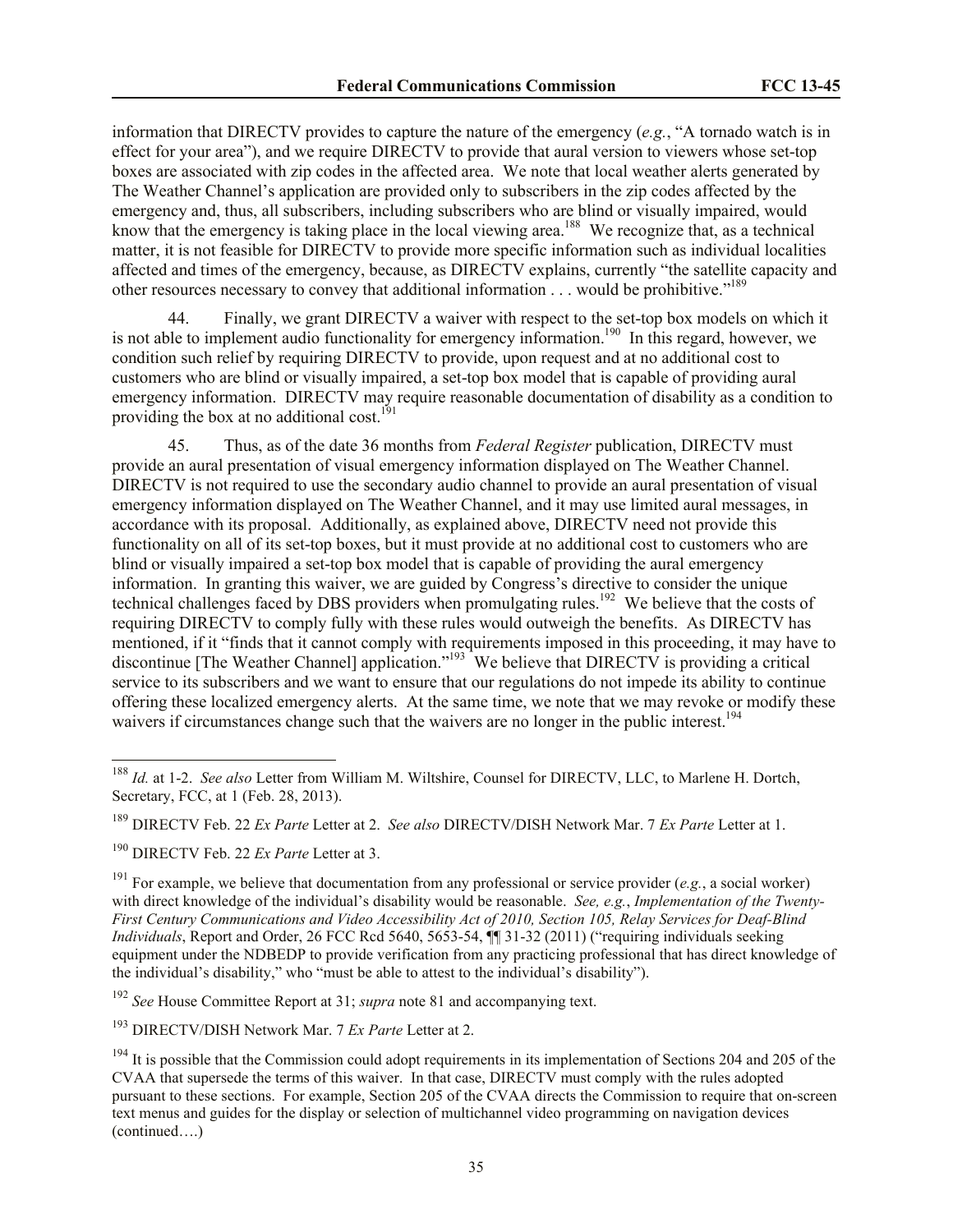information that DIRECTV provides to capture the nature of the emergency (*e.g.*, "A tornado watch is in effect for your area"), and we require DIRECTV to provide that aural version to viewers whose set-top boxes are associated with zip codes in the affected area. We note that local weather alerts generated by The Weather Channel's application are provided only to subscribers in the zip codes affected by the emergency and, thus, all subscribers, including subscribers who are blind or visually impaired, would know that the emergency is taking place in the local viewing area.<sup>188</sup> We recognize that, as a technical matter, it is not feasible for DIRECTV to provide more specific information such as individual localities affected and times of the emergency, because, as DIRECTV explains, currently "the satellite capacity and other resources necessary to convey that additional information . . . would be prohibitive."<sup>189</sup>

44. Finally, we grant DIRECTV a waiver with respect to the set-top box models on which it is not able to implement audio functionality for emergency information.<sup>190</sup> In this regard, however, we condition such relief by requiring DIRECTV to provide, upon request and at no additional cost to customers who are blind or visually impaired, a set-top box model that is capable of providing aural emergency information. DIRECTV may require reasonable documentation of disability as a condition to providing the box at no additional cost.<sup>191</sup>

45. Thus, as of the date 36 months from *Federal Register* publication, DIRECTV must provide an aural presentation of visual emergency information displayed on The Weather Channel. DIRECTV is not required to use the secondary audio channel to provide an aural presentation of visual emergency information displayed on The Weather Channel, and it may use limited aural messages, in accordance with its proposal. Additionally, as explained above, DIRECTV need not provide this functionality on all of its set-top boxes, but it must provide at no additional cost to customers who are blind or visually impaired a set-top box model that is capable of providing the aural emergency information. In granting this waiver, we are guided by Congress's directive to consider the unique technical challenges faced by DBS providers when promulgating rules.<sup>192</sup> We believe that the costs of requiring DIRECTV to comply fully with these rules would outweigh the benefits. As DIRECTV has mentioned, if it "finds that it cannot comply with requirements imposed in this proceeding, it may have to discontinue [The Weather Channel] application."<sup>193</sup> We believe that DIRECTV is providing a critical service to its subscribers and we want to ensure that our regulations do not impede its ability to continue offering these localized emergency alerts. At the same time, we note that we may revoke or modify these waivers if circumstances change such that the waivers are no longer in the public interest.<sup>194</sup>

 $\overline{a}$ 

<sup>188</sup> *Id.* at 1-2. *See also* Letter from William M. Wiltshire, Counsel for DIRECTV, LLC, to Marlene H. Dortch, Secretary, FCC, at 1 (Feb. 28, 2013).

<sup>189</sup> DIRECTV Feb. 22 *Ex Parte* Letter at 2. *See also* DIRECTV/DISH Network Mar. 7 *Ex Parte* Letter at 1.

<sup>190</sup> DIRECTV Feb. 22 *Ex Parte* Letter at 3.

<sup>191</sup> For example, we believe that documentation from any professional or service provider (*e.g.*, a social worker) with direct knowledge of the individual's disability would be reasonable. *See, e.g.*, *Implementation of the Twenty-First Century Communications and Video Accessibility Act of 2010, Section 105, Relay Services for Deaf-Blind Individuals*, Report and Order, 26 FCC Rcd 5640, 5653-54, ¶¶ 31-32 (2011) ("requiring individuals seeking equipment under the NDBEDP to provide verification from any practicing professional that has direct knowledge of the individual's disability," who "must be able to attest to the individual's disability").

<sup>192</sup> *See* House Committee Report at 31; *supra* note 81 and accompanying text.

<sup>193</sup> DIRECTV/DISH Network Mar. 7 *Ex Parte* Letter at 2.

 $194$  It is possible that the Commission could adopt requirements in its implementation of Sections 204 and 205 of the CVAA that supersede the terms of this waiver. In that case, DIRECTV must comply with the rules adopted pursuant to these sections. For example, Section 205 of the CVAA directs the Commission to require that on-screen text menus and guides for the display or selection of multichannel video programming on navigation devices (continued….)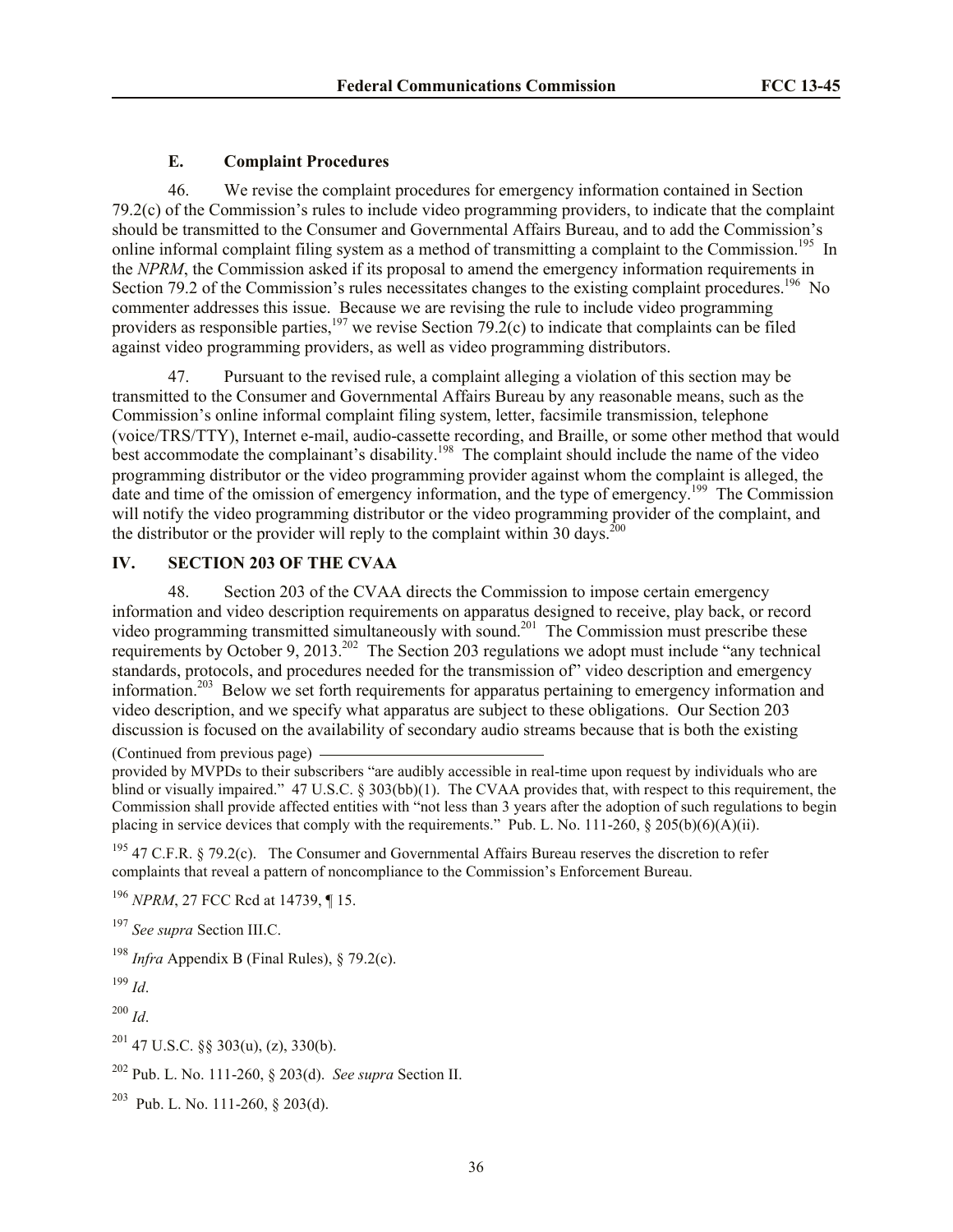# <span id="page-35-0"></span>**E. Complaint Procedures**

46. We revise the complaint procedures for emergency information contained in Section 79.2(c) of the Commission's rules to include video programming providers, to indicate that the complaint should be transmitted to the Consumer and Governmental Affairs Bureau, and to add the Commission's online informal complaint filing system as a method of transmitting a complaint to the Commission.<sup>195</sup> In the *NPRM*, the Commission asked if its proposal to amend the emergency information requirements in Section 79.2 of the Commission's rules necessitates changes to the existing complaint procedures.<sup>196</sup> No commenter addresses this issue. Because we are revising the rule to include video programming providers as responsible parties,<sup>197</sup> we revise Section 79.2(c) to indicate that complaints can be filed against video programming providers, as well as video programming distributors.

47. Pursuant to the revised rule, a complaint alleging a violation of this section may be transmitted to the Consumer and Governmental Affairs Bureau by any reasonable means, such as the Commission's online informal complaint filing system, letter, facsimile transmission, telephone (voice/TRS/TTY), Internet e-mail, audio-cassette recording, and Braille, or some other method that would best accommodate the complainant's disability.<sup>198</sup> The complaint should include the name of the video programming distributor or the video programming provider against whom the complaint is alleged, the date and time of the omission of emergency information, and the type of emergency.<sup>199</sup> The Commission will notify the video programming distributor or the video programming provider of the complaint, and the distributor or the provider will reply to the complaint within 30 days.<sup>200</sup>

# <span id="page-35-1"></span>**IV. SECTION 203 OF THE CVAA**

48. Section 203 of the CVAA directs the Commission to impose certain emergency information and video description requirements on apparatus designed to receive, play back, or record video programming transmitted simultaneously with sound.<sup>201</sup> The Commission must prescribe these requirements by October 9, 2013.<sup>202</sup> The Section 203 regulations we adopt must include "any technical" standards, protocols, and procedures needed for the transmission of" video description and emergency information.<sup>203</sup> Below we set forth requirements for apparatus pertaining to emergency information and video description, and we specify what apparatus are subject to these obligations. Our Section 203 discussion is focused on the availability of secondary audio streams because that is both the existing

(Continued from previous page)

<sup>195</sup> 47 C.F.R. § 79.2(c). The Consumer and Governmental Affairs Bureau reserves the discretion to refer complaints that reveal a pattern of noncompliance to the Commission's Enforcement Bureau.

<sup>196</sup> *NPRM*, 27 FCC Rcd at 14739, ¶ 15.

<sup>197</sup> *See supra* Section III.C.

<sup>198</sup> *Infra* Appendix B (Final Rules),  $\S$  79.2(c).

<sup>199</sup> *Id*.

<sup>200</sup> *Id*.

 $201$  47 U.S.C. §§ 303(u), (z), 330(b).

 $203$  Pub. L. No. 111-260, § 203(d).

provided by MVPDs to their subscribers "are audibly accessible in real-time upon request by individuals who are blind or visually impaired." 47 U.S.C. § 303(bb)(1). The CVAA provides that, with respect to this requirement, the Commission shall provide affected entities with "not less than 3 years after the adoption of such regulations to begin placing in service devices that comply with the requirements." Pub. L. No. 111-260,  $\S$  205(b)(6)(A)(ii).

<sup>202</sup> Pub. L. No. 111-260, § 203(d). *See supra* Section II.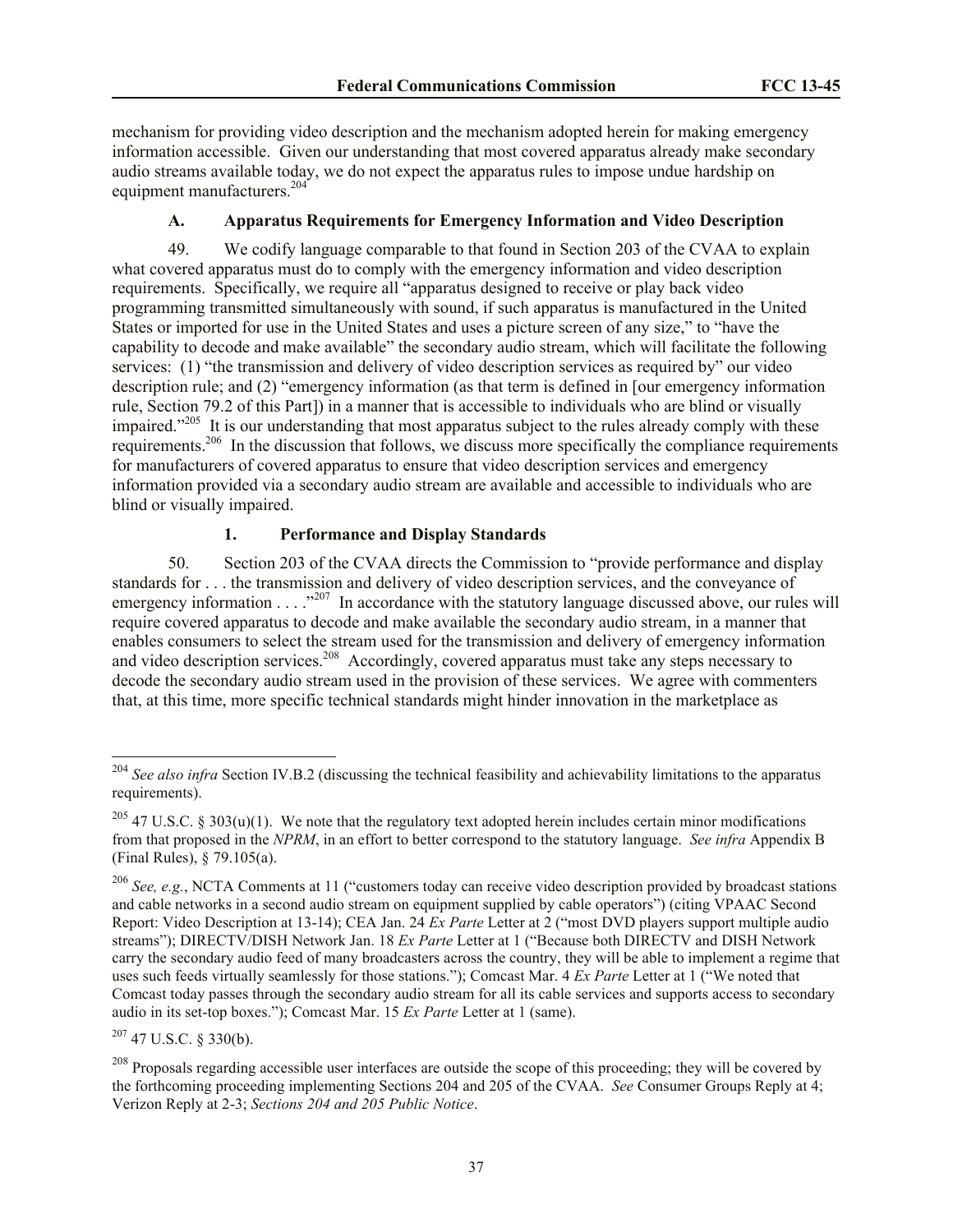mechanism for providing video description and the mechanism adopted herein for making emergency information accessible. Given our understanding that most covered apparatus already make secondary audio streams available today, we do not expect the apparatus rules to impose undue hardship on equipment manufacturers.<sup>204</sup>

# **A. Apparatus Requirements for Emergency Information and Video Description**

49. We codify language comparable to that found in Section 203 of the CVAA to explain what covered apparatus must do to comply with the emergency information and video description requirements. Specifically, we require all "apparatus designed to receive or play back video programming transmitted simultaneously with sound, if such apparatus is manufactured in the United States or imported for use in the United States and uses a picture screen of any size," to "have the capability to decode and make available" the secondary audio stream, which will facilitate the following services: (1) "the transmission and delivery of video description services as required by" our video description rule; and (2) "emergency information (as that term is defined in [our emergency information rule, Section 79.2 of this Part]) in a manner that is accessible to individuals who are blind or visually impaired."<sup>205</sup> It is our understanding that most apparatus subject to the rules already comply with these requirements.<sup>206</sup> In the discussion that follows, we discuss more specifically the compliance requirements for manufacturers of covered apparatus to ensure that video description services and emergency information provided via a secondary audio stream are available and accessible to individuals who are blind or visually impaired.

# **1. Performance and Display Standards**

50. Section 203 of the CVAA directs the Commission to "provide performance and display standards for . . . the transmission and delivery of video description services, and the conveyance of emergency information  $\ldots$   $\cdot$   $\cdot$   $\cdot$  In accordance with the statutory language discussed above, our rules will require covered apparatus to decode and make available the secondary audio stream, in a manner that enables consumers to select the stream used for the transmission and delivery of emergency information and video description services.<sup>208</sup> Accordingly, covered apparatus must take any steps necessary to decode the secondary audio stream used in the provision of these services. We agree with commenters that, at this time, more specific technical standards might hinder innovation in the marketplace as

 $207$  47 U.S.C. § 330(b).

l

<sup>204</sup> *See also infra* Section IV.B.2 (discussing the technical feasibility and achievability limitations to the apparatus requirements).

<sup>&</sup>lt;sup>205</sup> 47 U.S.C. § 303(u)(1). We note that the regulatory text adopted herein includes certain minor modifications from that proposed in the *NPRM*, in an effort to better correspond to the statutory language. *See infra* Appendix B (Final Rules), § 79.105(a).

<sup>206</sup> *See, e.g.*, NCTA Comments at 11 ("customers today can receive video description provided by broadcast stations and cable networks in a second audio stream on equipment supplied by cable operators") (citing VPAAC Second Report: Video Description at 13-14); CEA Jan. 24 *Ex Parte* Letter at 2 ("most DVD players support multiple audio streams"); DIRECTV/DISH Network Jan. 18 *Ex Parte* Letter at 1 ("Because both DIRECTV and DISH Network carry the secondary audio feed of many broadcasters across the country, they will be able to implement a regime that uses such feeds virtually seamlessly for those stations."); Comcast Mar. 4 *Ex Parte* Letter at 1 ("We noted that Comcast today passes through the secondary audio stream for all its cable services and supports access to secondary audio in its set-top boxes."); Comcast Mar. 15 *Ex Parte* Letter at 1 (same).

<sup>&</sup>lt;sup>208</sup> Proposals regarding accessible user interfaces are outside the scope of this proceeding; they will be covered by the forthcoming proceeding implementing Sections 204 and 205 of the CVAA. *See* Consumer Groups Reply at 4; Verizon Reply at 2-3; *Sections 204 and 205 Public Notice*.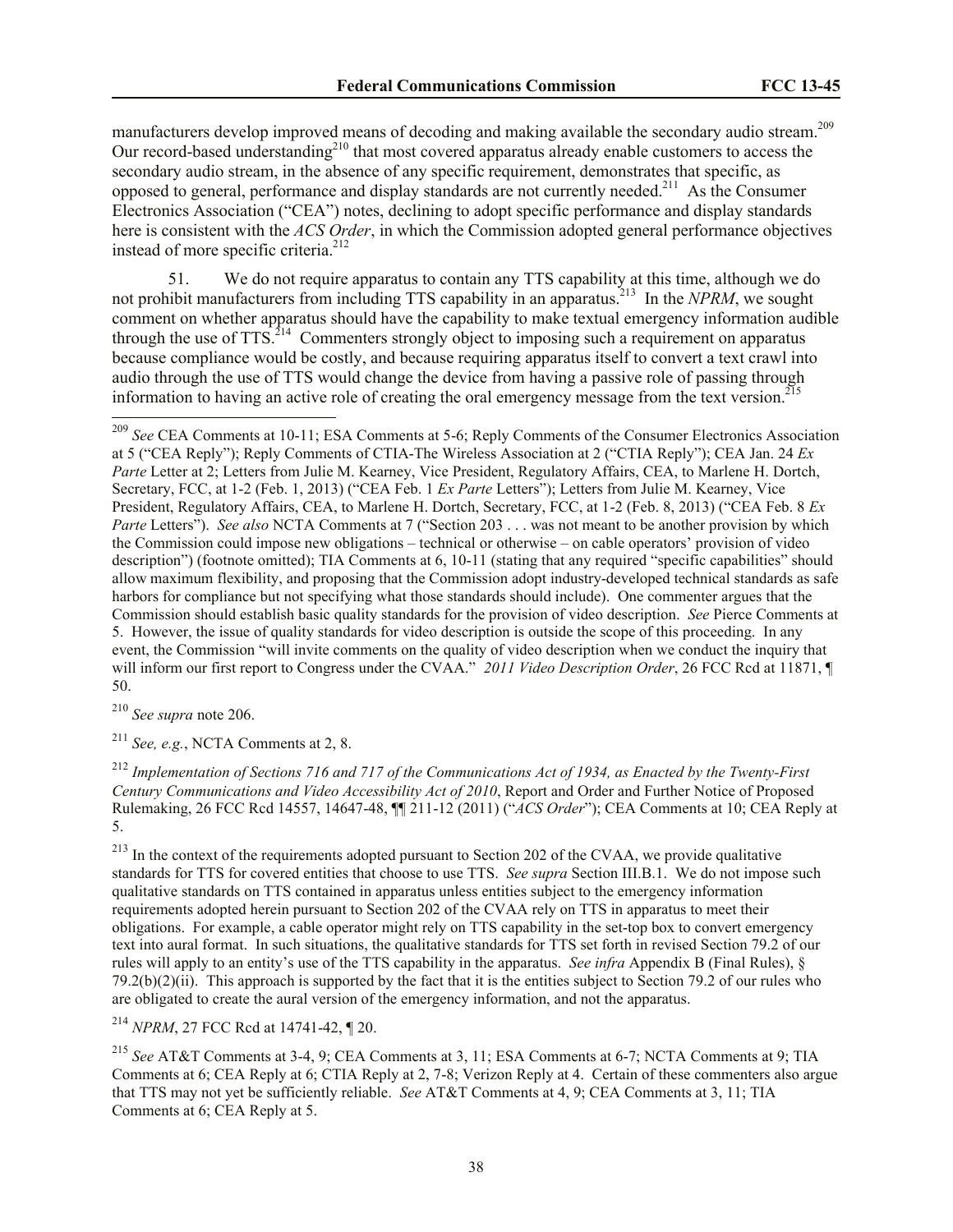manufacturers develop improved means of decoding and making available the secondary audio stream.<sup>209</sup> Our record-based understanding<sup>210</sup> that most covered apparatus already enable customers to access the secondary audio stream, in the absence of any specific requirement, demonstrates that specific, as opposed to general, performance and display standards are not currently needed.<sup>211</sup> As the Consumer Electronics Association ("CEA") notes, declining to adopt specific performance and display standards here is consistent with the *ACS Order*, in which the Commission adopted general performance objectives instead of more specific criteria.<sup>212</sup>

51. We do not require apparatus to contain any TTS capability at this time, although we do not prohibit manufacturers from including TTS capability in an apparatus.<sup>213</sup> In the *NPRM*, we sought comment on whether apparatus should have the capability to make textual emergency information audible through the use of  $TTS$ <sup> $214$ </sup> Commenters strongly object to imposing such a requirement on apparatus because compliance would be costly, and because requiring apparatus itself to convert a text crawl into audio through the use of TTS would change the device from having a passive role of passing through information to having an active role of creating the oral emergency message from the text version.<sup>215</sup>

<sup>210</sup> *See supra* note 206.

l

<sup>211</sup> *See, e.g.*, NCTA Comments at 2, 8.

<sup>212</sup> *Implementation of Sections 716 and 717 of the Communications Act of 1934, as Enacted by the Twenty-First Century Communications and Video Accessibility Act of 2010*, Report and Order and Further Notice of Proposed Rulemaking, 26 FCC Rcd 14557, 14647-48, ¶¶ 211-12 (2011) ("*ACS Order*"); CEA Comments at 10; CEA Reply at 5.

 $^{213}$  In the context of the requirements adopted pursuant to Section 202 of the CVAA, we provide qualitative standards for TTS for covered entities that choose to use TTS. *See supra* Section III.B.1. We do not impose such qualitative standards on TTS contained in apparatus unless entities subject to the emergency information requirements adopted herein pursuant to Section 202 of the CVAA rely on TTS in apparatus to meet their obligations. For example, a cable operator might rely on TTS capability in the set-top box to convert emergency text into aural format. In such situations, the qualitative standards for TTS set forth in revised Section 79.2 of our rules will apply to an entity's use of the TTS capability in the apparatus. *See infra* Appendix B (Final Rules), § 79.2(b)(2)(ii). This approach is supported by the fact that it is the entities subject to Section 79.2 of our rules who are obligated to create the aural version of the emergency information, and not the apparatus.

<sup>214</sup> *NPRM*, 27 FCC Rcd at 14741-42, ¶ 20.

<sup>215</sup> *See* AT&T Comments at 3-4, 9; CEA Comments at 3, 11; ESA Comments at 6-7; NCTA Comments at 9; TIA Comments at 6; CEA Reply at 6; CTIA Reply at 2, 7-8; Verizon Reply at 4. Certain of these commenters also argue that TTS may not yet be sufficiently reliable. *See* AT&T Comments at 4, 9; CEA Comments at 3, 11; TIA Comments at 6; CEA Reply at 5.

<sup>209</sup> *See* CEA Comments at 10-11; ESA Comments at 5-6; Reply Comments of the Consumer Electronics Association at 5 ("CEA Reply"); Reply Comments of CTIA-The Wireless Association at 2 ("CTIA Reply"); CEA Jan. 24 *Ex Parte Letter at 2; Letters from Julie M. Kearney, Vice President, Regulatory Affairs, CEA, to Marlene H. Dortch,* Secretary, FCC, at 1-2 (Feb. 1, 2013) ("CEA Feb. 1 *Ex Parte* Letters"); Letters from Julie M. Kearney, Vice President, Regulatory Affairs, CEA, to Marlene H. Dortch, Secretary, FCC, at 1-2 (Feb. 8, 2013) ("CEA Feb. 8 *Ex Parte Letters"*). *See also* NCTA Comments at 7 ("Section 203 . . . was not meant to be another provision by which the Commission could impose new obligations – technical or otherwise – on cable operators' provision of video description") (footnote omitted); TIA Comments at 6, 10-11 (stating that any required "specific capabilities" should allow maximum flexibility, and proposing that the Commission adopt industry-developed technical standards as safe harbors for compliance but not specifying what those standards should include). One commenter argues that the Commission should establish basic quality standards for the provision of video description. *See* Pierce Comments at 5. However, the issue of quality standards for video description is outside the scope of this proceeding. In any event, the Commission "will invite comments on the quality of video description when we conduct the inquiry that will inform our first report to Congress under the CVAA." 2011 Video Description Order, 26 FCC Rcd at 11871, ¶ 50.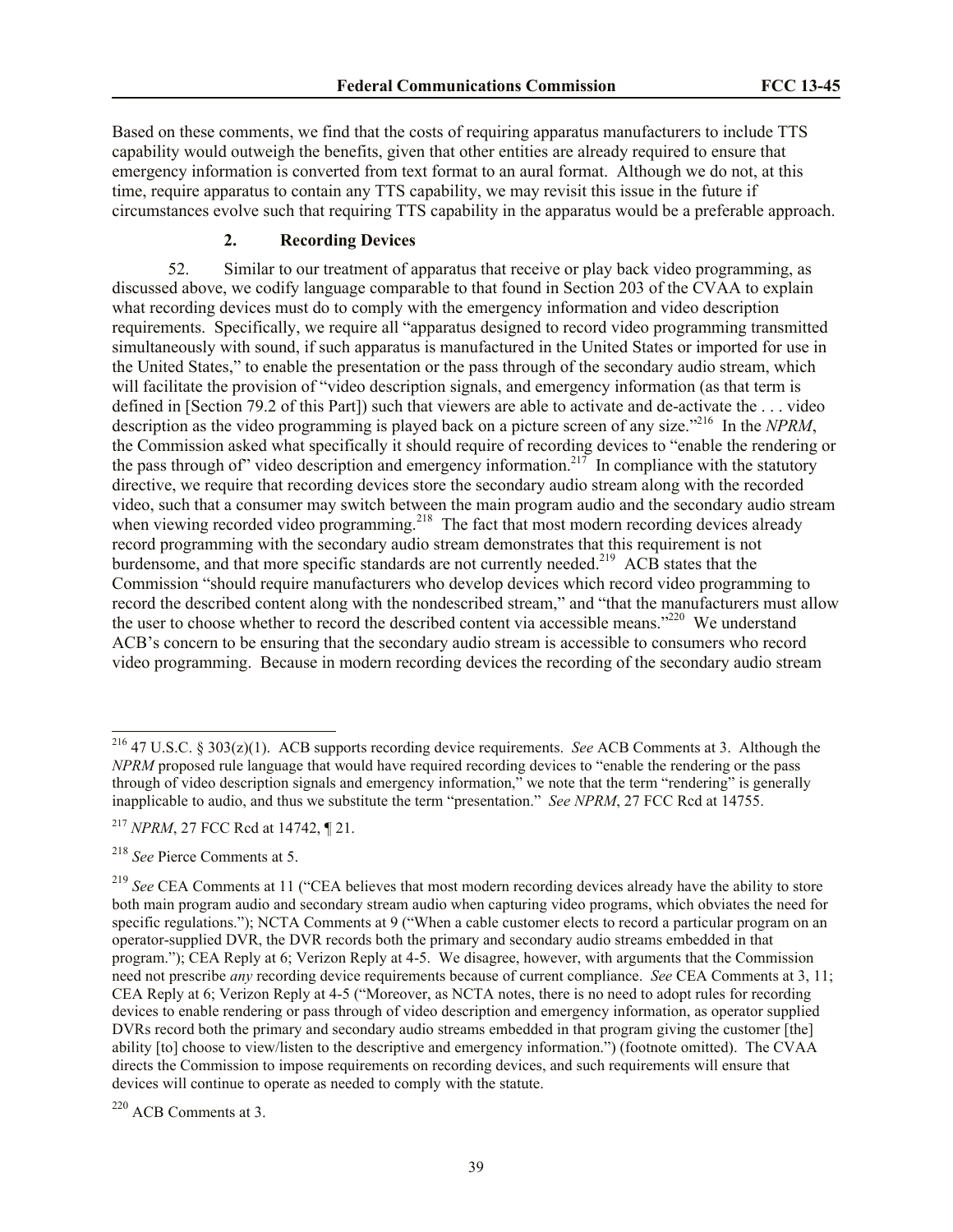Based on these comments, we find that the costs of requiring apparatus manufacturers to include TTS capability would outweigh the benefits, given that other entities are already required to ensure that emergency information is converted from text format to an aural format. Although we do not, at this time, require apparatus to contain any TTS capability, we may revisit this issue in the future if circumstances evolve such that requiring TTS capability in the apparatus would be a preferable approach.

## **2. Recording Devices**

52. Similar to our treatment of apparatus that receive or play back video programming, as discussed above, we codify language comparable to that found in Section 203 of the CVAA to explain what recording devices must do to comply with the emergency information and video description requirements. Specifically, we require all "apparatus designed to record video programming transmitted simultaneously with sound, if such apparatus is manufactured in the United States or imported for use in the United States," to enable the presentation or the pass through of the secondary audio stream, which will facilitate the provision of "video description signals, and emergency information (as that term is defined in [Section 79.2 of this Part]) such that viewers are able to activate and de-activate the . . . video description as the video programming is played back on a picture screen of any size."<sup>216</sup> In the *NPRM*, the Commission asked what specifically it should require of recording devices to "enable the rendering or the pass through of" video description and emergency information.<sup>217</sup> In compliance with the statutory directive, we require that recording devices store the secondary audio stream along with the recorded video, such that a consumer may switch between the main program audio and the secondary audio stream when viewing recorded video programming.<sup>218</sup> The fact that most modern recording devices already record programming with the secondary audio stream demonstrates that this requirement is not burdensome, and that more specific standards are not currently needed.<sup>219</sup> ACB states that the Commission "should require manufacturers who develop devices which record video programming to record the described content along with the nondescribed stream," and "that the manufacturers must allow the user to choose whether to record the described content via accessible means."<sup>220</sup> We understand ACB's concern to be ensuring that the secondary audio stream is accessible to consumers who record video programming. Because in modern recording devices the recording of the secondary audio stream

 $\overline{a}$ 

<sup>216</sup> 47 U.S.C. § 303(z)(1). ACB supports recording device requirements. *See* ACB Comments at 3. Although the *NPRM* proposed rule language that would have required recording devices to "enable the rendering or the pass through of video description signals and emergency information," we note that the term "rendering" is generally inapplicable to audio, and thus we substitute the term "presentation." *See NPRM*, 27 FCC Rcd at 14755.

<sup>217</sup> *NPRM*, 27 FCC Rcd at 14742, ¶ 21.

<sup>218</sup> *See* Pierce Comments at 5.

<sup>&</sup>lt;sup>219</sup> See CEA Comments at 11 ("CEA believes that most modern recording devices already have the ability to store both main program audio and secondary stream audio when capturing video programs, which obviates the need for specific regulations."); NCTA Comments at 9 ("When a cable customer elects to record a particular program on an operator-supplied DVR, the DVR records both the primary and secondary audio streams embedded in that program."); CEA Reply at 6; Verizon Reply at 4-5. We disagree, however, with arguments that the Commission need not prescribe *any* recording device requirements because of current compliance. *See* CEA Comments at 3, 11; CEA Reply at 6; Verizon Reply at 4-5 ("Moreover, as NCTA notes, there is no need to adopt rules for recording devices to enable rendering or pass through of video description and emergency information, as operator supplied DVRs record both the primary and secondary audio streams embedded in that program giving the customer [the] ability [to] choose to view/listen to the descriptive and emergency information.") (footnote omitted). The CVAA directs the Commission to impose requirements on recording devices, and such requirements will ensure that devices will continue to operate as needed to comply with the statute.

<sup>220</sup> ACB Comments at 3.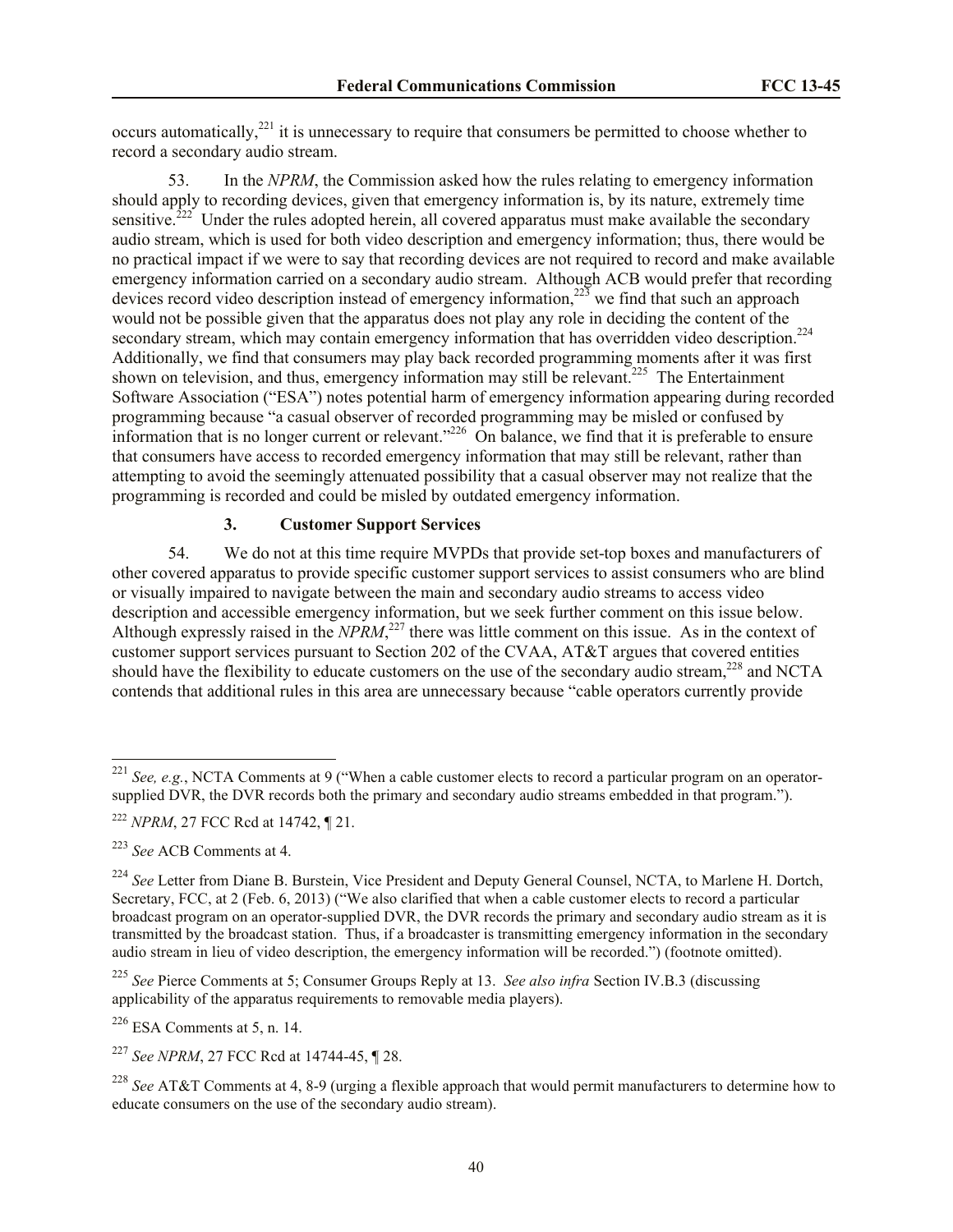occurs automatically,<sup>221</sup> it is unnecessary to require that consumers be permitted to choose whether to record a secondary audio stream.

In the *NPRM*, the Commission asked how the rules relating to emergency information should apply to recording devices, given that emergency information is, by its nature, extremely time sensitive.<sup>222</sup> Under the rules adopted herein, all covered apparatus must make available the secondary audio stream, which is used for both video description and emergency information; thus, there would be no practical impact if we were to say that recording devices are not required to record and make available emergency information carried on a secondary audio stream. Although ACB would prefer that recording devices record video description instead of emergency information, $^{223}$  we find that such an approach would not be possible given that the apparatus does not play any role in deciding the content of the secondary stream, which may contain emergency information that has overridden video description.<sup>224</sup> Additionally, we find that consumers may play back recorded programming moments after it was first shown on television, and thus, emergency information may still be relevant.<sup>225</sup> The Entertainment Software Association ("ESA") notes potential harm of emergency information appearing during recorded programming because "a casual observer of recorded programming may be misled or confused by information that is no longer current or relevant."<sup>226</sup> On balance, we find that it is preferable to ensure that consumers have access to recorded emergency information that may still be relevant, rather than attempting to avoid the seemingly attenuated possibility that a casual observer may not realize that the programming is recorded and could be misled by outdated emergency information.

### **3. Customer Support Services**

54. We do not at this time require MVPDs that provide set-top boxes and manufacturers of other covered apparatus to provide specific customer support services to assist consumers who are blind or visually impaired to navigate between the main and secondary audio streams to access video description and accessible emergency information, but we seek further comment on this issue below. Although expressly raised in the *NPRM*<sup>227</sup> there was little comment on this issue. As in the context of customer support services pursuant to Section 202 of the CVAA, AT&T argues that covered entities should have the flexibility to educate customers on the use of the secondary audio stream,  $^{228}$  and NCTA contends that additional rules in this area are unnecessary because "cable operators currently provide

 $\overline{a}$ 

 $226$  ESA Comments at 5, n. 14.

<sup>221</sup> *See, e.g.*, NCTA Comments at 9 ("When a cable customer elects to record a particular program on an operatorsupplied DVR, the DVR records both the primary and secondary audio streams embedded in that program.").

<sup>222</sup> *NPRM*, 27 FCC Rcd at 14742, ¶ 21.

<sup>223</sup> *See* ACB Comments at 4.

<sup>&</sup>lt;sup>224</sup> See Letter from Diane B. Burstein, Vice President and Deputy General Counsel, NCTA, to Marlene H. Dortch, Secretary, FCC, at 2 (Feb. 6, 2013) ("We also clarified that when a cable customer elects to record a particular broadcast program on an operator-supplied DVR, the DVR records the primary and secondary audio stream as it is transmitted by the broadcast station. Thus, if a broadcaster is transmitting emergency information in the secondary audio stream in lieu of video description, the emergency information will be recorded.") (footnote omitted).

<sup>225</sup> *See* Pierce Comments at 5; Consumer Groups Reply at 13. *See also infra* Section IV.B.3 (discussing applicability of the apparatus requirements to removable media players).

<sup>227</sup> *See NPRM*, 27 FCC Rcd at 14744-45, ¶ 28.

<sup>228</sup> *See* AT&T Comments at 4, 8-9 (urging a flexible approach that would permit manufacturers to determine how to educate consumers on the use of the secondary audio stream).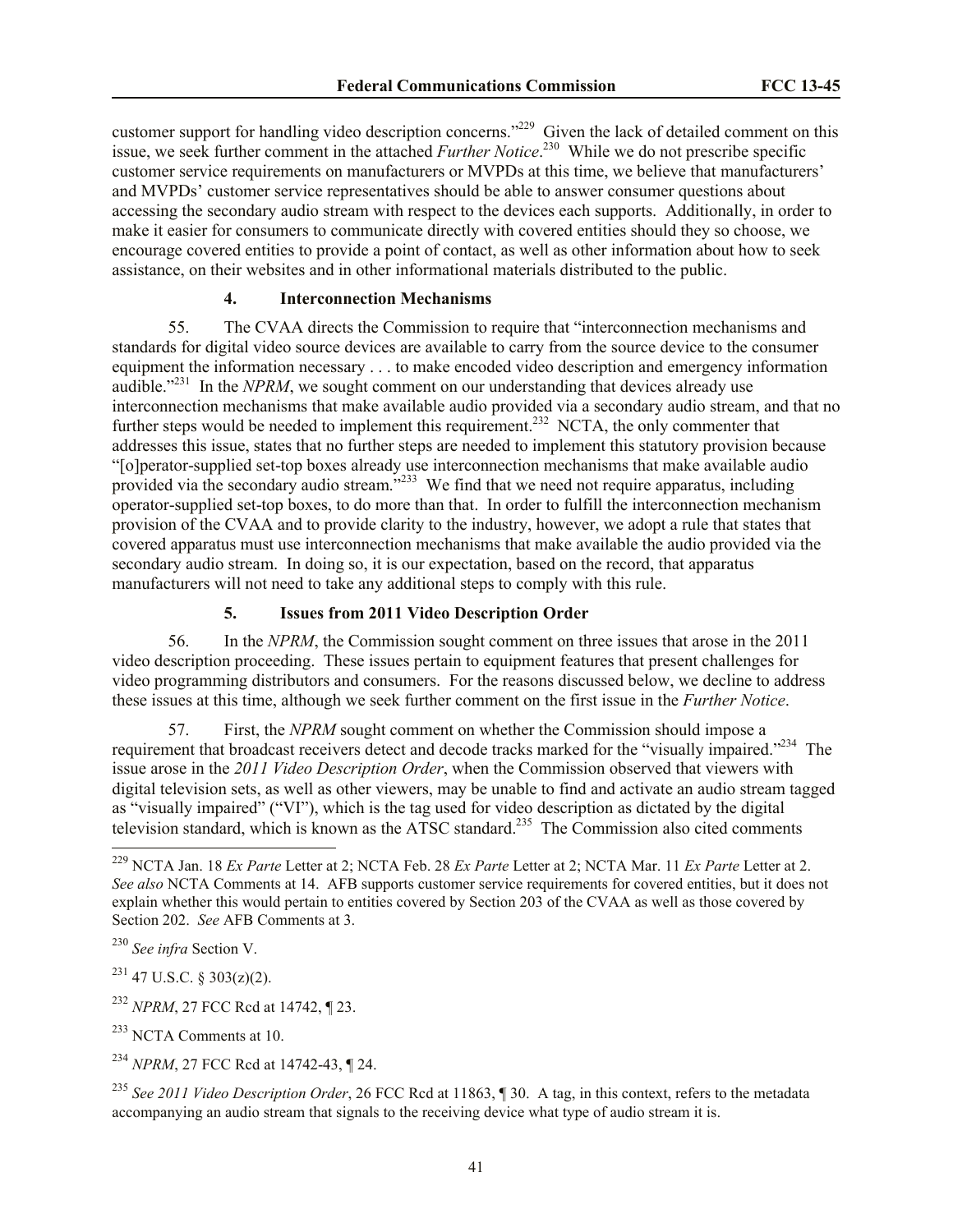customer support for handling video description concerns."<sup>229</sup> Given the lack of detailed comment on this issue, we seek further comment in the attached *Further Notice*. 230 While we do not prescribe specific customer service requirements on manufacturers or MVPDs at this time, we believe that manufacturers' and MVPDs' customer service representatives should be able to answer consumer questions about accessing the secondary audio stream with respect to the devices each supports. Additionally, in order to make it easier for consumers to communicate directly with covered entities should they so choose, we encourage covered entities to provide a point of contact, as well as other information about how to seek assistance, on their websites and in other informational materials distributed to the public.

### **4. Interconnection Mechanisms**

55. The CVAA directs the Commission to require that "interconnection mechanisms and standards for digital video source devices are available to carry from the source device to the consumer equipment the information necessary . . . to make encoded video description and emergency information audible.<sup> $231$ </sup> In the *NPRM*, we sought comment on our understanding that devices already use interconnection mechanisms that make available audio provided via a secondary audio stream, and that no further steps would be needed to implement this requirement.<sup>232</sup> NCTA, the only commenter that addresses this issue, states that no further steps are needed to implement this statutory provision because "[o]perator-supplied set-top boxes already use interconnection mechanisms that make available audio provided via the secondary audio stream."<sup>233</sup> We find that we need not require apparatus, including operator-supplied set-top boxes, to do more than that. In order to fulfill the interconnection mechanism provision of the CVAA and to provide clarity to the industry, however, we adopt a rule that states that covered apparatus must use interconnection mechanisms that make available the audio provided via the secondary audio stream. In doing so, it is our expectation, based on the record, that apparatus manufacturers will not need to take any additional steps to comply with this rule.

### **5. Issues from 2011 Video Description Order**

56. In the *NPRM*, the Commission sought comment on three issues that arose in the 2011 video description proceeding. These issues pertain to equipment features that present challenges for video programming distributors and consumers. For the reasons discussed below, we decline to address these issues at this time, although we seek further comment on the first issue in the *Further Notice*.

57. First, the *NPRM* sought comment on whether the Commission should impose a requirement that broadcast receivers detect and decode tracks marked for the "visually impaired."<sup>234</sup> The issue arose in the *2011 Video Description Order*, when the Commission observed that viewers with digital television sets, as well as other viewers, may be unable to find and activate an audio stream tagged as "visually impaired" ("VI"), which is the tag used for video description as dictated by the digital television standard, which is known as the ATSC standard.<sup>235</sup> The Commission also cited comments  $\overline{a}$ 

 $^{231}$  47 U.S.C. § 303(z)(2).

<sup>232</sup> *NPRM*, 27 FCC Rcd at 14742, ¶ 23.

<sup>233</sup> NCTA Comments at 10.

<sup>235</sup> *See 2011 Video Description Order*, 26 FCC Rcd at 11863, ¶ 30. A tag, in this context, refers to the metadata accompanying an audio stream that signals to the receiving device what type of audio stream it is.

<sup>229</sup> NCTA Jan. 18 *Ex Parte* Letter at 2; NCTA Feb. 28 *Ex Parte* Letter at 2; NCTA Mar. 11 *Ex Parte* Letter at 2. *See also* NCTA Comments at 14. AFB supports customer service requirements for covered entities, but it does not explain whether this would pertain to entities covered by Section 203 of the CVAA as well as those covered by Section 202. *See* AFB Comments at 3.

<sup>230</sup> *See infra* Section V.

<sup>234</sup> *NPRM*, 27 FCC Rcd at 14742-43, ¶ 24.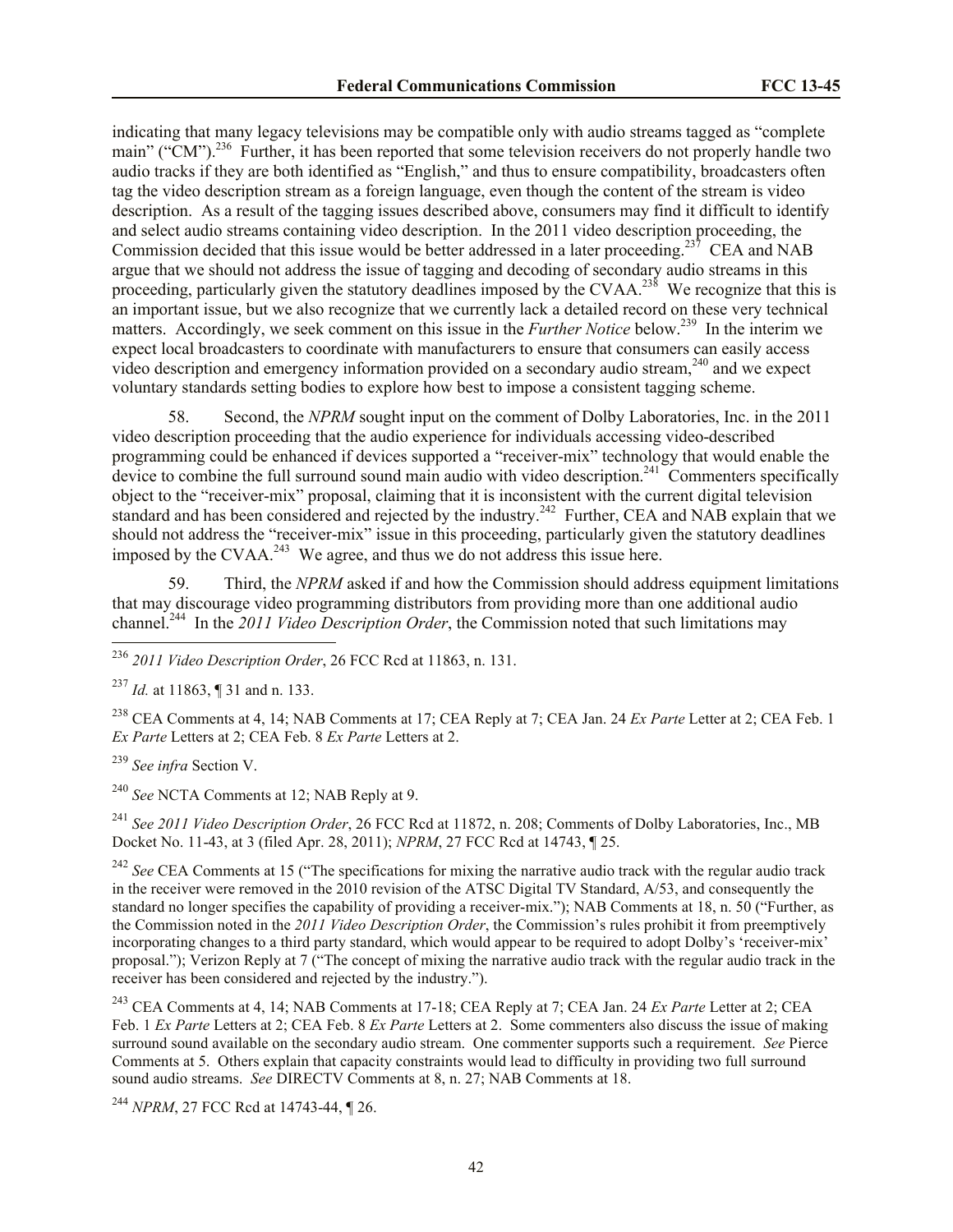indicating that many legacy televisions may be compatible only with audio streams tagged as "complete main" ("CM").<sup>236</sup> Further, it has been reported that some television receivers do not properly handle two audio tracks if they are both identified as "English," and thus to ensure compatibility, broadcasters often tag the video description stream as a foreign language, even though the content of the stream is video description. As a result of the tagging issues described above, consumers may find it difficult to identify and select audio streams containing video description. In the 2011 video description proceeding, the Commission decided that this issue would be better addressed in a later proceeding.<sup>237</sup> CEA and NAB argue that we should not address the issue of tagging and decoding of secondary audio streams in this proceeding, particularly given the statutory deadlines imposed by the CVAA.<sup>238</sup> We recognize that this is an important issue, but we also recognize that we currently lack a detailed record on these very technical matters. Accordingly, we seek comment on this issue in the *Further Notice* below.<sup>239</sup> In the interim we expect local broadcasters to coordinate with manufacturers to ensure that consumers can easily access video description and emergency information provided on a secondary audio stream,<sup>240</sup> and we expect voluntary standards setting bodies to explore how best to impose a consistent tagging scheme.

58. Second, the *NPRM* sought input on the comment of Dolby Laboratories, Inc. in the 2011 video description proceeding that the audio experience for individuals accessing video-described programming could be enhanced if devices supported a "receiver-mix" technology that would enable the device to combine the full surround sound main audio with video description.<sup>241</sup> Commenters specifically object to the "receiver-mix" proposal, claiming that it is inconsistent with the current digital television standard and has been considered and rejected by the industry.<sup>242</sup> Further, CEA and NAB explain that we should not address the "receiver-mix" issue in this proceeding, particularly given the statutory deadlines imposed by the CVAA.<sup>243</sup> We agree, and thus we do not address this issue here.

59. Third, the *NPRM* asked if and how the Commission should address equipment limitations that may discourage video programming distributors from providing more than one additional audio channel.<sup>244</sup> In the 2011 Video Description Order, the Commission noted that such limitations may

<sup>238</sup> CEA Comments at 4, 14; NAB Comments at 17; CEA Reply at 7; CEA Jan. 24 *Ex Parte* Letter at 2; CEA Feb. 1 *Ex Parte* Letters at 2; CEA Feb. 8 *Ex Parte* Letters at 2.

<sup>239</sup> *See infra* Section V.

 $\overline{a}$ 

<sup>240</sup> *See* NCTA Comments at 12; NAB Reply at 9.

<sup>241</sup> *See 2011 Video Description Order*, 26 FCC Rcd at 11872, n. 208; Comments of Dolby Laboratories, Inc., MB Docket No. 11-43, at 3 (filed Apr. 28, 2011); *NPRM*, 27 FCC Rcd at 14743, ¶ 25.

<sup>242</sup> See CEA Comments at 15 ("The specifications for mixing the narrative audio track with the regular audio track in the receiver were removed in the 2010 revision of the ATSC Digital TV Standard, A/53, and consequently the standard no longer specifies the capability of providing a receiver-mix."); NAB Comments at 18, n. 50 ("Further, as the Commission noted in the *2011 Video Description Order*, the Commission's rules prohibit it from preemptively incorporating changes to a third party standard, which would appear to be required to adopt Dolby's 'receiver-mix' proposal."); Verizon Reply at 7 ("The concept of mixing the narrative audio track with the regular audio track in the receiver has been considered and rejected by the industry.").

<sup>243</sup> CEA Comments at 4, 14; NAB Comments at 17-18; CEA Reply at 7; CEA Jan. 24 *Ex Parte* Letter at 2; CEA Feb. 1 *Ex Parte* Letters at 2; CEA Feb. 8 *Ex Parte* Letters at 2. Some commenters also discuss the issue of making surround sound available on the secondary audio stream. One commenter supports such a requirement. *See* Pierce Comments at 5. Others explain that capacity constraints would lead to difficulty in providing two full surround sound audio streams. *See* DIRECTV Comments at 8, n. 27; NAB Comments at 18.

<sup>244</sup> *NPRM*, 27 FCC Rcd at 14743-44, ¶ 26.

<sup>236</sup> *2011 Video Description Order*, 26 FCC Rcd at 11863, n. 131.

<sup>237</sup> *Id.* at 11863, ¶ 31 and n. 133.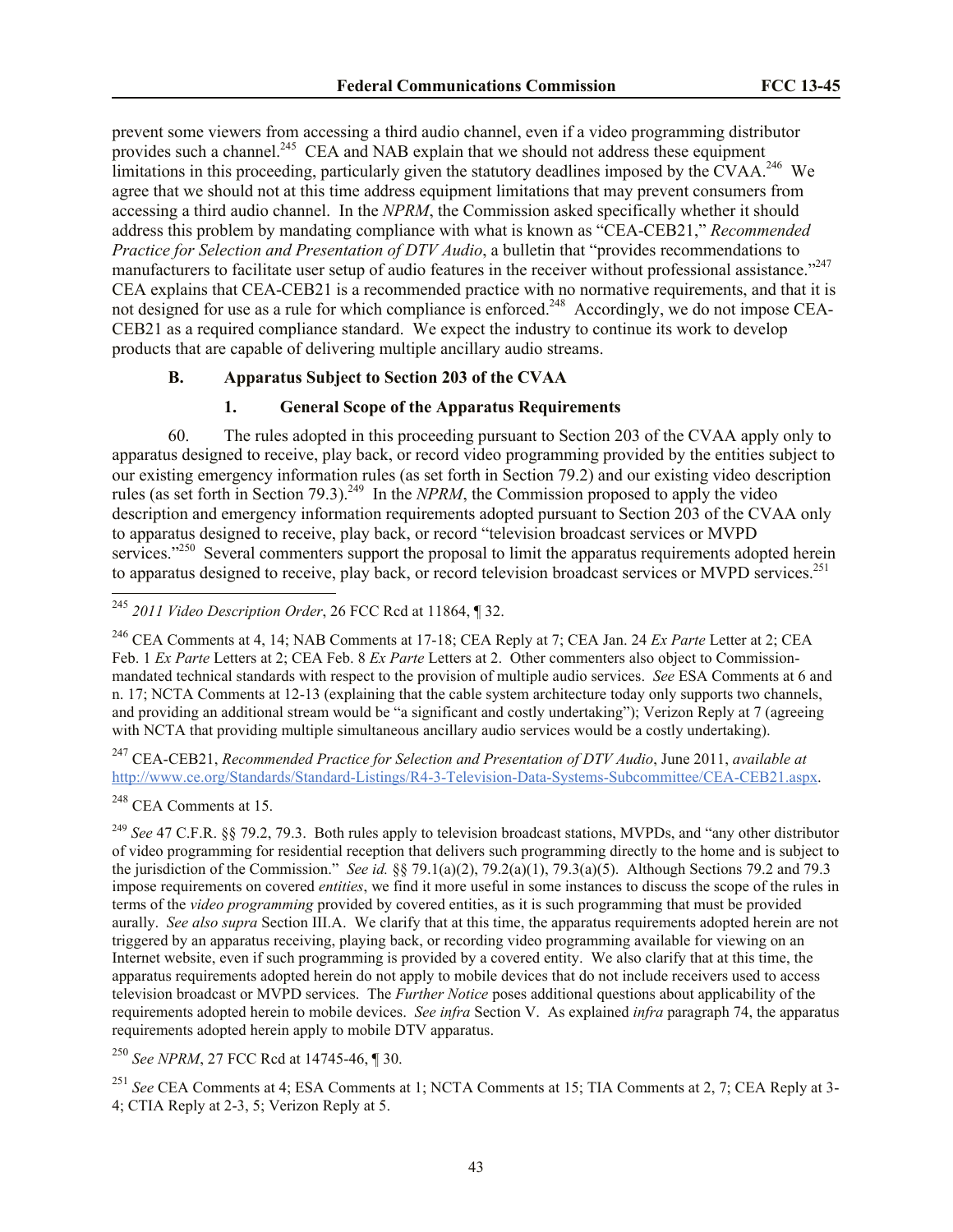prevent some viewers from accessing a third audio channel, even if a video programming distributor provides such a channel.<sup>245</sup> CEA and NAB explain that we should not address these equipment limitations in this proceeding, particularly given the statutory deadlines imposed by the  $\rm CVAA$ <sup>246</sup> We agree that we should not at this time address equipment limitations that may prevent consumers from accessing a third audio channel. In the *NPRM*, the Commission asked specifically whether it should address this problem by mandating compliance with what is known as "CEA-CEB21," *Recommended Practice for Selection and Presentation of DTV Audio*, a bulletin that "provides recommendations to manufacturers to facilitate user setup of audio features in the receiver without professional assistance."<sup>247</sup> CEA explains that CEA-CEB21 is a recommended practice with no normative requirements, and that it is not designed for use as a rule for which compliance is enforced.<sup>248</sup> Accordingly, we do not impose CEA-CEB21 as a required compliance standard. We expect the industry to continue its work to develop products that are capable of delivering multiple ancillary audio streams.

#### **B. Apparatus Subject to Section 203 of the CVAA**

### **1. General Scope of the Apparatus Requirements**

60. The rules adopted in this proceeding pursuant to Section 203 of the CVAA apply only to apparatus designed to receive, play back, or record video programming provided by the entities subject to our existing emergency information rules (as set forth in Section 79.2) and our existing video description rules (as set forth in Section 79.3).<sup>249</sup> In the *NPRM*, the Commission proposed to apply the video description and emergency information requirements adopted pursuant to Section 203 of the CVAA only to apparatus designed to receive, play back, or record "television broadcast services or MVPD services."<sup>250</sup> Several commenters support the proposal to limit the apparatus requirements adopted herein to apparatus designed to receive, play back, or record television broadcast services or MVPD services.<sup>251</sup>

<sup>245</sup> *2011 Video Description Order*, 26 FCC Rcd at 11864, ¶ 32.

<sup>246</sup> CEA Comments at 4, 14; NAB Comments at 17-18; CEA Reply at 7; CEA Jan. 24 *Ex Parte* Letter at 2; CEA Feb. 1 *Ex Parte* Letters at 2; CEA Feb. 8 *Ex Parte* Letters at 2. Other commenters also object to Commissionmandated technical standards with respect to the provision of multiple audio services. *See* ESA Comments at 6 and n. 17; NCTA Comments at 12-13 (explaining that the cable system architecture today only supports two channels, and providing an additional stream would be "a significant and costly undertaking"); Verizon Reply at 7 (agreeing with NCTA that providing multiple simultaneous ancillary audio services would be a costly undertaking).

<sup>247</sup> CEA-CEB21, *Recommended Practice for Selection and Presentation of DTV Audio*, June 2011, *available at* http://www.ce.org/Standards/Standard-Listings/R4-3-Television-Data-Systems-Subcommittee/CEA-CEB21.aspx.

<sup>248</sup> CEA Comments at 15.

 $\overline{a}$ 

<sup>249</sup> *See* 47 C.F.R. §§ 79.2, 79.3. Both rules apply to television broadcast stations, MVPDs, and "any other distributor of video programming for residential reception that delivers such programming directly to the home and is subject to the jurisdiction of the Commission." *See id.* §§ 79.1(a)(2), 79.2(a)(1), 79.3(a)(5). Although Sections 79.2 and 79.3 impose requirements on covered *entities*, we find it more useful in some instances to discuss the scope of the rules in terms of the *video programming* provided by covered entities, as it is such programming that must be provided aurally. *See also supra* Section III.A. We clarify that at this time, the apparatus requirements adopted herein are not triggered by an apparatus receiving, playing back, or recording video programming available for viewing on an Internet website, even if such programming is provided by a covered entity. We also clarify that at this time, the apparatus requirements adopted herein do not apply to mobile devices that do not include receivers used to access television broadcast or MVPD services. The *Further Notice* poses additional questions about applicability of the requirements adopted herein to mobile devices. *See infra* Section V. As explained *infra* paragraph 74, the apparatus requirements adopted herein apply to mobile DTV apparatus.

<sup>250</sup> *See NPRM*, 27 FCC Rcd at 14745-46, ¶ 30.

<sup>251</sup> *See* CEA Comments at 4; ESA Comments at 1; NCTA Comments at 15; TIA Comments at 2, 7; CEA Reply at 3- 4; CTIA Reply at 2-3, 5; Verizon Reply at 5.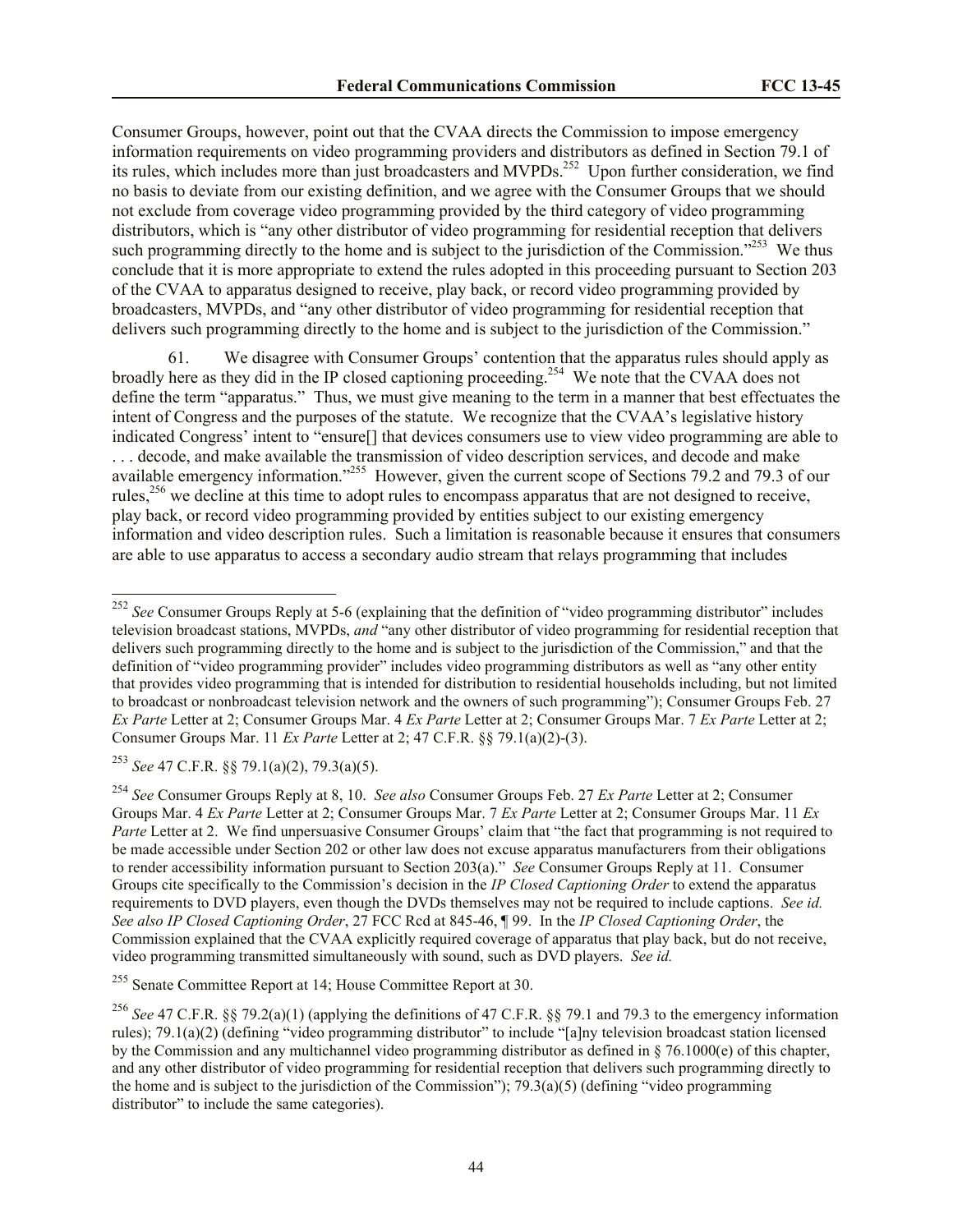Consumer Groups, however, point out that the CVAA directs the Commission to impose emergency information requirements on video programming providers and distributors as defined in Section 79.1 of its rules, which includes more than just broadcasters and MVPDs.<sup>252</sup> Upon further consideration, we find no basis to deviate from our existing definition, and we agree with the Consumer Groups that we should not exclude from coverage video programming provided by the third category of video programming distributors, which is "any other distributor of video programming for residential reception that delivers such programming directly to the home and is subject to the jurisdiction of the Commission."<sup>253</sup> We thus conclude that it is more appropriate to extend the rules adopted in this proceeding pursuant to Section 203 of the CVAA to apparatus designed to receive, play back, or record video programming provided by broadcasters, MVPDs, and "any other distributor of video programming for residential reception that delivers such programming directly to the home and is subject to the jurisdiction of the Commission."

We disagree with Consumer Groups' contention that the apparatus rules should apply as broadly here as they did in the IP closed captioning proceeding.<sup>254</sup> We note that the CVAA does not define the term "apparatus." Thus, we must give meaning to the term in a manner that best effectuates the intent of Congress and the purposes of the statute. We recognize that the CVAA's legislative history indicated Congress' intent to "ensure[] that devices consumers use to view video programming are able to ... decode, and make available the transmission of video description services, and decode and make available emergency information."<sup>255</sup> However, given the current scope of Sections 79.2 and 79.3 of our rules,<sup>256</sup> we decline at this time to adopt rules to encompass apparatus that are not designed to receive, play back, or record video programming provided by entities subject to our existing emergency information and video description rules. Such a limitation is reasonable because it ensures that consumers are able to use apparatus to access a secondary audio stream that relays programming that includes

<sup>253</sup> *See* 47 C.F.R. §§ 79.1(a)(2), 79.3(a)(5).

l

<sup>&</sup>lt;sup>252</sup> See Consumer Groups Reply at 5-6 (explaining that the definition of "video programming distributor" includes television broadcast stations, MVPDs, *and* "any other distributor of video programming for residential reception that delivers such programming directly to the home and is subject to the jurisdiction of the Commission," and that the definition of "video programming provider" includes video programming distributors as well as "any other entity that provides video programming that is intended for distribution to residential households including, but not limited to broadcast or nonbroadcast television network and the owners of such programming"); Consumer Groups Feb. 27 *Ex Parte* Letter at 2; Consumer Groups Mar. 4 *Ex Parte* Letter at 2; Consumer Groups Mar. 7 *Ex Parte* Letter at 2; Consumer Groups Mar. 11 *Ex Parte* Letter at 2; 47 C.F.R. §§ 79.1(a)(2)-(3).

<sup>254</sup> *See* Consumer Groups Reply at 8, 10. *See also* Consumer Groups Feb. 27 *Ex Parte* Letter at 2; Consumer Groups Mar. 4 *Ex Parte* Letter at 2; Consumer Groups Mar. 7 *Ex Parte* Letter at 2; Consumer Groups Mar. 11 *Ex Parte* Letter at 2. We find unpersuasive Consumer Groups' claim that "the fact that programming is not required to be made accessible under Section 202 or other law does not excuse apparatus manufacturers from their obligations to render accessibility information pursuant to Section 203(a)." *See* Consumer Groups Reply at 11. Consumer Groups cite specifically to the Commission's decision in the *IP Closed Captioning Order* to extend the apparatus requirements to DVD players, even though the DVDs themselves may not be required to include captions. *See id. See also IP Closed Captioning Order*, 27 FCC Rcd at 845-46, ¶ 99. In the *IP Closed Captioning Order*, the Commission explained that the CVAA explicitly required coverage of apparatus that play back, but do not receive, video programming transmitted simultaneously with sound, such as DVD players. *See id.*

<sup>255</sup> Senate Committee Report at 14; House Committee Report at 30.

<sup>256</sup> *See* 47 C.F.R. §§ 79.2(a)(1) (applying the definitions of 47 C.F.R. §§ 79.1 and 79.3 to the emergency information rules); 79.1(a)(2) (defining "video programming distributor" to include "[a]ny television broadcast station licensed by the Commission and any multichannel video programming distributor as defined in § 76.1000(e) of this chapter, and any other distributor of video programming for residential reception that delivers such programming directly to the home and is subject to the jurisdiction of the Commission"); 79.3(a)(5) (defining "video programming distributor" to include the same categories).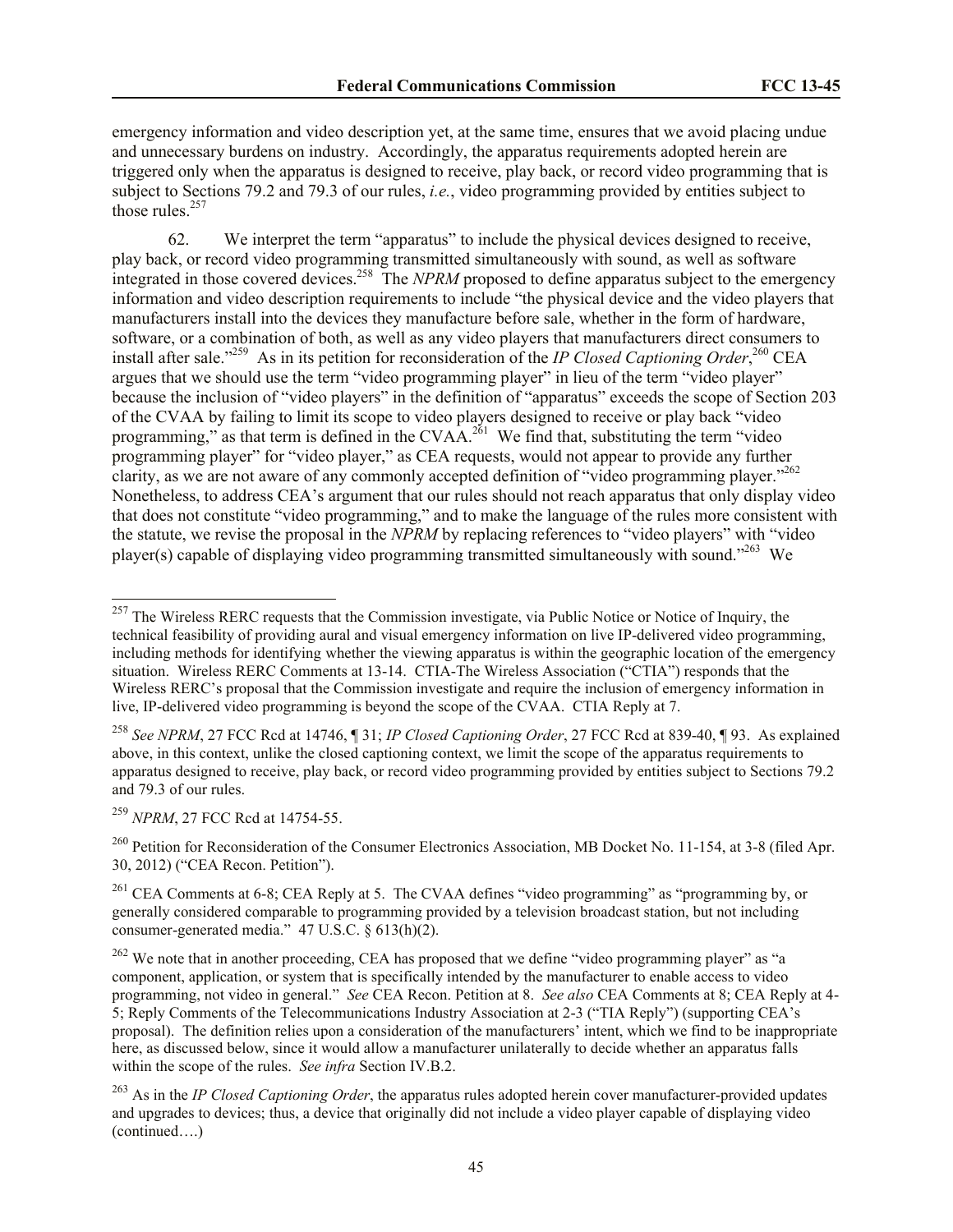emergency information and video description yet, at the same time, ensures that we avoid placing undue and unnecessary burdens on industry. Accordingly, the apparatus requirements adopted herein are triggered only when the apparatus is designed to receive, play back, or record video programming that is subject to Sections 79.2 and 79.3 of our rules, *i.e.*, video programming provided by entities subject to those rules. $257$ 

62. We interpret the term "apparatus" to include the physical devices designed to receive, play back, or record video programming transmitted simultaneously with sound, as well as software integrated in those covered devices.<sup>258</sup> The *NPRM* proposed to define apparatus subject to the emergency information and video description requirements to include "the physical device and the video players that manufacturers install into the devices they manufacture before sale, whether in the form of hardware, software, or a combination of both, as well as any video players that manufacturers direct consumers to install after sale."<sup>259</sup> As in its petition for reconsideration of the *IP Closed Captioning Order*,<sup>260</sup> CEA argues that we should use the term "video programming player" in lieu of the term "video player" because the inclusion of "video players" in the definition of "apparatus" exceeds the scope of Section 203 of the CVAA by failing to limit its scope to video players designed to receive or play back "video programming," as that term is defined in the CVAA.<sup>261</sup> We find that, substituting the term "video" programming player" for "video player," as CEA requests, would not appear to provide any further clarity, as we are not aware of any commonly accepted definition of "video programming player."<sup>262</sup> Nonetheless, to address CEA's argument that our rules should not reach apparatus that only display video that does not constitute "video programming," and to make the language of the rules more consistent with the statute, we revise the proposal in the *NPRM* by replacing references to "video players" with "video player(s) capable of displaying video programming transmitted simultaneously with sound."<sup>263</sup> We

<sup>259</sup> *NPRM*, 27 FCC Rcd at 14754-55.

 $\overline{a}$ 

<sup>&</sup>lt;sup>257</sup> The Wireless RERC requests that the Commission investigate, via Public Notice or Notice of Inquiry, the technical feasibility of providing aural and visual emergency information on live IP-delivered video programming, including methods for identifying whether the viewing apparatus is within the geographic location of the emergency situation. Wireless RERC Comments at 13-14. CTIA-The Wireless Association ("CTIA") responds that the Wireless RERC's proposal that the Commission investigate and require the inclusion of emergency information in live, IP-delivered video programming is beyond the scope of the CVAA. CTIA Reply at 7.

<sup>258</sup> *See NPRM*, 27 FCC Rcd at 14746, ¶ 31; *IP Closed Captioning Order*, 27 FCC Rcd at 839-40, ¶ 93. As explained above, in this context, unlike the closed captioning context, we limit the scope of the apparatus requirements to apparatus designed to receive, play back, or record video programming provided by entities subject to Sections 79.2 and 79.3 of our rules.

<sup>&</sup>lt;sup>260</sup> Petition for Reconsideration of the Consumer Electronics Association, MB Docket No. 11-154, at 3-8 (filed Apr. 30, 2012) ("CEA Recon. Petition").

<sup>&</sup>lt;sup>261</sup> CEA Comments at 6-8; CEA Reply at 5. The CVAA defines "video programming" as "programming by, or generally considered comparable to programming provided by a television broadcast station, but not including consumer-generated media." 47 U.S.C. § 613(h)(2).

 $262$  We note that in another proceeding, CEA has proposed that we define "video programming player" as "a component, application, or system that is specifically intended by the manufacturer to enable access to video programming, not video in general." *See* CEA Recon. Petition at 8. *See also* CEA Comments at 8; CEA Reply at 4- 5; Reply Comments of the Telecommunications Industry Association at 2-3 ("TIA Reply") (supporting CEA's proposal). The definition relies upon a consideration of the manufacturers' intent, which we find to be inappropriate here, as discussed below, since it would allow a manufacturer unilaterally to decide whether an apparatus falls within the scope of the rules. *See infra* Section IV.B.2.

<sup>&</sup>lt;sup>263</sup> As in the *IP Closed Captioning Order*, the apparatus rules adopted herein cover manufacturer-provided updates and upgrades to devices; thus, a device that originally did not include a video player capable of displaying video (continued….)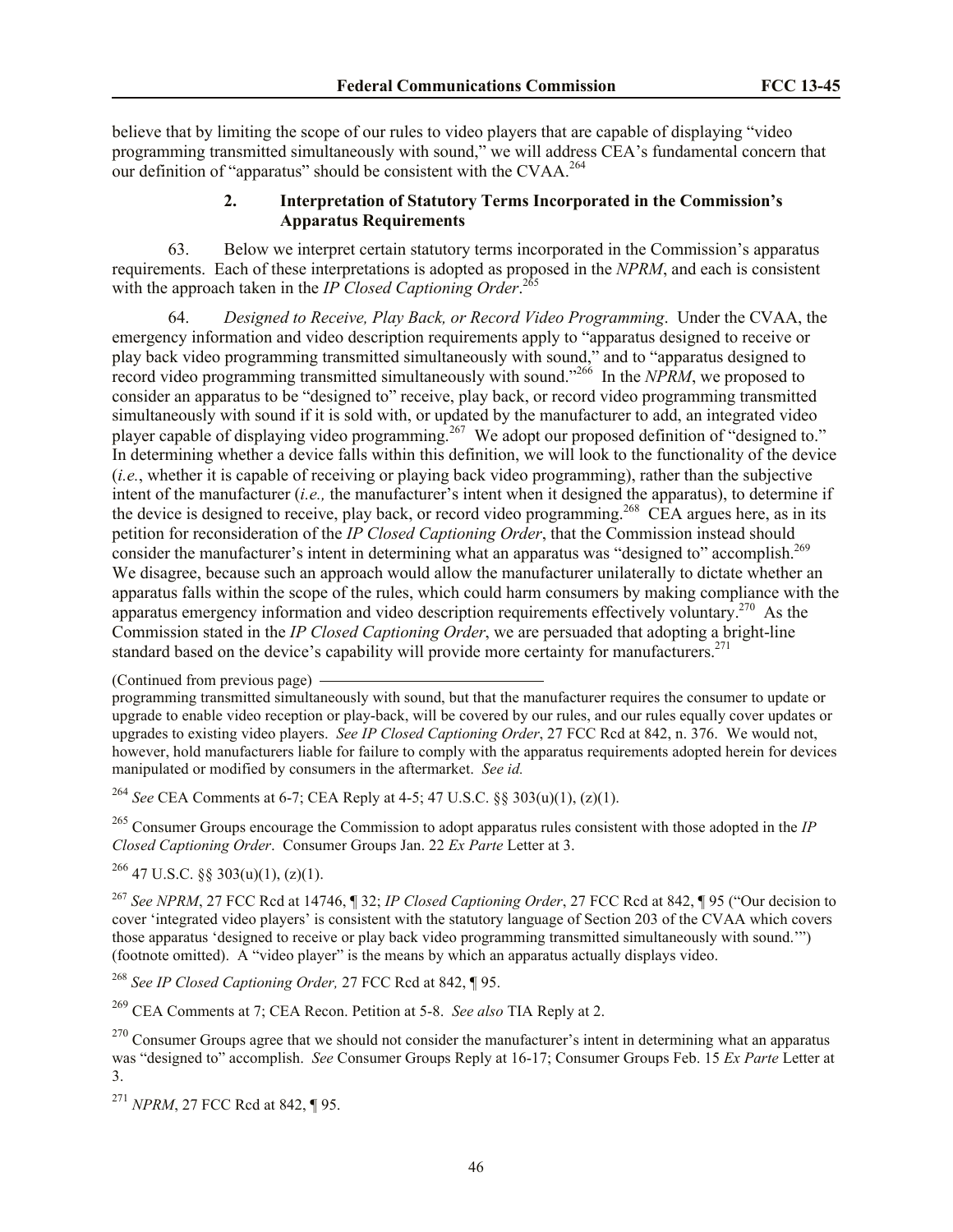believe that by limiting the scope of our rules to video players that are capable of displaying "video programming transmitted simultaneously with sound," we will address CEA's fundamental concern that our definition of "apparatus" should be consistent with the CVAA.<sup>264</sup>

# **2. Interpretation of Statutory Terms Incorporated in the Commission's Apparatus Requirements**

63. Below we interpret certain statutory terms incorporated in the Commission's apparatus requirements. Each of these interpretations is adopted as proposed in the *NPRM*, and each is consistent with the approach taken in the *IP Closed Captioning Order*. 265

64. *Designed to Receive, Play Back, or Record Video Programming*. Under the CVAA, the emergency information and video description requirements apply to "apparatus designed to receive or play back video programming transmitted simultaneously with sound," and to "apparatus designed to record video programming transmitted simultaneously with sound."<sup>266</sup> In the *NPRM*, we proposed to consider an apparatus to be "designed to" receive, play back, or record video programming transmitted simultaneously with sound if it is sold with, or updated by the manufacturer to add, an integrated video player capable of displaying video programming.<sup>267</sup> We adopt our proposed definition of "designed to." In determining whether a device falls within this definition, we will look to the functionality of the device (*i.e.*, whether it is capable of receiving or playing back video programming), rather than the subjective intent of the manufacturer (*i.e.,* the manufacturer's intent when it designed the apparatus), to determine if the device is designed to receive, play back, or record video programming.<sup>268</sup> CEA argues here, as in its petition for reconsideration of the *IP Closed Captioning Order*, that the Commission instead should consider the manufacturer's intent in determining what an apparatus was "designed to" accomplish.<sup>269</sup> We disagree, because such an approach would allow the manufacturer unilaterally to dictate whether an apparatus falls within the scope of the rules, which could harm consumers by making compliance with the apparatus emergency information and video description requirements effectively voluntary.<sup>270</sup> As the Commission stated in the *IP Closed Captioning Order*, we are persuaded that adopting a bright-line standard based on the device's capability will provide more certainty for manufacturers.<sup>271</sup>

<sup>264</sup> *See* CEA Comments at 6-7; CEA Reply at 4-5; 47 U.S.C. §§ 303(u)(1), (z)(1).

<sup>265</sup> Consumer Groups encourage the Commission to adopt apparatus rules consistent with those adopted in the *IP Closed Captioning Order.* Consumer Groups Jan. 22 *Ex Parte Letter at 3.* 

 $^{266}$  47 U.S.C. §§ 303(u)(1), (z)(1).

<sup>267</sup> *See NPRM*, 27 FCC Rcd at 14746, ¶ 32; *IP Closed Captioning Order*, 27 FCC Rcd at 842, ¶ 95 ("Our decision to cover 'integrated video players' is consistent with the statutory language of Section 203 of the CVAA which covers those apparatus 'designed to receive or play back video programming transmitted simultaneously with sound.'") (footnote omitted). A "video player" is the means by which an apparatus actually displays video.

<sup>268</sup> *See IP Closed Captioning Order,* 27 FCC Rcd at 842, ¶ 95.

<sup>269</sup> CEA Comments at 7; CEA Recon. Petition at 5-8. *See also* TIA Reply at 2.

<sup>271</sup> *NPRM*, 27 FCC Rcd at 842, ¶ 95.

<sup>(</sup>Continued from previous page)

programming transmitted simultaneously with sound, but that the manufacturer requires the consumer to update or upgrade to enable video reception or play-back, will be covered by our rules, and our rules equally cover updates or upgrades to existing video players. *See IP Closed Captioning Order*, 27 FCC Rcd at 842, n. 376. We would not, however, hold manufacturers liable for failure to comply with the apparatus requirements adopted herein for devices manipulated or modified by consumers in the aftermarket. *See id.*

 $270$  Consumer Groups agree that we should not consider the manufacturer's intent in determining what an apparatus was "designed to" accomplish. *See* Consumer Groups Reply at 16-17; Consumer Groups Feb. 15 *Ex Parte* Letter at 3.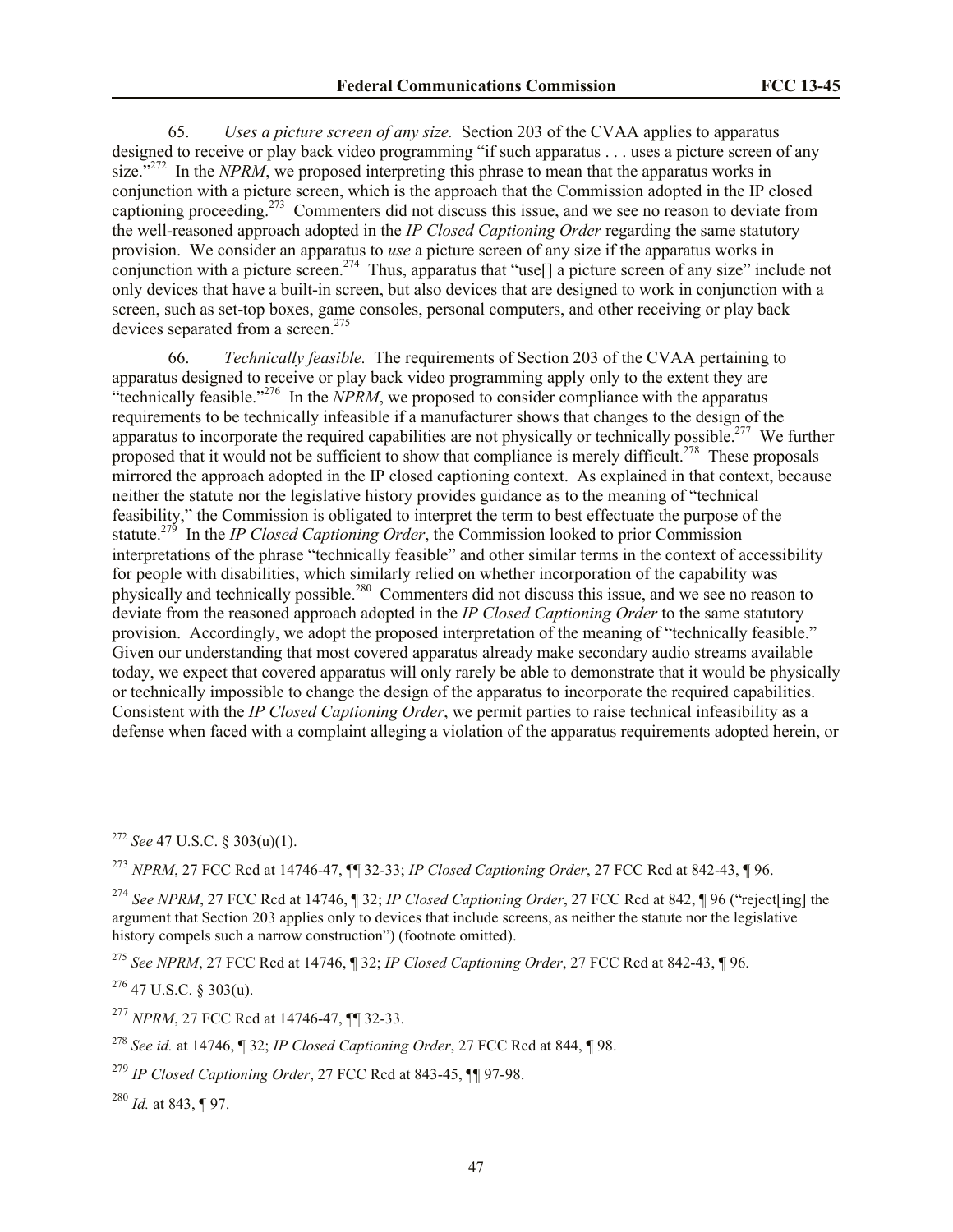65. *Uses a picture screen of any size.* Section 203 of the CVAA applies to apparatus designed to receive or play back video programming "if such apparatus . . . uses a picture screen of any size."<sup>272</sup> In the *NPRM*, we proposed interpreting this phrase to mean that the apparatus works in conjunction with a picture screen, which is the approach that the Commission adopted in the IP closed captioning proceeding.<sup>273</sup> Commenters did not discuss this issue, and we see no reason to deviate from the well-reasoned approach adopted in the *IP Closed Captioning Order* regarding the same statutory provision. We consider an apparatus to *use* a picture screen of any size if the apparatus works in conjunction with a picture screen.<sup>274</sup> Thus, apparatus that "use<sup>[]</sup> a picture screen of any size" include not only devices that have a built-in screen, but also devices that are designed to work in conjunction with a screen, such as set-top boxes, game consoles, personal computers, and other receiving or play back devices separated from a screen. $275$ 

66. *Technically feasible.* The requirements of Section 203 of the CVAA pertaining to apparatus designed to receive or play back video programming apply only to the extent they are "technically feasible."<sup>276</sup> In the  $\dot{N}PRM$ , we proposed to consider compliance with the apparatus requirements to be technically infeasible if a manufacturer shows that changes to the design of the apparatus to incorporate the required capabilities are not physically or technically possible.<sup>277</sup> We further proposed that it would not be sufficient to show that compliance is merely difficult.<sup>278</sup> These proposals mirrored the approach adopted in the IP closed captioning context. As explained in that context, because neither the statute nor the legislative history provides guidance as to the meaning of "technical feasibility," the Commission is obligated to interpret the term to best effectuate the purpose of the statute.<sup>279</sup> In the *IP Closed Captioning Order*, the Commission looked to prior Commission interpretations of the phrase "technically feasible" and other similar terms in the context of accessibility for people with disabilities, which similarly relied on whether incorporation of the capability was physically and technically possible.<sup>280</sup> Commenters did not discuss this issue, and we see no reason to deviate from the reasoned approach adopted in the *IP Closed Captioning Order* to the same statutory provision. Accordingly, we adopt the proposed interpretation of the meaning of "technically feasible." Given our understanding that most covered apparatus already make secondary audio streams available today, we expect that covered apparatus will only rarely be able to demonstrate that it would be physically or technically impossible to change the design of the apparatus to incorporate the required capabilities. Consistent with the *IP Closed Captioning Order*, we permit parties to raise technical infeasibility as a defense when faced with a complaint alleging a violation of the apparatus requirements adopted herein, or

l

<sup>273</sup> *NPRM*, 27 FCC Rcd at 14746-47, ¶¶ 32-33; *IP Closed Captioning Order*, 27 FCC Rcd at 842-43, ¶ 96.

<sup>272</sup> *See* 47 U.S.C. § 303(u)(1).

<sup>274</sup> *See NPRM*, 27 FCC Rcd at 14746, ¶ 32; *IP Closed Captioning Order*, 27 FCC Rcd at 842, ¶ 96 ("reject[ing] the argument that Section 203 applies only to devices that include screens, as neither the statute nor the legislative history compels such a narrow construction") (footnote omitted).

<sup>275</sup> *See NPRM*, 27 FCC Rcd at 14746, ¶ 32; *IP Closed Captioning Order*, 27 FCC Rcd at 842-43, ¶ 96.

 $276$  47 U.S.C. § 303(u).

<sup>277</sup> *NPRM*, 27 FCC Rcd at 14746-47, ¶¶ 32-33.

<sup>278</sup> *See id.* at 14746, ¶ 32; *IP Closed Captioning Order*, 27 FCC Rcd at 844, ¶ 98.

<sup>279</sup> *IP Closed Captioning Order*, 27 FCC Rcd at 843-45, ¶¶ 97-98.

<sup>280</sup> *Id.* at 843, ¶ 97.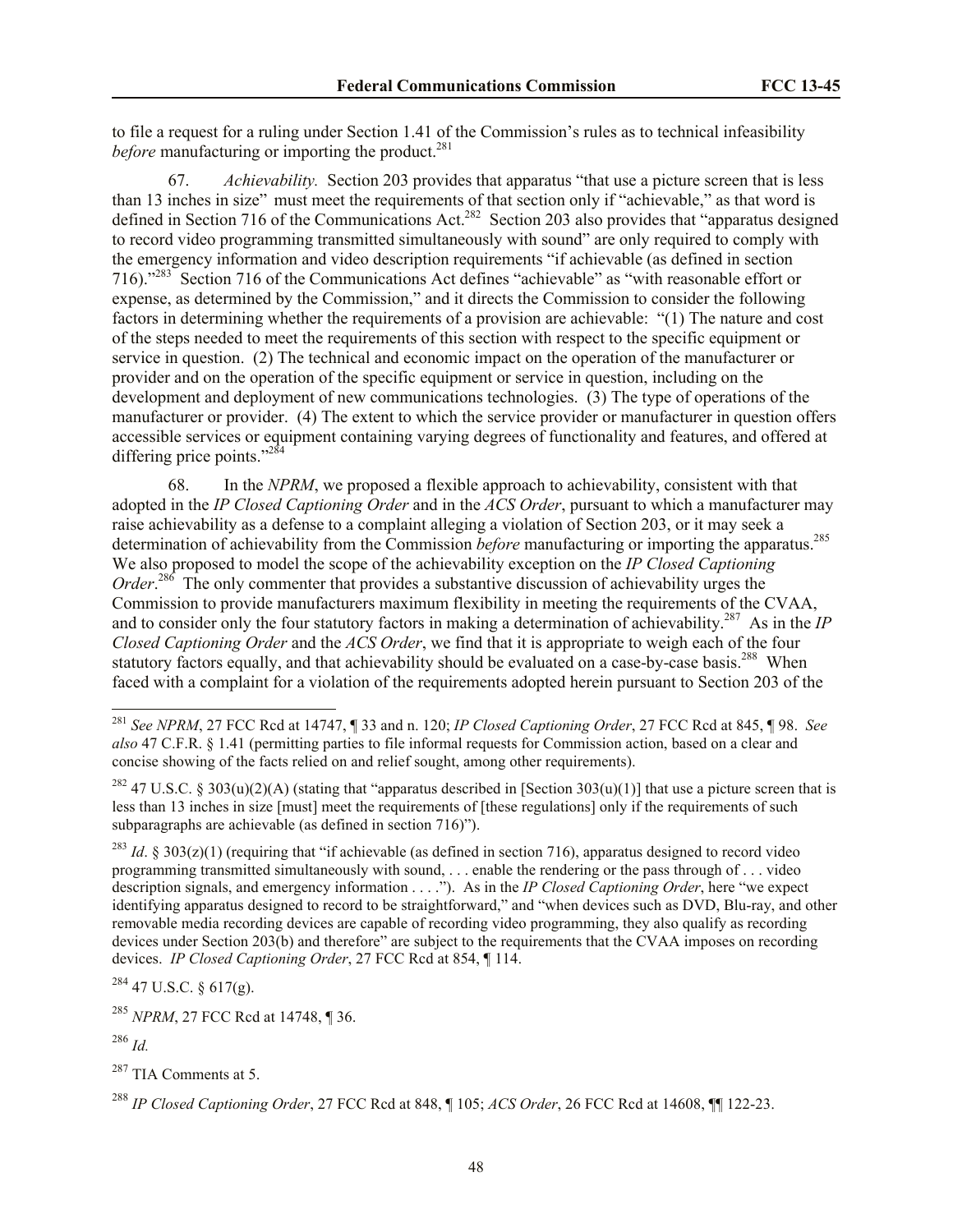to file a request for a ruling under Section 1.41 of the Commission's rules as to technical infeasibility *before* manufacturing or importing the product.<sup>281</sup>

67. *Achievability.* Section 203 provides that apparatus "that use a picture screen that is less than 13 inches in size" must meet the requirements of that section only if "achievable," as that word is defined in Section 716 of the Communications Act.<sup>282</sup> Section 203 also provides that "apparatus designed to record video programming transmitted simultaneously with sound" are only required to comply with the emergency information and video description requirements "if achievable (as defined in section 716)."<sup>283</sup> Section 716 of the Communications Act defines "achievable" as "with reasonable effort or expense, as determined by the Commission," and it directs the Commission to consider the following factors in determining whether the requirements of a provision are achievable: "(1) The nature and cost of the steps needed to meet the requirements of this section with respect to the specific equipment or service in question. (2) The technical and economic impact on the operation of the manufacturer or provider and on the operation of the specific equipment or service in question, including on the development and deployment of new communications technologies. (3) The type of operations of the manufacturer or provider. (4) The extent to which the service provider or manufacturer in question offers accessible services or equipment containing varying degrees of functionality and features, and offered at differing price points."<sup>28</sup>

68. In the *NPRM*, we proposed a flexible approach to achievability, consistent with that adopted in the *IP Closed Captioning Order* and in the *ACS Order*, pursuant to which a manufacturer may raise achievability as a defense to a complaint alleging a violation of Section 203, or it may seek a determination of achievability from the Commission *before* manufacturing or importing the apparatus.<sup>285</sup> We also proposed to model the scope of the achievability exception on the *IP Closed Captioning*  Order.<sup>286</sup> The only commenter that provides a substantive discussion of achievability urges the Commission to provide manufacturers maximum flexibility in meeting the requirements of the CVAA, and to consider only the four statutory factors in making a determination of achievability.<sup>287</sup> As in the *IP Closed Captioning Order* and the *ACS Order*, we find that it is appropriate to weigh each of the four statutory factors equally, and that achievability should be evaluated on a case-by-case basis.<sup>288</sup> When faced with a complaint for a violation of the requirements adopted herein pursuant to Section 203 of the

 $284$  47 U.S.C. § 617(g).

<sup>285</sup> *NPRM*, 27 FCC Rcd at 14748, ¶ 36.

<sup>286</sup> *Id.*

 $\overline{a}$ 

<sup>281</sup> *See NPRM*, 27 FCC Rcd at 14747, ¶ 33 and n. 120; *IP Closed Captioning Order*, 27 FCC Rcd at 845, ¶ 98. *See also* 47 C.F.R. § 1.41 (permitting parties to file informal requests for Commission action, based on a clear and concise showing of the facts relied on and relief sought, among other requirements).

<sup>&</sup>lt;sup>282</sup> 47 U.S.C. § 303(u)(2)(A) (stating that "apparatus described in [Section 303(u)(1)] that use a picture screen that is less than 13 inches in size [must] meet the requirements of [these regulations] only if the requirements of such subparagraphs are achievable (as defined in section 716)").

<sup>&</sup>lt;sup>283</sup> *Id.* § 303(z)(1) (requiring that "if achievable (as defined in section 716), apparatus designed to record video programming transmitted simultaneously with sound, . . . enable the rendering or the pass through of . . . video description signals, and emergency information . . . ."). As in the *IP Closed Captioning Order*, here "we expect identifying apparatus designed to record to be straightforward," and "when devices such as DVD, Blu-ray, and other removable media recording devices are capable of recording video programming, they also qualify as recording devices under Section 203(b) and therefore" are subject to the requirements that the CVAA imposes on recording devices. *IP Closed Captioning Order*, 27 FCC Rcd at 854, ¶ 114.

<sup>&</sup>lt;sup>287</sup> TIA Comments at 5.

<sup>288</sup> *IP Closed Captioning Order*, 27 FCC Rcd at 848, ¶ 105; *ACS Order*, 26 FCC Rcd at 14608, ¶¶ 122-23.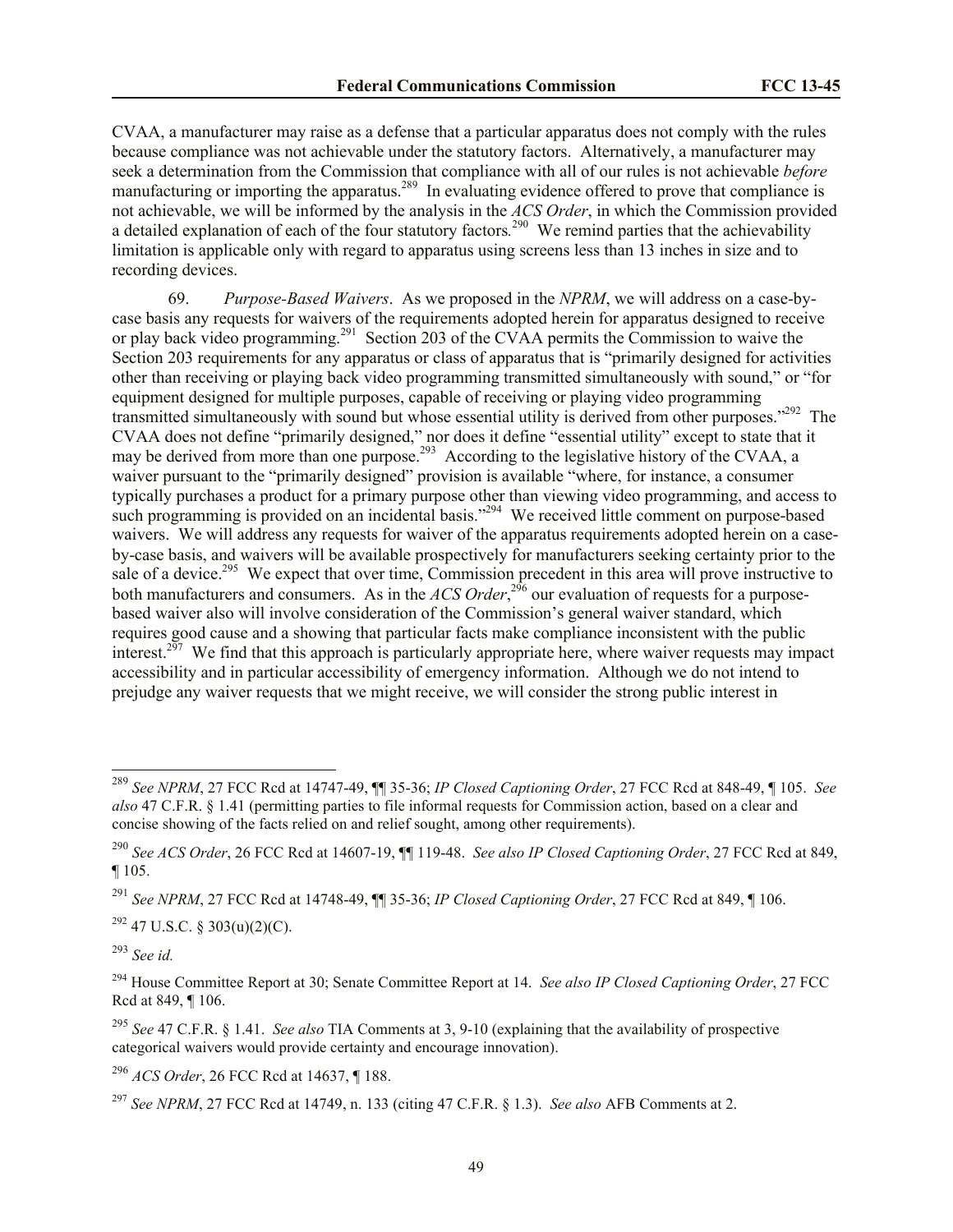CVAA, a manufacturer may raise as a defense that a particular apparatus does not comply with the rules because compliance was not achievable under the statutory factors. Alternatively, a manufacturer may seek a determination from the Commission that compliance with all of our rules is not achievable *before*  manufacturing or importing the apparatus.<sup>289</sup> In evaluating evidence offered to prove that compliance is not achievable, we will be informed by the analysis in the *ACS Order*, in which the Commission provided a detailed explanation of each of the four statutory factors*.* 290 We remind parties that the achievability limitation is applicable only with regard to apparatus using screens less than 13 inches in size and to recording devices.

69. *Purpose-Based Waivers*. As we proposed in the *NPRM*, we will address on a case-bycase basis any requests for waivers of the requirements adopted herein for apparatus designed to receive or play back video programming.<sup>291</sup> Section 203 of the CVAA permits the Commission to waive the Section 203 requirements for any apparatus or class of apparatus that is "primarily designed for activities other than receiving or playing back video programming transmitted simultaneously with sound," or "for equipment designed for multiple purposes, capable of receiving or playing video programming transmitted simultaneously with sound but whose essential utility is derived from other purposes."<sup>292</sup> The CVAA does not define "primarily designed," nor does it define "essential utility" except to state that it may be derived from more than one purpose.<sup>293</sup> According to the legislative history of the CVAA, a waiver pursuant to the "primarily designed" provision is available "where, for instance, a consumer typically purchases a product for a primary purpose other than viewing video programming, and access to such programming is provided on an incidental basis."<sup>294</sup> We received little comment on purpose-based waivers. We will address any requests for waiver of the apparatus requirements adopted herein on a caseby-case basis, and waivers will be available prospectively for manufacturers seeking certainty prior to the sale of a device.<sup>295</sup> We expect that over time, Commission precedent in this area will prove instructive to both manufacturers and consumers. As in the *ACS Order*<sup>296</sup> our evaluation of requests for a purposebased waiver also will involve consideration of the Commission's general waiver standard, which requires good cause and a showing that particular facts make compliance inconsistent with the public interest.<sup>297</sup> We find that this approach is particularly appropriate here, where waiver requests may impact accessibility and in particular accessibility of emergency information. Although we do not intend to prejudge any waiver requests that we might receive, we will consider the strong public interest in

<sup>291</sup> *See NPRM*, 27 FCC Rcd at 14748-49, ¶¶ 35-36; *IP Closed Captioning Order*, 27 FCC Rcd at 849, ¶ 106.

 $292$  47 U.S.C. § 303(u)(2)(C).

<sup>293</sup> *See id.*

l

<sup>296</sup> *ACS Order*, 26 FCC Rcd at 14637, ¶ 188.

<sup>289</sup> *See NPRM*, 27 FCC Rcd at 14747-49, ¶¶ 35-36; *IP Closed Captioning Order*, 27 FCC Rcd at 848-49, ¶ 105. *See also* 47 C.F.R. § 1.41 (permitting parties to file informal requests for Commission action, based on a clear and concise showing of the facts relied on and relief sought, among other requirements).

<sup>290</sup> *See ACS Order*, 26 FCC Rcd at 14607-19, ¶¶ 119-48. *See also IP Closed Captioning Order*, 27 FCC Rcd at 849,  $\P 105.$ 

<sup>294</sup> House Committee Report at 30; Senate Committee Report at 14. *See also IP Closed Captioning Order*, 27 FCC Rcd at 849, ¶ 106.

<sup>295</sup> *See* 47 C.F.R. § 1.41. *See also* TIA Comments at 3, 9-10 (explaining that the availability of prospective categorical waivers would provide certainty and encourage innovation).

<sup>297</sup> *See NPRM*, 27 FCC Rcd at 14749, n. 133 (citing 47 C.F.R. § 1.3). *See also* AFB Comments at 2.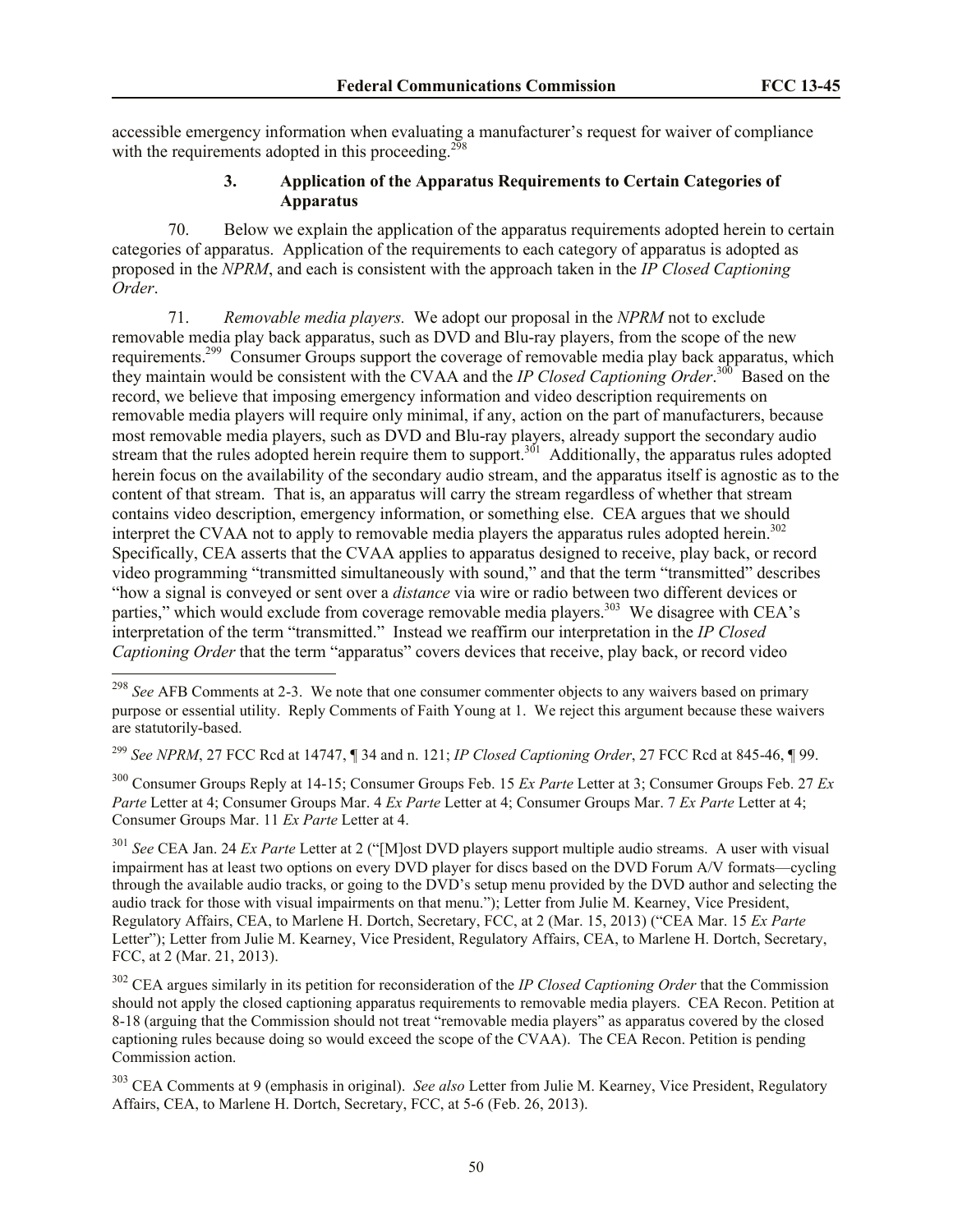accessible emergency information when evaluating a manufacturer's request for waiver of compliance with the requirements adopted in this proceeding.<sup>298</sup>

# **3. Application of the Apparatus Requirements to Certain Categories of Apparatus**

70. Below we explain the application of the apparatus requirements adopted herein to certain categories of apparatus. Application of the requirements to each category of apparatus is adopted as proposed in the *NPRM*, and each is consistent with the approach taken in the *IP Closed Captioning Order*.

71. *Removable media players.* We adopt our proposal in the *NPRM* not to exclude removable media play back apparatus, such as DVD and Blu-ray players, from the scope of the new requirements.<sup>299</sup> Consumer Groups support the coverage of removable media play back apparatus, which they maintain would be consistent with the CVAA and the *IP Closed Captioning Order*.<sup>300</sup> Based on the record, we believe that imposing emergency information and video description requirements on removable media players will require only minimal, if any, action on the part of manufacturers, because most removable media players, such as DVD and Blu-ray players, already support the secondary audio stream that the rules adopted herein require them to support.<sup>301</sup> Additionally, the apparatus rules adopted herein focus on the availability of the secondary audio stream, and the apparatus itself is agnostic as to the content of that stream. That is, an apparatus will carry the stream regardless of whether that stream contains video description, emergency information, or something else. CEA argues that we should interpret the CVAA not to apply to removable media players the apparatus rules adopted herein.<sup>302</sup> Specifically, CEA asserts that the CVAA applies to apparatus designed to receive, play back, or record video programming "transmitted simultaneously with sound," and that the term "transmitted" describes "how a signal is conveyed or sent over a *distance* via wire or radio between two different devices or parties," which would exclude from coverage removable media players.<sup>303</sup> We disagree with CEA's interpretation of the term "transmitted." Instead we reaffirm our interpretation in the *IP Closed Captioning Order* that the term "apparatus" covers devices that receive, play back, or record video

 $\overline{a}$ 

<sup>299</sup> *See NPRM*, 27 FCC Rcd at 14747, ¶ 34 and n. 121; *IP Closed Captioning Order*, 27 FCC Rcd at 845-46, ¶ 99.

<sup>300</sup> Consumer Groups Reply at 14-15; Consumer Groups Feb. 15 *Ex Parte* Letter at 3; Consumer Groups Feb. 27 *Ex Parte* Letter at 4; Consumer Groups Mar. 4 *Ex Parte* Letter at 4; Consumer Groups Mar. 7 *Ex Parte* Letter at 4; Consumer Groups Mar. 11 *Ex Parte* Letter at 4.

<sup>301</sup> *See* CEA Jan. 24 *Ex Parte* Letter at 2 ("[M]ost DVD players support multiple audio streams. A user with visual impairment has at least two options on every DVD player for discs based on the DVD Forum A/V formats—cycling through the available audio tracks, or going to the DVD's setup menu provided by the DVD author and selecting the audio track for those with visual impairments on that menu."); Letter from Julie M. Kearney, Vice President, Regulatory Affairs, CEA, to Marlene H. Dortch, Secretary, FCC, at 2 (Mar. 15, 2013) ("CEA Mar. 15 *Ex Parte*  Letter"); Letter from Julie M. Kearney, Vice President, Regulatory Affairs, CEA, to Marlene H. Dortch, Secretary, FCC, at 2 (Mar. 21, 2013).

<sup>302</sup> CEA argues similarly in its petition for reconsideration of the *IP Closed Captioning Order* that the Commission should not apply the closed captioning apparatus requirements to removable media players. CEA Recon. Petition at 8-18 (arguing that the Commission should not treat "removable media players" as apparatus covered by the closed captioning rules because doing so would exceed the scope of the CVAA). The CEA Recon. Petition is pending Commission action.

<sup>303</sup> CEA Comments at 9 (emphasis in original). *See also* Letter from Julie M. Kearney, Vice President, Regulatory Affairs, CEA, to Marlene H. Dortch, Secretary, FCC, at 5-6 (Feb. 26, 2013).

<sup>298</sup> *See* AFB Comments at 2-3. We note that one consumer commenter objects to any waivers based on primary purpose or essential utility. Reply Comments of Faith Young at 1. We reject this argument because these waivers are statutorily-based.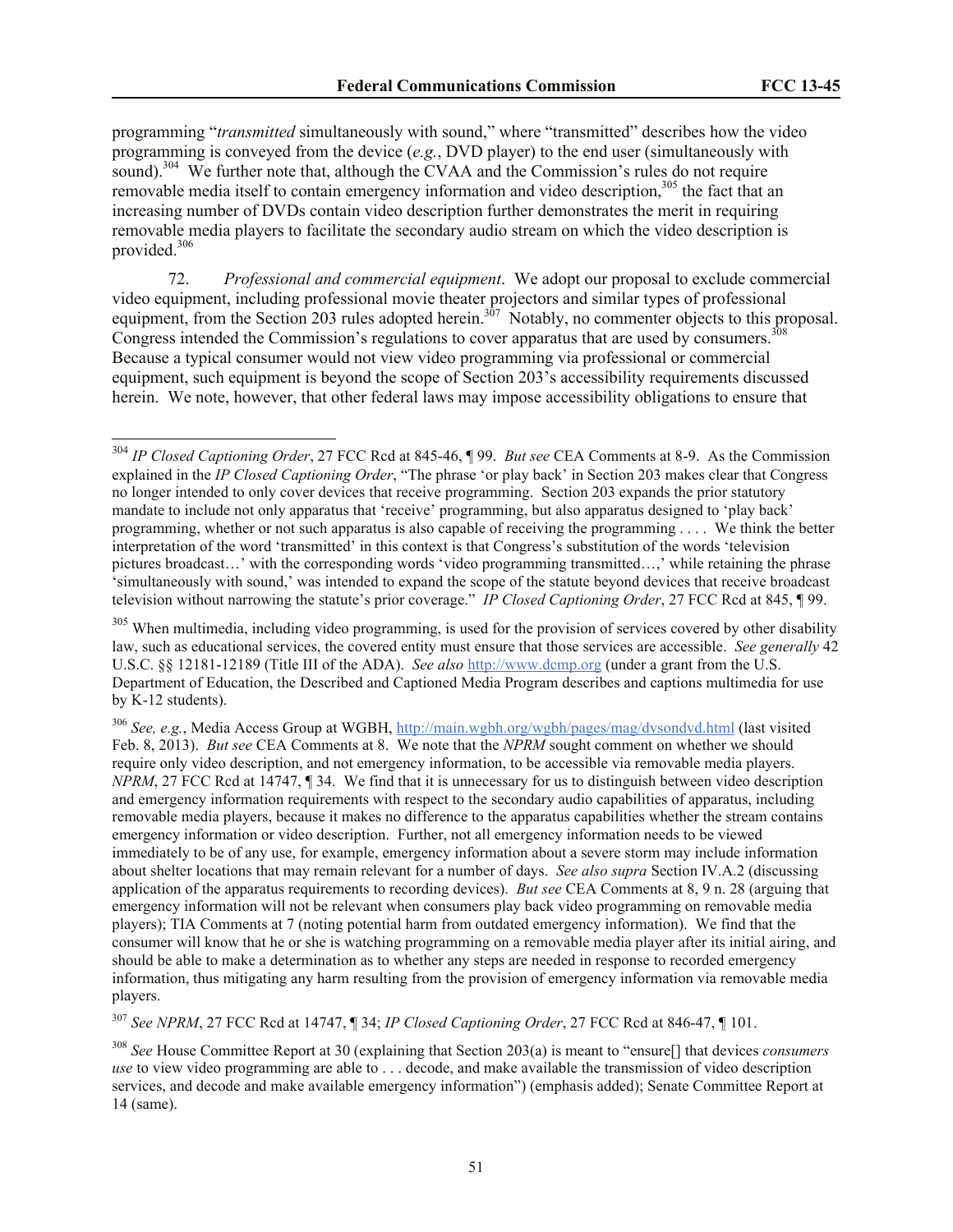programming "*transmitted* simultaneously with sound," where "transmitted" describes how the video programming is conveyed from the device (*e.g.*, DVD player) to the end user (simultaneously with sound).<sup>304</sup> We further note that, although the CVAA and the Commission's rules do not require removable media itself to contain emergency information and video description,<sup>305</sup> the fact that an increasing number of DVDs contain video description further demonstrates the merit in requiring removable media players to facilitate the secondary audio stream on which the video description is provided. 306

72. *Professional and commercial equipment*. We adopt our proposal to exclude commercial video equipment, including professional movie theater projectors and similar types of professional equipment, from the Section 203 rules adopted herein.<sup>307</sup> Notably, no commenter objects to this proposal. Congress intended the Commission's regulations to cover apparatus that are used by consumers.<sup>308</sup> Because a typical consumer would not view video programming via professional or commercial equipment, such equipment is beyond the scope of Section 203's accessibility requirements discussed herein. We note, however, that other federal laws may impose accessibility obligations to ensure that

 $\overline{a}$ 

<sup>306</sup> *See, e.g.*, Media Access Group at WGBH, http://main.wgbh.org/wgbh/pages/mag/dvsondvd.html (last visited Feb. 8, 2013). *But see* CEA Comments at 8. We note that the *NPRM* sought comment on whether we should require only video description, and not emergency information, to be accessible via removable media players. *NPRM*, 27 FCC Rcd at 14747, 1 34. We find that it is unnecessary for us to distinguish between video description and emergency information requirements with respect to the secondary audio capabilities of apparatus, including removable media players, because it makes no difference to the apparatus capabilities whether the stream contains emergency information or video description. Further, not all emergency information needs to be viewed immediately to be of any use, for example, emergency information about a severe storm may include information about shelter locations that may remain relevant for a number of days. *See also supra* Section IV.A.2 (discussing application of the apparatus requirements to recording devices). *But see* CEA Comments at 8, 9 n. 28 (arguing that emergency information will not be relevant when consumers play back video programming on removable media players); TIA Comments at 7 (noting potential harm from outdated emergency information). We find that the consumer will know that he or she is watching programming on a removable media player after its initial airing, and should be able to make a determination as to whether any steps are needed in response to recorded emergency information, thus mitigating any harm resulting from the provision of emergency information via removable media players.

<sup>307</sup> *See NPRM*, 27 FCC Rcd at 14747, ¶ 34; *IP Closed Captioning Order*, 27 FCC Rcd at 846-47, ¶ 101.

<sup>308</sup> *See* House Committee Report at 30 (explaining that Section 203(a) is meant to "ensure[] that devices *consumers use* to view video programming are able to . . . decode, and make available the transmission of video description services, and decode and make available emergency information") (emphasis added); Senate Committee Report at 14 (same).

<sup>304</sup> *IP Closed Captioning Order*, 27 FCC Rcd at 845-46, ¶ 99. *But see* CEA Comments at 8-9. As the Commission explained in the *IP Closed Captioning Order*, "The phrase 'or play back' in Section 203 makes clear that Congress no longer intended to only cover devices that receive programming. Section 203 expands the prior statutory mandate to include not only apparatus that 'receive' programming, but also apparatus designed to 'play back' programming, whether or not such apparatus is also capable of receiving the programming . . . . We think the better interpretation of the word 'transmitted' in this context is that Congress's substitution of the words 'television pictures broadcast…' with the corresponding words 'video programming transmitted…,' while retaining the phrase 'simultaneously with sound,' was intended to expand the scope of the statute beyond devices that receive broadcast television without narrowing the statute's prior coverage." *IP Closed Captioning Order*, 27 FCC Rcd at 845, ¶ 99.

<sup>&</sup>lt;sup>305</sup> When multimedia, including video programming, is used for the provision of services covered by other disability law, such as educational services, the covered entity must ensure that those services are accessible. *See generally* 42 U.S.C. §§ 12181-12189 (Title III of the ADA). *See also* http://www.dcmp.org (under a grant from the U.S. Department of Education, the Described and Captioned Media Program describes and captions multimedia for use by K-12 students).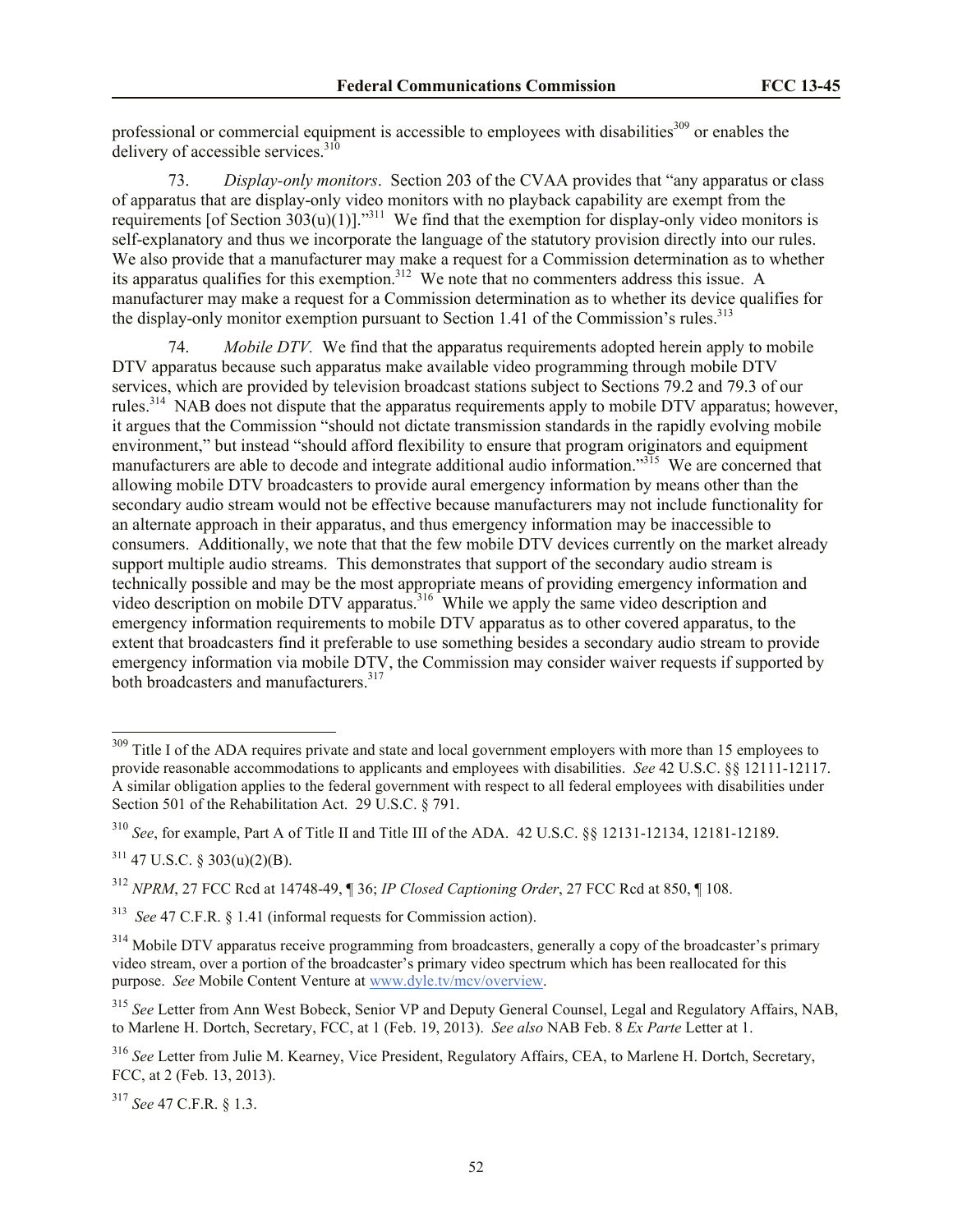professional or commercial equipment is accessible to employees with disabilities<sup>309</sup> or enables the delivery of accessible services. $310$ 

73. *Display-only monitors*. Section 203 of the CVAA provides that "any apparatus or class of apparatus that are display-only video monitors with no playback capability are exempt from the requirements [of Section  $303(u)(1)$ ]."<sup>311</sup> We find that the exemption for display-only video monitors is self-explanatory and thus we incorporate the language of the statutory provision directly into our rules. We also provide that a manufacturer may make a request for a Commission determination as to whether its apparatus qualifies for this exemption.<sup>312</sup> We note that no commenters address this issue. A manufacturer may make a request for a Commission determination as to whether its device qualifies for the display-only monitor exemption pursuant to Section 1.41 of the Commission's rules.<sup>313</sup>

74. *Mobile DTV.* We find that the apparatus requirements adopted herein apply to mobile DTV apparatus because such apparatus make available video programming through mobile DTV services, which are provided by television broadcast stations subject to Sections 79.2 and 79.3 of our rules.<sup>314</sup> NAB does not dispute that the apparatus requirements apply to mobile DTV apparatus; however, it argues that the Commission "should not dictate transmission standards in the rapidly evolving mobile environment," but instead "should afford flexibility to ensure that program originators and equipment manufacturers are able to decode and integrate additional audio information."<sup>315</sup> We are concerned that allowing mobile DTV broadcasters to provide aural emergency information by means other than the secondary audio stream would not be effective because manufacturers may not include functionality for an alternate approach in their apparatus, and thus emergency information may be inaccessible to consumers. Additionally, we note that that the few mobile DTV devices currently on the market already support multiple audio streams. This demonstrates that support of the secondary audio stream is technically possible and may be the most appropriate means of providing emergency information and video description on mobile DTV apparatus.<sup>316</sup> While we apply the same video description and emergency information requirements to mobile DTV apparatus as to other covered apparatus, to the extent that broadcasters find it preferable to use something besides a secondary audio stream to provide emergency information via mobile DTV, the Commission may consider waiver requests if supported by both broadcasters and manufacturers.<sup>317</sup>

 $\overline{a}$ 

<sup>&</sup>lt;sup>309</sup> Title I of the ADA requires private and state and local government employers with more than 15 employees to provide reasonable accommodations to applicants and employees with disabilities. *See* 42 U.S.C. §§ 12111-12117. A similar obligation applies to the federal government with respect to all federal employees with disabilities under Section 501 of the Rehabilitation Act. 29 U.S.C. § 791.

<sup>310</sup> *See*, for example, Part A of Title II and Title III of the ADA. 42 U.S.C. §§ 12131-12134, 12181-12189.

 $311$  47 U.S.C. § 303(u)(2)(B).

<sup>312</sup> *NPRM*, 27 FCC Rcd at 14748-49, ¶ 36; *IP Closed Captioning Order*, 27 FCC Rcd at 850, ¶ 108.

<sup>313</sup> *See* 47 C.F.R. § 1.41 (informal requests for Commission action).

<sup>&</sup>lt;sup>314</sup> Mobile DTV apparatus receive programming from broadcasters, generally a copy of the broadcaster's primary video stream, over a portion of the broadcaster's primary video spectrum which has been reallocated for this purpose. *See* Mobile Content Venture at www.dyle.tv/mcv/overview.

<sup>315</sup> *See* Letter from Ann West Bobeck, Senior VP and Deputy General Counsel, Legal and Regulatory Affairs, NAB, to Marlene H. Dortch, Secretary, FCC, at 1 (Feb. 19, 2013). *See also* NAB Feb. 8 *Ex Parte* Letter at 1.

<sup>316</sup> *See* Letter from Julie M. Kearney, Vice President, Regulatory Affairs, CEA, to Marlene H. Dortch, Secretary, FCC, at 2 (Feb. 13, 2013).

<sup>317</sup> *See* 47 C.F.R. § 1.3.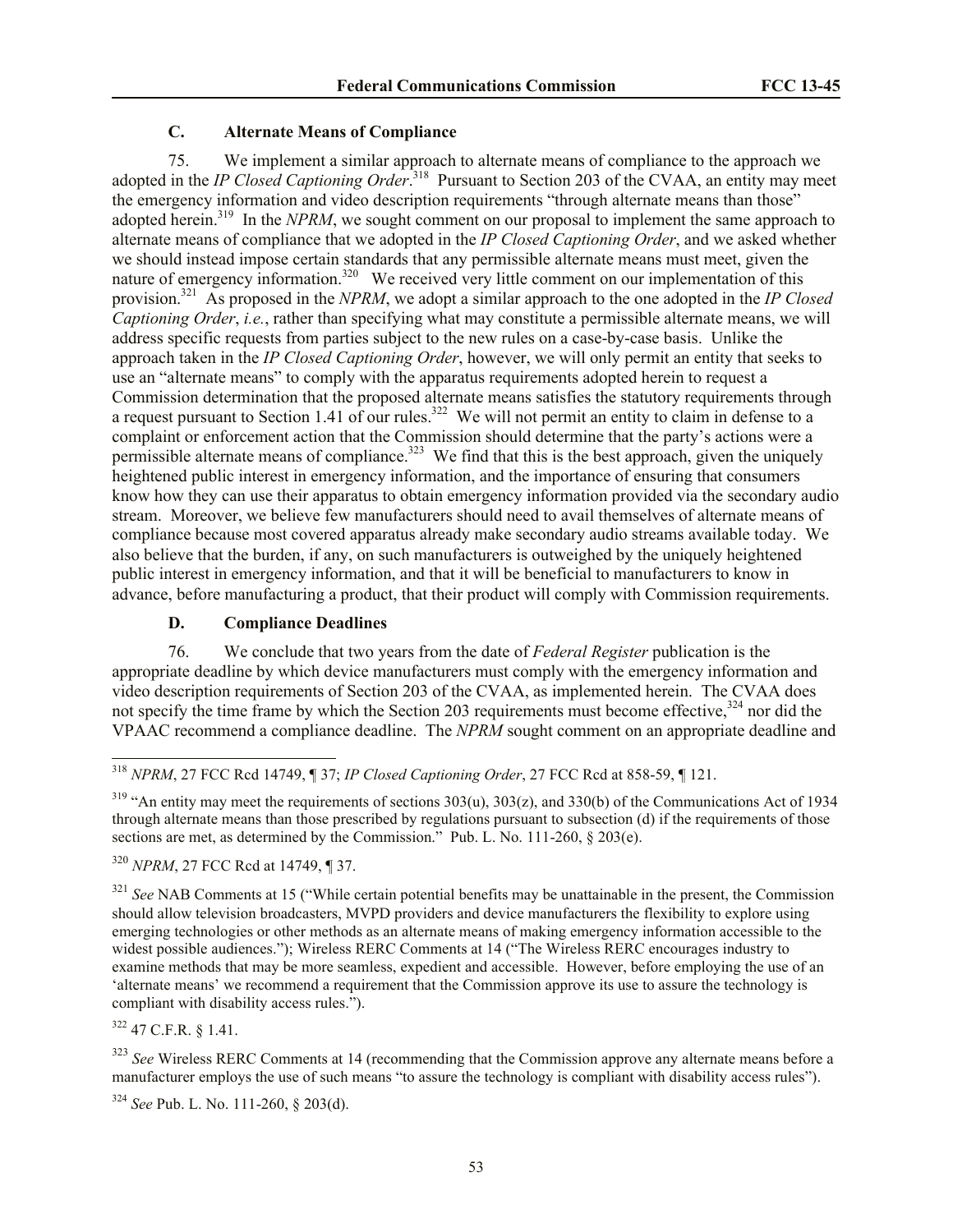# **C. Alternate Means of Compliance**

75. We implement a similar approach to alternate means of compliance to the approach we adopted in the *IP Closed Captioning Order*. 318 Pursuant to Section 203 of the CVAA, an entity may meet the emergency information and video description requirements "through alternate means than those" adopted herein.<sup>319</sup> In the *NPRM*, we sought comment on our proposal to implement the same approach to alternate means of compliance that we adopted in the *IP Closed Captioning Order*, and we asked whether we should instead impose certain standards that any permissible alternate means must meet, given the nature of emergency information.<sup>320</sup> We received very little comment on our implementation of this provision.<sup>321</sup> As proposed in the *NPRM*, we adopt a similar approach to the one adopted in the *IP Closed Captioning Order*, *i.e.*, rather than specifying what may constitute a permissible alternate means, we will address specific requests from parties subject to the new rules on a case-by-case basis. Unlike the approach taken in the *IP Closed Captioning Order*, however, we will only permit an entity that seeks to use an "alternate means" to comply with the apparatus requirements adopted herein to request a Commission determination that the proposed alternate means satisfies the statutory requirements through a request pursuant to Section 1.41 of our rules.<sup>322</sup> We will not permit an entity to claim in defense to a complaint or enforcement action that the Commission should determine that the party's actions were a permissible alternate means of compliance.<sup>323</sup> We find that this is the best approach, given the uniquely heightened public interest in emergency information, and the importance of ensuring that consumers know how they can use their apparatus to obtain emergency information provided via the secondary audio stream. Moreover, we believe few manufacturers should need to avail themselves of alternate means of compliance because most covered apparatus already make secondary audio streams available today. We also believe that the burden, if any, on such manufacturers is outweighed by the uniquely heightened public interest in emergency information, and that it will be beneficial to manufacturers to know in advance, before manufacturing a product, that their product will comply with Commission requirements.

### **D. Compliance Deadlines**

76. We conclude that two years from the date of *Federal Register* publication is the appropriate deadline by which device manufacturers must comply with the emergency information and video description requirements of Section 203 of the CVAA, as implemented herein. The CVAA does not specify the time frame by which the Section 203 requirements must become effective,<sup>324</sup> nor did the VPAAC recommend a compliance deadline. The *NPRM* sought comment on an appropriate deadline and

 $319$  "An entity may meet the requirements of sections  $303(u)$ ,  $303(z)$ , and  $330(b)$  of the Communications Act of 1934 through alternate means than those prescribed by regulations pursuant to subsection (d) if the requirements of those sections are met, as determined by the Commission." Pub. L. No. 111-260, § 203(e).

<sup>320</sup> *NPRM*, 27 FCC Rcd at 14749, ¶ 37.

<sup>321</sup> *See* NAB Comments at 15 ("While certain potential benefits may be unattainable in the present, the Commission should allow television broadcasters, MVPD providers and device manufacturers the flexibility to explore using emerging technologies or other methods as an alternate means of making emergency information accessible to the widest possible audiences."); Wireless RERC Comments at 14 ("The Wireless RERC encourages industry to examine methods that may be more seamless, expedient and accessible. However, before employing the use of an 'alternate means' we recommend a requirement that the Commission approve its use to assure the technology is compliant with disability access rules.").

 $322$  47 C.F.R.  $8$  1.41.

l

<sup>323</sup> See Wireless RERC Comments at 14 (recommending that the Commission approve any alternate means before a manufacturer employs the use of such means "to assure the technology is compliant with disability access rules").

<sup>324</sup> *See* Pub. L. No. 111-260, § 203(d).

<sup>318</sup> *NPRM*, 27 FCC Rcd 14749, ¶ 37; *IP Closed Captioning Order*, 27 FCC Rcd at 858-59, ¶ 121.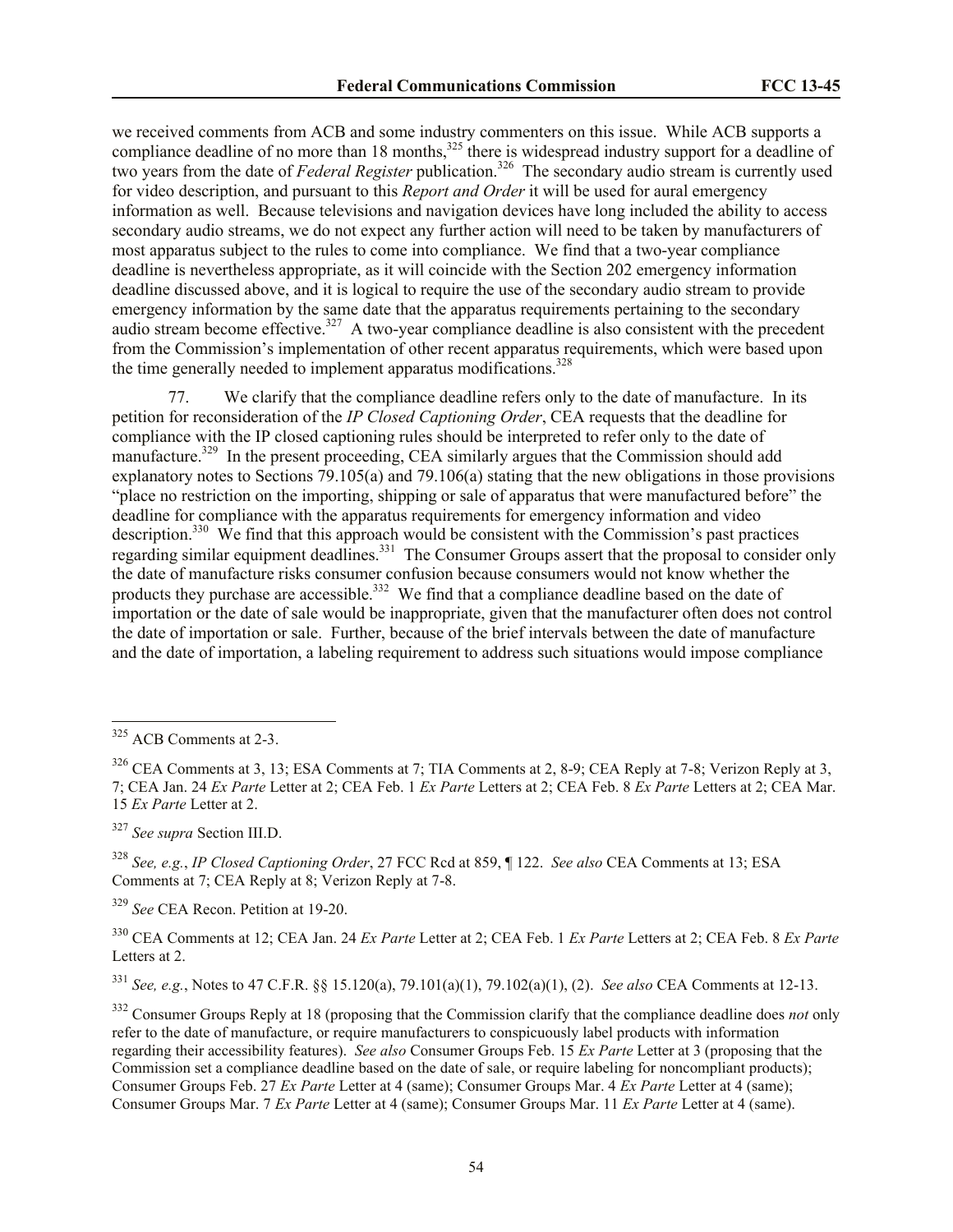we received comments from ACB and some industry commenters on this issue. While ACB supports a compliance deadline of no more than  $18$  months,<sup>325</sup> there is widespread industry support for a deadline of two years from the date of *Federal Register* publication.<sup>326</sup> The secondary audio stream is currently used for video description, and pursuant to this *Report and Order* it will be used for aural emergency information as well. Because televisions and navigation devices have long included the ability to access secondary audio streams, we do not expect any further action will need to be taken by manufacturers of most apparatus subject to the rules to come into compliance. We find that a two-year compliance deadline is nevertheless appropriate, as it will coincide with the Section 202 emergency information deadline discussed above, and it is logical to require the use of the secondary audio stream to provide emergency information by the same date that the apparatus requirements pertaining to the secondary audio stream become effective.<sup>327</sup> A two-year compliance deadline is also consistent with the precedent from the Commission's implementation of other recent apparatus requirements, which were based upon the time generally needed to implement apparatus modifications.<sup>328</sup>

77. We clarify that the compliance deadline refers only to the date of manufacture. In its petition for reconsideration of the *IP Closed Captioning Order*, CEA requests that the deadline for compliance with the IP closed captioning rules should be interpreted to refer only to the date of manufacture.<sup>329</sup> In the present proceeding, CEA similarly argues that the Commission should add explanatory notes to Sections 79.105(a) and 79.106(a) stating that the new obligations in those provisions "place no restriction on the importing, shipping or sale of apparatus that were manufactured before" the deadline for compliance with the apparatus requirements for emergency information and video description.<sup>330</sup> We find that this approach would be consistent with the Commission's past practices regarding similar equipment deadlines.<sup>331</sup> The Consumer Groups assert that the proposal to consider only the date of manufacture risks consumer confusion because consumers would not know whether the products they purchase are accessible.<sup>332</sup> We find that a compliance deadline based on the date of importation or the date of sale would be inappropriate, given that the manufacturer often does not control the date of importation or sale. Further, because of the brief intervals between the date of manufacture and the date of importation, a labeling requirement to address such situations would impose compliance

 $\overline{a}$ 

<sup>327</sup> *See supra* Section III.D.

<sup>329</sup> *See* CEA Recon. Petition at 19-20.

<sup>330</sup> CEA Comments at 12; CEA Jan. 24 *Ex Parte* Letter at 2; CEA Feb. 1 *Ex Parte* Letters at 2; CEA Feb. 8 *Ex Parte*  Letters at 2.

<sup>331</sup> *See, e.g.*, Notes to 47 C.F.R. §§ 15.120(a), 79.101(a)(1), 79.102(a)(1), (2). *See also* CEA Comments at 12-13.

<sup>&</sup>lt;sup>325</sup> ACB Comments at 2-3.

<sup>&</sup>lt;sup>326</sup> CEA Comments at 3, 13; ESA Comments at 7; TIA Comments at 2, 8-9; CEA Reply at 7-8; Verizon Reply at 3, 7; CEA Jan. 24 *Ex Parte* Letter at 2; CEA Feb. 1 *Ex Parte* Letters at 2; CEA Feb. 8 *Ex Parte* Letters at 2; CEA Mar. 15 *Ex Parte* Letter at 2.

<sup>328</sup> *See, e.g.*, *IP Closed Captioning Order*, 27 FCC Rcd at 859, ¶ 122. *See also* CEA Comments at 13; ESA Comments at 7; CEA Reply at 8; Verizon Reply at 7-8.

<sup>332</sup> Consumer Groups Reply at 18 (proposing that the Commission clarify that the compliance deadline does *not* only refer to the date of manufacture, or require manufacturers to conspicuously label products with information regarding their accessibility features). *See also* Consumer Groups Feb. 15 *Ex Parte* Letter at 3 (proposing that the Commission set a compliance deadline based on the date of sale, or require labeling for noncompliant products); Consumer Groups Feb. 27 *Ex Parte* Letter at 4 (same); Consumer Groups Mar. 4 *Ex Parte* Letter at 4 (same); Consumer Groups Mar. 7 *Ex Parte* Letter at 4 (same); Consumer Groups Mar. 11 *Ex Parte* Letter at 4 (same).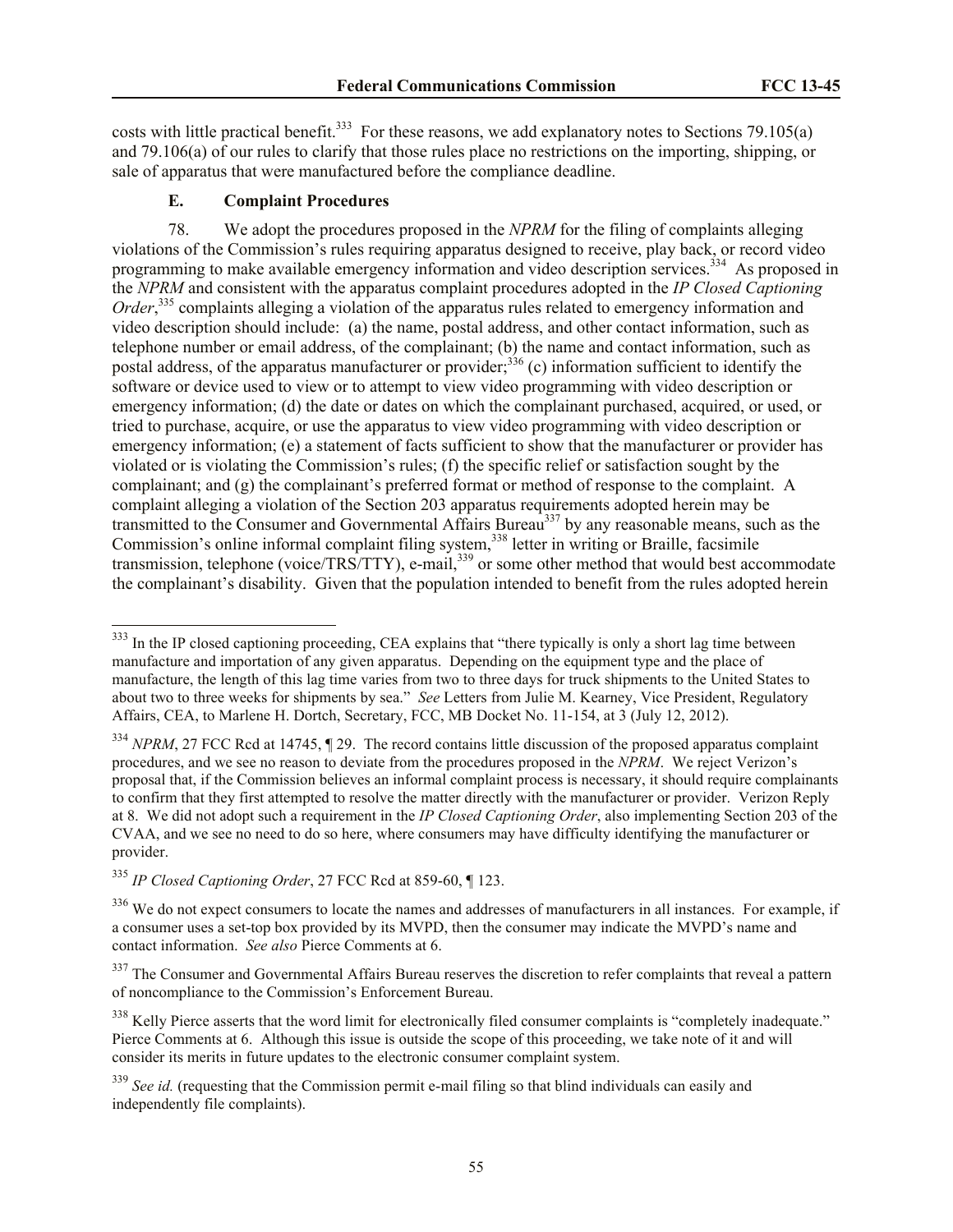costs with little practical benefit.<sup>333</sup> For these reasons, we add explanatory notes to Sections 79.105(a) and 79.106(a) of our rules to clarify that those rules place no restrictions on the importing, shipping, or sale of apparatus that were manufactured before the compliance deadline.

### **E. Complaint Procedures**

78. We adopt the procedures proposed in the *NPRM* for the filing of complaints alleging violations of the Commission's rules requiring apparatus designed to receive, play back, or record video programming to make available emergency information and video description services.<sup>334</sup> As proposed in the *NPRM* and consistent with the apparatus complaint procedures adopted in the *IP Closed Captioning*  Order,<sup>335</sup> complaints alleging a violation of the apparatus rules related to emergency information and video description should include: (a) the name, postal address, and other contact information, such as telephone number or email address, of the complainant; (b) the name and contact information, such as postal address, of the apparatus manufacturer or provider;<sup>336</sup> (c) information sufficient to identify the software or device used to view or to attempt to view video programming with video description or emergency information; (d) the date or dates on which the complainant purchased, acquired, or used, or tried to purchase, acquire, or use the apparatus to view video programming with video description or emergency information; (e) a statement of facts sufficient to show that the manufacturer or provider has violated or is violating the Commission's rules; (f) the specific relief or satisfaction sought by the complainant; and (g) the complainant's preferred format or method of response to the complaint. A complaint alleging a violation of the Section 203 apparatus requirements adopted herein may be transmitted to the Consumer and Governmental Affairs Bureau  $337$  by any reasonable means, such as the Commission's online informal complaint filing system,<sup>338</sup> letter in writing or Braille, facsimile transmission, telephone (voice/TRS/TTY), e-mail,<sup>339</sup> or some other method that would best accommodate the complainant's disability. Given that the population intended to benefit from the rules adopted herein

l

 $333$  In the IP closed captioning proceeding, CEA explains that "there typically is only a short lag time between manufacture and importation of any given apparatus. Depending on the equipment type and the place of manufacture, the length of this lag time varies from two to three days for truck shipments to the United States to about two to three weeks for shipments by sea." *See* Letters from Julie M. Kearney, Vice President, Regulatory Affairs, CEA, to Marlene H. Dortch, Secretary, FCC, MB Docket No. 11-154, at 3 (July 12, 2012).

<sup>&</sup>lt;sup>334</sup> *NPRM*, 27 FCC Rcd at 14745, ¶ 29. The record contains little discussion of the proposed apparatus complaint procedures, and we see no reason to deviate from the procedures proposed in the *NPRM*. We reject Verizon's proposal that, if the Commission believes an informal complaint process is necessary, it should require complainants to confirm that they first attempted to resolve the matter directly with the manufacturer or provider. Verizon Reply at 8. We did not adopt such a requirement in the *IP Closed Captioning Order*, also implementing Section 203 of the CVAA, and we see no need to do so here, where consumers may have difficulty identifying the manufacturer or provider.

<sup>335</sup> *IP Closed Captioning Order*, 27 FCC Rcd at 859-60, ¶ 123.

 $336$  We do not expect consumers to locate the names and addresses of manufacturers in all instances. For example, if a consumer uses a set-top box provided by its MVPD, then the consumer may indicate the MVPD's name and contact information. *See also* Pierce Comments at 6.

 $337$  The Consumer and Governmental Affairs Bureau reserves the discretion to refer complaints that reveal a pattern of noncompliance to the Commission's Enforcement Bureau.

<sup>&</sup>lt;sup>338</sup> Kelly Pierce asserts that the word limit for electronically filed consumer complaints is "completely inadequate." Pierce Comments at 6. Although this issue is outside the scope of this proceeding, we take note of it and will consider its merits in future updates to the electronic consumer complaint system.

<sup>&</sup>lt;sup>339</sup> See id. (requesting that the Commission permit e-mail filing so that blind individuals can easily and independently file complaints).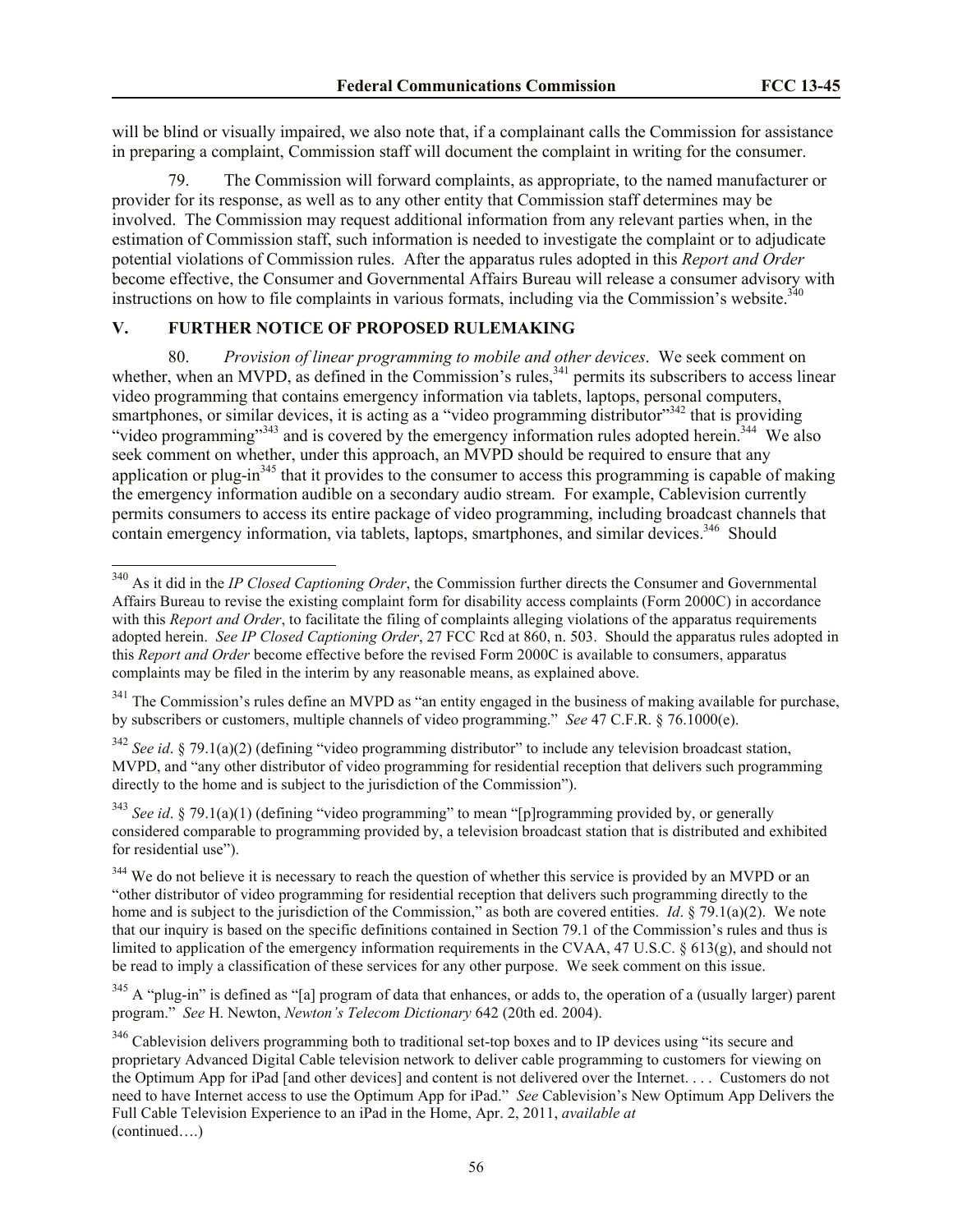will be blind or visually impaired, we also note that, if a complainant calls the Commission for assistance in preparing a complaint, Commission staff will document the complaint in writing for the consumer.

79. The Commission will forward complaints, as appropriate, to the named manufacturer or provider for its response, as well as to any other entity that Commission staff determines may be involved. The Commission may request additional information from any relevant parties when, in the estimation of Commission staff, such information is needed to investigate the complaint or to adjudicate potential violations of Commission rules. After the apparatus rules adopted in this *Report and Order*  become effective, the Consumer and Governmental Affairs Bureau will release a consumer advisory with instructions on how to file complaints in various formats, including via the Commission's website. $340$ 

# **V. FURTHER NOTICE OF PROPOSED RULEMAKING**

 $\overline{a}$ 

80. *Provision of linear programming to mobile and other devices*. We seek comment on whether, when an MVPD, as defined in the Commission's rules,<sup>341</sup> permits its subscribers to access linear video programming that contains emergency information via tablets, laptops, personal computers, smartphones, or similar devices, it is acting as a "video programming distributor"<sup>342</sup> that is providing "video programming"<sup>343</sup> and is covered by the emergency information rules adopted herein.<sup>344</sup> We also seek comment on whether, under this approach, an MVPD should be required to ensure that any application or plug-in $345$  that it provides to the consumer to access this programming is capable of making the emergency information audible on a secondary audio stream. For example, Cablevision currently permits consumers to access its entire package of video programming, including broadcast channels that contain emergency information, via tablets, laptops, smartphones, and similar devices.<sup>346</sup> Should

<sup>342</sup> *See id.* § 79.1(a)(2) (defining "video programming distributor" to include any television broadcast station, MVPD, and "any other distributor of video programming for residential reception that delivers such programming directly to the home and is subject to the jurisdiction of the Commission").

<sup>343</sup> *See id.* § 79.1(a)(1) (defining "video programming" to mean "[p]rogramming provided by, or generally considered comparable to programming provided by, a television broadcast station that is distributed and exhibited for residential use").

<sup>340</sup> As it did in the *IP Closed Captioning Order*, the Commission further directs the Consumer and Governmental Affairs Bureau to revise the existing complaint form for disability access complaints (Form 2000C) in accordance with this *Report and Order*, to facilitate the filing of complaints alleging violations of the apparatus requirements adopted herein. *See IP Closed Captioning Order*, 27 FCC Rcd at 860, n. 503. Should the apparatus rules adopted in this *Report and Order* become effective before the revised Form 2000C is available to consumers, apparatus complaints may be filed in the interim by any reasonable means, as explained above.

<sup>&</sup>lt;sup>341</sup> The Commission's rules define an MVPD as "an entity engaged in the business of making available for purchase, by subscribers or customers, multiple channels of video programming." *See* 47 C.F.R. § 76.1000(e).

<sup>&</sup>lt;sup>344</sup> We do not believe it is necessary to reach the question of whether this service is provided by an MVPD or an "other distributor of video programming for residential reception that delivers such programming directly to the home and is subject to the jurisdiction of the Commission," as both are covered entities. *Id*. § 79.1(a)(2). We note that our inquiry is based on the specific definitions contained in Section 79.1 of the Commission's rules and thus is limited to application of the emergency information requirements in the CVAA, 47 U.S.C. § 613(g), and should not be read to imply a classification of these services for any other purpose. We seek comment on this issue.

<sup>&</sup>lt;sup>345</sup> A "plug-in" is defined as "[a] program of data that enhances, or adds to, the operation of a (usually larger) parent program." *See* H. Newton, *Newton's Telecom Dictionary* 642 (20th ed. 2004).

<sup>&</sup>lt;sup>346</sup> Cablevision delivers programming both to traditional set-top boxes and to IP devices using "its secure and proprietary Advanced Digital Cable television network to deliver cable programming to customers for viewing on the Optimum App for iPad [and other devices] and content is not delivered over the Internet. . . . Customers do not need to have Internet access to use the Optimum App for iPad." *See* Cablevision's New Optimum App Delivers the Full Cable Television Experience to an iPad in the Home, Apr. 2, 2011, *available at* (continued….)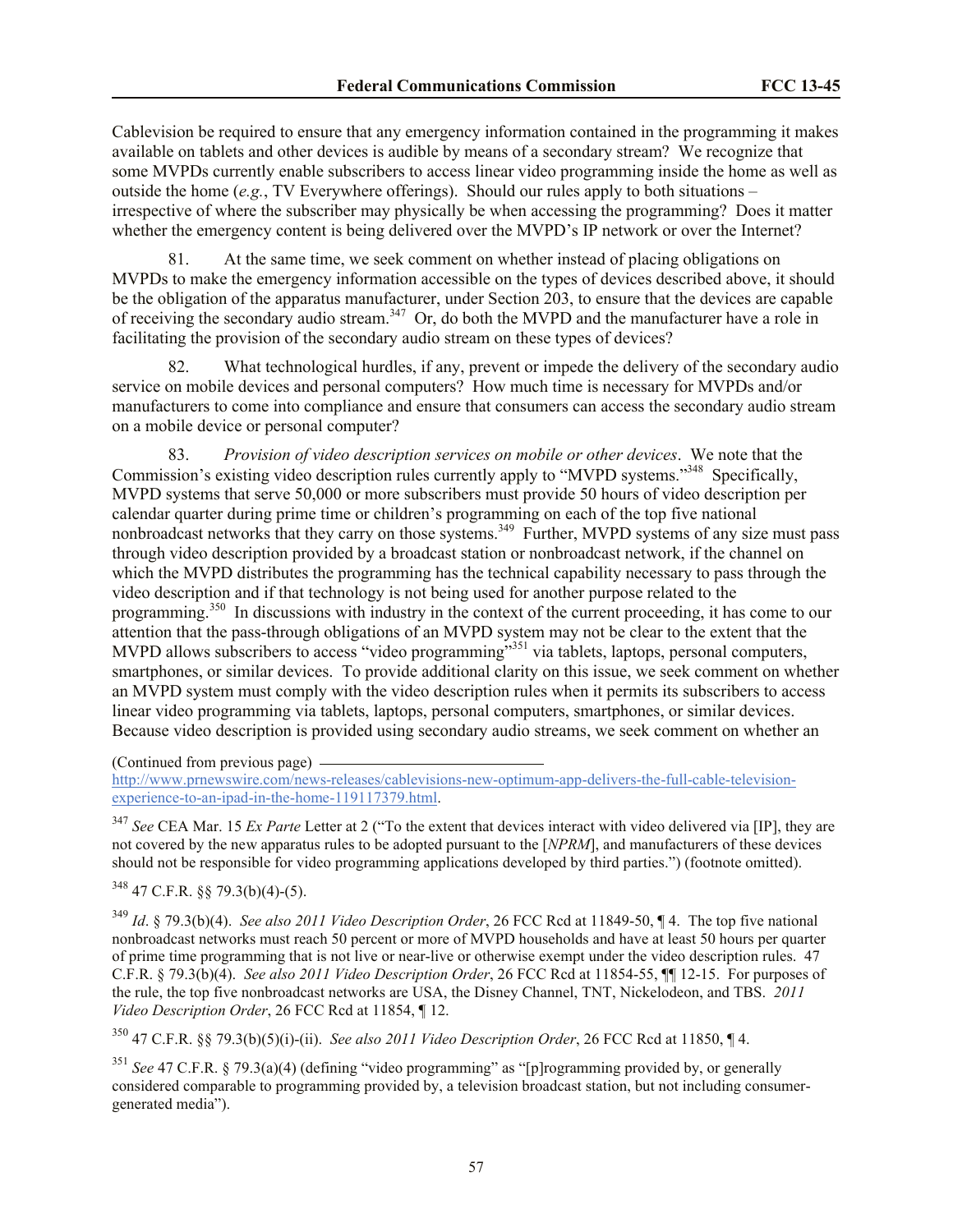Cablevision be required to ensure that any emergency information contained in the programming it makes available on tablets and other devices is audible by means of a secondary stream? We recognize that some MVPDs currently enable subscribers to access linear video programming inside the home as well as outside the home  $(e.g., TV$  Everywhere offerings). Should our rules apply to both situations – irrespective of where the subscriber may physically be when accessing the programming? Does it matter whether the emergency content is being delivered over the MVPD's IP network or over the Internet?

81. At the same time, we seek comment on whether instead of placing obligations on MVPDs to make the emergency information accessible on the types of devices described above, it should be the obligation of the apparatus manufacturer, under Section 203, to ensure that the devices are capable of receiving the secondary audio stream.<sup>347</sup> Or, do both the MVPD and the manufacturer have a role in facilitating the provision of the secondary audio stream on these types of devices?

82. What technological hurdles, if any, prevent or impede the delivery of the secondary audio service on mobile devices and personal computers? How much time is necessary for MVPDs and/or manufacturers to come into compliance and ensure that consumers can access the secondary audio stream on a mobile device or personal computer?

83. *Provision of video description services on mobile or other devices*. We note that the Commission's existing video description rules currently apply to "MVPD systems."<sup>348</sup> Specifically, MVPD systems that serve 50,000 or more subscribers must provide 50 hours of video description per calendar quarter during prime time or children's programming on each of the top five national nonbroadcast networks that they carry on those systems.<sup>349</sup> Further, MVPD systems of any size must pass through video description provided by a broadcast station or nonbroadcast network, if the channel on which the MVPD distributes the programming has the technical capability necessary to pass through the video description and if that technology is not being used for another purpose related to the programming.<sup>350</sup> In discussions with industry in the context of the current proceeding, it has come to our attention that the pass-through obligations of an MVPD system may not be clear to the extent that the MVPD allows subscribers to access "video programming"<sup>351</sup> via tablets, laptops, personal computers, smartphones, or similar devices. To provide additional clarity on this issue, we seek comment on whether an MVPD system must comply with the video description rules when it permits its subscribers to access linear video programming via tablets, laptops, personal computers, smartphones, or similar devices. Because video description is provided using secondary audio streams, we seek comment on whether an

(Continued from previous page)

http://www.prnewswire.com/news-releases/cablevisions-new-optimum-app-delivers-the-full-cable-televisionexperience-to-an-ipad-in-the-home-119117379.html.

<sup>347</sup> *See* CEA Mar. 15 *Ex Parte* Letter at 2 ("To the extent that devices interact with video delivered via [IP], they are not covered by the new apparatus rules to be adopted pursuant to the [*NPRM*], and manufacturers of these devices should not be responsible for video programming applications developed by third parties.") (footnote omitted).

<sup>348</sup> 47 C.F.R. §§ 79.3(b)(4)-(5).

<sup>349</sup> *Id*. § 79.3(b)(4). *See also 2011 Video Description Order*, 26 FCC Rcd at 11849-50, ¶ 4. The top five national nonbroadcast networks must reach 50 percent or more of MVPD households and have at least 50 hours per quarter of prime time programming that is not live or near-live or otherwise exempt under the video description rules. 47 C.F.R. § 79.3(b)(4). *See also 2011 Video Description Order*, 26 FCC Rcd at 11854-55, ¶¶ 12-15. For purposes of the rule, the top five nonbroadcast networks are USA, the Disney Channel, TNT, Nickelodeon, and TBS. *2011 Video Description Order*, 26 FCC Rcd at 11854, ¶ 12.

<sup>350</sup> 47 C.F.R. §§ 79.3(b)(5)(i)-(ii). *See also 2011 Video Description Order*, 26 FCC Rcd at 11850, ¶ 4.

<sup>351</sup> *See* 47 C.F.R. § 79.3(a)(4) (defining "video programming" as "[p]rogramming provided by, or generally considered comparable to programming provided by, a television broadcast station, but not including consumergenerated media").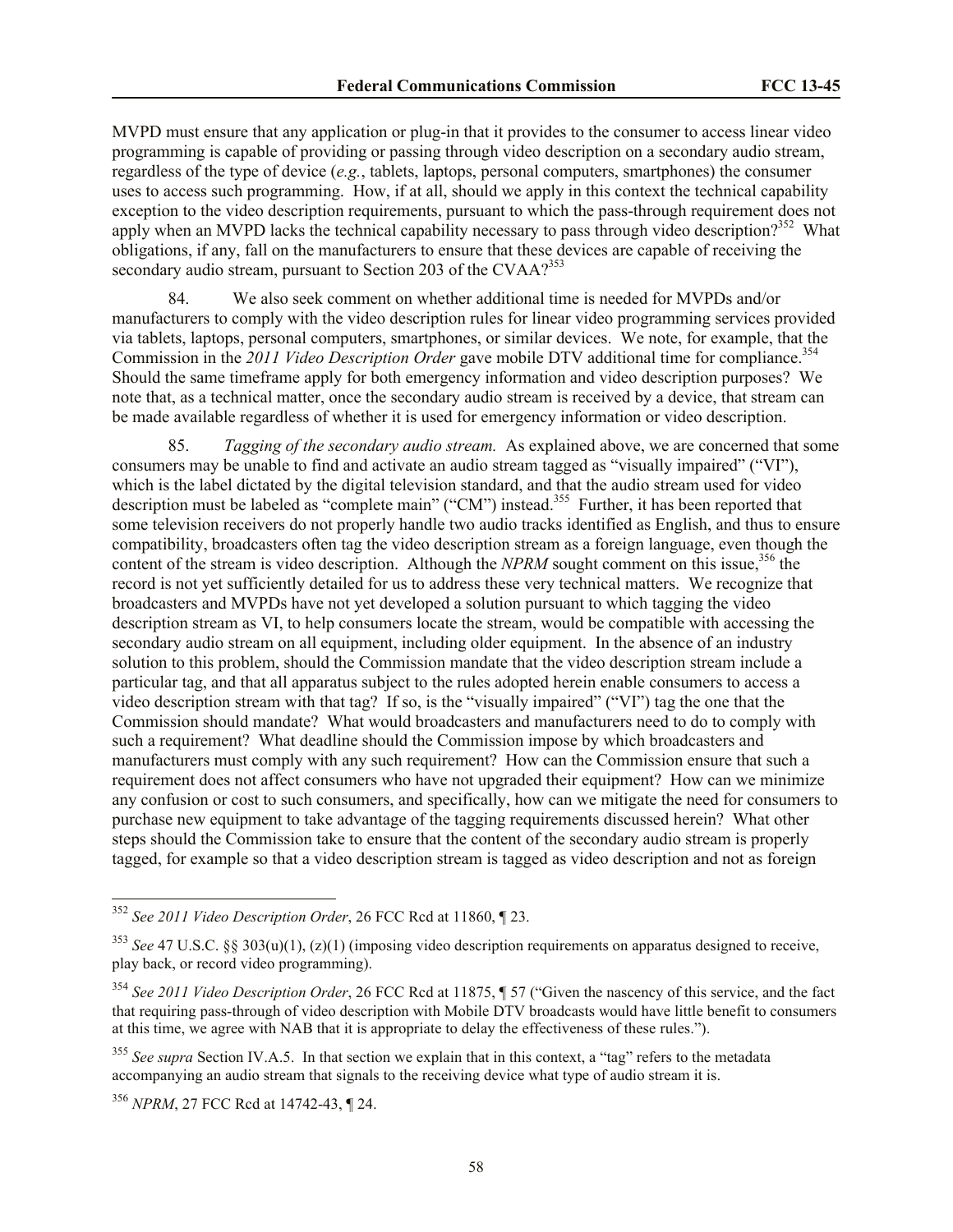MVPD must ensure that any application or plug-in that it provides to the consumer to access linear video programming is capable of providing or passing through video description on a secondary audio stream, regardless of the type of device (*e.g.*, tablets, laptops, personal computers, smartphones) the consumer uses to access such programming. How, if at all, should we apply in this context the technical capability exception to the video description requirements, pursuant to which the pass-through requirement does not apply when an MVPD lacks the technical capability necessary to pass through video description?<sup>352</sup> What obligations, if any, fall on the manufacturers to ensure that these devices are capable of receiving the secondary audio stream, pursuant to Section 203 of the CVAA? $353$ 

84. We also seek comment on whether additional time is needed for MVPDs and/or manufacturers to comply with the video description rules for linear video programming services provided via tablets, laptops, personal computers, smartphones, or similar devices. We note, for example, that the Commission in the 2011 Video Description Order gave mobile DTV additional time for compliance.<sup>354</sup> Should the same timeframe apply for both emergency information and video description purposes? We note that, as a technical matter, once the secondary audio stream is received by a device, that stream can be made available regardless of whether it is used for emergency information or video description.

85. *Tagging of the secondary audio stream.* As explained above, we are concerned that some consumers may be unable to find and activate an audio stream tagged as "visually impaired" ("VI"), which is the label dictated by the digital television standard, and that the audio stream used for video description must be labeled as "complete main" ("CM") instead.<sup>355</sup> Further, it has been reported that some television receivers do not properly handle two audio tracks identified as English, and thus to ensure compatibility, broadcasters often tag the video description stream as a foreign language, even though the content of the stream is video description. Although the *NPRM* sought comment on this issue,<sup>356</sup> the record is not yet sufficiently detailed for us to address these very technical matters. We recognize that broadcasters and MVPDs have not yet developed a solution pursuant to which tagging the video description stream as VI, to help consumers locate the stream, would be compatible with accessing the secondary audio stream on all equipment, including older equipment. In the absence of an industry solution to this problem, should the Commission mandate that the video description stream include a particular tag, and that all apparatus subject to the rules adopted herein enable consumers to access a video description stream with that tag? If so, is the "visually impaired" ("VI") tag the one that the Commission should mandate? What would broadcasters and manufacturers need to do to comply with such a requirement? What deadline should the Commission impose by which broadcasters and manufacturers must comply with any such requirement? How can the Commission ensure that such a requirement does not affect consumers who have not upgraded their equipment? How can we minimize any confusion or cost to such consumers, and specifically, how can we mitigate the need for consumers to purchase new equipment to take advantage of the tagging requirements discussed herein? What other steps should the Commission take to ensure that the content of the secondary audio stream is properly tagged, for example so that a video description stream is tagged as video description and not as foreign

 $\overline{a}$ 

<sup>352</sup> *See 2011 Video Description Order*, 26 FCC Rcd at 11860, ¶ 23.

<sup>353</sup> *See* 47 U.S.C. §§ 303(u)(1), (z)(1) (imposing video description requirements on apparatus designed to receive, play back, or record video programming).

<sup>354</sup> *See 2011 Video Description Order*, 26 FCC Rcd at 11875, ¶ 57 ("Given the nascency of this service, and the fact that requiring pass-through of video description with Mobile DTV broadcasts would have little benefit to consumers at this time, we agree with NAB that it is appropriate to delay the effectiveness of these rules.").

<sup>&</sup>lt;sup>355</sup> See supra Section IV.A.5. In that section we explain that in this context, a "tag" refers to the metadata accompanying an audio stream that signals to the receiving device what type of audio stream it is.

<sup>356</sup> *NPRM*, 27 FCC Rcd at 14742-43, ¶ 24.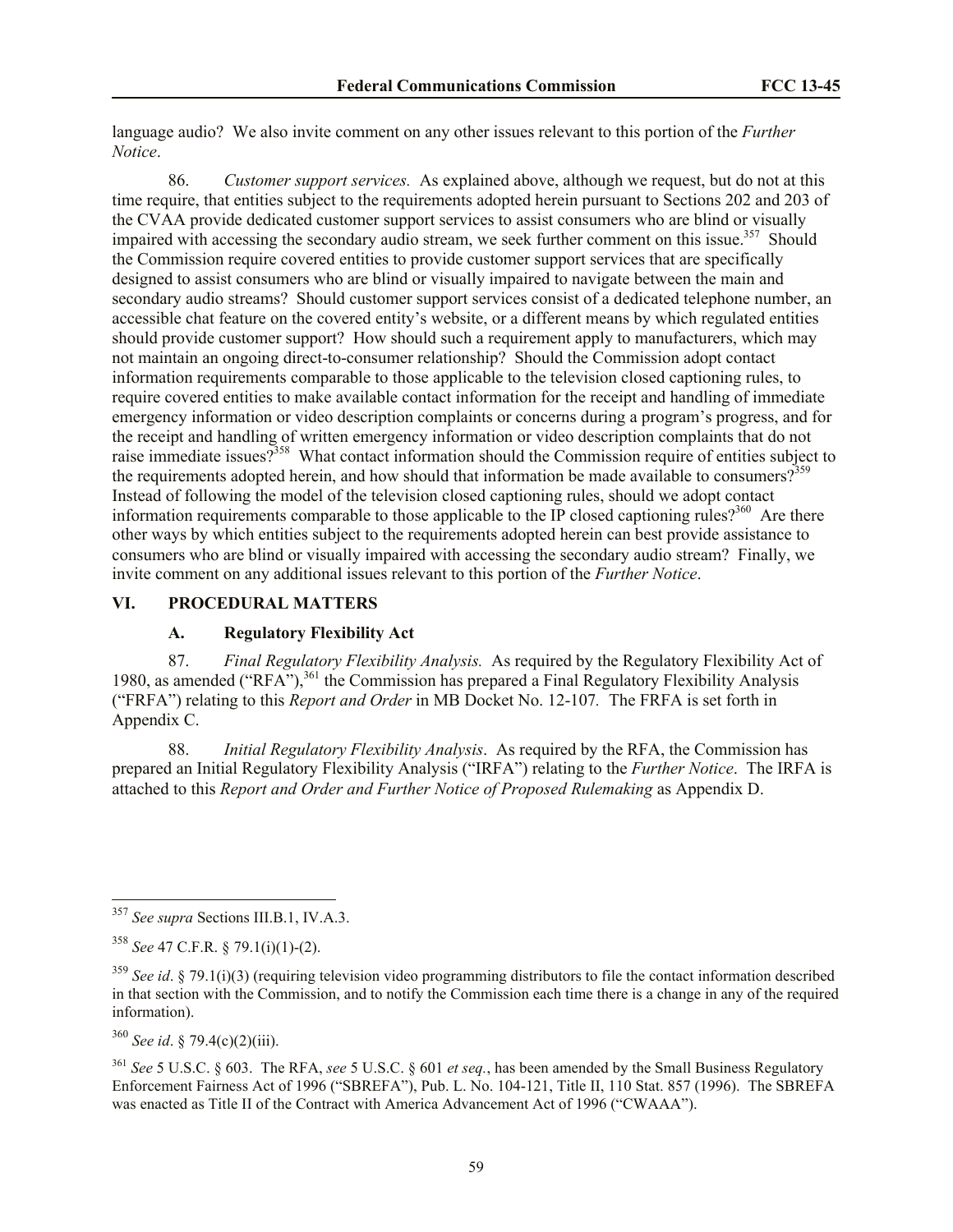language audio? We also invite comment on any other issues relevant to this portion of the *Further Notice*.

86. *Customer support services.* As explained above, although we request, but do not at this time require, that entities subject to the requirements adopted herein pursuant to Sections 202 and 203 of the CVAA provide dedicated customer support services to assist consumers who are blind or visually impaired with accessing the secondary audio stream, we seek further comment on this issue.<sup>357</sup> Should the Commission require covered entities to provide customer support services that are specifically designed to assist consumers who are blind or visually impaired to navigate between the main and secondary audio streams? Should customer support services consist of a dedicated telephone number, an accessible chat feature on the covered entity's website, or a different means by which regulated entities should provide customer support? How should such a requirement apply to manufacturers, which may not maintain an ongoing direct-to-consumer relationship? Should the Commission adopt contact information requirements comparable to those applicable to the television closed captioning rules, to require covered entities to make available contact information for the receipt and handling of immediate emergency information or video description complaints or concerns during a program's progress, and for the receipt and handling of written emergency information or video description complaints that do not raise immediate issues?<sup>358</sup> What contact information should the Commission require of entities subject to the requirements adopted herein, and how should that information be made available to consumers?<sup>359</sup> Instead of following the model of the television closed captioning rules, should we adopt contact information requirements comparable to those applicable to the IP closed captioning rules?<sup>360</sup> Are there other ways by which entities subject to the requirements adopted herein can best provide assistance to consumers who are blind or visually impaired with accessing the secondary audio stream? Finally, we invite comment on any additional issues relevant to this portion of the *Further Notice*.

#### **VI. PROCEDURAL MATTERS**

### **A. Regulatory Flexibility Act**

87. *Final Regulatory Flexibility Analysis.* As required by the Regulatory Flexibility Act of 1980, as amended ("RFA"), $361$  the Commission has prepared a Final Regulatory Flexibility Analysis ("FRFA") relating to this *Report and Order* in MB Docket No. 12-107*.* The FRFA is set forth in Appendix C.

88. *Initial Regulatory Flexibility Analysis*.As required by the RFA, the Commission has prepared an Initial Regulatory Flexibility Analysis ("IRFA") relating to the *Further Notice*. The IRFA is attached to this *Report and Order and Further Notice of Proposed Rulemaking* as Appendix D.

<sup>360</sup> *See id*. § 79.4(c)(2)(iii).

 $\overline{a}$ 

<sup>361</sup> *See* 5 U.S.C. § 603. The RFA, *see* 5 U.S.C. § 601 *et seq.*, has been amended by the Small Business Regulatory Enforcement Fairness Act of 1996 ("SBREFA"), Pub. L. No. 104-121, Title II, 110 Stat. 857 (1996). The SBREFA was enacted as Title II of the Contract with America Advancement Act of 1996 ("CWAAA").

<sup>357</sup> *See supra* Sections III.B.1, IV.A.3.

<sup>358</sup> *See* 47 C.F.R. § 79.1(i)(1)-(2).

<sup>359</sup> *See id*. § 79.1(i)(3) (requiring television video programming distributors to file the contact information described in that section with the Commission, and to notify the Commission each time there is a change in any of the required information).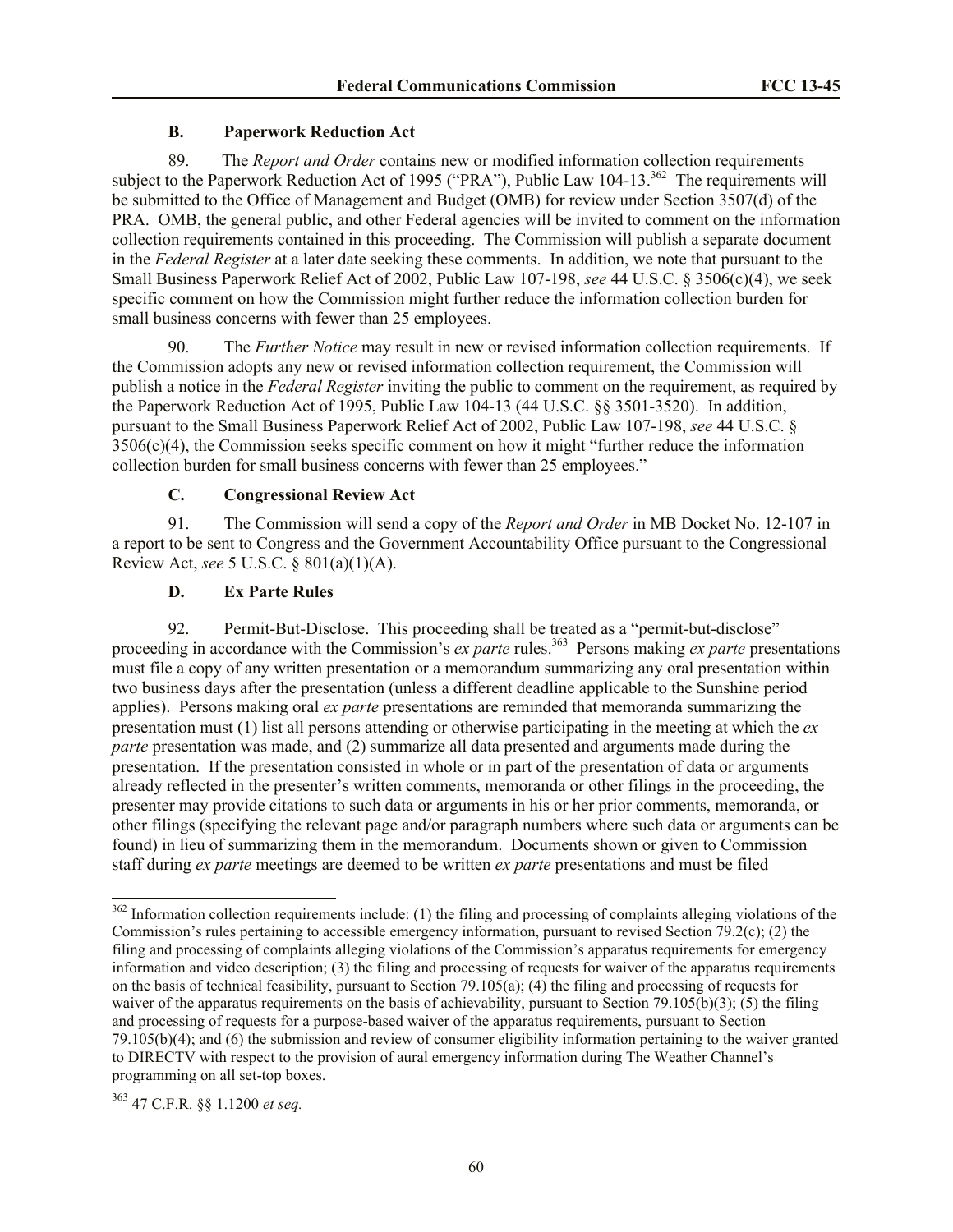# **B. Paperwork Reduction Act**

89. The *Report and Order* contains new or modified information collection requirements subject to the Paperwork Reduction Act of 1995 ("PRA"), Public Law 104-13.<sup>362</sup> The requirements will be submitted to the Office of Management and Budget (OMB) for review under Section 3507(d) of the PRA. OMB, the general public, and other Federal agencies will be invited to comment on the information collection requirements contained in this proceeding. The Commission will publish a separate document in the *Federal Register* at a later date seeking these comments. In addition, we note that pursuant to the Small Business Paperwork Relief Act of 2002, Public Law 107-198, *see* 44 U.S.C. § 3506(c)(4), we seek specific comment on how the Commission might further reduce the information collection burden for small business concerns with fewer than 25 employees.

90. The *Further Notice* may result in new or revised information collection requirements. If the Commission adopts any new or revised information collection requirement, the Commission will publish a notice in the *Federal Register* inviting the public to comment on the requirement, as required by the Paperwork Reduction Act of 1995, Public Law 104-13 (44 U.S.C. §§ 3501-3520). In addition, pursuant to the Small Business Paperwork Relief Act of 2002, Public Law 107-198, *see* 44 U.S.C. § 3506(c)(4), the Commission seeks specific comment on how it might "further reduce the information collection burden for small business concerns with fewer than 25 employees."

# **C. Congressional Review Act**

91. The Commission will send a copy of the *Report and Order* in MB Docket No. 12-107 in a report to be sent to Congress and the Government Accountability Office pursuant to the Congressional Review Act, *see* 5 U.S.C. § 801(a)(1)(A).

# **D. Ex Parte Rules**

92. Permit-But-Disclose. This proceeding shall be treated as a "permit-but-disclose" proceeding in accordance with the Commission's *ex parte* rules.<sup>363</sup> Persons making *ex parte* presentations must file a copy of any written presentation or a memorandum summarizing any oral presentation within two business days after the presentation (unless a different deadline applicable to the Sunshine period applies). Persons making oral *ex parte* presentations are reminded that memoranda summarizing the presentation must (1) list all persons attending or otherwise participating in the meeting at which the *ex parte* presentation was made, and (2) summarize all data presented and arguments made during the presentation. If the presentation consisted in whole or in part of the presentation of data or arguments already reflected in the presenter's written comments, memoranda or other filings in the proceeding, the presenter may provide citations to such data or arguments in his or her prior comments, memoranda, or other filings (specifying the relevant page and/or paragraph numbers where such data or arguments can be found) in lieu of summarizing them in the memorandum. Documents shown or given to Commission staff during *ex parte* meetings are deemed to be written *ex parte* presentations and must be filed

 $\overline{a}$ 

<sup>&</sup>lt;sup>362</sup> Information collection requirements include: (1) the filing and processing of complaints alleging violations of the Commission's rules pertaining to accessible emergency information, pursuant to revised Section 79.2(c); (2) the filing and processing of complaints alleging violations of the Commission's apparatus requirements for emergency information and video description; (3) the filing and processing of requests for waiver of the apparatus requirements on the basis of technical feasibility, pursuant to Section 79.105(a); (4) the filing and processing of requests for waiver of the apparatus requirements on the basis of achievability, pursuant to Section 79.105(b)(3); (5) the filing and processing of requests for a purpose-based waiver of the apparatus requirements, pursuant to Section 79.105(b)(4); and (6) the submission and review of consumer eligibility information pertaining to the waiver granted to DIRECTV with respect to the provision of aural emergency information during The Weather Channel's programming on all set-top boxes.

<sup>363</sup> 47 C.F.R. §§ 1.1200 *et seq.*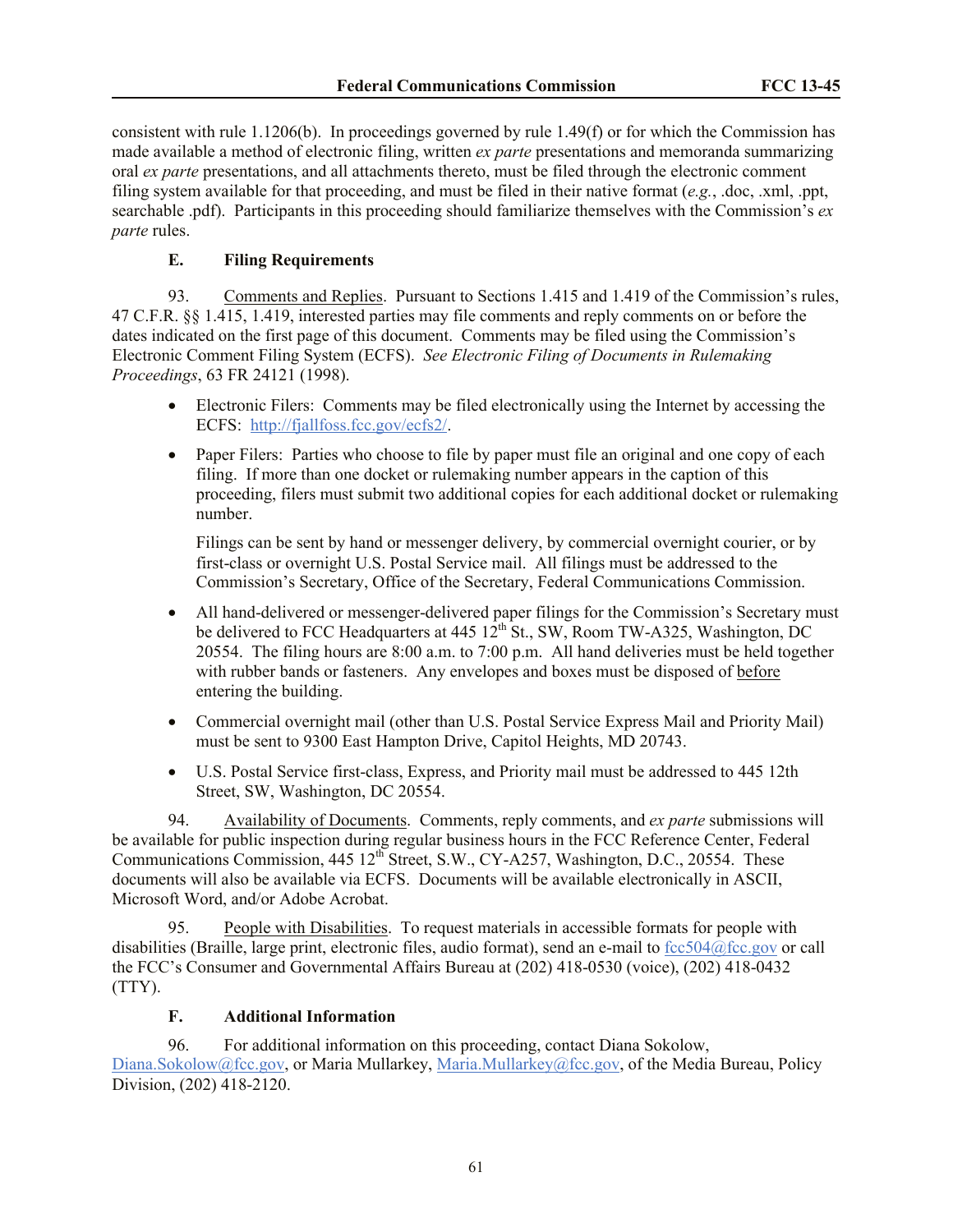consistent with rule 1.1206(b). In proceedings governed by rule 1.49(f) or for which the Commission has made available a method of electronic filing, written *ex parte* presentations and memoranda summarizing oral *ex parte* presentations, and all attachments thereto, must be filed through the electronic comment filing system available for that proceeding, and must be filed in their native format (*e.g.*, .doc, .xml, .ppt, searchable .pdf). Participants in this proceeding should familiarize themselves with the Commission's *ex parte* rules.

# **E. Filing Requirements**

93. Comments and Replies. Pursuant to Sections 1.415 and 1.419 of the Commission's rules, 47 C.F.R. §§ 1.415, 1.419, interested parties may file comments and reply comments on or before the dates indicated on the first page of this document. Comments may be filed using the Commission's Electronic Comment Filing System (ECFS). *See Electronic Filing of Documents in Rulemaking Proceedings*, 63 FR 24121 (1998).

- Electronic Filers: Comments may be filed electronically using the Internet by accessing the ECFS: [http://fjallfoss.fcc.gov/ecfs2/.](http://fjallfoss.fcc.gov/ecfs2/)
- Paper Filers: Parties who choose to file by paper must file an original and one copy of each filing. If more than one docket or rulemaking number appears in the caption of this proceeding, filers must submit two additional copies for each additional docket or rulemaking number.

Filings can be sent by hand or messenger delivery, by commercial overnight courier, or by first-class or overnight U.S. Postal Service mail. All filings must be addressed to the Commission's Secretary, Office of the Secretary, Federal Communications Commission.

- All hand-delivered or messenger-delivered paper filings for the Commission's Secretary must be delivered to FCC Headquarters at 445 12<sup>th</sup> St., SW, Room TW-A325, Washington, DC 20554. The filing hours are 8:00 a.m. to 7:00 p.m. All hand deliveries must be held together with rubber bands or fasteners. Any envelopes and boxes must be disposed of before entering the building.
- Commercial overnight mail (other than U.S. Postal Service Express Mail and Priority Mail) must be sent to 9300 East Hampton Drive, Capitol Heights, MD 20743.
- U.S. Postal Service first-class, Express, and Priority mail must be addressed to 445 12th Street, SW, Washington, DC 20554.

94. Availability of Documents. Comments, reply comments, and *ex parte* submissions will be available for public inspection during regular business hours in the FCC Reference Center, Federal Communications Commission, 445 12<sup>th</sup> Street, S.W., CY-A257, Washington, D.C., 20554. These documents will also be available via ECFS. Documents will be available electronically in ASCII, Microsoft Word, and/or Adobe Acrobat.

95. People with Disabilities.To request materials in accessible formats for people with disabilities (Braille, large print, electronic files, audio format), send an e-mail to [fcc504@fcc.gov](mailto:fcc504@fcc.gov) or call the FCC's Consumer and Governmental Affairs Bureau at (202) 418-0530 (voice), (202) 418-0432 (TTY).

### **F. Additional Information**

96. For additional information on this proceeding, contact Diana Sokolow, [Diana.Sokolow@fcc.gov,](mailto:Diana.Sokolow@fcc.gov) or Maria Mullarkey, [Maria.Mullarkey@fcc.gov,](mailto:Maria.Mullarkey@fcc.gov) of the Media Bureau, Policy Division, (202) 418-2120.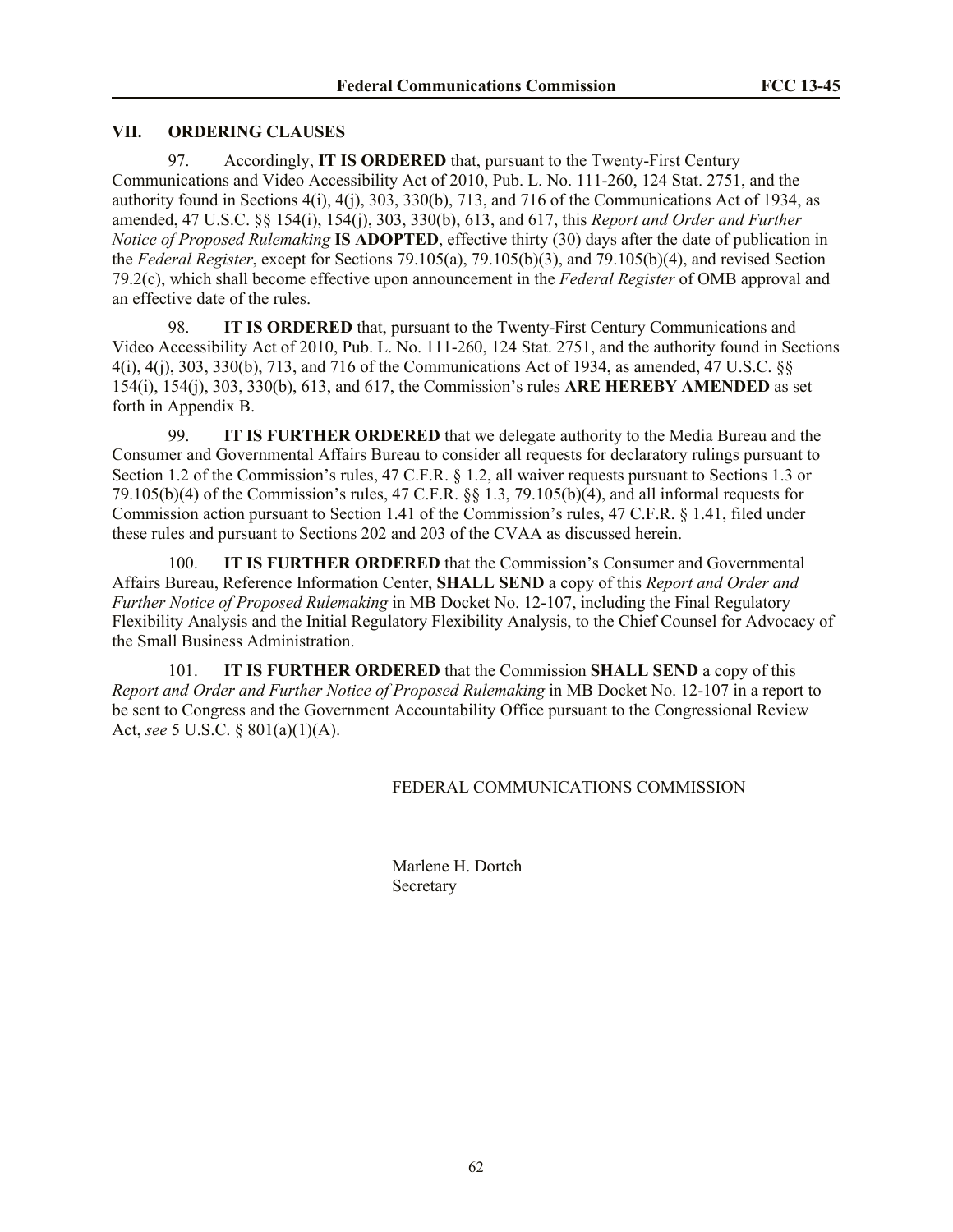# **VII. ORDERING CLAUSES**

97. Accordingly, **IT IS ORDERED** that, pursuant to the Twenty-First Century Communications and Video Accessibility Act of 2010, Pub. L. No. 111-260, 124 Stat. 2751, and the authority found in Sections 4(i), 4(j), 303, 330(b), 713, and 716 of the Communications Act of 1934, as amended, 47 U.S.C. §§ 154(i), 154(j), 303, 330(b), 613, and 617, this *Report and Order and Further Notice of Proposed Rulemaking* **IS ADOPTED**, effective thirty (30) days after the date of publication in the *Federal Register*, except for Sections 79.105(a), 79.105(b)(3), and 79.105(b)(4), and revised Section 79.2(c), which shall become effective upon announcement in the *Federal Register* of OMB approval and an effective date of the rules.

98. **IT IS ORDERED** that, pursuant to the Twenty-First Century Communications and Video Accessibility Act of 2010, Pub. L. No. 111-260, 124 Stat. 2751, and the authority found in Sections 4(i), 4(j), 303, 330(b), 713, and 716 of the Communications Act of 1934, as amended, 47 U.S.C. §§ 154(i), 154(j), 303, 330(b), 613, and 617, the Commission's rules **ARE HEREBY AMENDED** as set forth in Appendix B.

99. **IT IS FURTHER ORDERED** that we delegate authority to the Media Bureau and the Consumer and Governmental Affairs Bureau to consider all requests for declaratory rulings pursuant to Section 1.2 of the Commission's rules, 47 C.F.R. § 1.2, all waiver requests pursuant to Sections 1.3 or 79.105(b)(4) of the Commission's rules, 47 C.F.R. §§ 1.3, 79.105(b)(4), and all informal requests for Commission action pursuant to Section 1.41 of the Commission's rules, 47 C.F.R. § 1.41, filed under these rules and pursuant to Sections 202 and 203 of the CVAA as discussed herein.

100. **IT IS FURTHER ORDERED** that the Commission's Consumer and Governmental Affairs Bureau, Reference Information Center, **SHALL SEND** a copy of this *Report and Order and Further Notice of Proposed Rulemaking* in MB Docket No. 12-107, including the Final Regulatory Flexibility Analysis and the Initial Regulatory Flexibility Analysis, to the Chief Counsel for Advocacy of the Small Business Administration.

101. **IT IS FURTHER ORDERED** that the Commission **SHALL SEND** a copy of this *Report and Order and Further Notice of Proposed Rulemaking* in MB Docket No. 12-107 in a report to be sent to Congress and the Government Accountability Office pursuant to the Congressional Review Act, *see* 5 U.S.C. § 801(a)(1)(A).

### FEDERAL COMMUNICATIONS COMMISSION

Marlene H. Dortch **Secretary**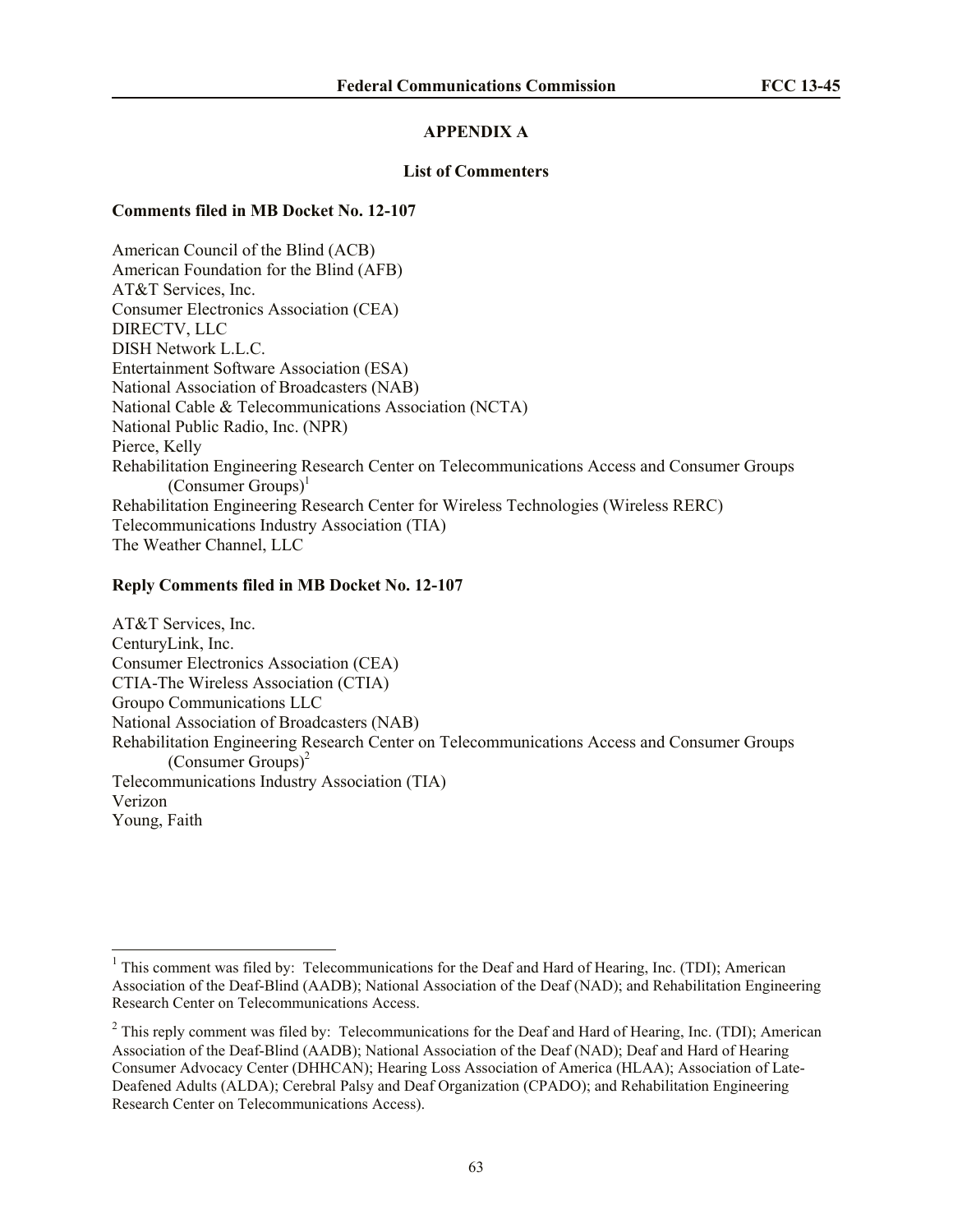# **APPENDIX A**

#### **List of Commenters**

#### **Comments filed in MB Docket No. 12-107**

American Council of the Blind (ACB) American Foundation for the Blind (AFB) AT&T Services, Inc. Consumer Electronics Association (CEA) DIRECTV, LLC DISH Network L.L.C. Entertainment Software Association (ESA) National Association of Broadcasters (NAB) National Cable & Telecommunications Association (NCTA) National Public Radio, Inc. (NPR) Pierce, Kelly Rehabilitation Engineering Research Center on Telecommunications Access and Consumer Groups  $(Consumer \, Groups)^{1}$ Rehabilitation Engineering Research Center for Wireless Technologies (Wireless RERC) Telecommunications Industry Association (TIA) The Weather Channel, LLC

#### **Reply Comments filed in MB Docket No. 12-107**

 $\overline{\phantom{a}}$ 

AT&T Services, Inc. CenturyLink, Inc. Consumer Electronics Association (CEA) CTIA-The Wireless Association (CTIA) Groupo Communications LLC National Association of Broadcasters (NAB) Rehabilitation Engineering Research Center on Telecommunications Access and Consumer Groups (Consumer Groups) $<sup>2</sup>$ </sup> Telecommunications Industry Association (TIA) Verizon Young, Faith

<sup>&</sup>lt;sup>1</sup> This comment was filed by: Telecommunications for the Deaf and Hard of Hearing, Inc. (TDI); American Association of the Deaf-Blind (AADB); National Association of the Deaf (NAD); and Rehabilitation Engineering Research Center on Telecommunications Access.

 $2$  This reply comment was filed by: Telecommunications for the Deaf and Hard of Hearing, Inc. (TDI); American Association of the Deaf-Blind (AADB); National Association of the Deaf (NAD); Deaf and Hard of Hearing Consumer Advocacy Center (DHHCAN); Hearing Loss Association of America (HLAA); Association of Late-Deafened Adults (ALDA); Cerebral Palsy and Deaf Organization (CPADO); and Rehabilitation Engineering Research Center on Telecommunications Access).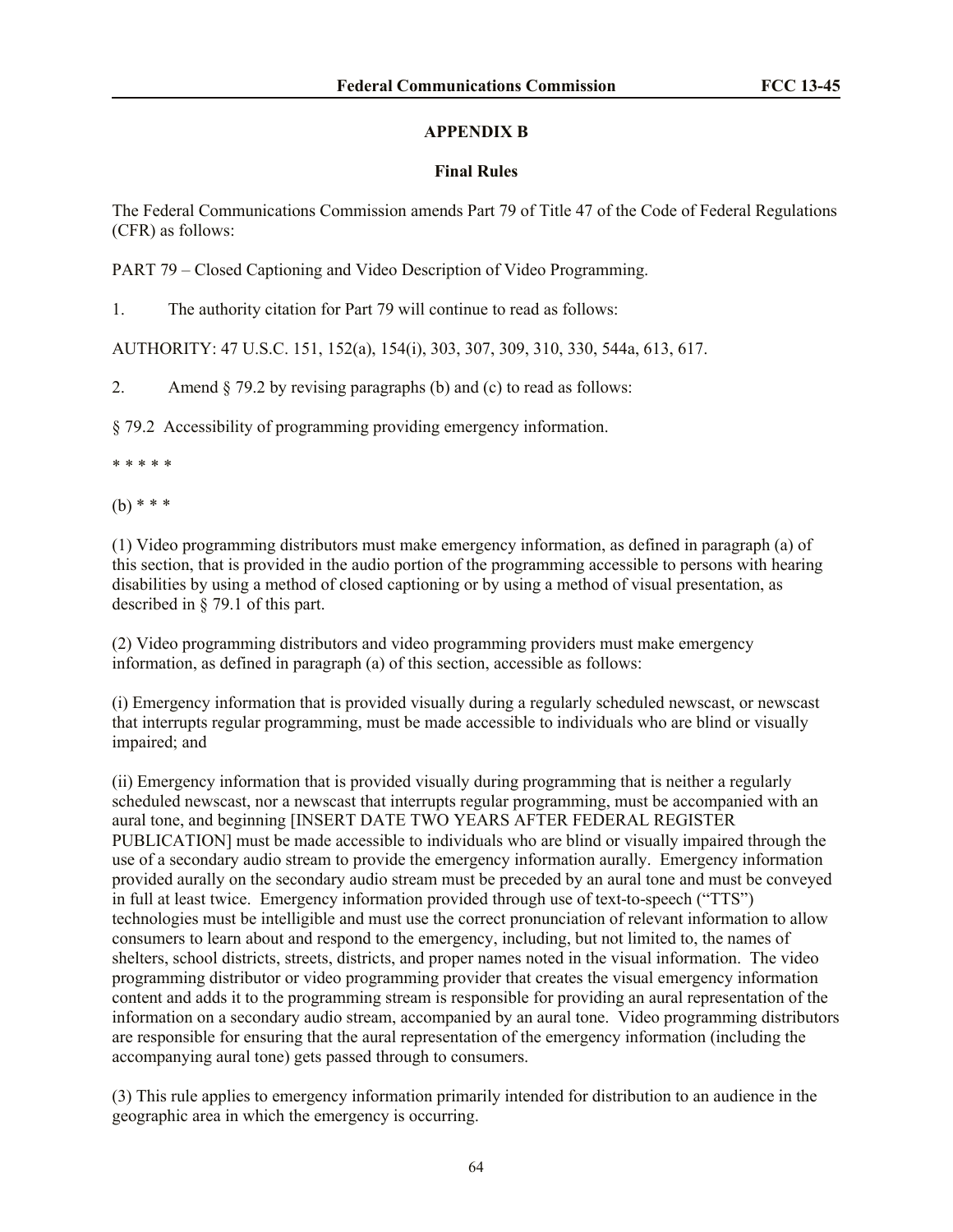# **APPENDIX B**

# **Final Rules**

The Federal Communications Commission amends Part 79 of Title 47 of the Code of Federal Regulations (CFR) as follows:

PART 79 – Closed Captioning and Video Description of Video Programming.

1. The authority citation for Part 79 will continue to read as follows:

AUTHORITY: 47 U.S.C. 151, 152(a), 154(i), 303, 307, 309, 310, 330, 544a, 613, 617.

2. Amend § 79.2 by revising paragraphs (b) and (c) to read as follows:

§ 79.2 Accessibility of programming providing emergency information.

\* \* \* \* \*

(b) \* \* \*

(1) Video programming distributors must make emergency information, as defined in paragraph (a) of this section, that is provided in the audio portion of the programming accessible to persons with hearing disabilities by using a method of closed captioning or by using a method of visual presentation, as described in § 79.1 of this part.

(2) Video programming distributors and video programming providers must make emergency information, as defined in paragraph (a) of this section, accessible as follows:

(i) Emergency information that is provided visually during a regularly scheduled newscast, or newscast that interrupts regular programming, must be made accessible to individuals who are blind or visually impaired; and

(ii) Emergency information that is provided visually during programming that is neither a regularly scheduled newscast, nor a newscast that interrupts regular programming, must be accompanied with an aural tone, and beginning [INSERT DATE TWO YEARS AFTER FEDERAL REGISTER PUBLICATION] must be made accessible to individuals who are blind or visually impaired through the use of a secondary audio stream to provide the emergency information aurally. Emergency information provided aurally on the secondary audio stream must be preceded by an aural tone and must be conveyed in full at least twice. Emergency information provided through use of text-to-speech ("TTS") technologies must be intelligible and must use the correct pronunciation of relevant information to allow consumers to learn about and respond to the emergency, including, but not limited to, the names of shelters, school districts, streets, districts, and proper names noted in the visual information. The video programming distributor or video programming provider that creates the visual emergency information content and adds it to the programming stream is responsible for providing an aural representation of the information on a secondary audio stream, accompanied by an aural tone. Video programming distributors are responsible for ensuring that the aural representation of the emergency information (including the accompanying aural tone) gets passed through to consumers.

(3) This rule applies to emergency information primarily intended for distribution to an audience in the geographic area in which the emergency is occurring.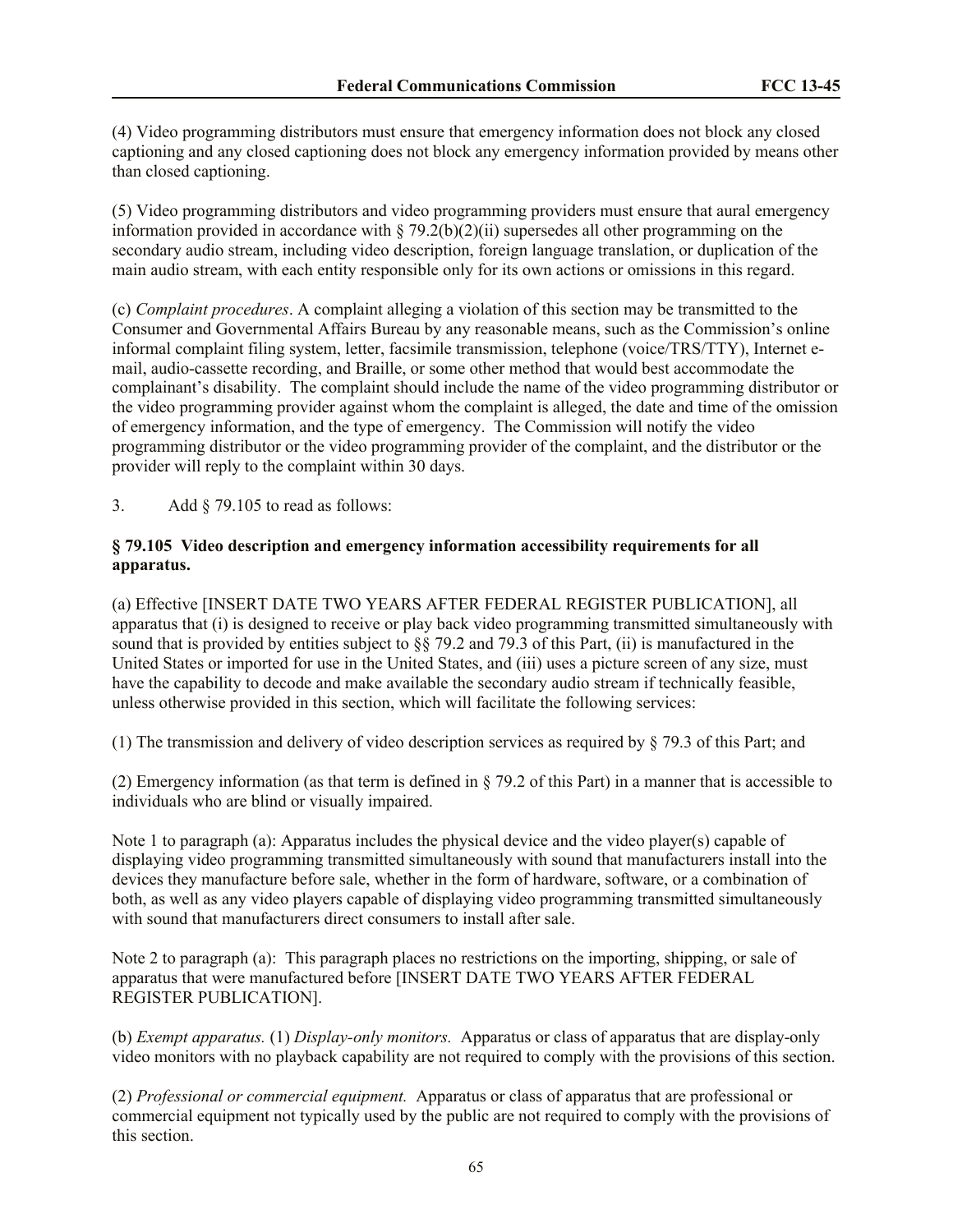(4) Video programming distributors must ensure that emergency information does not block any closed captioning and any closed captioning does not block any emergency information provided by means other than closed captioning.

(5) Video programming distributors and video programming providers must ensure that aural emergency information provided in accordance with  $\S 79.2(b)(2)(ii)$  supersedes all other programming on the secondary audio stream, including video description, foreign language translation, or duplication of the main audio stream, with each entity responsible only for its own actions or omissions in this regard.

(c) *Complaint procedures*. A complaint alleging a violation of this section may be transmitted to the Consumer and Governmental Affairs Bureau by any reasonable means, such as the Commission's online informal complaint filing system, letter, facsimile transmission, telephone (voice/TRS/TTY), Internet email, audio-cassette recording, and Braille, or some other method that would best accommodate the complainant's disability. The complaint should include the name of the video programming distributor or the video programming provider against whom the complaint is alleged, the date and time of the omission of emergency information, and the type of emergency. The Commission will notify the video programming distributor or the video programming provider of the complaint, and the distributor or the provider will reply to the complaint within 30 days.

3. Add § 79.105 to read as follows:

### **§ 79.105 Video description and emergency information accessibility requirements for all apparatus.**

(a) Effective [INSERT DATE TWO YEARS AFTER FEDERAL REGISTER PUBLICATION], all apparatus that (i) is designed to receive or play back video programming transmitted simultaneously with sound that is provided by entities subject to §§ 79.2 and 79.3 of this Part, (ii) is manufactured in the United States or imported for use in the United States, and (iii) uses a picture screen of any size, must have the capability to decode and make available the secondary audio stream if technically feasible, unless otherwise provided in this section, which will facilitate the following services:

(1) The transmission and delivery of video description services as required by § 79.3 of this Part; and

(2) Emergency information (as that term is defined in § 79.2 of this Part) in a manner that is accessible to individuals who are blind or visually impaired.

Note 1 to paragraph (a): Apparatus includes the physical device and the video player(s) capable of displaying video programming transmitted simultaneously with sound that manufacturers install into the devices they manufacture before sale, whether in the form of hardware, software, or a combination of both, as well as any video players capable of displaying video programming transmitted simultaneously with sound that manufacturers direct consumers to install after sale.

Note 2 to paragraph (a): This paragraph places no restrictions on the importing, shipping, or sale of apparatus that were manufactured before [INSERT DATE TWO YEARS AFTER FEDERAL REGISTER PUBLICATION].

(b) *Exempt apparatus.* (1) *Display-only monitors.* Apparatus or class of apparatus that are display-only video monitors with no playback capability are not required to comply with the provisions of this section.

(2) *Professional or commercial equipment.* Apparatus or class of apparatus that are professional or commercial equipment not typically used by the public are not required to comply with the provisions of this section.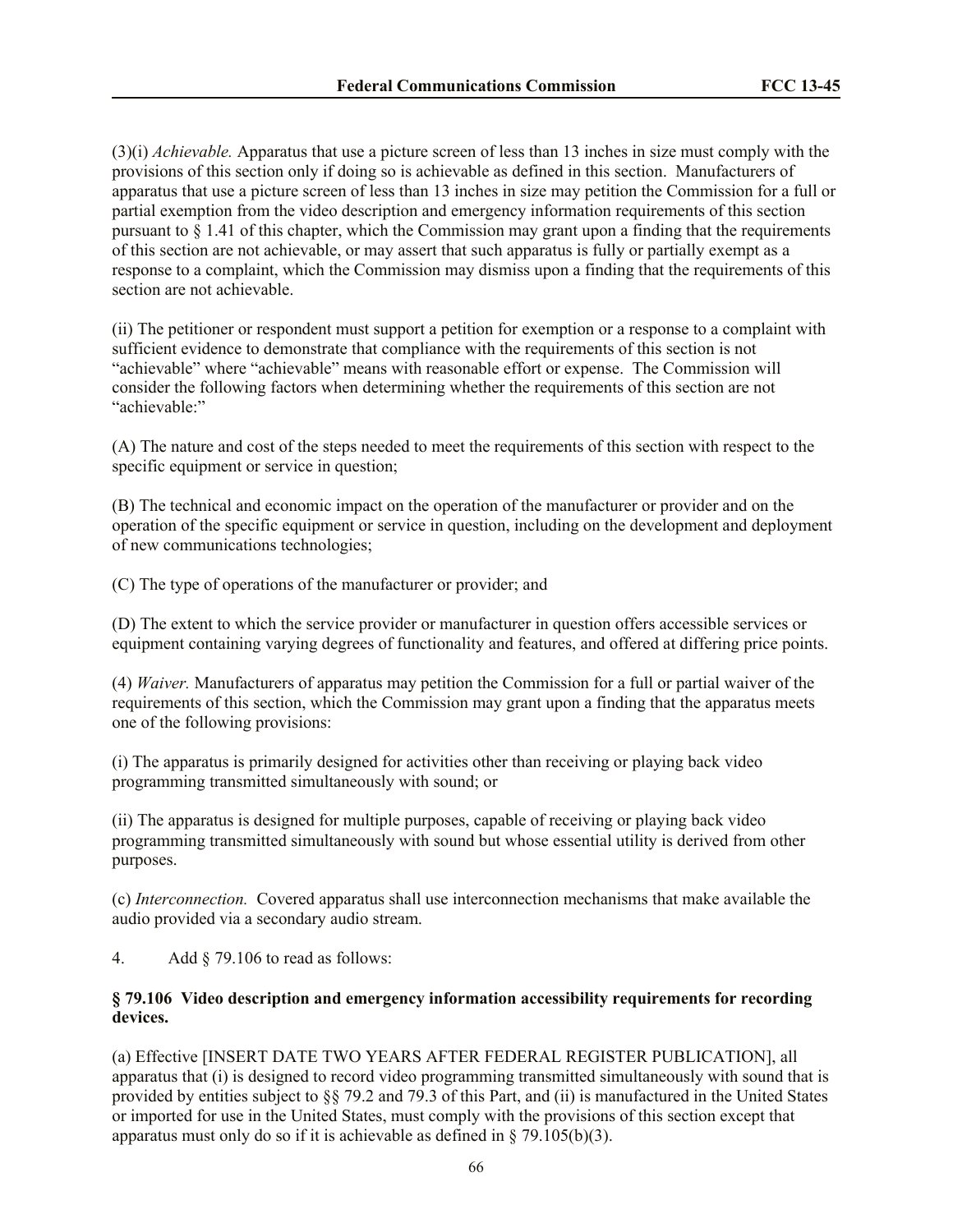(3)(i) *Achievable.* Apparatus that use a picture screen of less than 13 inches in size must comply with the provisions of this section only if doing so is achievable as defined in this section. Manufacturers of apparatus that use a picture screen of less than 13 inches in size may petition the Commission for a full or partial exemption from the video description and emergency information requirements of this section pursuant to  $\S 1.41$  of this chapter, which the Commission may grant upon a finding that the requirements of this section are not achievable, or may assert that such apparatus is fully or partially exempt as a response to a complaint, which the Commission may dismiss upon a finding that the requirements of this section are not achievable.

(ii) The petitioner or respondent must support a petition for exemption or a response to a complaint with sufficient evidence to demonstrate that compliance with the requirements of this section is not "achievable" where "achievable" means with reasonable effort or expense. The Commission will consider the following factors when determining whether the requirements of this section are not "achievable<sup>"</sup>

(A) The nature and cost of the steps needed to meet the requirements of this section with respect to the specific equipment or service in question;

(B) The technical and economic impact on the operation of the manufacturer or provider and on the operation of the specific equipment or service in question, including on the development and deployment of new communications technologies;

(C) The type of operations of the manufacturer or provider; and

(D) The extent to which the service provider or manufacturer in question offers accessible services or equipment containing varying degrees of functionality and features, and offered at differing price points.

(4) *Waiver.* Manufacturers of apparatus may petition the Commission for a full or partial waiver of the requirements of this section, which the Commission may grant upon a finding that the apparatus meets one of the following provisions:

(i) The apparatus is primarily designed for activities other than receiving or playing back video programming transmitted simultaneously with sound; or

(ii) The apparatus is designed for multiple purposes, capable of receiving or playing back video programming transmitted simultaneously with sound but whose essential utility is derived from other purposes.

(c) *Interconnection.* Covered apparatus shall use interconnection mechanisms that make available the audio provided via a secondary audio stream.

4. Add § 79.106 to read as follows:

### **§ 79.106 Video description and emergency information accessibility requirements for recording devices.**

(a) Effective [INSERT DATE TWO YEARS AFTER FEDERAL REGISTER PUBLICATION], all apparatus that (i) is designed to record video programming transmitted simultaneously with sound that is provided by entities subject to §§ 79.2 and 79.3 of this Part, and (ii) is manufactured in the United States or imported for use in the United States, must comply with the provisions of this section except that apparatus must only do so if it is achievable as defined in  $\S$  79.105(b)(3).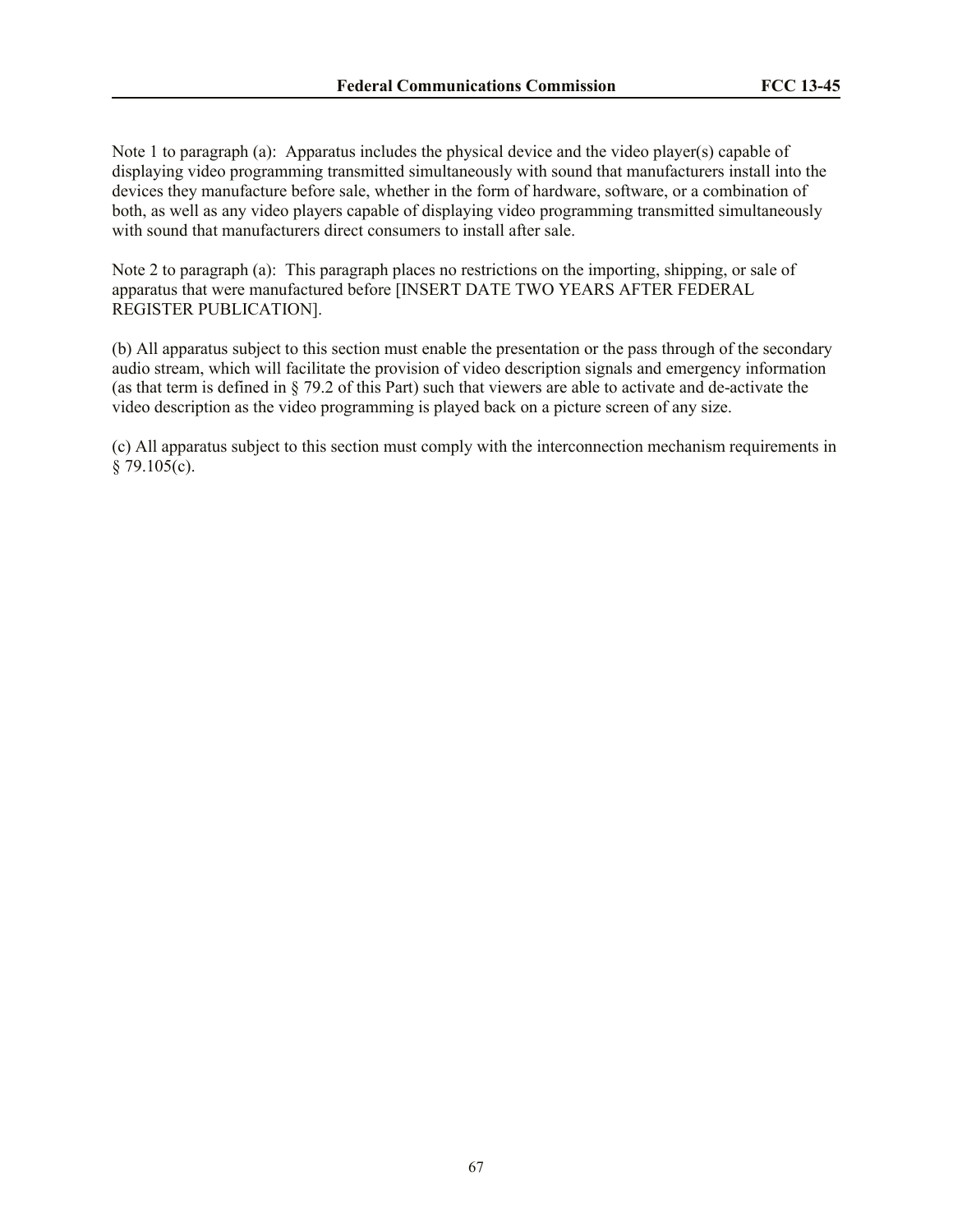Note 1 to paragraph (a): Apparatus includes the physical device and the video player(s) capable of displaying video programming transmitted simultaneously with sound that manufacturers install into the devices they manufacture before sale, whether in the form of hardware, software, or a combination of both, as well as any video players capable of displaying video programming transmitted simultaneously with sound that manufacturers direct consumers to install after sale.

Note 2 to paragraph (a): This paragraph places no restrictions on the importing, shipping, or sale of apparatus that were manufactured before [INSERT DATE TWO YEARS AFTER FEDERAL REGISTER PUBLICATION].

(b) All apparatus subject to this section must enable the presentation or the pass through of the secondary audio stream, which will facilitate the provision of video description signals and emergency information (as that term is defined in § 79.2 of this Part) such that viewers are able to activate and de-activate the video description as the video programming is played back on a picture screen of any size.

(c) All apparatus subject to this section must comply with the interconnection mechanism requirements in  $§ 79.105(c).$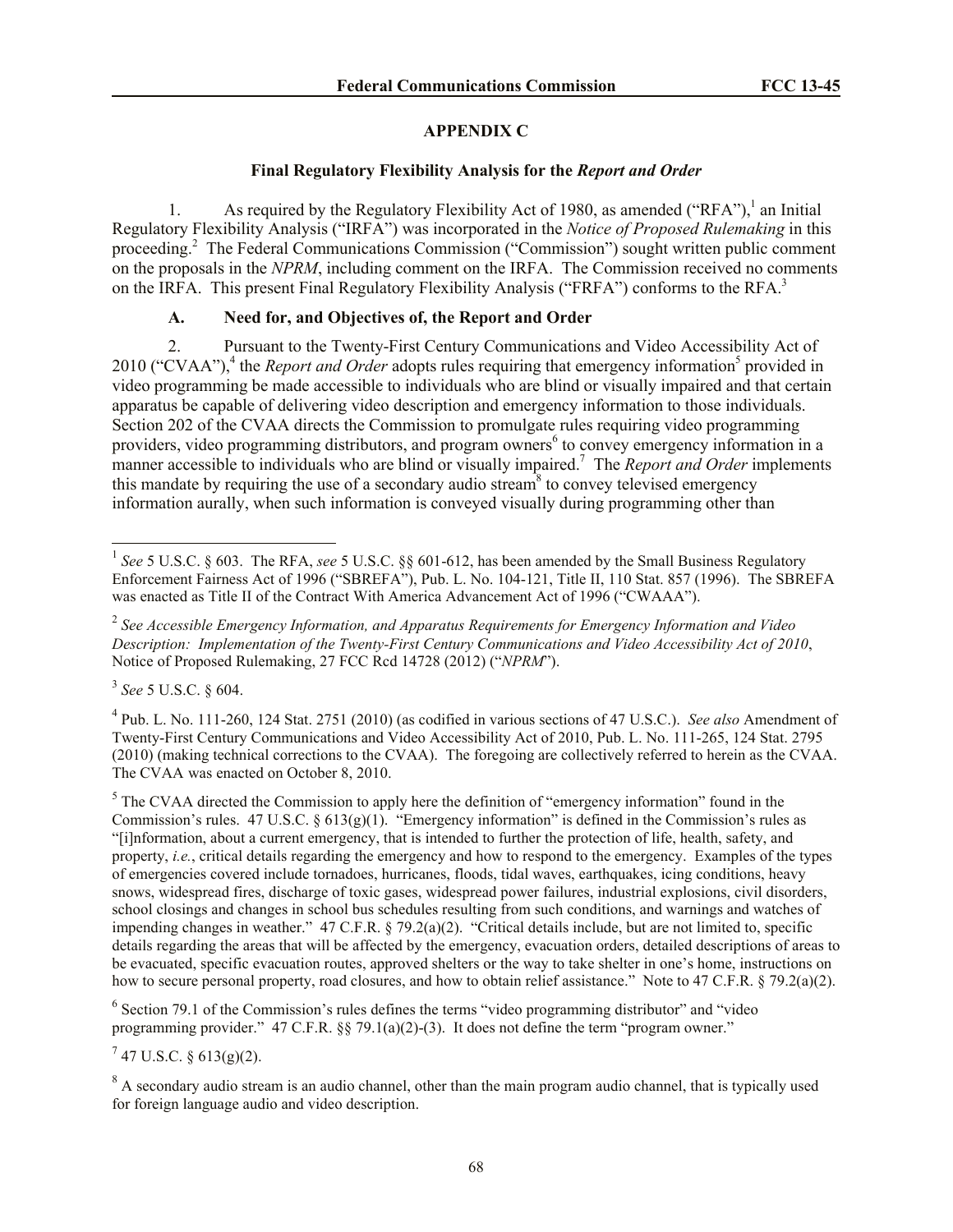# **APPENDIX C**

## **Final Regulatory Flexibility Analysis for the** *Report and Order*

1. As required by the Regulatory Flexibility Act of 1980, as amended ("RFA"),<sup>1</sup> an Initial Regulatory Flexibility Analysis ("IRFA") was incorporated in the *Notice of Proposed Rulemaking* in this proceeding.<sup>2</sup> The Federal Communications Commission ("Commission") sought written public comment on the proposals in the *NPRM*, including comment on the IRFA. The Commission received no comments on the IRFA. This present Final Regulatory Flexibility Analysis ("FRFA") conforms to the RFA.<sup>3</sup>

# **A. Need for, and Objectives of, the Report and Order**

2. Pursuant to the Twenty-First Century Communications and Video Accessibility Act of 2010 ("CVAA"),<sup>4</sup> the *Report and Order* adopts rules requiring that emergency information<sup>5</sup> provided in video programming be made accessible to individuals who are blind or visually impaired and that certain apparatus be capable of delivering video description and emergency information to those individuals. Section 202 of the CVAA directs the Commission to promulgate rules requiring video programming providers, video programming distributors, and program owners<sup>6</sup> to convey emergency information in a manner accessible to individuals who are blind or visually impaired.<sup>7</sup> The *Report and Order* implements this mandate by requiring the use of a secondary audio stream<sup>8</sup> to convey televised emergency information aurally, when such information is conveyed visually during programming other than

3 *See* 5 U.S.C. § 604.

 $\overline{\phantom{a}}$ 

4 Pub. L. No. 111-260, 124 Stat. 2751 (2010) (as codified in various sections of 47 U.S.C.). *See also* Amendment of Twenty-First Century Communications and Video Accessibility Act of 2010, Pub. L. No. 111-265, 124 Stat. 2795 (2010) (making technical corrections to the CVAA). The foregoing are collectively referred to herein as the CVAA. The CVAA was enacted on October 8, 2010.

 $<sup>5</sup>$  The CVAA directed the Commission to apply here the definition of "emergency information" found in the</sup> Commission's rules. 47 U.S.C. §  $613(g)(1)$ . "Emergency information" is defined in the Commission's rules as "[i]nformation, about a current emergency, that is intended to further the protection of life, health, safety, and property, *i.e.*, critical details regarding the emergency and how to respond to the emergency. Examples of the types of emergencies covered include tornadoes, hurricanes, floods, tidal waves, earthquakes, icing conditions, heavy snows, widespread fires, discharge of toxic gases, widespread power failures, industrial explosions, civil disorders, school closings and changes in school bus schedules resulting from such conditions, and warnings and watches of impending changes in weather." 47 C.F.R. § 79.2(a)(2). "Critical details include, but are not limited to, specific details regarding the areas that will be affected by the emergency, evacuation orders, detailed descriptions of areas to be evacuated, specific evacuation routes, approved shelters or the way to take shelter in one's home, instructions on how to secure personal property, road closures, and how to obtain relief assistance." Note to 47 C.F.R. § 79.2(a)(2).

 $6$  Section 79.1 of the Commission's rules defines the terms "video programming distributor" and "video programming provider." 47 C.F.R. §§ 79.1(a)(2)-(3). It does not define the term "program owner."

 $^7$  47 U.S.C. § 613(g)(2).

<sup>8</sup> A secondary audio stream is an audio channel, other than the main program audio channel, that is typically used for foreign language audio and video description.

<sup>&</sup>lt;sup>1</sup> See 5 U.S.C. § 603. The RFA, see 5 U.S.C. §§ 601-612, has been amended by the Small Business Regulatory Enforcement Fairness Act of 1996 ("SBREFA"), Pub. L. No. 104-121, Title II, 110 Stat. 857 (1996). The SBREFA was enacted as Title II of the Contract With America Advancement Act of 1996 ("CWAAA").

<sup>2</sup> *See Accessible Emergency Information, and Apparatus Requirements for Emergency Information and Video Description: Implementation of the Twenty-First Century Communications and Video Accessibility Act of 2010*, Notice of Proposed Rulemaking, 27 FCC Rcd 14728 (2012) ("*NPRM*").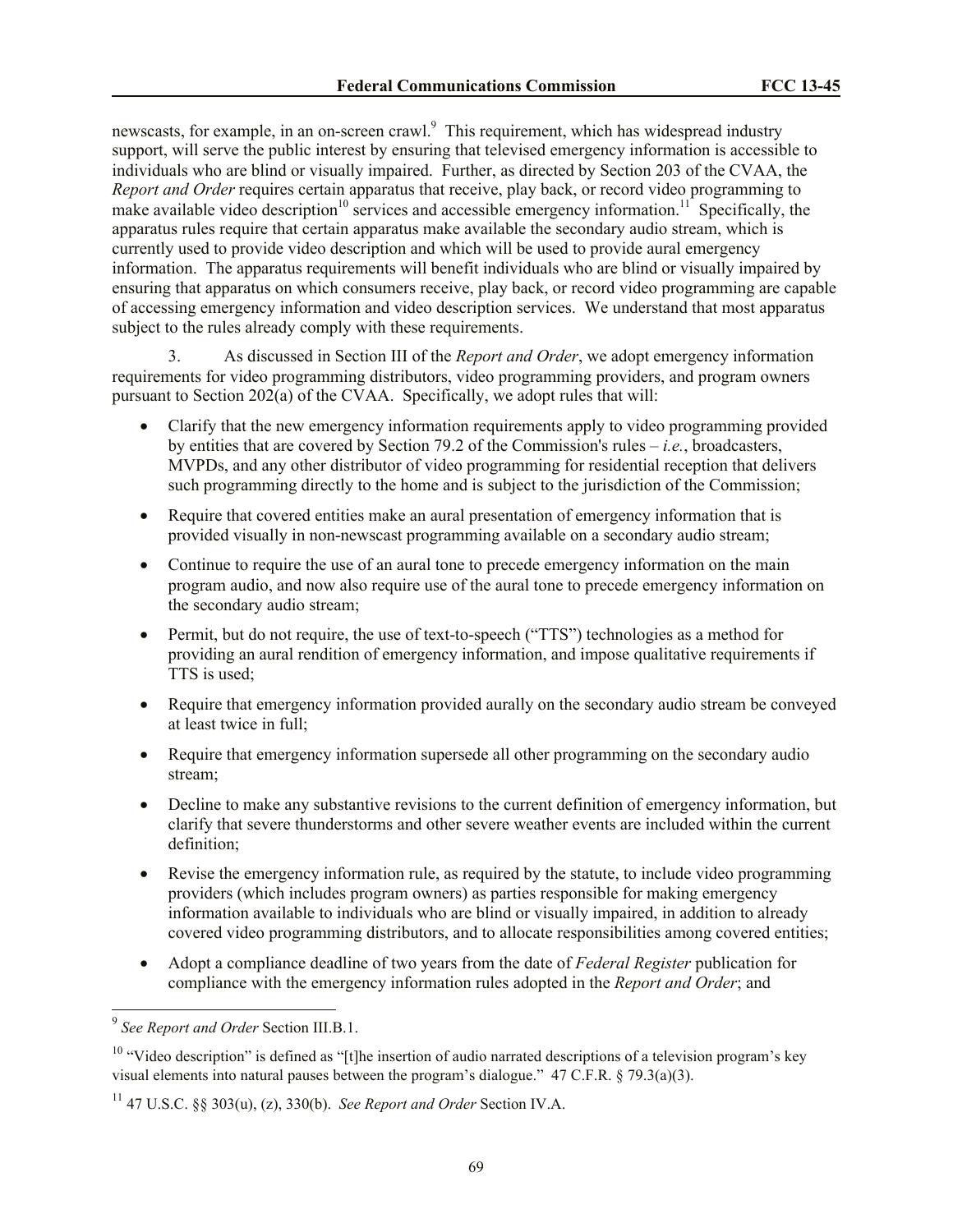newscasts, for example, in an on-screen crawl.<sup>9</sup> This requirement, which has widespread industry support, will serve the public interest by ensuring that televised emergency information is accessible to individuals who are blind or visually impaired. Further, as directed by Section 203 of the CVAA, the *Report and Order* requires certain apparatus that receive, play back, or record video programming to make available video description<sup>10</sup> services and accessible emergency information.<sup>11</sup> Specifically, the apparatus rules require that certain apparatus make available the secondary audio stream, which is currently used to provide video description and which will be used to provide aural emergency information. The apparatus requirements will benefit individuals who are blind or visually impaired by ensuring that apparatus on which consumers receive, play back, or record video programming are capable of accessing emergency information and video description services. We understand that most apparatus subject to the rules already comply with these requirements.

3. As discussed in Section III of the *Report and Order*, we adopt emergency information requirements for video programming distributors, video programming providers, and program owners pursuant to Section 202(a) of the CVAA. Specifically, we adopt rules that will:

- Clarify that the new emergency information requirements apply to video programming provided by entities that are covered by Section 79.2 of the Commission's rules – *i.e.*, broadcasters, MVPDs, and any other distributor of video programming for residential reception that delivers such programming directly to the home and is subject to the jurisdiction of the Commission;
- Require that covered entities make an aural presentation of emergency information that is provided visually in non-newscast programming available on a secondary audio stream;
- Continue to require the use of an aural tone to precede emergency information on the main program audio, and now also require use of the aural tone to precede emergency information on the secondary audio stream;
- Permit, but do not require, the use of text-to-speech ("TTS") technologies as a method for providing an aural rendition of emergency information, and impose qualitative requirements if TTS is used;
- Require that emergency information provided aurally on the secondary audio stream be conveyed at least twice in full;
- Require that emergency information supersede all other programming on the secondary audio stream;
- Decline to make any substantive revisions to the current definition of emergency information, but clarify that severe thunderstorms and other severe weather events are included within the current definition;
- Revise the emergency information rule, as required by the statute, to include video programming providers (which includes program owners) as parties responsible for making emergency information available to individuals who are blind or visually impaired, in addition to already covered video programming distributors, and to allocate responsibilities among covered entities;
- Adopt a compliance deadline of two years from the date of *Federal Register* publication for compliance with the emergency information rules adopted in the *Report and Order*; and

 9 *See Report and Order* Section III.B.1.

 $10$  "Video description" is defined as "[t]he insertion of audio narrated descriptions of a television program's key visual elements into natural pauses between the program's dialogue." 47 C.F.R. § 79.3(a)(3).

<sup>&</sup>lt;sup>11</sup> 47 U.S.C. §§ 303(u), (z), 330(b). *See Report and Order* Section IV.A.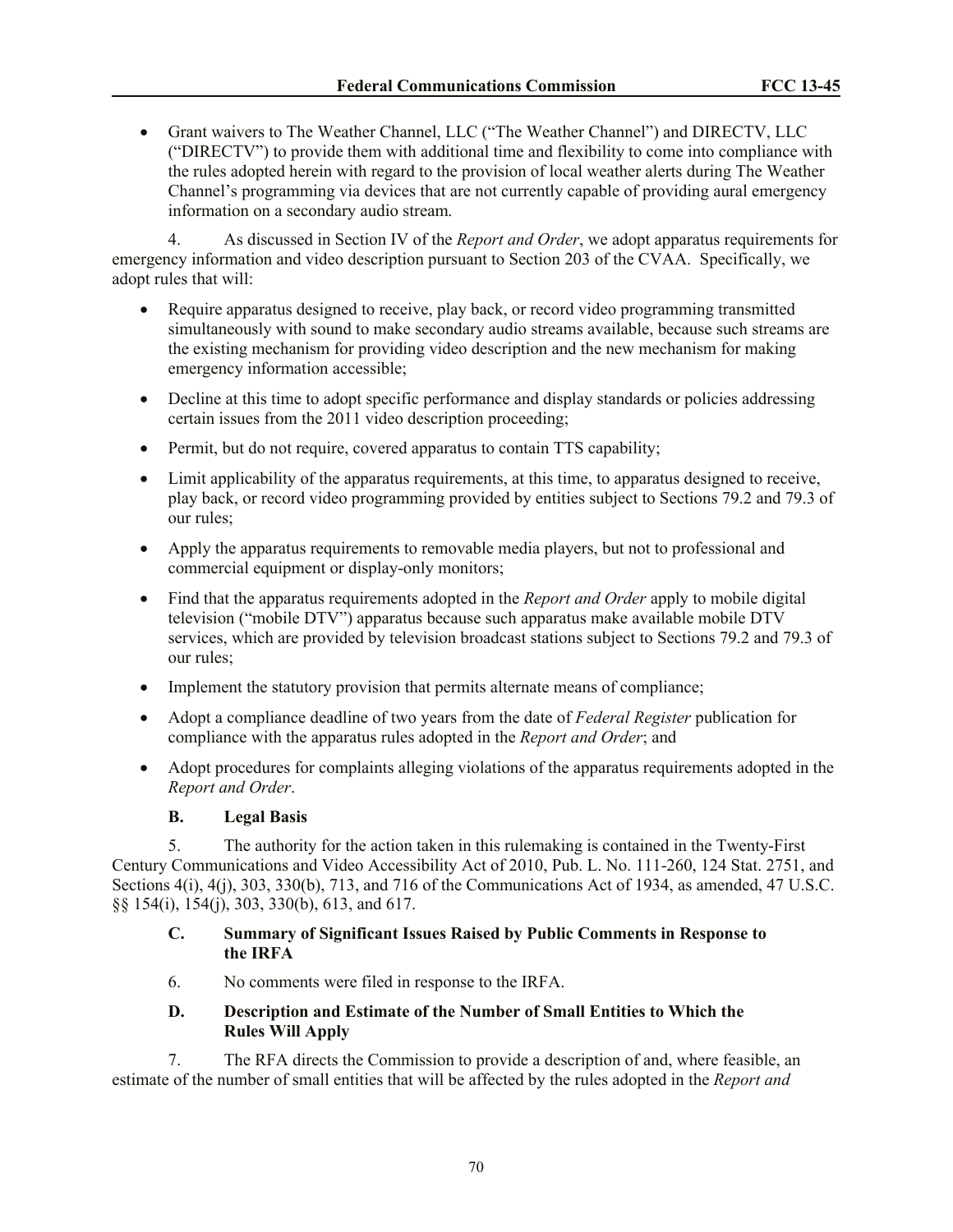Grant waivers to The Weather Channel, LLC ("The Weather Channel") and DIRECTV, LLC ("DIRECTV") to provide them with additional time and flexibility to come into compliance with the rules adopted herein with regard to the provision of local weather alerts during The Weather Channel's programming via devices that are not currently capable of providing aural emergency information on a secondary audio stream.

4. As discussed in Section IV of the *Report and Order*, we adopt apparatus requirements for emergency information and video description pursuant to Section 203 of the CVAA. Specifically, we adopt rules that will:

- Require apparatus designed to receive, play back, or record video programming transmitted simultaneously with sound to make secondary audio streams available, because such streams are the existing mechanism for providing video description and the new mechanism for making emergency information accessible;
- Decline at this time to adopt specific performance and display standards or policies addressing certain issues from the 2011 video description proceeding;
- Permit, but do not require, covered apparatus to contain TTS capability;
- Limit applicability of the apparatus requirements, at this time, to apparatus designed to receive, play back, or record video programming provided by entities subject to Sections 79.2 and 79.3 of our rules;
- Apply the apparatus requirements to removable media players, but not to professional and commercial equipment or display-only monitors;
- Find that the apparatus requirements adopted in the *Report and Order* apply to mobile digital television ("mobile DTV") apparatus because such apparatus make available mobile DTV services, which are provided by television broadcast stations subject to Sections 79.2 and 79.3 of our rules;
- Implement the statutory provision that permits alternate means of compliance;
- Adopt a compliance deadline of two years from the date of *Federal Register* publication for compliance with the apparatus rules adopted in the *Report and Order*; and
- Adopt procedures for complaints alleging violations of the apparatus requirements adopted in the *Report and Order*.

# **B. Legal Basis**

5. The authority for the action taken in this rulemaking is contained in the Twenty-First Century Communications and Video Accessibility Act of 2010, Pub. L. No. 111-260, 124 Stat. 2751, and Sections 4(i), 4(j), 303, 330(b), 713, and 716 of the Communications Act of 1934, as amended, 47 U.S.C. §§ 154(i), 154(j), 303, 330(b), 613, and 617.

# **C. Summary of Significant Issues Raised by Public Comments in Response to the IRFA**

6. No comments were filed in response to the IRFA.

# **D. Description and Estimate of the Number of Small Entities to Which the Rules Will Apply**

7. The RFA directs the Commission to provide a description of and, where feasible, an estimate of the number of small entities that will be affected by the rules adopted in the *Report and*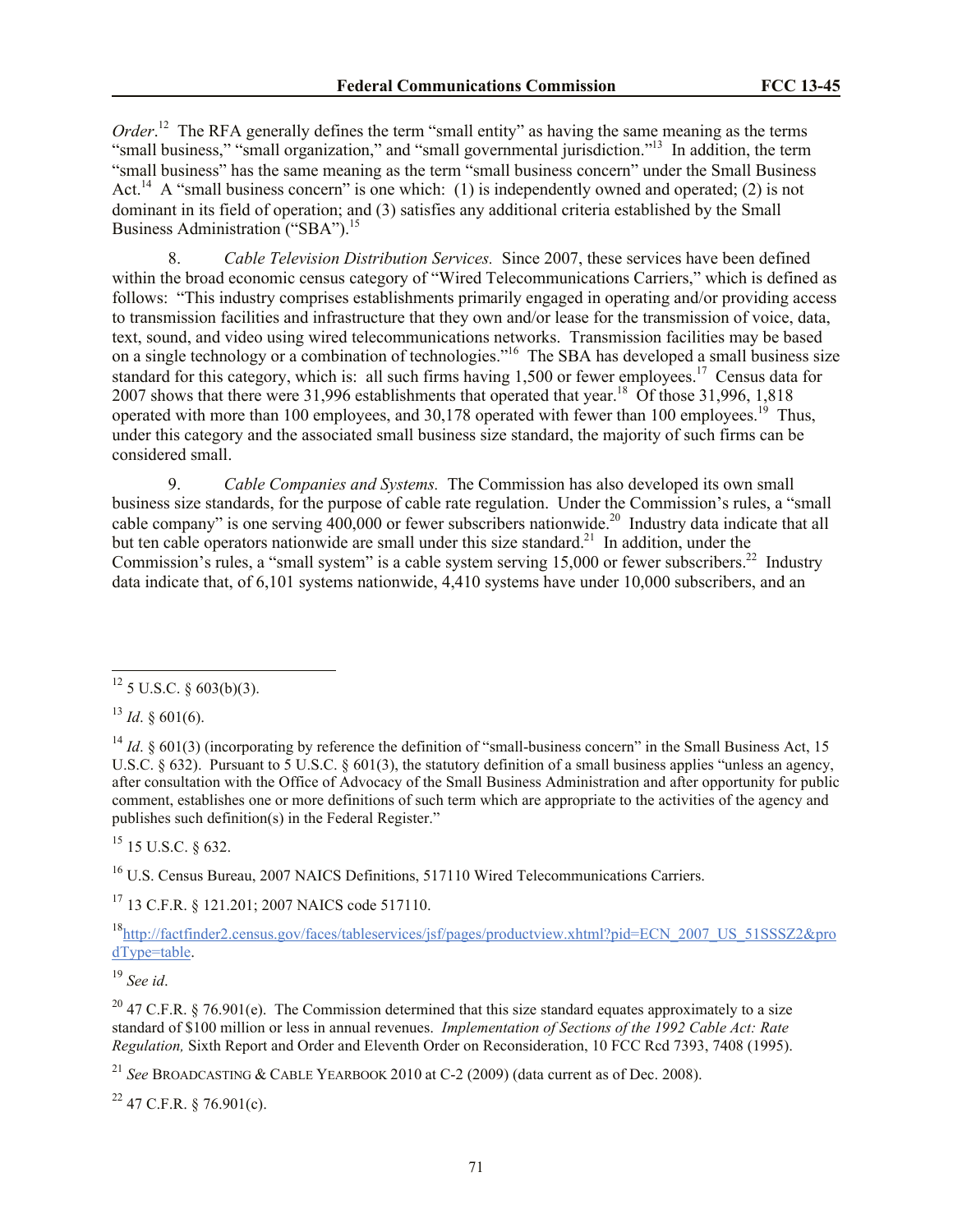*Order*.<sup>12</sup> The RFA generally defines the term "small entity" as having the same meaning as the terms "small business," "small organization," and "small governmental jurisdiction."<sup>13</sup> In addition, the term "small business" has the same meaning as the term "small business concern" under the Small Business Act.<sup>14</sup> A "small business concern" is one which: (1) is independently owned and operated; (2) is not dominant in its field of operation; and (3) satisfies any additional criteria established by the Small Business Administration ("SBA").<sup>15</sup>

8. *Cable Television Distribution Services.* Since 2007, these services have been defined within the broad economic census category of "Wired Telecommunications Carriers," which is defined as follows: "This industry comprises establishments primarily engaged in operating and/or providing access to transmission facilities and infrastructure that they own and/or lease for the transmission of voice, data, text, sound, and video using wired telecommunications networks. Transmission facilities may be based on a single technology or a combination of technologies."<sup>16</sup> The SBA has developed a small business size standard for this category, which is: all such firms having 1,500 or fewer employees.<sup>17</sup> Census data for 2007 shows that there were 31,996 establishments that operated that year.<sup>18</sup> Of those 31,996, 1,818 operated with more than 100 employees, and 30,178 operated with fewer than 100 employees.<sup>19</sup> Thus, under this category and the associated small business size standard, the majority of such firms can be considered small.

9. *Cable Companies and Systems.* The Commission has also developed its own small business size standards, for the purpose of cable rate regulation. Under the Commission's rules, a "small cable company" is one serving  $400,000$  or fewer subscribers nationwide.<sup>20</sup> Industry data indicate that all but ten cable operators nationwide are small under this size standard.<sup>21</sup> In addition, under the Commission's rules, a "small system" is a cable system serving  $15,000$  or fewer subscribers.<sup>22</sup> Industry data indicate that, of 6,101 systems nationwide, 4,410 systems have under 10,000 subscribers, and an

 $^{13}$  *Id.* § 601(6).

 $\overline{a}$ 

<sup>14</sup> *Id.* § 601(3) (incorporating by reference the definition of "small-business concern" in the Small Business Act, 15 U.S.C.  $\S 632$ ). Pursuant to 5 U.S.C.  $\S 601(3)$ , the statutory definition of a small business applies "unless an agency, after consultation with the Office of Advocacy of the Small Business Administration and after opportunity for public comment, establishes one or more definitions of such term which are appropriate to the activities of the agency and publishes such definition(s) in the Federal Register."

 $^{15}$  15 U.S.C. 8 632.

<sup>16</sup> U.S. Census Bureau, 2007 NAICS Definitions, 517110 Wired Telecommunications Carriers.

<sup>17</sup> 13 C.F.R. § 121.201; 2007 NAICS code 517110.

<sup>18</sup>http://factfinder2.census.gov/faces/tableservices/jsf/pages/productview.xhtml?pid=ECN\_2007\_US\_51SSSZ2&pro dType=table.

<sup>19</sup> *See id*.

<sup>20</sup> 47 C.F.R. § 76.901(e). The Commission determined that this size standard equates approximately to a size standard of \$100 million or less in annual revenues. *Implementation of Sections of the 1992 Cable Act: Rate Regulation,* Sixth Report and Order and Eleventh Order on Reconsideration, 10 FCC Rcd 7393, 7408 (1995).

<sup>21</sup> *See* BROADCASTING & CABLE YEARBOOK 2010 at C-2 (2009) (data current as of Dec. 2008).

 $22$  47 C.F.R. § 76.901(c).

 $^{12}$  5 U.S.C. § 603(b)(3).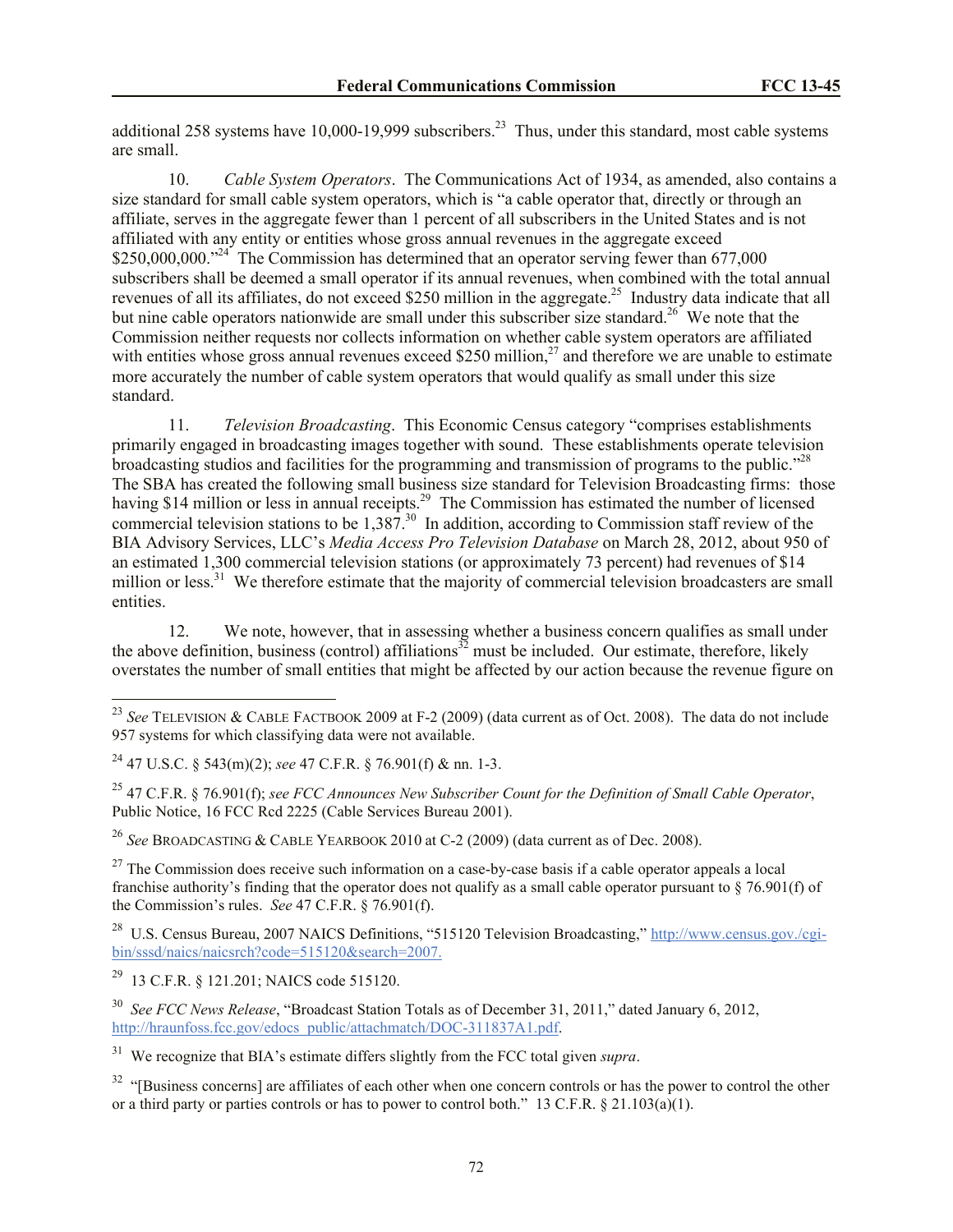additional 258 systems have 10,000-19,999 subscribers.<sup>23</sup> Thus, under this standard, most cable systems are small.

10. *Cable System Operators*.The Communications Act of 1934, as amended, also contains a size standard for small cable system operators, which is "a cable operator that, directly or through an affiliate, serves in the aggregate fewer than 1 percent of all subscribers in the United States and is not affiliated with any entity or entities whose gross annual revenues in the aggregate exceed \$250,000,000."<sup>24</sup> The Commission has determined that an operator serving fewer than 677,000 subscribers shall be deemed a small operator if its annual revenues, when combined with the total annual revenues of all its affiliates, do not exceed \$250 million in the aggregate.<sup>25</sup> Industry data indicate that all but nine cable operators nationwide are small under this subscriber size standard.<sup>26</sup> We note that the Commission neither requests nor collects information on whether cable system operators are affiliated with entities whose gross annual revenues exceed \$250 million,<sup>27</sup> and therefore we are unable to estimate more accurately the number of cable system operators that would qualify as small under this size standard.

11. *Television Broadcasting*. This Economic Census category "comprises establishments primarily engaged in broadcasting images together with sound. These establishments operate television broadcasting studios and facilities for the programming and transmission of programs to the public."<sup>28</sup> The SBA has created the following small business size standard for Television Broadcasting firms: those having \$14 million or less in annual receipts.<sup>29</sup> The Commission has estimated the number of licensed commercial television stations to be  $1,387$ <sup>30</sup> In addition, according to Commission staff review of the BIA Advisory Services, LLC's *Media Access Pro Television Database* on March 28, 2012, about 950 of an estimated 1,300 commercial television stations (or approximately 73 percent) had revenues of \$14 million or less.<sup>31</sup> We therefore estimate that the majority of commercial television broadcasters are small entities.

12. We note, however, that in assessing whether a business concern qualifies as small under the above definition, business (control) affiliations<sup>32</sup> must be included. Our estimate, therefore, likely overstates the number of small entities that might be affected by our action because the revenue figure on

<sup>26</sup> *See* BROADCASTING & CABLE YEARBOOK 2010 at C-2 (2009) (data current as of Dec. 2008).

 $\overline{a}$ 

<sup>23</sup> *See* TELEVISION & CABLE FACTBOOK 2009 at F-2 (2009) (data current as of Oct. 2008). The data do not include 957 systems for which classifying data were not available.

<sup>24</sup> 47 U.S.C. § 543(m)(2); *see* 47 C.F.R. § 76.901(f) & nn. 1-3.

<sup>25</sup> 47 C.F.R. § 76.901(f); *see FCC Announces New Subscriber Count for the Definition of Small Cable Operator*, Public Notice, 16 FCC Rcd 2225 (Cable Services Bureau 2001).

 $27$  The Commission does receive such information on a case-by-case basis if a cable operator appeals a local franchise authority's finding that the operator does not qualify as a small cable operator pursuant to § 76.901(f) of the Commission's rules. *See* 47 C.F.R. § 76.901(f).

<sup>&</sup>lt;sup>28</sup> U.S. Census Bureau, 2007 NAICS Definitions, "515120 Television Broadcasting," http://www.census.gov./cgibin/sssd/naics/naicsrch?code=515120&search=2007.

<sup>29</sup> 13 C.F.R. § 121.201; NAICS code 515120.

<sup>30</sup> *See FCC News Release*, "Broadcast Station Totals as of December 31, 2011," dated January 6, 2012, http://hraunfoss.fcc.gov/edocs\_public/attachmatch/DOC-311837A1.pdf.

<sup>31</sup> We recognize that BIA's estimate differs slightly from the FCC total given *supra*.

 $32$  "[Business concerns] are affiliates of each other when one concern controls or has the power to control the other or a third party or parties controls or has to power to control both." 13 C.F.R. § 21.103(a)(1).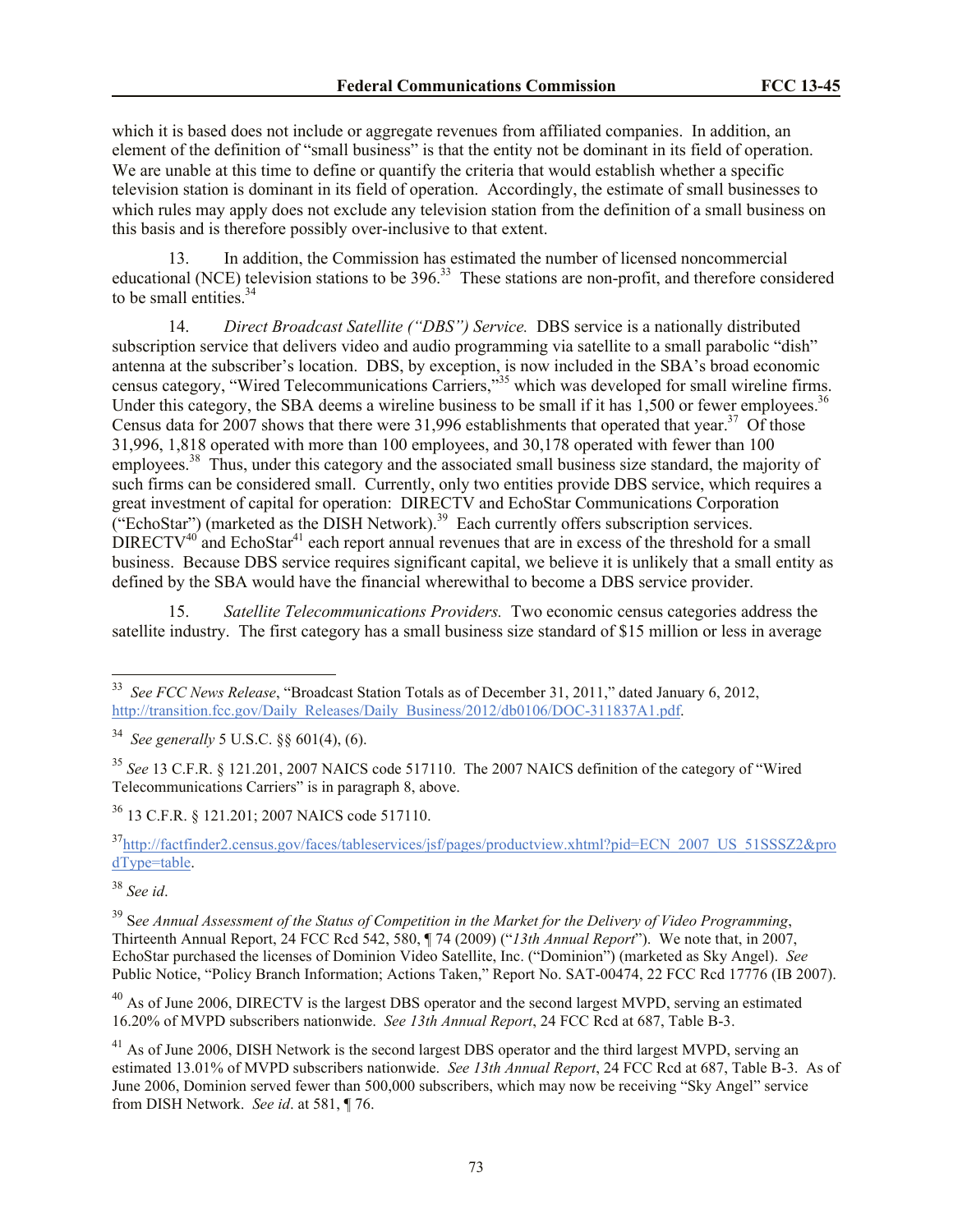which it is based does not include or aggregate revenues from affiliated companies. In addition, an element of the definition of "small business" is that the entity not be dominant in its field of operation. We are unable at this time to define or quantify the criteria that would establish whether a specific television station is dominant in its field of operation. Accordingly, the estimate of small businesses to which rules may apply does not exclude any television station from the definition of a small business on this basis and is therefore possibly over-inclusive to that extent.

13. In addition, the Commission has estimated the number of licensed noncommercial educational (NCE) television stations to be 396.<sup>33</sup> These stations are non-profit, and therefore considered to be small entities.  $34$ 

14. *Direct Broadcast Satellite ("DBS") Service.* DBS service is a nationally distributed subscription service that delivers video and audio programming via satellite to a small parabolic "dish" antenna at the subscriber's location. DBS, by exception, is now included in the SBA's broad economic census category, "Wired Telecommunications Carriers,"<sup>35</sup> which was developed for small wireline firms. Under this category, the SBA deems a wireline business to be small if it has  $1,500$  or fewer employees.<sup>36</sup> Census data for 2007 shows that there were 31,996 establishments that operated that year.<sup>37</sup> Of those 31,996, 1,818 operated with more than 100 employees, and 30,178 operated with fewer than 100 employees.<sup>38</sup> Thus, under this category and the associated small business size standard, the majority of such firms can be considered small. Currently, only two entities provide DBS service, which requires a great investment of capital for operation: DIRECTV and EchoStar Communications Corporation  $("EchoStar")$  (marketed as the DISH Network).<sup>39</sup> Each currently offers subscription services.  $DIRECTV<sup>40</sup>$  and EchoStar<sup>41</sup> each report annual revenues that are in excess of the threshold for a small business. Because DBS service requires significant capital, we believe it is unlikely that a small entity as defined by the SBA would have the financial wherewithal to become a DBS service provider.

15. *Satellite Telecommunications Providers.* Two economic census categories address the satellite industry. The first category has a small business size standard of \$15 million or less in average

<sup>36</sup> 13 C.F.R. § 121.201; 2007 NAICS code 517110.

<sup>37</sup>http://factfinder2.census.gov/faces/tableservices/jsf/pages/productview.xhtml?pid=ECN\_2007\_US\_51SSSZ2&pro dType=table.

 $\overline{a}$ 

<sup>40</sup> As of June 2006, DIRECTV is the largest DBS operator and the second largest MVPD, serving an estimated 16.20% of MVPD subscribers nationwide. *See 13th Annual Report*, 24 FCC Rcd at 687, Table B-3.

<sup>33</sup> *See FCC News Release*, "Broadcast Station Totals as of December 31, 2011," dated January 6, 2012, http://transition.fcc.gov/Daily\_Releases/Daily\_Business/2012/db0106/DOC-311837A1.pdf.

<sup>34</sup> *See generally* 5 U.S.C. §§ 601(4), (6).

<sup>35</sup> *See* 13 C.F.R. § 121.201, 2007 NAICS code 517110. The 2007 NAICS definition of the category of "Wired Telecommunications Carriers" is in paragraph 8, above.

<sup>38</sup> *See id*.

<sup>39</sup> S*ee Annual Assessment of the Status of Competition in the Market for the Delivery of Video Programming*, Thirteenth Annual Report, 24 FCC Rcd 542, 580, ¶ 74 (2009) ("*13th Annual Report*"). We note that, in 2007, EchoStar purchased the licenses of Dominion Video Satellite, Inc. ("Dominion") (marketed as Sky Angel). *See* Public Notice, "Policy Branch Information; Actions Taken," Report No. SAT-00474, 22 FCC Rcd 17776 (IB 2007).

<sup>&</sup>lt;sup>41</sup> As of June 2006, DISH Network is the second largest DBS operator and the third largest MVPD, serving an estimated 13.01% of MVPD subscribers nationwide. *See 13th Annual Report*, 24 FCC Rcd at 687, Table B-3. As of June 2006, Dominion served fewer than 500,000 subscribers, which may now be receiving "Sky Angel" service from DISH Network. *See id*. at 581, ¶ 76.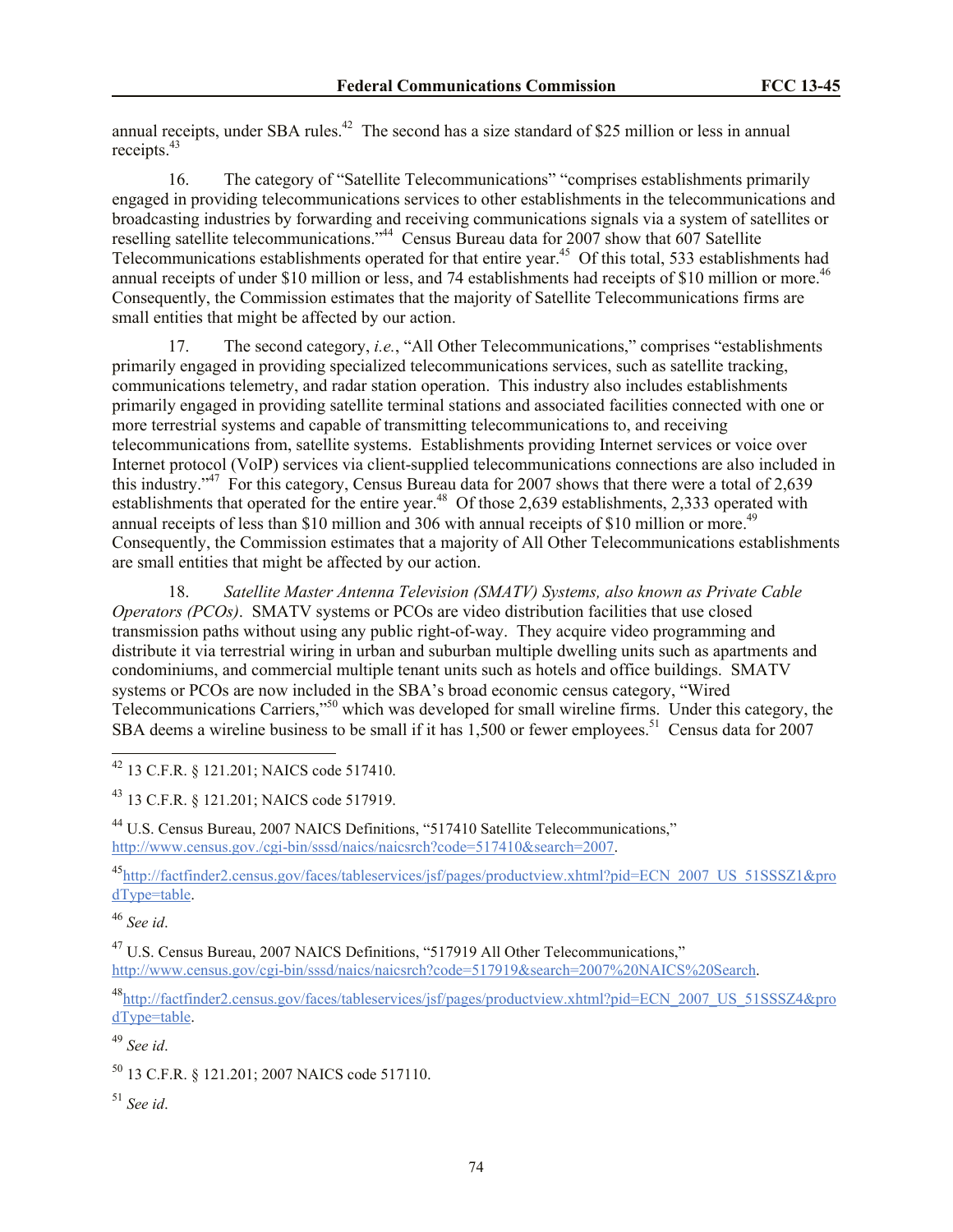annual receipts, under SBA rules.<sup>42</sup> The second has a size standard of \$25 million or less in annual receipts.<sup>43</sup>

16. The category of "Satellite Telecommunications" "comprises establishments primarily engaged in providing telecommunications services to other establishments in the telecommunications and broadcasting industries by forwarding and receiving communications signals via a system of satellites or reselling satellite telecommunications."<sup>44</sup> Census Bureau data for 2007 show that 607 Satellite Telecommunications establishments operated for that entire year.<sup>45</sup> Of this total, 533 establishments had annual receipts of under \$10 million or less, and 74 establishments had receipts of \$10 million or more.<sup>46</sup> Consequently, the Commission estimates that the majority of Satellite Telecommunications firms are small entities that might be affected by our action.

17. The second category, *i.e.*, "All Other Telecommunications," comprises "establishments primarily engaged in providing specialized telecommunications services, such as satellite tracking, communications telemetry, and radar station operation. This industry also includes establishments primarily engaged in providing satellite terminal stations and associated facilities connected with one or more terrestrial systems and capable of transmitting telecommunications to, and receiving telecommunications from, satellite systems. Establishments providing Internet services or voice over Internet protocol (VoIP) services via client-supplied telecommunications connections are also included in this industry."<sup>47</sup> For this category, Census Bureau data for 2007 shows that there were a total of 2,639 establishments that operated for the entire year.<sup>48</sup> Of those 2,639 establishments, 2,333 operated with annual receipts of less than \$10 million and 306 with annual receipts of \$10 million or more.<sup>49</sup> Consequently, the Commission estimates that a majority of All Other Telecommunications establishments are small entities that might be affected by our action.

18. *Satellite Master Antenna Television (SMATV) Systems, also known as Private Cable Operators (PCOs)*. SMATV systems or PCOs are video distribution facilities that use closed transmission paths without using any public right-of-way. They acquire video programming and distribute it via terrestrial wiring in urban and suburban multiple dwelling units such as apartments and condominiums, and commercial multiple tenant units such as hotels and office buildings. SMATV systems or PCOs are now included in the SBA's broad economic census category, "Wired Telecommunications Carriers,"<sup>50</sup> which was developed for small wireline firms. Under this category, the SBA deems a wireline business to be small if it has  $1,500$  or fewer employees.<sup>51</sup> Census data for 2007

<sup>42</sup> 13 C.F.R. § 121.201; NAICS code 517410.

<sup>43</sup> 13 C.F.R. § 121.201; NAICS code 517919.

<sup>44</sup> U.S. Census Bureau, 2007 NAICS Definitions, "517410 Satellite Telecommunications," http://www.census.gov./cgi-bin/sssd/naics/naicsrch?code=517410&search=2007.

<sup>45</sup>http://factfinder2.census.gov/faces/tableservices/jsf/pages/productview.xhtml?pid=ECN\_2007\_US\_51SSSZ1&pro dType=table.

<sup>46</sup> *See id*.

 $\overline{a}$ 

<sup>47</sup> U.S. Census Bureau, 2007 NAICS Definitions, "517919 All Other Telecommunications," http://www.census.gov/cgi-bin/sssd/naics/naicsrch?code=517919&search=2007%20NAICS%20Search.

<sup>48</sup>http://factfinder2.census.gov/faces/tableservices/jsf/pages/productview.xhtml?pid=ECN\_2007\_US\_51SSSZ4&pro dType=table.

<sup>49</sup> *See id*.

<sup>50</sup> 13 C.F.R. § 121.201; 2007 NAICS code 517110.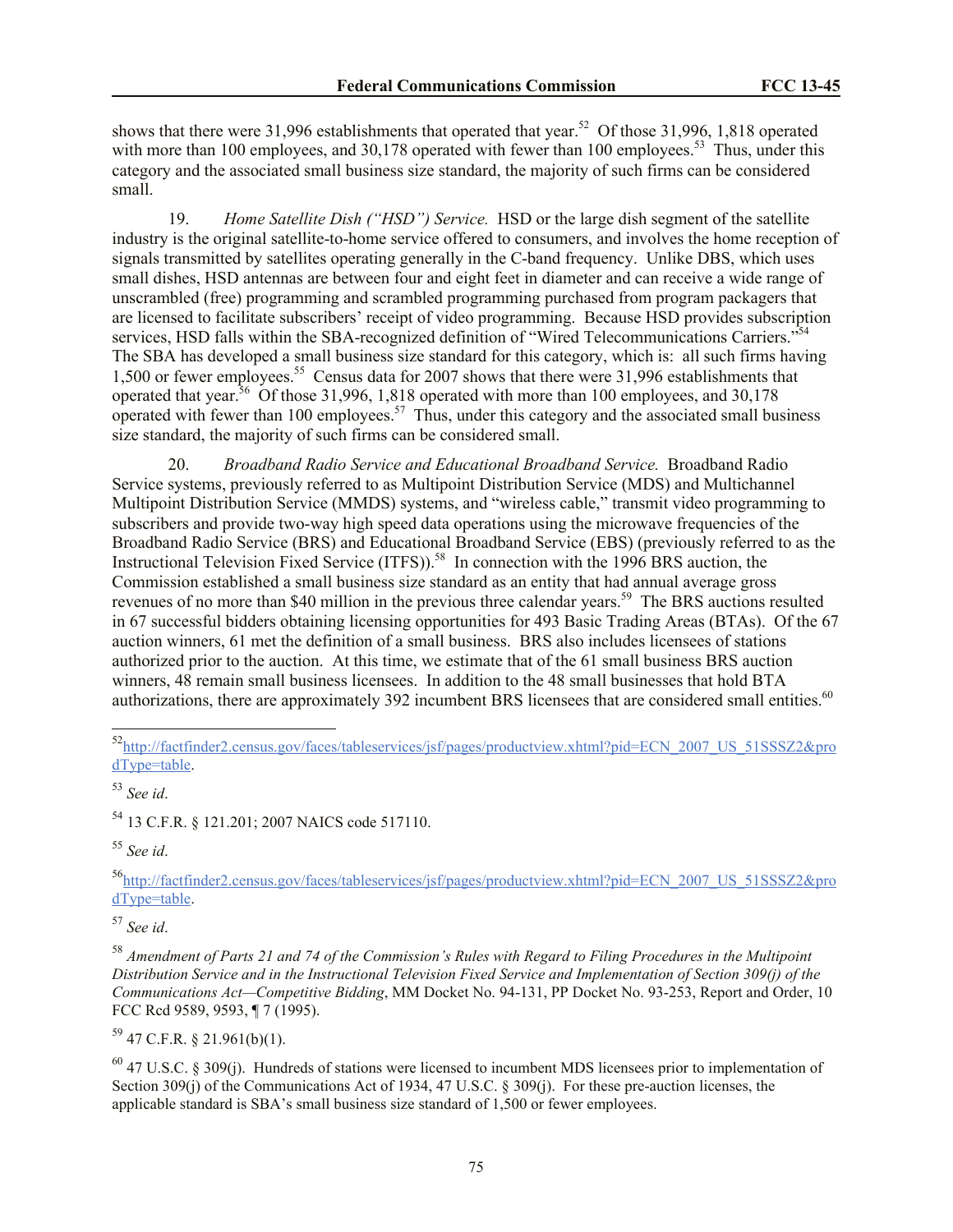shows that there were 31,996 establishments that operated that year.<sup>52</sup> Of those 31,996, 1,818 operated with more than 100 employees, and  $30,178$  operated with fewer than 100 employees.<sup>53</sup> Thus, under this category and the associated small business size standard, the majority of such firms can be considered small.

19. *Home Satellite Dish ("HSD") Service.* HSD or the large dish segment of the satellite industry is the original satellite-to-home service offered to consumers, and involves the home reception of signals transmitted by satellites operating generally in the C-band frequency. Unlike DBS, which uses small dishes, HSD antennas are between four and eight feet in diameter and can receive a wide range of unscrambled (free) programming and scrambled programming purchased from program packagers that are licensed to facilitate subscribers' receipt of video programming. Because HSD provides subscription services, HSD falls within the SBA-recognized definition of "Wired Telecommunications Carriers."<sup>54</sup> The SBA has developed a small business size standard for this category, which is: all such firms having 1,500 or fewer employees.<sup>55</sup> Census data for 2007 shows that there were 31,996 establishments that operated that year.<sup>56</sup> Of those 31,996, 1,818 operated with more than 100 employees, and 30,178 operated with fewer than 100 employees.<sup>57</sup> Thus, under this category and the associated small business size standard, the majority of such firms can be considered small.

20. *Broadband Radio Service and Educational Broadband Service.* Broadband Radio Service systems, previously referred to as Multipoint Distribution Service (MDS) and Multichannel Multipoint Distribution Service (MMDS) systems, and "wireless cable," transmit video programming to subscribers and provide two-way high speed data operations using the microwave frequencies of the Broadband Radio Service (BRS) and Educational Broadband Service (EBS) (previously referred to as the Instructional Television Fixed Service (ITFS)).<sup>58</sup> In connection with the 1996 BRS auction, the Commission established a small business size standard as an entity that had annual average gross revenues of no more than \$40 million in the previous three calendar years.<sup>59</sup> The BRS auctions resulted in 67 successful bidders obtaining licensing opportunities for 493 Basic Trading Areas (BTAs). Of the 67 auction winners, 61 met the definition of a small business. BRS also includes licensees of stations authorized prior to the auction. At this time, we estimate that of the 61 small business BRS auction winners, 48 remain small business licensees. In addition to the 48 small businesses that hold BTA authorizations, there are approximately 392 incumbent BRS licensees that are considered small entities.<sup>60</sup>

 $\overline{a}$ 

<sup>54</sup> 13 C.F.R. § 121.201; 2007 NAICS code 517110.

<sup>55</sup> *See id*.

<sup>56</sup>http://factfinder2.census.gov/faces/tableservices/jsf/pages/productview.xhtml?pid=ECN\_2007\_US\_51SSSZ2&pro dType=table.

<sup>57</sup> *See id*.

 $59$  47 C.F.R. § 21.961(b)(1).

 $^{60}$  47 U.S.C. § 309(j). Hundreds of stations were licensed to incumbent MDS licensees prior to implementation of Section 309(j) of the Communications Act of 1934, 47 U.S.C. § 309(j). For these pre-auction licenses, the applicable standard is SBA's small business size standard of 1,500 or fewer employees.

<sup>52</sup>http://factfinder2.census.gov/faces/tableservices/jsf/pages/productview.xhtml?pid=ECN\_2007\_US\_51SSSZ2&pro dType=table.

<sup>53</sup> *See id*.

<sup>58</sup> *Amendment of Parts 21 and 74 of the Commission's Rules with Regard to Filing Procedures in the Multipoint Distribution Service and in the Instructional Television Fixed Service and Implementation of Section 309(j) of the Communications Act—Competitive Bidding*, MM Docket No. 94-131, PP Docket No. 93-253, Report and Order, 10 FCC Rcd 9589, 9593, ¶ 7 (1995).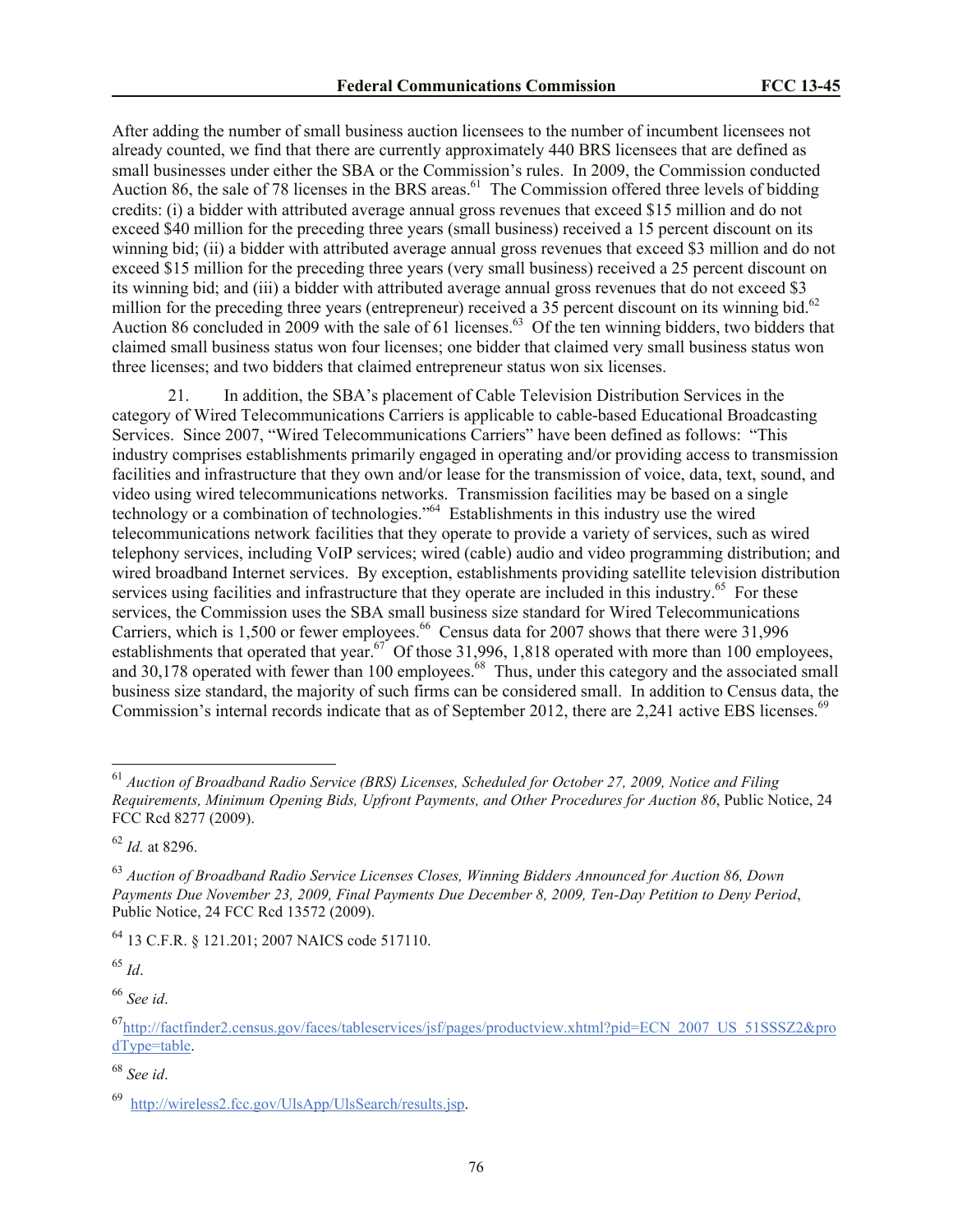After adding the number of small business auction licensees to the number of incumbent licensees not already counted, we find that there are currently approximately 440 BRS licensees that are defined as small businesses under either the SBA or the Commission's rules. In 2009, the Commission conducted Auction 86, the sale of 78 licenses in the BRS areas. $^{61}$  The Commission offered three levels of bidding credits: (i) a bidder with attributed average annual gross revenues that exceed \$15 million and do not exceed \$40 million for the preceding three years (small business) received a 15 percent discount on its winning bid; (ii) a bidder with attributed average annual gross revenues that exceed \$3 million and do not exceed \$15 million for the preceding three years (very small business) received a 25 percent discount on its winning bid; and (iii) a bidder with attributed average annual gross revenues that do not exceed \$3 million for the preceding three years (entrepreneur) received a 35 percent discount on its winning bid.<sup>62</sup> Auction 86 concluded in 2009 with the sale of 61 licenses.<sup>63</sup> Of the ten winning bidders, two bidders that claimed small business status won four licenses; one bidder that claimed very small business status won three licenses; and two bidders that claimed entrepreneur status won six licenses.

21. In addition, the SBA's placement of Cable Television Distribution Services in the category of Wired Telecommunications Carriers is applicable to cable-based Educational Broadcasting Services. Since 2007, "Wired Telecommunications Carriers" have been defined as follows: "This industry comprises establishments primarily engaged in operating and/or providing access to transmission facilities and infrastructure that they own and/or lease for the transmission of voice, data, text, sound, and video using wired telecommunications networks. Transmission facilities may be based on a single technology or a combination of technologies."<sup>64</sup> Establishments in this industry use the wired telecommunications network facilities that they operate to provide a variety of services, such as wired telephony services, including VoIP services; wired (cable) audio and video programming distribution; and wired broadband Internet services. By exception, establishments providing satellite television distribution services using facilities and infrastructure that they operate are included in this industry.<sup>65</sup> For these services, the Commission uses the SBA small business size standard for Wired Telecommunications Carriers, which is 1,500 or fewer employees.<sup>66</sup> Census data for 2007 shows that there were 31,996 establishments that operated that year.<sup>67</sup> Of those 31,996, 1,818 operated with more than 100 employees, and 30,178 operated with fewer than 100 employees.<sup>68</sup> Thus, under this category and the associated small business size standard, the majority of such firms can be considered small. In addition to Census data, the Commission's internal records indicate that as of September 2012, there are 2,241 active EBS licenses.<sup>69</sup>

<sup>64</sup> 13 C.F.R. § 121.201; 2007 NAICS code 517110.

<sup>65</sup> *Id*.

 $\overline{a}$ 

<sup>61</sup> *Auction of Broadband Radio Service (BRS) Licenses, Scheduled for October 27, 2009, Notice and Filing Requirements, Minimum Opening Bids, Upfront Payments, and Other Procedures for Auction 86*, Public Notice, 24 FCC Rcd 8277 (2009).

<sup>62</sup> *Id.* at 8296.

<sup>63</sup> *Auction of Broadband Radio Service Licenses Closes, Winning Bidders Announced for Auction 86, Down Payments Due November 23, 2009, Final Payments Due December 8, 2009, Ten-Day Petition to Deny Period*, Public Notice, 24 FCC Rcd 13572 (2009).

<sup>67</sup>http://factfinder2.census.gov/faces/tableservices/jsf/pages/productview.xhtml?pid=ECN\_2007\_US\_51SSSZ2&pro dType=table.

<sup>68</sup> *See id*.

<sup>&</sup>lt;sup>69</sup> http://wireless2.fcc.gov/UlsApp/UlsSearch/results.jsp.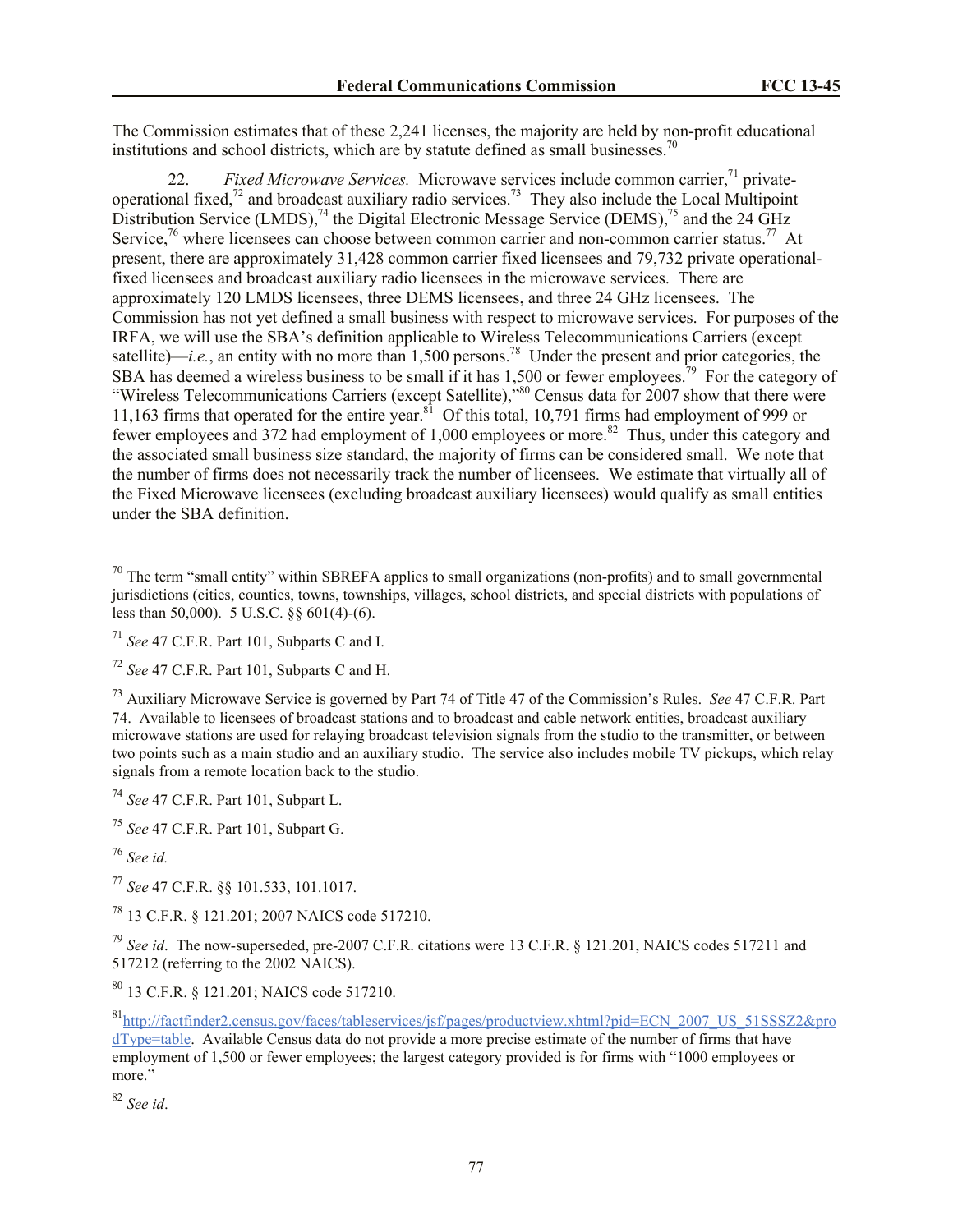The Commission estimates that of these 2,241 licenses, the majority are held by non-profit educational institutions and school districts, which are by statute defined as small businesses.<sup>70</sup>

22. *Fixed Microwave Services.* Microwave services include common carrier,<sup>71</sup> privateoperational fixed,<sup>72</sup> and broadcast auxiliary radio services.<sup>73</sup> They also include the Local Multipoint Distribution Service  $(LMDS)$ ,<sup>74</sup> the Digital Electronic Message Service  $(DEMS)$ ,<sup>75</sup> and the 24 GHz Service,<sup>76</sup> where licensees can choose between common carrier and non-common carrier status.<sup>77</sup> At present, there are approximately 31,428 common carrier fixed licensees and 79,732 private operationalfixed licensees and broadcast auxiliary radio licensees in the microwave services. There are approximately 120 LMDS licensees, three DEMS licensees, and three 24 GHz licensees. The Commission has not yet defined a small business with respect to microwave services. For purposes of the IRFA, we will use the SBA's definition applicable to Wireless Telecommunications Carriers (except satellite)—*i.e.*, an entity with no more than 1,500 persons.<sup>78</sup> Under the present and prior categories, the SBA has deemed a wireless business to be small if it has 1,500 or fewer employees.<sup>79</sup> For the category of "Wireless Telecommunications Carriers (except Satellite),"<sup>80</sup> Census data for 2007 show that there were 11,163 firms that operated for the entire year.<sup>81</sup> Of this total, 10,791 firms had employment of 999 or fewer employees and 372 had employment of 1,000 employees or more.<sup>82</sup> Thus, under this category and the associated small business size standard, the majority of firms can be considered small. We note that the number of firms does not necessarily track the number of licensees. We estimate that virtually all of the Fixed Microwave licensees (excluding broadcast auxiliary licensees) would qualify as small entities under the SBA definition.

<sup>75</sup> *See* 47 C.F.R. Part 101, Subpart G.

 $\overline{a}$ 

<sup>77</sup> *See* 47 C.F.R. §§ 101.533, 101.1017.

<sup>78</sup> 13 C.F.R. § 121.201; 2007 NAICS code 517210.

<sup>79</sup> *See id*. The now-superseded, pre-2007 C.F.R. citations were 13 C.F.R. § 121.201, NAICS codes 517211 and 517212 (referring to the 2002 NAICS).

<sup>80</sup> 13 C.F.R. § 121.201; NAICS code 517210.

 $70$  The term "small entity" within SBREFA applies to small organizations (non-profits) and to small governmental jurisdictions (cities, counties, towns, townships, villages, school districts, and special districts with populations of less than 50,000). 5 U.S.C. §§ 601(4)-(6).

<sup>71</sup> *See* 47 C.F.R. Part 101, Subparts C and I.

<sup>72</sup> *See* 47 C.F.R. Part 101, Subparts C and H.

<sup>73</sup> Auxiliary Microwave Service is governed by Part 74 of Title 47 of the Commission's Rules. *See* 47 C.F.R. Part 74. Available to licensees of broadcast stations and to broadcast and cable network entities, broadcast auxiliary microwave stations are used for relaying broadcast television signals from the studio to the transmitter, or between two points such as a main studio and an auxiliary studio. The service also includes mobile TV pickups, which relay signals from a remote location back to the studio.

<sup>74</sup> *See* 47 C.F.R. Part 101, Subpart L.

<sup>76</sup> *See id.*

<sup>81</sup>http://factfinder2.census.gov/faces/tableservices/jsf/pages/productview.xhtml?pid=ECN\_2007\_US\_51SSSZ2&pro dType=table. Available Census data do not provide a more precise estimate of the number of firms that have employment of 1,500 or fewer employees; the largest category provided is for firms with "1000 employees or more."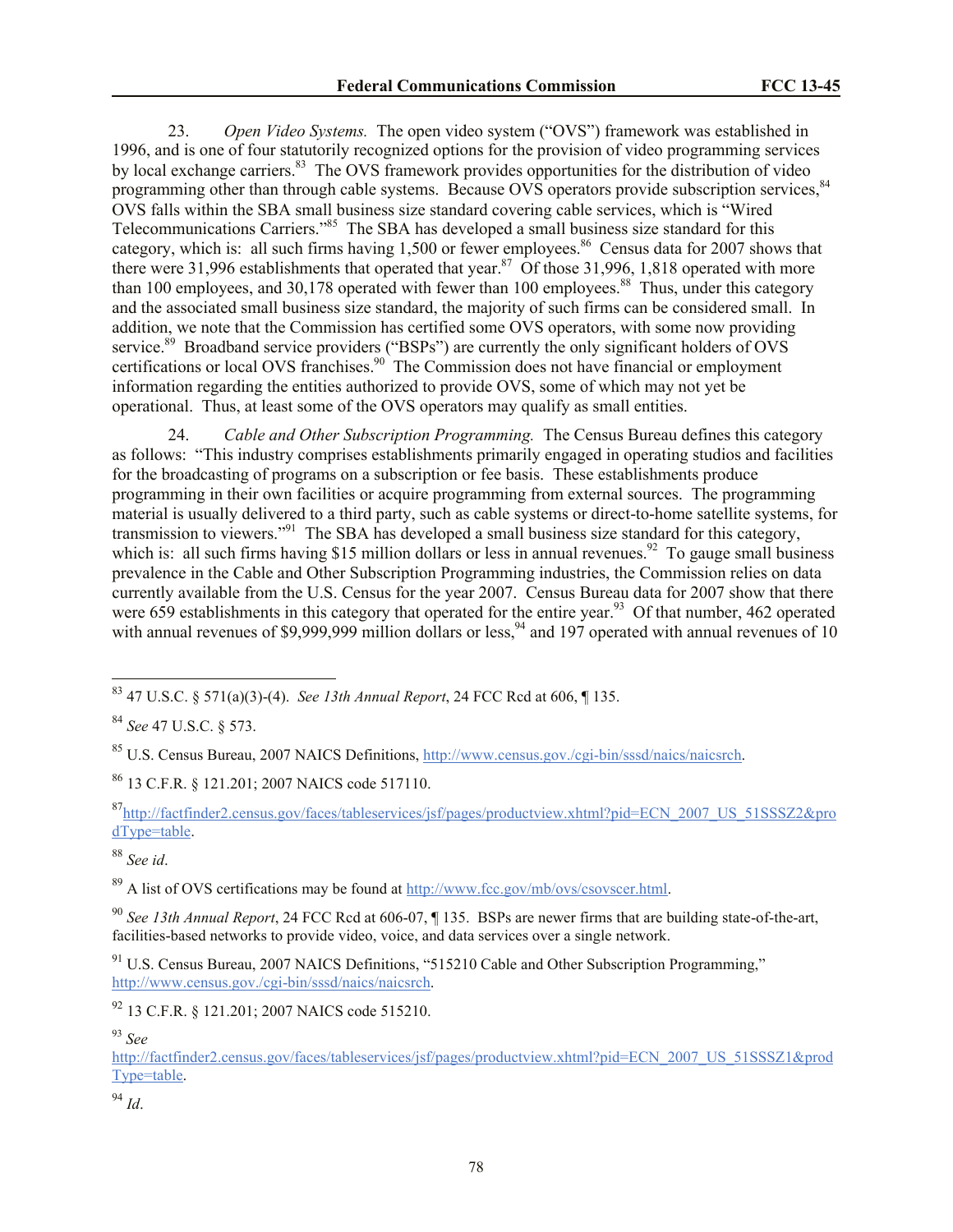23. *Open Video Systems.* The open video system ("OVS") framework was established in 1996, and is one of four statutorily recognized options for the provision of video programming services by local exchange carriers.<sup>83</sup> The OVS framework provides opportunities for the distribution of video programming other than through cable systems. Because OVS operators provide subscription services,<sup>84</sup> OVS falls within the SBA small business size standard covering cable services, which is "Wired Telecommunications Carriers."<sup>85</sup> The SBA has developed a small business size standard for this category, which is: all such firms having  $1,500$  or fewer employees.<sup>86</sup> Census data for 2007 shows that there were 31,996 establishments that operated that year.<sup>87</sup> Of those 31,996, 1,818 operated with more than 100 employees, and 30,178 operated with fewer than 100 employees.<sup>88</sup> Thus, under this category and the associated small business size standard, the majority of such firms can be considered small. In addition, we note that the Commission has certified some OVS operators, with some now providing service.<sup>89</sup> Broadband service providers ("BSPs") are currently the only significant holders of OVS certifications or local OVS franchises.<sup>90</sup> The Commission does not have financial or employment information regarding the entities authorized to provide OVS, some of which may not yet be operational. Thus, at least some of the OVS operators may qualify as small entities.

24. *Cable and Other Subscription Programming.* The Census Bureau defines this category as follows: "This industry comprises establishments primarily engaged in operating studios and facilities for the broadcasting of programs on a subscription or fee basis. These establishments produce programming in their own facilities or acquire programming from external sources. The programming material is usually delivered to a third party, such as cable systems or direct-to-home satellite systems, for transmission to viewers."<sup>91</sup> The SBA has developed a small business size standard for this category, which is: all such firms having \$15 million dollars or less in annual revenues.<sup>92</sup> To gauge small business prevalence in the Cable and Other Subscription Programming industries, the Commission relies on data currently available from the U.S. Census for the year 2007. Census Bureau data for 2007 show that there were 659 establishments in this category that operated for the entire year.<sup>93</sup> Of that number, 462 operated with annual revenues of \$9,999,999 million dollars or less,<sup>94</sup> and 197 operated with annual revenues of 10

<sup>88</sup> *See id*.

 $\overline{a}$ 

<sup>89</sup> A list of OVS certifications may be found at http://www.fcc.gov/mb/ovs/csovscer.html.

<sup>90</sup> *See 13th Annual Report*, 24 FCC Rcd at 606-07, ¶ 135. BSPs are newer firms that are building state-of-the-art, facilities-based networks to provide video, voice, and data services over a single network.

<sup>91</sup> U.S. Census Bureau, 2007 NAICS Definitions, "515210 Cable and Other Subscription Programming," http://www.census.gov./cgi-bin/sssd/naics/naicsrch.

<sup>93</sup> *See* 

http://factfinder2.census.gov/faces/tableservices/jsf/pages/productview.xhtml?pid=ECN\_2007\_US\_51SSSZ1&prod Type=table.

<sup>94</sup> *Id*.

<sup>83</sup> 47 U.S.C. § 571(a)(3)-(4). *See 13th Annual Report*, 24 FCC Rcd at 606, ¶ 135.

<sup>84</sup> *See* 47 U.S.C. § 573.

<sup>85</sup> U.S. Census Bureau, 2007 NAICS Definitions, http://www.census.gov./cgi-bin/sssd/naics/naicsrch.

<sup>86</sup> 13 C.F.R. § 121.201; 2007 NAICS code 517110.

<sup>87</sup>http://factfinder2.census.gov/faces/tableservices/jsf/pages/productview.xhtml?pid=ECN\_2007\_US\_51SSSZ2&pro dType=table.

<sup>92</sup> 13 C.F.R. § 121.201; 2007 NAICS code 515210.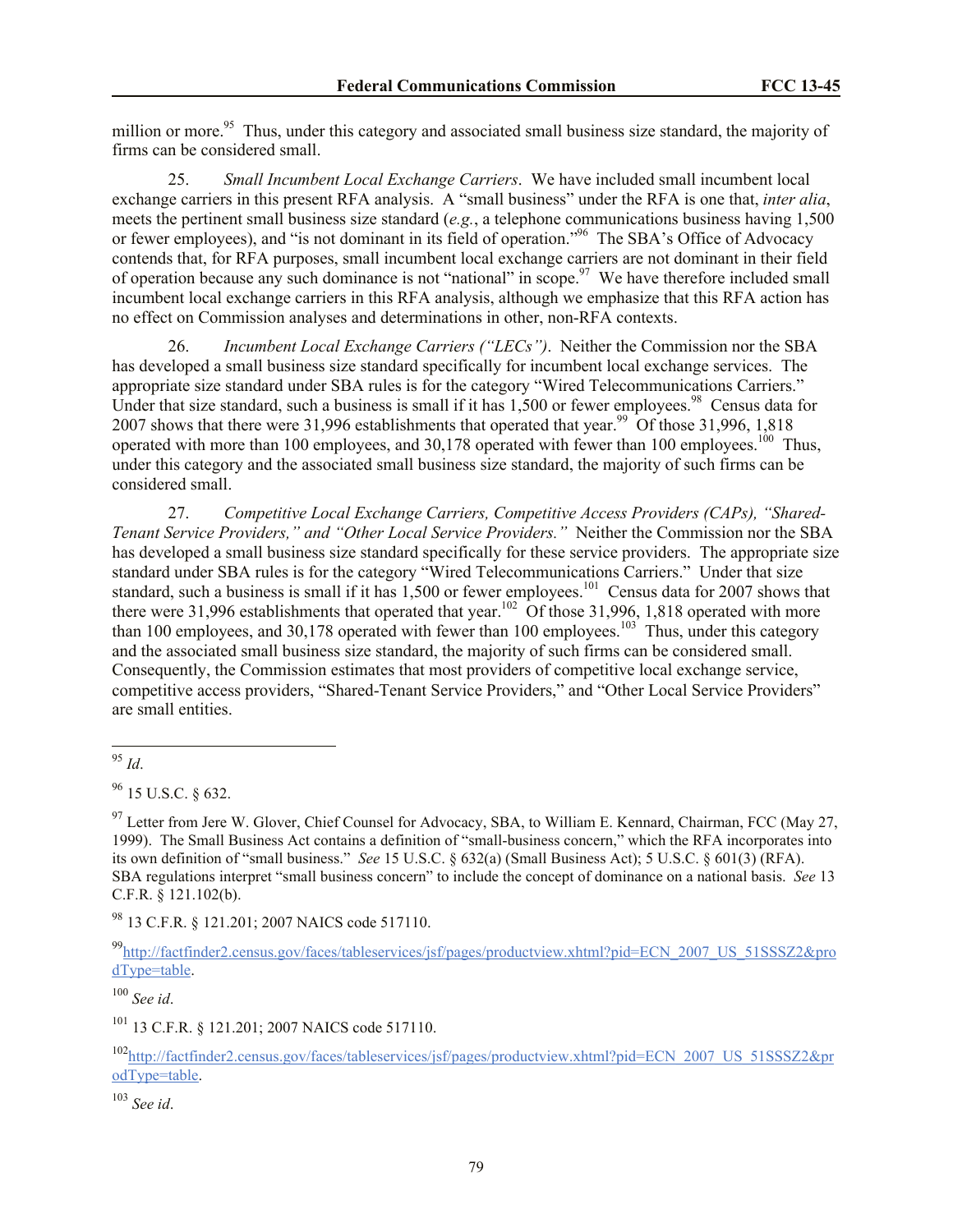million or more.<sup>95</sup> Thus, under this category and associated small business size standard, the majority of firms can be considered small.

25. *Small Incumbent Local Exchange Carriers*. We have included small incumbent local exchange carriers in this present RFA analysis. A "small business" under the RFA is one that, *inter alia*, meets the pertinent small business size standard (*e.g.*, a telephone communications business having 1,500 or fewer employees), and "is not dominant in its field of operation."<sup>96</sup> The SBA's Office of Advocacy contends that, for RFA purposes, small incumbent local exchange carriers are not dominant in their field of operation because any such dominance is not "national" in scope.<sup>97</sup> We have therefore included small incumbent local exchange carriers in this RFA analysis, although we emphasize that this RFA action has no effect on Commission analyses and determinations in other, non-RFA contexts.

26. *Incumbent Local Exchange Carriers ("LECs")*. Neither the Commission nor the SBA has developed a small business size standard specifically for incumbent local exchange services. The appropriate size standard under SBA rules is for the category "Wired Telecommunications Carriers." Under that size standard, such a business is small if it has  $1,500$  or fewer employees.<sup>98</sup> Census data for 2007 shows that there were 31,996 establishments that operated that year.<sup>99</sup> Of those 31,996, 1,818 operated with more than 100 employees, and  $30,178$  operated with fewer than 100 employees.<sup>100</sup> Thus, under this category and the associated small business size standard, the majority of such firms can be considered small.

27. *Competitive Local Exchange Carriers, Competitive Access Providers (CAPs), "Shared-Tenant Service Providers," and "Other Local Service Providers."* Neither the Commission nor the SBA has developed a small business size standard specifically for these service providers. The appropriate size standard under SBA rules is for the category "Wired Telecommunications Carriers." Under that size standard, such a business is small if it has  $1,500$  or fewer employees.<sup>101</sup> Census data for 2007 shows that there were 31,996 establishments that operated that year.<sup>102</sup> Of those 31,996, 1,818 operated with more than 100 employees, and 30,178 operated with fewer than 100 employees.<sup>103</sup> Thus, under this category and the associated small business size standard, the majority of such firms can be considered small. Consequently, the Commission estimates that most providers of competitive local exchange service, competitive access providers, "Shared-Tenant Service Providers," and "Other Local Service Providers" are small entities.

 $96$  15 U.S.C. 8 632.

 $97$  Letter from Jere W. Glover, Chief Counsel for Advocacy, SBA, to William E. Kennard, Chairman, FCC (May 27, 1999). The Small Business Act contains a definition of "small-business concern," which the RFA incorporates into its own definition of "small business." *See* 15 U.S.C. § 632(a) (Small Business Act); 5 U.S.C. § 601(3) (RFA). SBA regulations interpret "small business concern" to include the concept of dominance on a national basis. *See* 13 C.F.R. § 121.102(b).

<sup>98</sup> 13 C.F.R. § 121.201; 2007 NAICS code 517110.

99http://factfinder2.census.gov/faces/tableservices/jsf/pages/productview.xhtml?pid=ECN\_2007\_US\_51SSSZ2&pro dType=table.

<sup>100</sup> *See id*.

<sup>101</sup> 13 C.F.R. § 121.201; 2007 NAICS code 517110.

<sup>102</sup>http://factfinder2.census.gov/faces/tableservices/jsf/pages/productview.xhtml?pid=ECN\_2007\_US\_51SSSZ2&pr odType=table.

l <sup>95</sup> *Id*.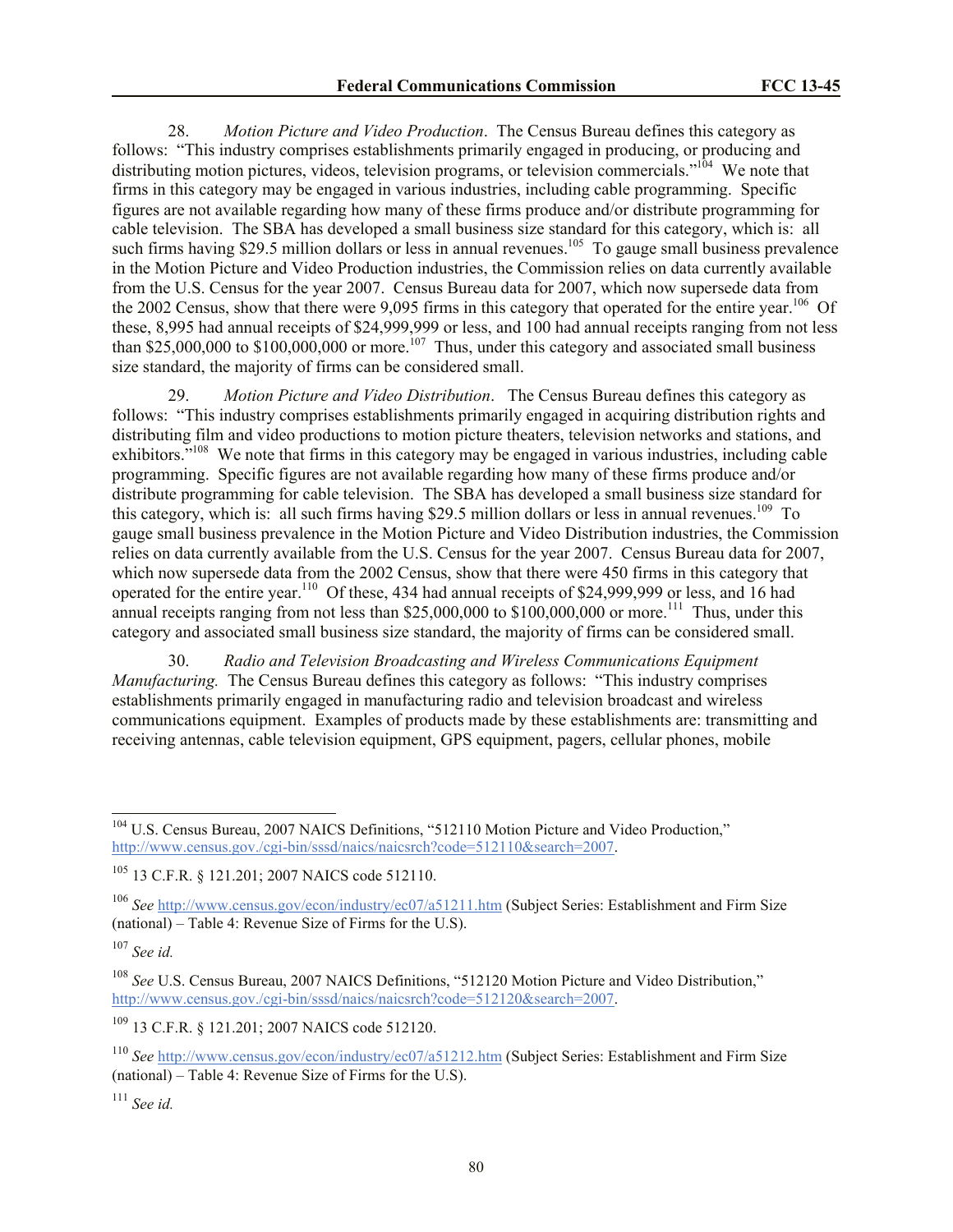28. *Motion Picture and Video Production*. The Census Bureau defines this category as follows: "This industry comprises establishments primarily engaged in producing, or producing and distributing motion pictures, videos, television programs, or television commercials."<sup>104</sup> We note that firms in this category may be engaged in various industries, including cable programming. Specific figures are not available regarding how many of these firms produce and/or distribute programming for cable television. The SBA has developed a small business size standard for this category, which is: all such firms having \$29.5 million dollars or less in annual revenues.<sup>105</sup> To gauge small business prevalence in the Motion Picture and Video Production industries, the Commission relies on data currently available from the U.S. Census for the year 2007. Census Bureau data for 2007, which now supersede data from the 2002 Census, show that there were 9,095 firms in this category that operated for the entire year.<sup>106</sup> Of these, 8,995 had annual receipts of \$24,999,999 or less, and 100 had annual receipts ranging from not less than \$25,000,000 to \$100,000,000 or more.<sup>107</sup> Thus, under this category and associated small business size standard, the majority of firms can be considered small.

29. *Motion Picture and Video Distribution*. The Census Bureau defines this category as follows: "This industry comprises establishments primarily engaged in acquiring distribution rights and distributing film and video productions to motion picture theaters, television networks and stations, and exhibitors."<sup>108</sup> We note that firms in this category may be engaged in various industries, including cable programming. Specific figures are not available regarding how many of these firms produce and/or distribute programming for cable television. The SBA has developed a small business size standard for this category, which is: all such firms having \$29.5 million dollars or less in annual revenues.<sup>109</sup> To gauge small business prevalence in the Motion Picture and Video Distribution industries, the Commission relies on data currently available from the U.S. Census for the year 2007. Census Bureau data for 2007, which now supersede data from the 2002 Census, show that there were 450 firms in this category that operated for the entire year.<sup>110</sup> Of these, 434 had annual receipts of \$24,999,999 or less, and 16 had annual receipts ranging from not less than \$25,000,000 to \$100,000,000 or more.<sup>111</sup> Thus, under this category and associated small business size standard, the majority of firms can be considered small.

30. *Radio and Television Broadcasting and Wireless Communications Equipment Manufacturing.* The Census Bureau defines this category as follows: "This industry comprises establishments primarily engaged in manufacturing radio and television broadcast and wireless communications equipment. Examples of products made by these establishments are: transmitting and receiving antennas, cable television equipment, GPS equipment, pagers, cellular phones, mobile

 $\overline{a}$ 

<sup>109</sup> 13 C.F.R. § 121.201; 2007 NAICS code 512120.

<sup>&</sup>lt;sup>104</sup> U.S. Census Bureau, 2007 NAICS Definitions, "512110 Motion Picture and Video Production," http://www.census.gov./cgi-bin/sssd/naics/naicsrch?code=512110&search=2007.

<sup>105</sup> 13 C.F.R. § 121.201; 2007 NAICS code 512110.

<sup>106</sup> *See* http://www.census.gov/econ/industry/ec07/a51211.htm (Subject Series: Establishment and Firm Size (national) – Table 4: Revenue Size of Firms for the U.S).

<sup>107</sup> *See id.*

<sup>108</sup> *See* U.S. Census Bureau, 2007 NAICS Definitions, "512120 Motion Picture and Video Distribution," http://www.census.gov./cgi-bin/sssd/naics/naicsrch?code=512120&search=2007.

<sup>110</sup> *See* http://www.census.gov/econ/industry/ec07/a51212.htm (Subject Series: Establishment and Firm Size (national) – Table 4: Revenue Size of Firms for the U.S).

<sup>111</sup> *See id.*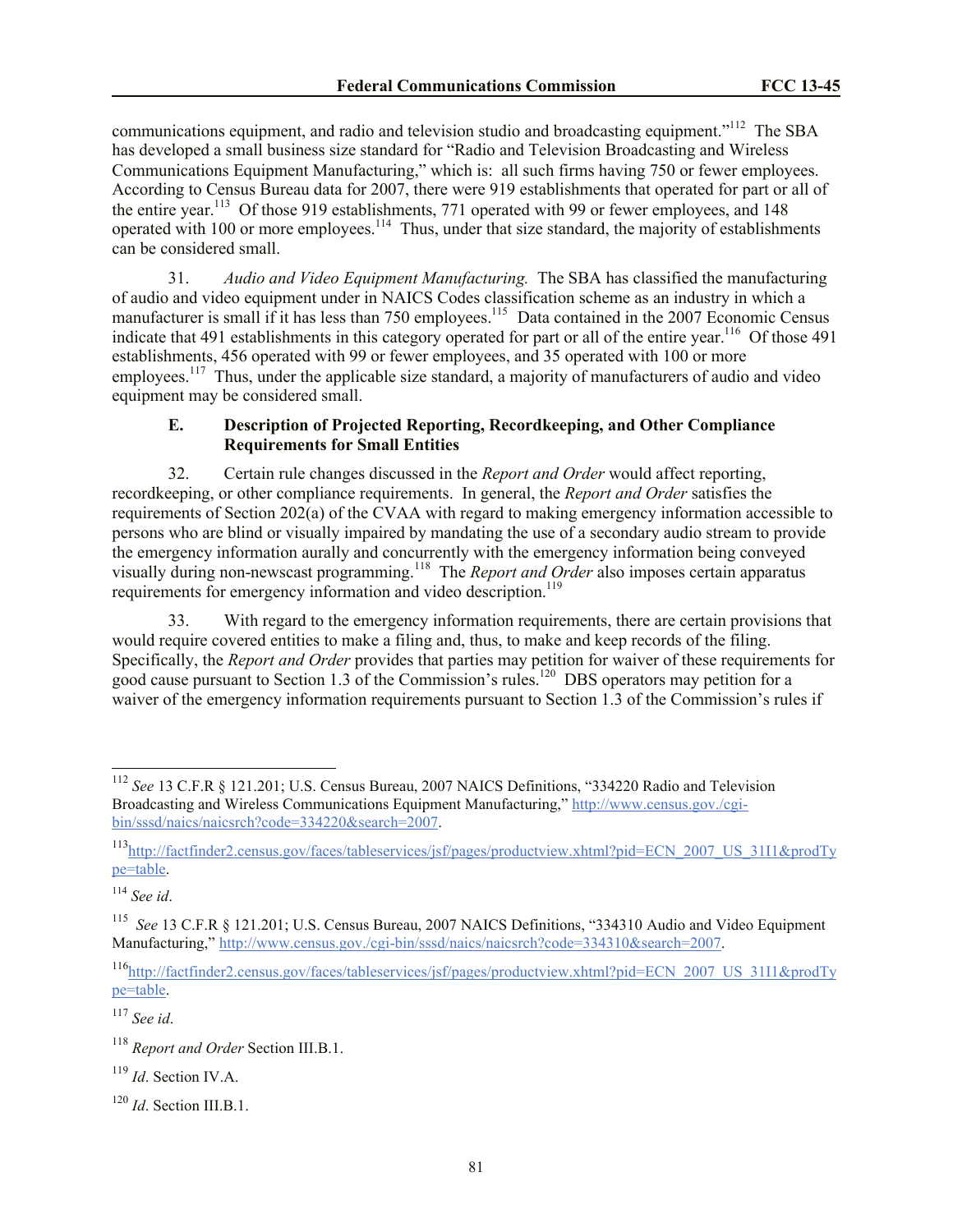communications equipment, and radio and television studio and broadcasting equipment."<sup>112</sup> The SBA has developed a small business size standard for "Radio and Television Broadcasting and Wireless Communications Equipment Manufacturing," which is: all such firms having 750 or fewer employees. According to Census Bureau data for 2007, there were 919 establishments that operated for part or all of the entire year.<sup>113</sup> Of those 919 establishments, 771 operated with 99 or fewer employees, and 148 operated with 100 or more employees.<sup>114</sup> Thus, under that size standard, the majority of establishments can be considered small.

31. *Audio and Video Equipment Manufacturing.* The SBA has classified the manufacturing of audio and video equipment under in NAICS Codes classification scheme as an industry in which a manufacturer is small if it has less than 750 employees.<sup>115</sup> Data contained in the 2007 Economic Census indicate that 491 establishments in this category operated for part or all of the entire year.<sup>116</sup> Of those 491 establishments, 456 operated with 99 or fewer employees, and 35 operated with 100 or more employees.<sup>117</sup> Thus, under the applicable size standard, a majority of manufacturers of audio and video equipment may be considered small.

## **E. Description of Projected Reporting, Recordkeeping, and Other Compliance Requirements for Small Entities**

32. Certain rule changes discussed in the *Report and Order* would affect reporting, recordkeeping, or other compliance requirements. In general, the *Report and Order* satisfies the requirements of Section 202(a) of the CVAA with regard to making emergency information accessible to persons who are blind or visually impaired by mandating the use of a secondary audio stream to provide the emergency information aurally and concurrently with the emergency information being conveyed visually during non-newscast programming.<sup>118</sup> The *Report and Order* also imposes certain apparatus requirements for emergency information and video description.<sup>119</sup>

33. With regard to the emergency information requirements, there are certain provisions that would require covered entities to make a filing and, thus, to make and keep records of the filing. Specifically, the *Report and Order* provides that parties may petition for waiver of these requirements for good cause pursuant to Section 1.3 of the Commission's rules.<sup>120</sup> DBS operators may petition for a waiver of the emergency information requirements pursuant to Section 1.3 of the Commission's rules if

<sup>114</sup> *See id*.

 $\overline{a}$ 

<sup>112</sup> *See* 13 C.F.R § 121.201; U.S. Census Bureau, 2007 NAICS Definitions, "334220 Radio and Television Broadcasting and Wireless Communications Equipment Manufacturing," http://www.census.gov./cgibin/sssd/naics/naicsrch?code=334220&search=2007.

<sup>113</sup>http://factfinder2.census.gov/faces/tableservices/jsf/pages/productview.xhtml?pid=ECN\_2007\_US\_31I1&prodTy pe=table.

<sup>115</sup> *See* 13 C.F.R § 121.201; U.S. Census Bureau, 2007 NAICS Definitions, "334310 Audio and Video Equipment Manufacturing," http://www.census.gov./cgi-bin/sssd/naics/naicsrch?code=334310&search=2007.

<sup>116</sup>http://factfinder2.census.gov/faces/tableservices/jsf/pages/productview.xhtml?pid=ECN\_2007\_US\_31I1&prodTy pe=table.

<sup>118</sup> *Report and Order* Section III.B.1.

<sup>119</sup> *Id*. Section IV.A.

<sup>120</sup> *Id*. Section III.B.1.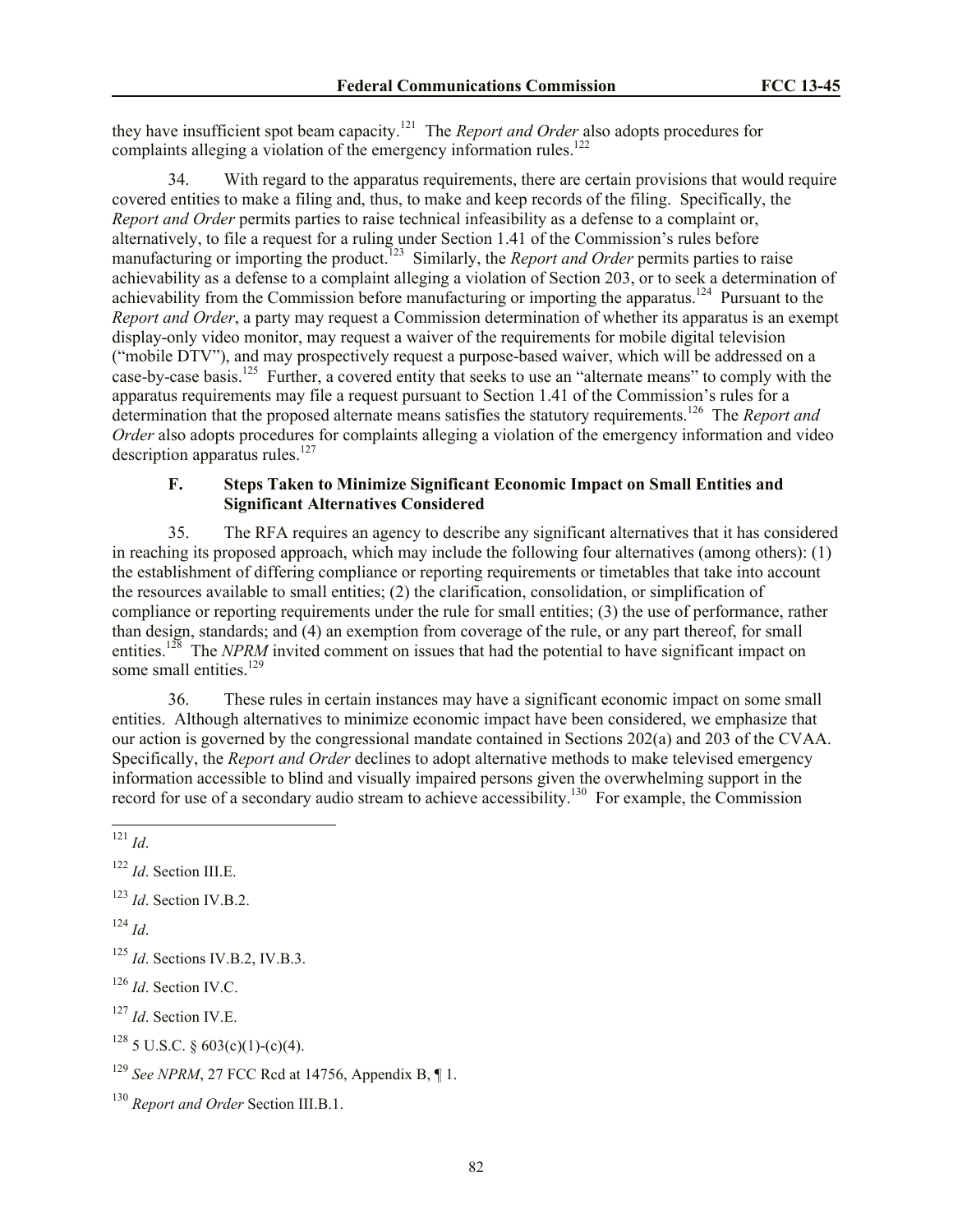they have insufficient spot beam capacity.<sup>121</sup> The *Report and Order* also adopts procedures for complaints alleging a violation of the emergency information rules.<sup>122</sup>

34. With regard to the apparatus requirements, there are certain provisions that would require covered entities to make a filing and, thus, to make and keep records of the filing. Specifically, the *Report and Order* permits parties to raise technical infeasibility as a defense to a complaint or, alternatively, to file a request for a ruling under Section 1.41 of the Commission's rules before manufacturing or importing the product.<sup>123</sup> Similarly, the *Report and Order* permits parties to raise achievability as a defense to a complaint alleging a violation of Section 203, or to seek a determination of achievability from the Commission before manufacturing or importing the apparatus.<sup>124</sup> Pursuant to the *Report and Order*, a party may request a Commission determination of whether its apparatus is an exempt display-only video monitor, may request a waiver of the requirements for mobile digital television ("mobile DTV"), and may prospectively request a purpose-based waiver, which will be addressed on a case-by-case basis.<sup>125</sup> Further, a covered entity that seeks to use an "alternate means" to comply with the apparatus requirements may file a request pursuant to Section 1.41 of the Commission's rules for a determination that the proposed alternate means satisfies the statutory requirements.<sup>126</sup> The *Report and Order* also adopts procedures for complaints alleging a violation of the emergency information and video description apparatus rules.<sup>127</sup>

## **F. Steps Taken to Minimize Significant Economic Impact on Small Entities and Significant Alternatives Considered**

35. The RFA requires an agency to describe any significant alternatives that it has considered in reaching its proposed approach, which may include the following four alternatives (among others): (1) the establishment of differing compliance or reporting requirements or timetables that take into account the resources available to small entities; (2) the clarification, consolidation, or simplification of compliance or reporting requirements under the rule for small entities; (3) the use of performance, rather than design, standards; and (4) an exemption from coverage of the rule, or any part thereof, for small entities.<sup>128</sup> The *NPRM* invited comment on issues that had the potential to have significant impact on some small entities.<sup>129</sup>

36. These rules in certain instances may have a significant economic impact on some small entities. Although alternatives to minimize economic impact have been considered, we emphasize that our action is governed by the congressional mandate contained in Sections 202(a) and 203 of the CVAA. Specifically, the *Report and Order* declines to adopt alternative methods to make televised emergency information accessible to blind and visually impaired persons given the overwhelming support in the record for use of a secondary audio stream to achieve accessibility.<sup>130</sup> For example, the Commission

 $124$  *Id*.

<sup>127</sup> *Id*. Section IV.E.

 $128$  5 U.S.C. § 603(c)(1)-(c)(4).

 $\overline{a}$ <sup>121</sup> *Id*.

<sup>122</sup> *Id*. Section III.E.

<sup>123</sup> *Id*. Section IV.B.2.

<sup>125</sup> *Id*. Sections IV.B.2, IV.B.3.

<sup>126</sup> *Id*. Section IV.C.

<sup>129</sup> *See NPRM*, 27 FCC Rcd at 14756, Appendix B, ¶ 1.

<sup>130</sup> *Report and Order* Section III.B.1.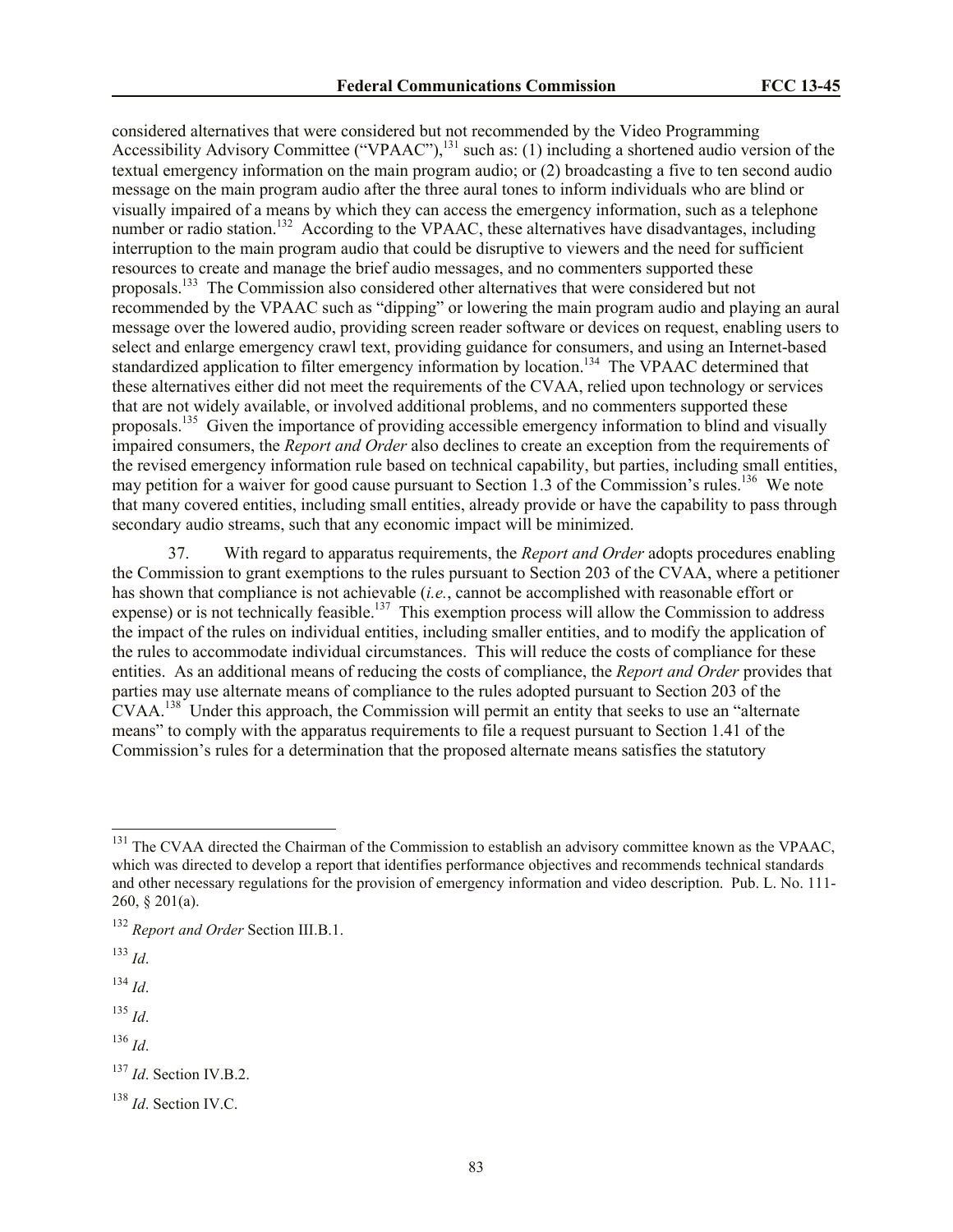considered alternatives that were considered but not recommended by the Video Programming Accessibility Advisory Committee ("VPAAC"),<sup>131</sup> such as: (1) including a shortened audio version of the textual emergency information on the main program audio; or (2) broadcasting a five to ten second audio message on the main program audio after the three aural tones to inform individuals who are blind or visually impaired of a means by which they can access the emergency information, such as a telephone number or radio station.<sup>132</sup> According to the VPAAC, these alternatives have disadvantages, including interruption to the main program audio that could be disruptive to viewers and the need for sufficient resources to create and manage the brief audio messages, and no commenters supported these proposals.<sup>133</sup> The Commission also considered other alternatives that were considered but not recommended by the VPAAC such as "dipping" or lowering the main program audio and playing an aural message over the lowered audio, providing screen reader software or devices on request, enabling users to select and enlarge emergency crawl text, providing guidance for consumers, and using an Internet-based standardized application to filter emergency information by location.<sup>134</sup> The VPAAC determined that these alternatives either did not meet the requirements of the CVAA, relied upon technology or services that are not widely available, or involved additional problems, and no commenters supported these proposals.<sup>135</sup> Given the importance of providing accessible emergency information to blind and visually impaired consumers, the *Report and Order* also declines to create an exception from the requirements of the revised emergency information rule based on technical capability, but parties, including small entities, may petition for a waiver for good cause pursuant to Section 1.3 of the Commission's rules.<sup>136</sup> We note that many covered entities, including small entities, already provide or have the capability to pass through secondary audio streams, such that any economic impact will be minimized.

37. With regard to apparatus requirements, the *Report and Order* adopts procedures enabling the Commission to grant exemptions to the rules pursuant to Section 203 of the CVAA, where a petitioner has shown that compliance is not achievable (*i.e.*, cannot be accomplished with reasonable effort or expense) or is not technically feasible.<sup>137</sup> This exemption process will allow the Commission to address the impact of the rules on individual entities, including smaller entities, and to modify the application of the rules to accommodate individual circumstances. This will reduce the costs of compliance for these entities. As an additional means of reducing the costs of compliance, the *Report and Order* provides that parties may use alternate means of compliance to the rules adopted pursuant to Section 203 of the  $\text{CVAA}.^{138}$  Under this approach, the Commission will permit an entity that seeks to use an "alternate" means" to comply with the apparatus requirements to file a request pursuant to Section 1.41 of the Commission's rules for a determination that the proposed alternate means satisfies the statutory

 $\overline{a}$ 

<sup>134</sup> *Id*.

<sup>135</sup> *Id*.

<sup>136</sup> *Id*.

 $131$  The CVAA directed the Chairman of the Commission to establish an advisory committee known as the VPAAC, which was directed to develop a report that identifies performance objectives and recommends technical standards and other necessary regulations for the provision of emergency information and video description. Pub. L. No. 111- 260, § 201(a).

<sup>132</sup> *Report and Order* Section III.B.1.

<sup>133</sup> *Id*.

<sup>137</sup> *Id*. Section IV.B.2.

<sup>138</sup> *Id*. Section IV.C.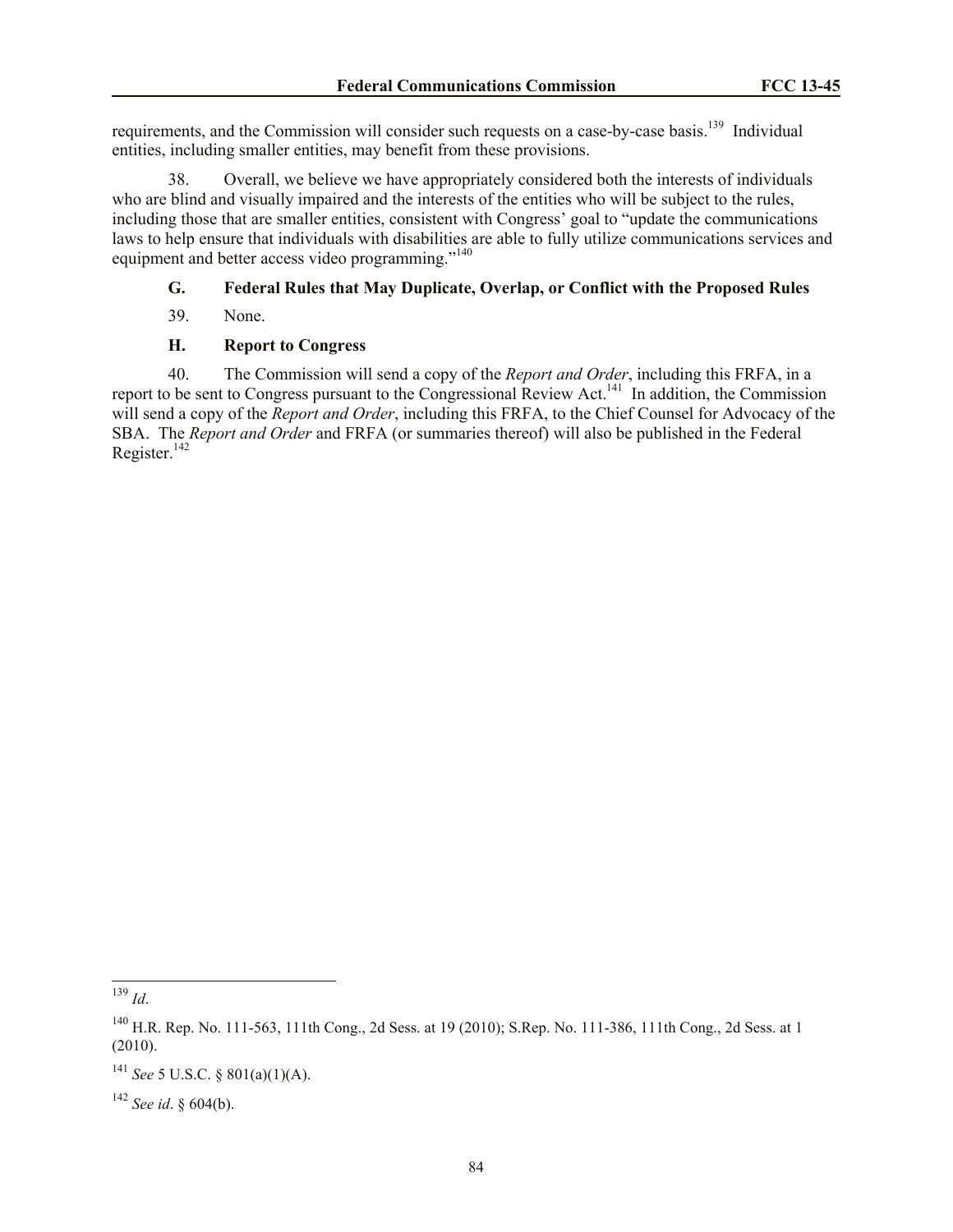requirements, and the Commission will consider such requests on a case-by-case basis.<sup>139</sup> Individual entities, including smaller entities, may benefit from these provisions.

38. Overall, we believe we have appropriately considered both the interests of individuals who are blind and visually impaired and the interests of the entities who will be subject to the rules, including those that are smaller entities, consistent with Congress' goal to "update the communications laws to help ensure that individuals with disabilities are able to fully utilize communications services and equipment and better access video programming."<sup>140</sup>

# **G. Federal Rules that May Duplicate, Overlap, or Conflict with the Proposed Rules**

39. None.

## **H. Report to Congress**

40. The Commission will send a copy of the *Report and Order*, including this FRFA, in a report to be sent to Congress pursuant to the Congressional Review Act.<sup>141</sup> In addition, the Commission will send a copy of the *Report and Order*, including this FRFA, to the Chief Counsel for Advocacy of the SBA. The *Report and Order* and FRFA (or summaries thereof) will also be published in the Federal Register. $142$ 

l

<sup>139</sup> *Id*.

 $^{140}$  H.R. Rep. No. 111-563, 111th Cong., 2d Sess. at 19 (2010); S.Rep. No. 111-386, 111th Cong., 2d Sess. at 1 (2010).

<sup>141</sup> *See* 5 U.S.C. § 801(a)(1)(A).

<sup>142</sup> *See id*. § 604(b).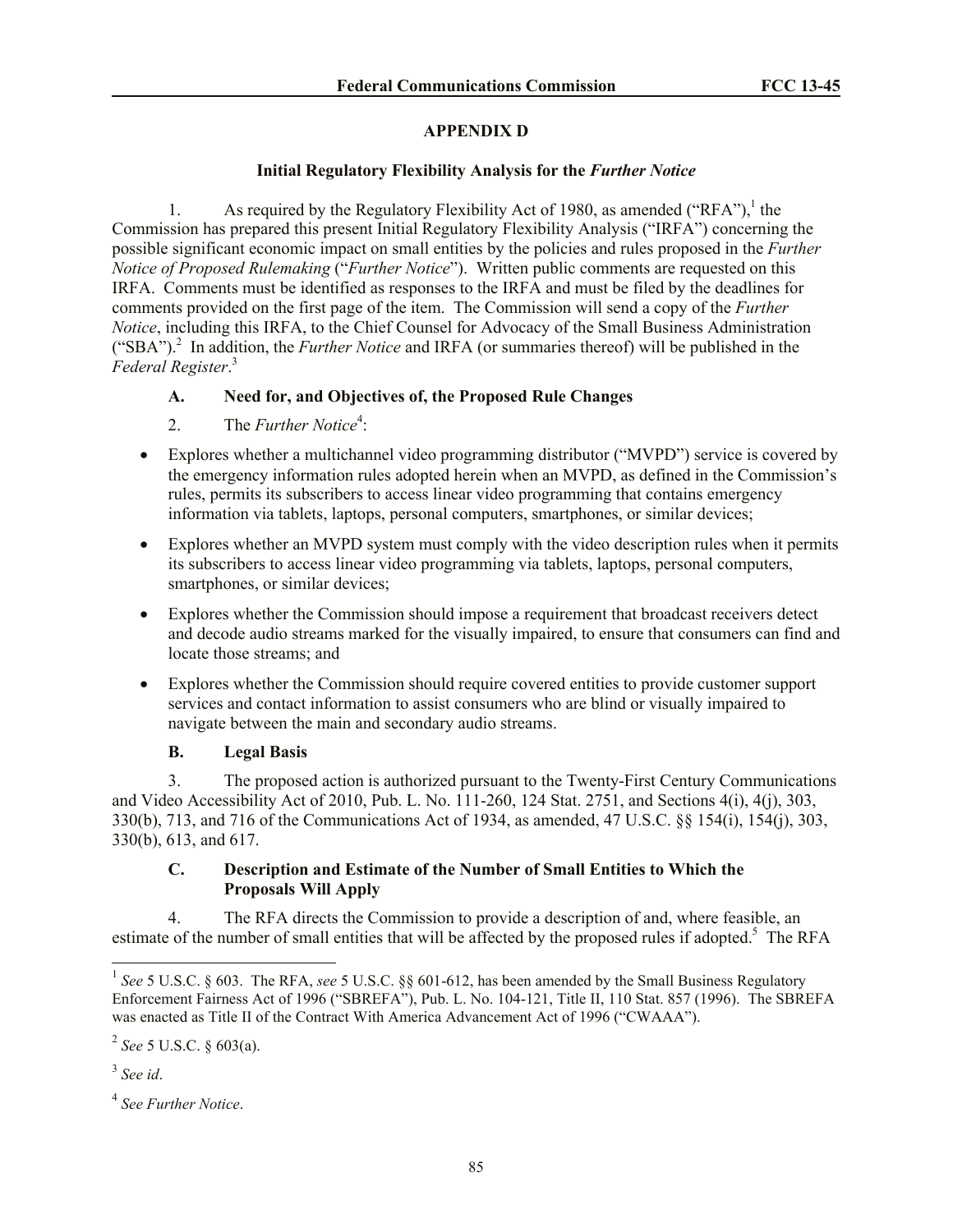# **APPENDIX D**

# **Initial Regulatory Flexibility Analysis for the** *Further Notice*

1. As required by the Regulatory Flexibility Act of 1980, as amended ("RFA"),<sup>1</sup> the Commission has prepared this present Initial Regulatory Flexibility Analysis ("IRFA") concerning the possible significant economic impact on small entities by the policies and rules proposed in the *Further Notice of Proposed Rulemaking* ("*Further Notice*"). Written public comments are requested on this IRFA. Comments must be identified as responses to the IRFA and must be filed by the deadlines for comments provided on the first page of the item. The Commission will send a copy of the *Further Notice*, including this IRFA, to the Chief Counsel for Advocacy of the Small Business Administration ("SBA").<sup>2</sup> In addition, the *Further Notice* and IRFA (or summaries thereof) will be published in the *Federal Register*. 3

# **A. Need for, and Objectives of, the Proposed Rule Changes**

- 2. The *Further Notice*<sup>4</sup>:
- Explores whether a multichannel video programming distributor ("MVPD") service is covered by the emergency information rules adopted herein when an MVPD, as defined in the Commission's rules, permits its subscribers to access linear video programming that contains emergency information via tablets, laptops, personal computers, smartphones, or similar devices;
- Explores whether an MVPD system must comply with the video description rules when it permits its subscribers to access linear video programming via tablets, laptops, personal computers, smartphones, or similar devices;
- Explores whether the Commission should impose a requirement that broadcast receivers detect and decode audio streams marked for the visually impaired, to ensure that consumers can find and locate those streams; and
- Explores whether the Commission should require covered entities to provide customer support services and contact information to assist consumers who are blind or visually impaired to navigate between the main and secondary audio streams.

# **B. Legal Basis**

3. The proposed action is authorized pursuant to the Twenty-First Century Communications and Video Accessibility Act of 2010, Pub. L. No. 111-260, 124 Stat. 2751, and Sections 4(i), 4(j), 303, 330(b), 713, and 716 of the Communications Act of 1934, as amended, 47 U.S.C. §§ 154(i), 154(j), 303, 330(b), 613, and 617.

# **C. Description and Estimate of the Number of Small Entities to Which the Proposals Will Apply**

4. The RFA directs the Commission to provide a description of and, where feasible, an estimate of the number of small entities that will be affected by the proposed rules if adopted.<sup>5</sup> The RFA

 $\overline{a}$ 

<sup>&</sup>lt;sup>1</sup> See 5 U.S.C. § 603. The RFA, see 5 U.S.C. §§ 601-612, has been amended by the Small Business Regulatory Enforcement Fairness Act of 1996 ("SBREFA"), Pub. L. No. 104-121, Title II, 110 Stat. 857 (1996). The SBREFA was enacted as Title II of the Contract With America Advancement Act of 1996 ("CWAAA").

<sup>2</sup> *See* 5 U.S.C. § 603(a).

<sup>3</sup> *See id*.

<sup>4</sup> *See Further Notice*.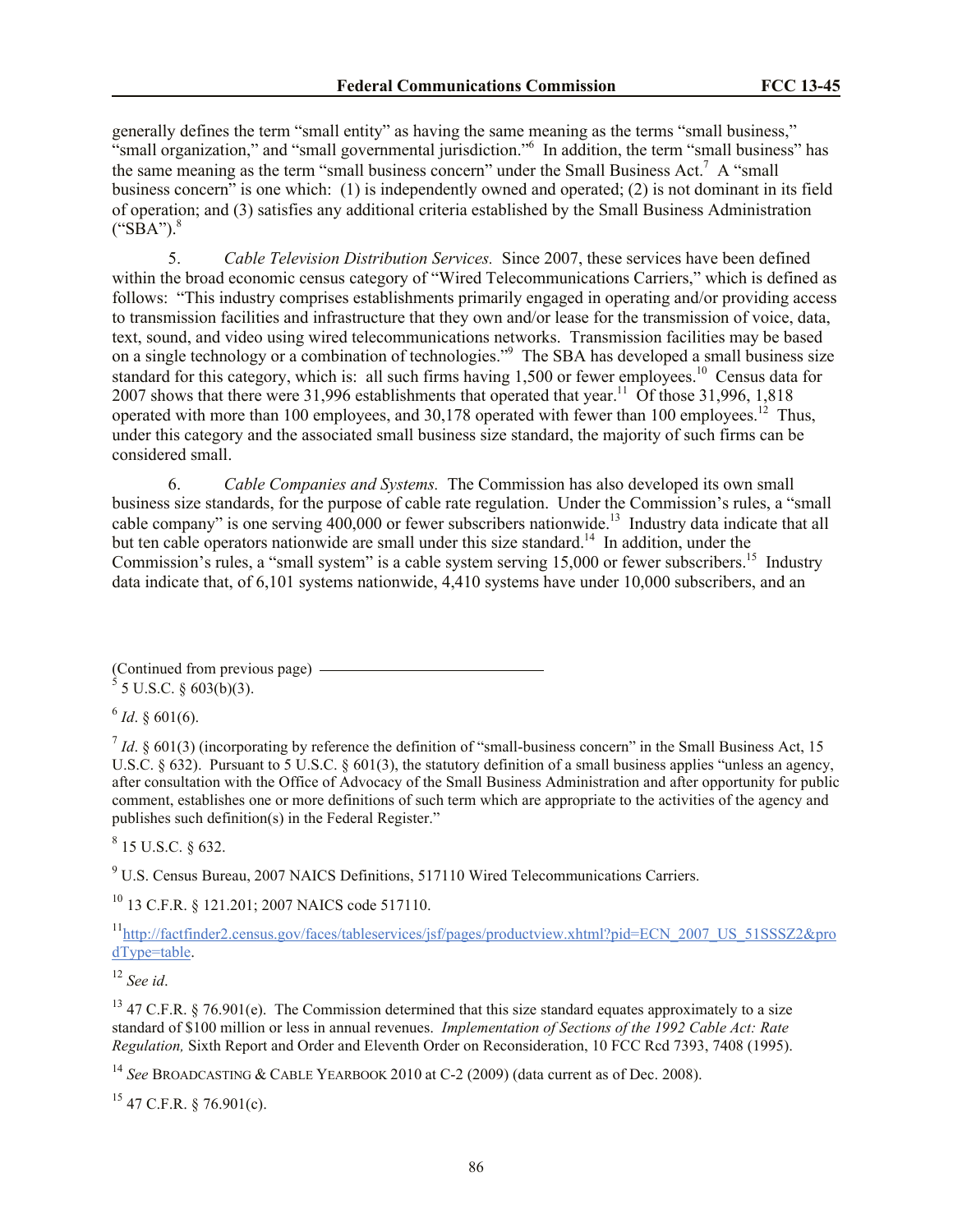generally defines the term "small entity" as having the same meaning as the terms "small business," "small organization," and "small governmental jurisdiction."<sup>6</sup> In addition, the term "small business" has the same meaning as the term "small business concern" under the Small Business Act.<sup>7</sup> A "small business concern" is one which: (1) is independently owned and operated; (2) is not dominant in its field of operation; and (3) satisfies any additional criteria established by the Small Business Administration  $("SBA")$ .

5. *Cable Television Distribution Services.* Since 2007, these services have been defined within the broad economic census category of "Wired Telecommunications Carriers," which is defined as follows: "This industry comprises establishments primarily engaged in operating and/or providing access to transmission facilities and infrastructure that they own and/or lease for the transmission of voice, data, text, sound, and video using wired telecommunications networks. Transmission facilities may be based on a single technology or a combination of technologies."<sup>9</sup> The SBA has developed a small business size standard for this category, which is: all such firms having  $1,500$  or fewer employees.<sup>10</sup> Census data for 2007 shows that there were 31,996 establishments that operated that year.<sup>11</sup> Of those 31,996, 1,818 operated with more than 100 employees, and  $30,178$  operated with fewer than 100 employees.<sup>12</sup> Thus, under this category and the associated small business size standard, the majority of such firms can be considered small.

6. *Cable Companies and Systems.* The Commission has also developed its own small business size standards, for the purpose of cable rate regulation. Under the Commission's rules, a "small cable company" is one serving  $400,000$  or fewer subscribers nationwide.<sup>13</sup> Industry data indicate that all but ten cable operators nationwide are small under this size standard.<sup>14</sup> In addition, under the Commission's rules, a "small system" is a cable system serving 15,000 or fewer subscribers.<sup>15</sup> Industry data indicate that, of 6,101 systems nationwide, 4,410 systems have under 10,000 subscribers, and an

(Continued from previous page)  $5$  5 U.S.C. § 603(b)(3).

 $^{6}$  *Id.* § 601(6).

 $<sup>7</sup>$  *Id*. § 601(3) (incorporating by reference the definition of "small-business concern" in the Small Business Act, 15</sup> U.S.C.  $\S 632$ ). Pursuant to 5 U.S.C.  $\S 601(3)$ , the statutory definition of a small business applies "unless an agency, after consultation with the Office of Advocacy of the Small Business Administration and after opportunity for public comment, establishes one or more definitions of such term which are appropriate to the activities of the agency and publishes such definition(s) in the Federal Register."

 $8$  15 U.S.C. § 632.

 $9\,\mathrm{U.S.}$  Census Bureau, 2007 NAICS Definitions, 517110 Wired Telecommunications Carriers.

<sup>10</sup> 13 C.F.R. § 121.201; 2007 NAICS code 517110.

<sup>11</sup>http://factfinder2.census.gov/faces/tableservices/jsf/pages/productview.xhtml?pid=ECN\_2007\_US\_51SSSZ2&pro dType=table.

<sup>12</sup> *See id*.

<sup>13</sup> 47 C.F.R. § 76.901(e). The Commission determined that this size standard equates approximately to a size standard of \$100 million or less in annual revenues. *Implementation of Sections of the 1992 Cable Act: Rate Regulation,* Sixth Report and Order and Eleventh Order on Reconsideration, 10 FCC Rcd 7393, 7408 (1995).

<sup>14</sup> *See* BROADCASTING & CABLE YEARBOOK 2010 at C-2 (2009) (data current as of Dec. 2008).

 $15$  47 C.F.R. § 76.901(c).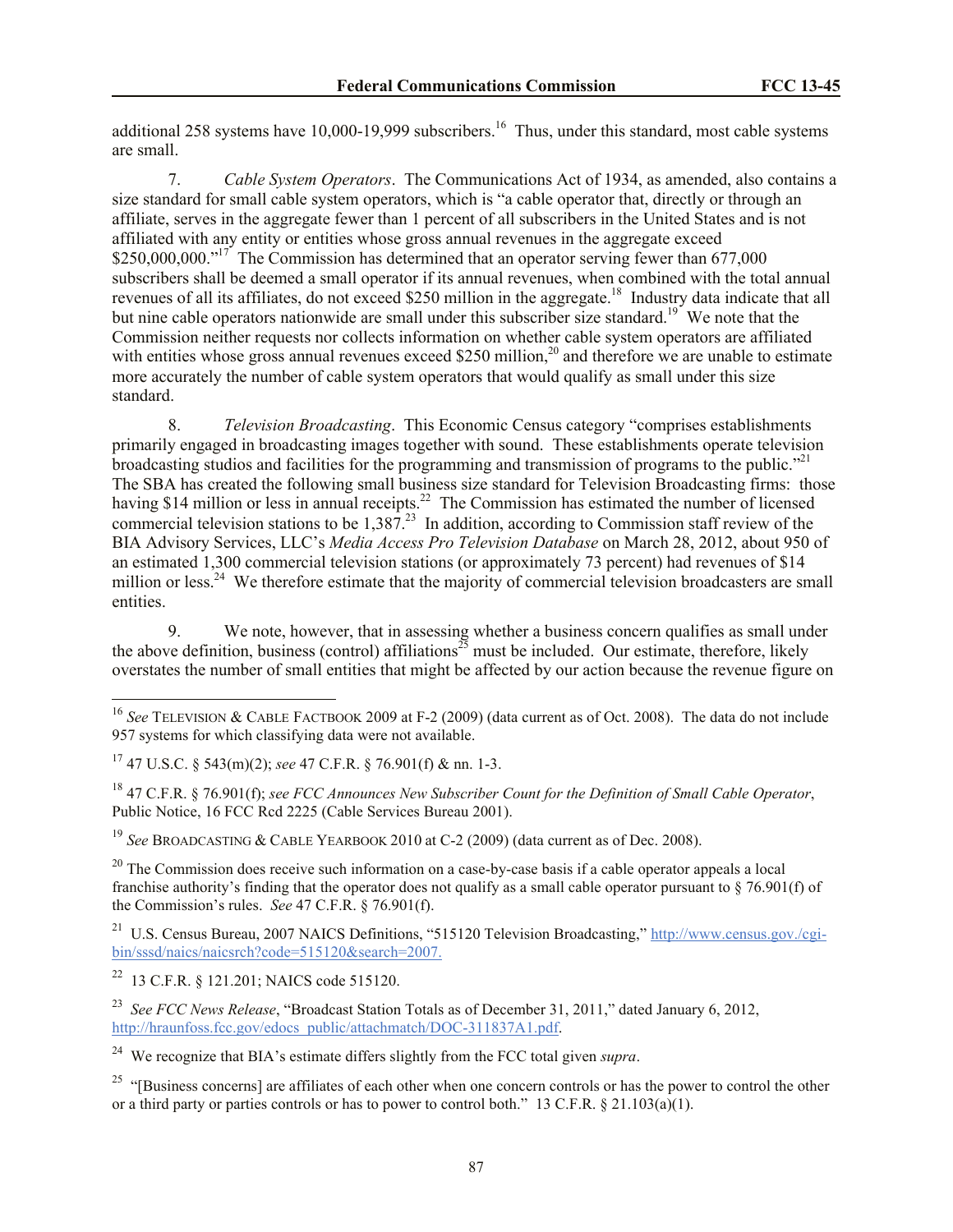additional 258 systems have 10,000-19,999 subscribers.<sup>16</sup> Thus, under this standard, most cable systems are small.

7. *Cable System Operators*.The Communications Act of 1934, as amended, also contains a size standard for small cable system operators, which is "a cable operator that, directly or through an affiliate, serves in the aggregate fewer than 1 percent of all subscribers in the United States and is not affiliated with any entity or entities whose gross annual revenues in the aggregate exceed \$250,000,000."<sup>17</sup> The Commission has determined that an operator serving fewer than 677,000 subscribers shall be deemed a small operator if its annual revenues, when combined with the total annual revenues of all its affiliates, do not exceed \$250 million in the aggregate.<sup>18</sup> Industry data indicate that all but nine cable operators nationwide are small under this subscriber size standard.<sup>19</sup> We note that the Commission neither requests nor collects information on whether cable system operators are affiliated with entities whose gross annual revenues exceed \$250 million,<sup>20</sup> and therefore we are unable to estimate more accurately the number of cable system operators that would qualify as small under this size standard.

8. *Television Broadcasting*. This Economic Census category "comprises establishments primarily engaged in broadcasting images together with sound. These establishments operate television broadcasting studios and facilities for the programming and transmission of programs to the public."<sup>21</sup> The SBA has created the following small business size standard for Television Broadcasting firms: those having \$14 million or less in annual receipts.<sup>22</sup> The Commission has estimated the number of licensed commercial television stations to be  $1,387<sup>23</sup>$  In addition, according to Commission staff review of the BIA Advisory Services, LLC's *Media Access Pro Television Database* on March 28, 2012, about 950 of an estimated 1,300 commercial television stations (or approximately 73 percent) had revenues of \$14 million or less.<sup>24</sup> We therefore estimate that the majority of commercial television broadcasters are small entities.

9. We note, however, that in assessing whether a business concern qualifies as small under the above definition, business (control) affiliations<sup>25</sup> must be included. Our estimate, therefore, likely overstates the number of small entities that might be affected by our action because the revenue figure on

<sup>19</sup> *See* BROADCASTING & CABLE YEARBOOK 2010 at C-2 (2009) (data current as of Dec. 2008).

 $\overline{a}$ 

<sup>16</sup> *See* TELEVISION & CABLE FACTBOOK 2009 at F-2 (2009) (data current as of Oct. 2008). The data do not include 957 systems for which classifying data were not available.

<sup>17</sup> 47 U.S.C. § 543(m)(2); *see* 47 C.F.R. § 76.901(f) & nn. 1-3.

<sup>18</sup> 47 C.F.R. § 76.901(f); *see FCC Announces New Subscriber Count for the Definition of Small Cable Operator*, Public Notice, 16 FCC Rcd 2225 (Cable Services Bureau 2001).

 $20$  The Commission does receive such information on a case-by-case basis if a cable operator appeals a local franchise authority's finding that the operator does not qualify as a small cable operator pursuant to  $\S$  76.901(f) of the Commission's rules. *See* 47 C.F.R. § 76.901(f).

<sup>&</sup>lt;sup>21</sup> U.S. Census Bureau, 2007 NAICS Definitions, "515120 Television Broadcasting," http://www.census.gov./cgibin/sssd/naics/naicsrch?code=515120&search=2007.

<sup>22</sup> 13 C.F.R. § 121.201; NAICS code 515120.

<sup>23</sup> *See FCC News Release*, "Broadcast Station Totals as of December 31, 2011," dated January 6, 2012, http://hraunfoss.fcc.gov/edocs\_public/attachmatch/DOC-311837A1.pdf.

<sup>&</sup>lt;sup>24</sup> We recognize that BIA's estimate differs slightly from the FCC total given *supra*.

<sup>&</sup>lt;sup>25</sup> "[Business concerns] are affiliates of each other when one concern controls or has the power to control the other or a third party or parties controls or has to power to control both." 13 C.F.R. § 21.103(a)(1).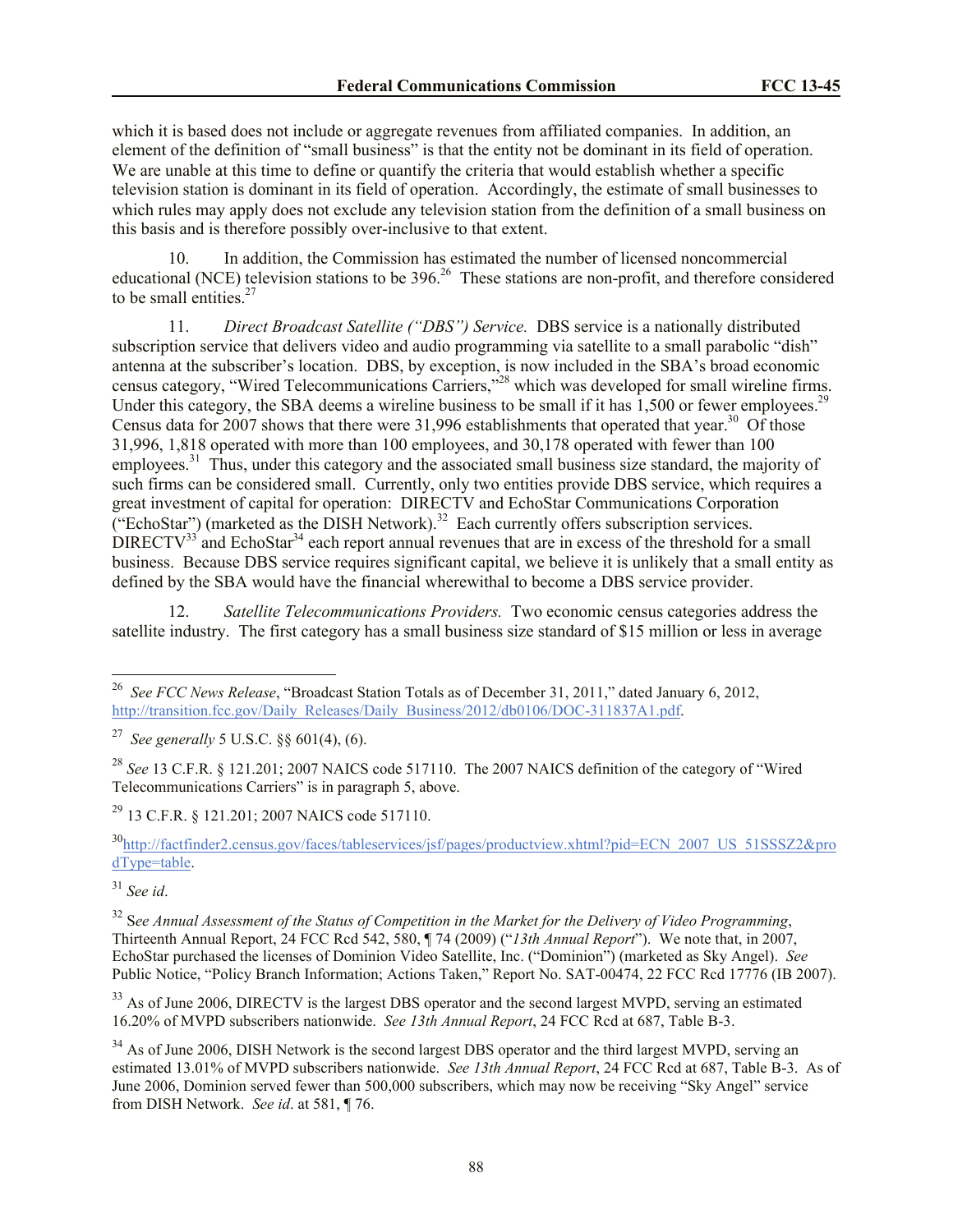which it is based does not include or aggregate revenues from affiliated companies. In addition, an element of the definition of "small business" is that the entity not be dominant in its field of operation. We are unable at this time to define or quantify the criteria that would establish whether a specific television station is dominant in its field of operation. Accordingly, the estimate of small businesses to which rules may apply does not exclude any television station from the definition of a small business on this basis and is therefore possibly over-inclusive to that extent.

10. In addition, the Commission has estimated the number of licensed noncommercial educational (NCE) television stations to be  $396<sup>26</sup>$  These stations are non-profit, and therefore considered to be small entities. $27$ 

11. *Direct Broadcast Satellite ("DBS") Service.* DBS service is a nationally distributed subscription service that delivers video and audio programming via satellite to a small parabolic "dish" antenna at the subscriber's location. DBS, by exception, is now included in the SBA's broad economic census category, "Wired Telecommunications Carriers,"<sup>28</sup> which was developed for small wireline firms. Under this category, the SBA deems a wireline business to be small if it has  $1,500$  or fewer employees.<sup>29</sup> Census data for 2007 shows that there were 31,996 establishments that operated that year.<sup>30</sup> Of those 31,996, 1,818 operated with more than 100 employees, and 30,178 operated with fewer than 100 employees.<sup>31</sup> Thus, under this category and the associated small business size standard, the majority of such firms can be considered small. Currently, only two entities provide DBS service, which requires a great investment of capital for operation: DIRECTV and EchoStar Communications Corporation ("EchoStar") (marketed as the DISH Network).<sup>32</sup> Each currently offers subscription services.  $DIRECTV<sup>33</sup>$  and EchoStar<sup>34</sup> each report annual revenues that are in excess of the threshold for a small business. Because DBS service requires significant capital, we believe it is unlikely that a small entity as defined by the SBA would have the financial wherewithal to become a DBS service provider.

12. *Satellite Telecommunications Providers.* Two economic census categories address the satellite industry. The first category has a small business size standard of \$15 million or less in average

<sup>29</sup> 13 C.F.R. § 121.201; 2007 NAICS code 517110.

<sup>30</sup>http://factfinder2.census.gov/faces/tableservices/jsf/pages/productview.xhtml?pid=ECN\_2007\_US\_51SSSZ2&pro dType=table.

 $\overline{a}$ 

<sup>33</sup> As of June 2006, DIRECTV is the largest DBS operator and the second largest MVPD, serving an estimated 16.20% of MVPD subscribers nationwide. *See 13th Annual Report*, 24 FCC Rcd at 687, Table B-3.

<sup>26</sup> *See FCC News Release*, "Broadcast Station Totals as of December 31, 2011," dated January 6, 2012, http://transition.fcc.gov/Daily\_Releases/Daily\_Business/2012/db0106/DOC-311837A1.pdf.

<sup>27</sup> *See generally* 5 U.S.C. §§ 601(4), (6).

<sup>&</sup>lt;sup>28</sup> See 13 C.F.R. § 121.201; 2007 NAICS code 517110. The 2007 NAICS definition of the category of "Wired" Telecommunications Carriers" is in paragraph 5, above.

<sup>31</sup> *See id*.

<sup>32</sup> S*ee Annual Assessment of the Status of Competition in the Market for the Delivery of Video Programming*, Thirteenth Annual Report, 24 FCC Rcd 542, 580, ¶ 74 (2009) ("*13th Annual Report*"). We note that, in 2007, EchoStar purchased the licenses of Dominion Video Satellite, Inc. ("Dominion") (marketed as Sky Angel). *See* Public Notice, "Policy Branch Information; Actions Taken," Report No. SAT-00474, 22 FCC Rcd 17776 (IB 2007).

<sup>&</sup>lt;sup>34</sup> As of June 2006, DISH Network is the second largest DBS operator and the third largest MVPD, serving an estimated 13.01% of MVPD subscribers nationwide. *See 13th Annual Report*, 24 FCC Rcd at 687, Table B-3. As of June 2006, Dominion served fewer than 500,000 subscribers, which may now be receiving "Sky Angel" service from DISH Network. *See id*. at 581, ¶ 76.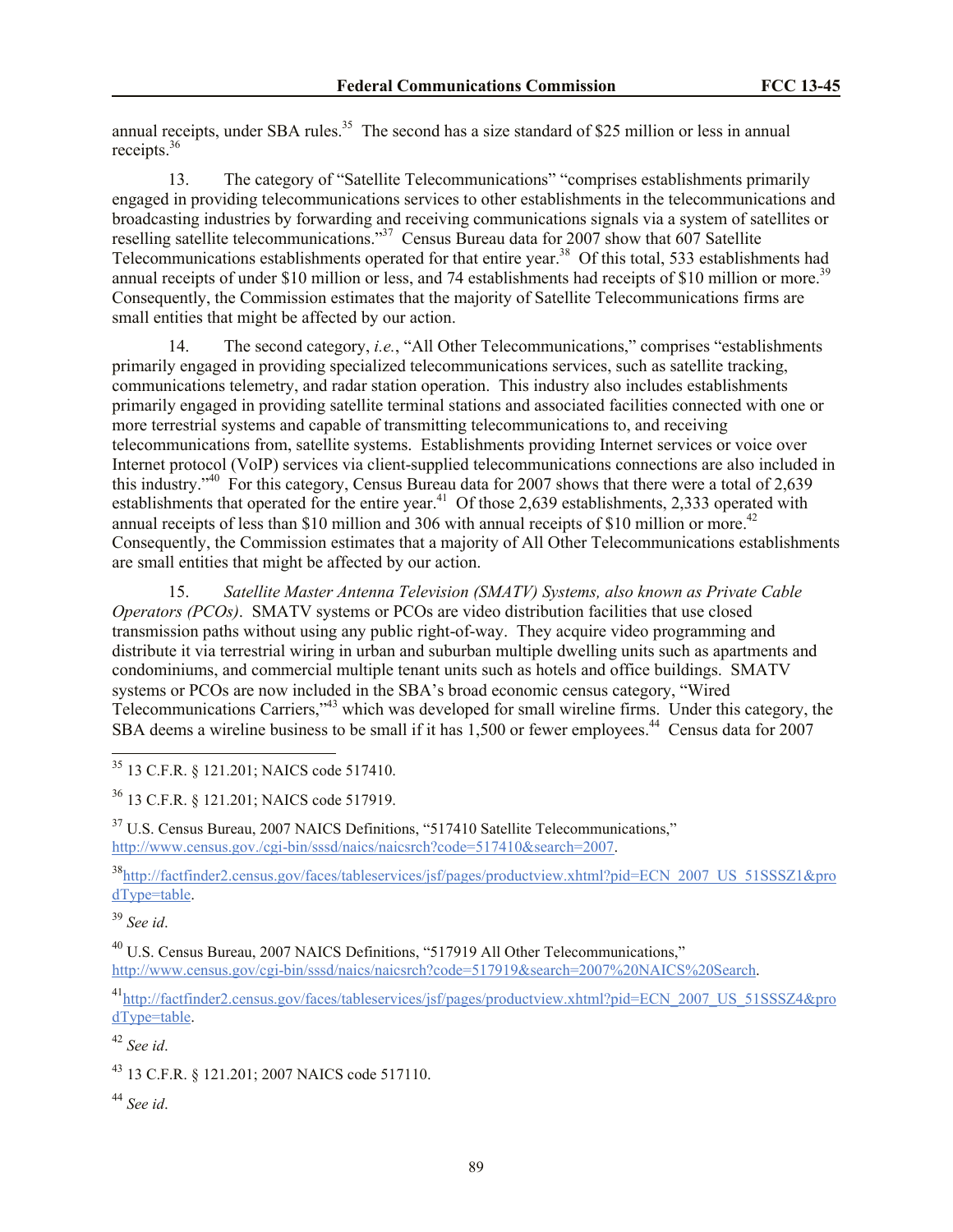annual receipts, under SBA rules.<sup>35</sup> The second has a size standard of \$25 million or less in annual receipts.<sup>36</sup>

13. The category of "Satellite Telecommunications" "comprises establishments primarily engaged in providing telecommunications services to other establishments in the telecommunications and broadcasting industries by forwarding and receiving communications signals via a system of satellites or reselling satellite telecommunications."<sup>37</sup> Census Bureau data for 2007 show that 607 Satellite Telecommunications establishments operated for that entire year.<sup>38</sup> Of this total, 533 establishments had annual receipts of under \$10 million or less, and 74 establishments had receipts of \$10 million or more.<sup>39</sup> Consequently, the Commission estimates that the majority of Satellite Telecommunications firms are small entities that might be affected by our action.

14. The second category, *i.e.*, "All Other Telecommunications," comprises "establishments primarily engaged in providing specialized telecommunications services, such as satellite tracking, communications telemetry, and radar station operation. This industry also includes establishments primarily engaged in providing satellite terminal stations and associated facilities connected with one or more terrestrial systems and capable of transmitting telecommunications to, and receiving telecommunications from, satellite systems. Establishments providing Internet services or voice over Internet protocol (VoIP) services via client-supplied telecommunications connections are also included in this industry." 40 For this category, Census Bureau data for 2007 shows that there were a total of 2,639 establishments that operated for the entire year.<sup>41</sup> Of those 2,639 establishments, 2,333 operated with annual receipts of less than \$10 million and 306 with annual receipts of \$10 million or more.<sup>42</sup> Consequently, the Commission estimates that a majority of All Other Telecommunications establishments are small entities that might be affected by our action.

15. *Satellite Master Antenna Television (SMATV) Systems, also known as Private Cable Operators (PCOs)*. SMATV systems or PCOs are video distribution facilities that use closed transmission paths without using any public right-of-way. They acquire video programming and distribute it via terrestrial wiring in urban and suburban multiple dwelling units such as apartments and condominiums, and commercial multiple tenant units such as hotels and office buildings. SMATV systems or PCOs are now included in the SBA's broad economic census category, "Wired Telecommunications Carriers,"<sup>43</sup> which was developed for small wireline firms. Under this category, the SBA deems a wireline business to be small if it has  $1,500$  or fewer employees.<sup>44</sup> Census data for 2007

<sup>35</sup> 13 C.F.R. § 121.201; NAICS code 517410.

<sup>36</sup> 13 C.F.R. § 121.201; NAICS code 517919.

<sup>37</sup> U.S. Census Bureau, 2007 NAICS Definitions, "517410 Satellite Telecommunications," http://www.census.gov./cgi-bin/sssd/naics/naicsrch?code=517410&search=2007.

<sup>38</sup>http://factfinder2.census.gov/faces/tableservices/jsf/pages/productview.xhtml?pid=ECN\_2007\_US\_51SSSZ1&pro dType=table.

<sup>39</sup> *See id*.

 $\overline{a}$ 

<sup>40</sup> U.S. Census Bureau, 2007 NAICS Definitions, "517919 All Other Telecommunications," http://www.census.gov/cgi-bin/sssd/naics/naicsrch?code=517919&search=2007%20NAICS%20Search.

<sup>41</sup>http://factfinder2.census.gov/faces/tableservices/jsf/pages/productview.xhtml?pid=ECN\_2007\_US\_51SSSZ4&pro dType=table.

<sup>42</sup> *See id*.

<sup>43</sup> 13 C.F.R. § 121.201; 2007 NAICS code 517110.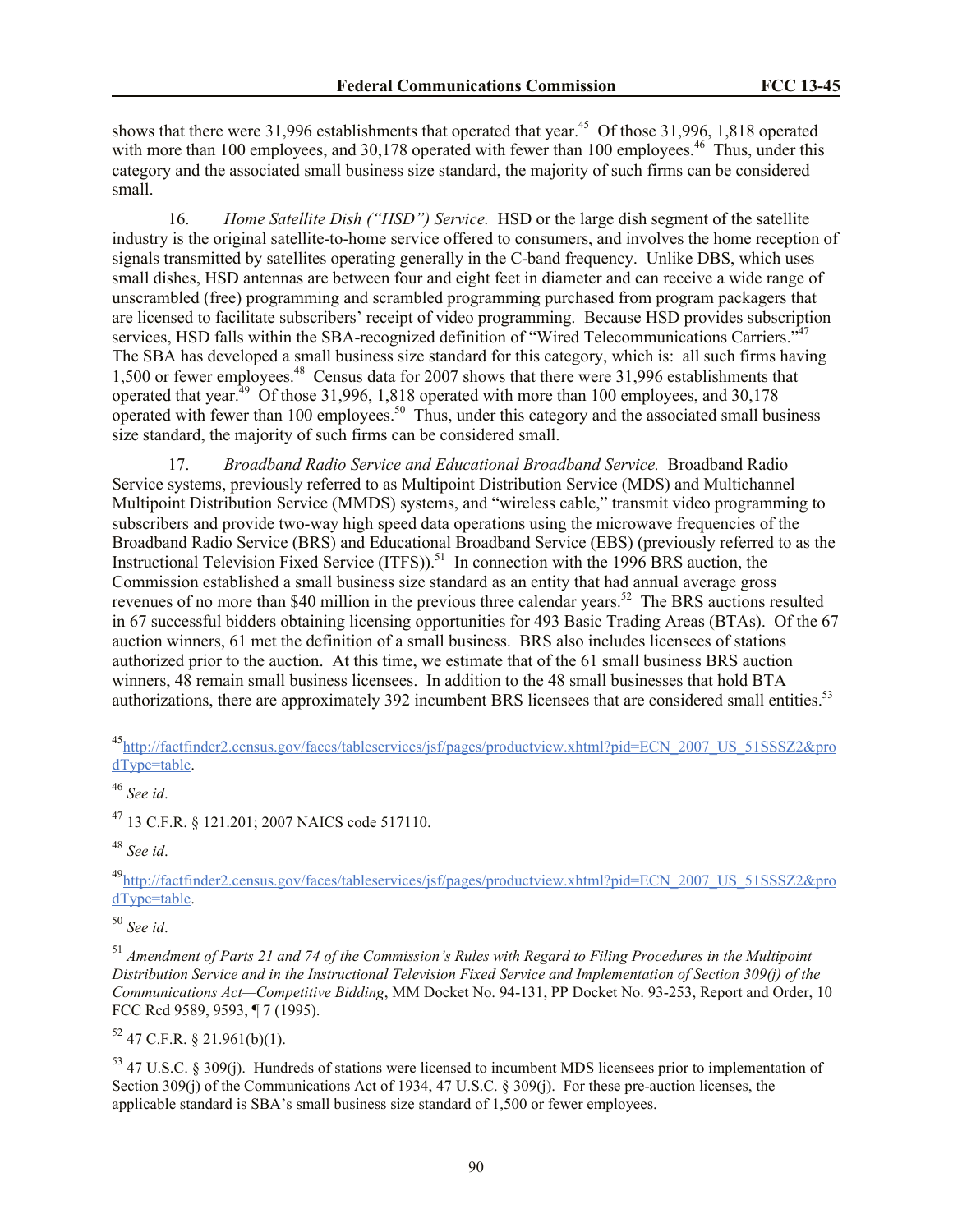shows that there were 31,996 establishments that operated that year.<sup>45</sup> Of those 31,996, 1,818 operated with more than 100 employees, and 30,178 operated with fewer than 100 employees.<sup>46</sup> Thus, under this category and the associated small business size standard, the majority of such firms can be considered small.

16. *Home Satellite Dish ("HSD") Service.* HSD or the large dish segment of the satellite industry is the original satellite-to-home service offered to consumers, and involves the home reception of signals transmitted by satellites operating generally in the C-band frequency. Unlike DBS, which uses small dishes, HSD antennas are between four and eight feet in diameter and can receive a wide range of unscrambled (free) programming and scrambled programming purchased from program packagers that are licensed to facilitate subscribers' receipt of video programming. Because HSD provides subscription services, HSD falls within the SBA-recognized definition of "Wired Telecommunications Carriers."<sup>47</sup> The SBA has developed a small business size standard for this category, which is: all such firms having 1,500 or fewer employees.<sup>48</sup> Census data for 2007 shows that there were 31,996 establishments that operated that year.<sup> $49$ </sup> Of those 31,996, 1,818 operated with more than 100 employees, and 30,178 operated with fewer than 100 employees.<sup>50</sup> Thus, under this category and the associated small business size standard, the majority of such firms can be considered small.

17. *Broadband Radio Service and Educational Broadband Service.* Broadband Radio Service systems, previously referred to as Multipoint Distribution Service (MDS) and Multichannel Multipoint Distribution Service (MMDS) systems, and "wireless cable," transmit video programming to subscribers and provide two-way high speed data operations using the microwave frequencies of the Broadband Radio Service (BRS) and Educational Broadband Service (EBS) (previously referred to as the Instructional Television Fixed Service  $(ITFS)$ <sup>51</sup> In connection with the 1996 BRS auction, the Commission established a small business size standard as an entity that had annual average gross revenues of no more than \$40 million in the previous three calendar years.<sup>52</sup> The BRS auctions resulted in 67 successful bidders obtaining licensing opportunities for 493 Basic Trading Areas (BTAs). Of the 67 auction winners, 61 met the definition of a small business. BRS also includes licensees of stations authorized prior to the auction. At this time, we estimate that of the 61 small business BRS auction winners, 48 remain small business licensees. In addition to the 48 small businesses that hold BTA authorizations, there are approximately 392 incumbent BRS licensees that are considered small entities.<sup>53</sup>

 $\overline{a}$ 

<sup>47</sup> 13 C.F.R. § 121.201; 2007 NAICS code 517110.

<sup>48</sup> *See id*.

<sup>49</sup>http://factfinder2.census.gov/faces/tableservices/jsf/pages/productview.xhtml?pid=ECN\_2007\_US\_51SSSZ2&pro dType=table.

<sup>50</sup> *See id*.

 $52$  47 C.F.R. § 21.961(b)(1).

<sup>53</sup> 47 U.S.C. § 309(j). Hundreds of stations were licensed to incumbent MDS licensees prior to implementation of Section 309(j) of the Communications Act of 1934, 47 U.S.C. § 309(j). For these pre-auction licenses, the applicable standard is SBA's small business size standard of 1,500 or fewer employees.

<sup>45</sup>http://factfinder2.census.gov/faces/tableservices/jsf/pages/productview.xhtml?pid=ECN\_2007\_US\_51SSSZ2&pro dType=table.

<sup>46</sup> *See id*.

<sup>51</sup> *Amendment of Parts 21 and 74 of the Commission's Rules with Regard to Filing Procedures in the Multipoint Distribution Service and in the Instructional Television Fixed Service and Implementation of Section 309(j) of the Communications Act—Competitive Bidding*, MM Docket No. 94-131, PP Docket No. 93-253, Report and Order, 10 FCC Rcd 9589, 9593, ¶ 7 (1995).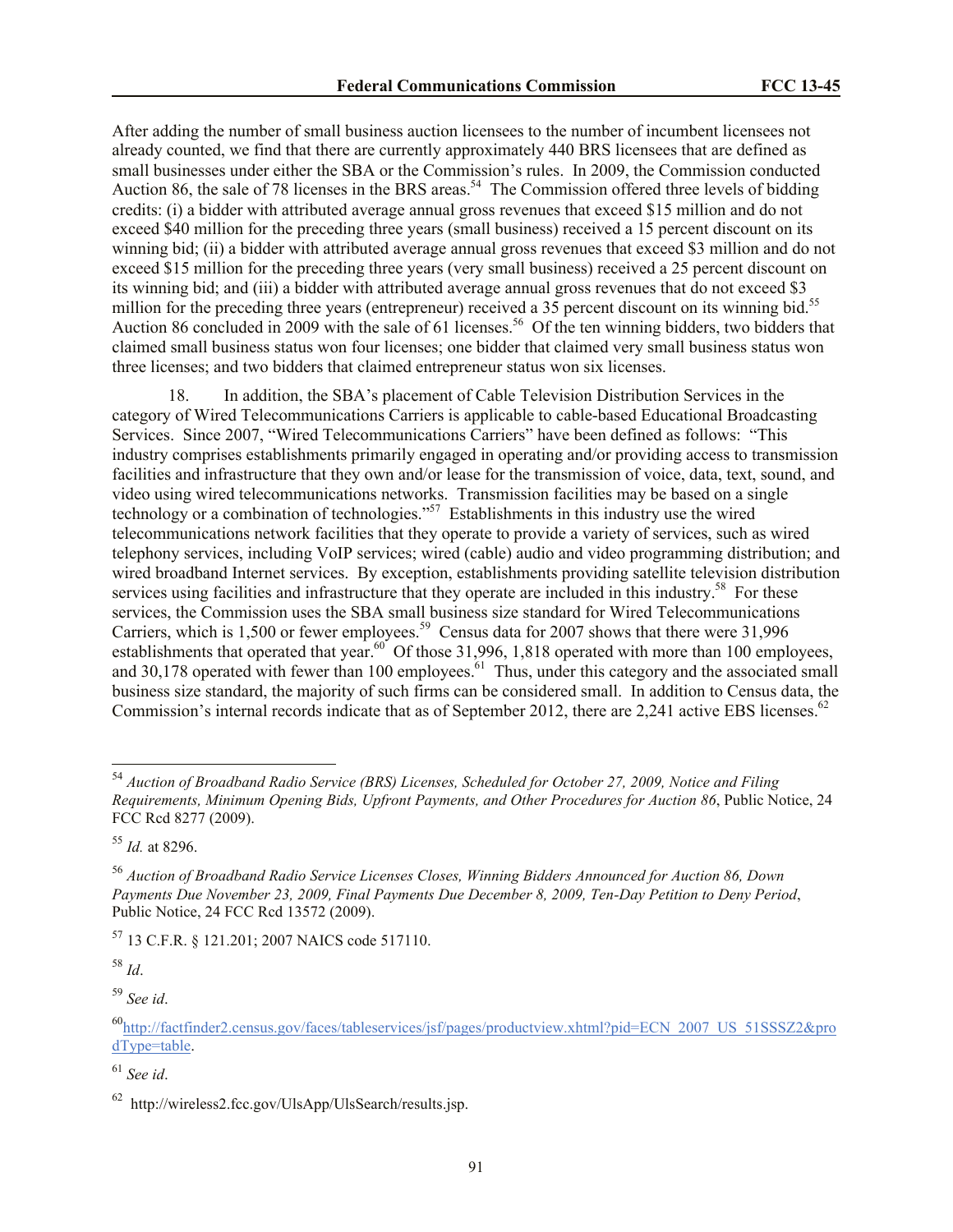After adding the number of small business auction licensees to the number of incumbent licensees not already counted, we find that there are currently approximately 440 BRS licensees that are defined as small businesses under either the SBA or the Commission's rules. In 2009, the Commission conducted Auction 86, the sale of 78 licenses in the BRS areas.<sup>54</sup> The Commission offered three levels of bidding credits: (i) a bidder with attributed average annual gross revenues that exceed \$15 million and do not exceed \$40 million for the preceding three years (small business) received a 15 percent discount on its winning bid; (ii) a bidder with attributed average annual gross revenues that exceed \$3 million and do not exceed \$15 million for the preceding three years (very small business) received a 25 percent discount on its winning bid; and (iii) a bidder with attributed average annual gross revenues that do not exceed \$3 million for the preceding three years (entrepreneur) received a 35 percent discount on its winning bid.<sup>55</sup> Auction 86 concluded in 2009 with the sale of 61 licenses.<sup>56</sup> Of the ten winning bidders, two bidders that claimed small business status won four licenses; one bidder that claimed very small business status won three licenses; and two bidders that claimed entrepreneur status won six licenses.

18. In addition, the SBA's placement of Cable Television Distribution Services in the category of Wired Telecommunications Carriers is applicable to cable-based Educational Broadcasting Services. Since 2007, "Wired Telecommunications Carriers" have been defined as follows: "This industry comprises establishments primarily engaged in operating and/or providing access to transmission facilities and infrastructure that they own and/or lease for the transmission of voice, data, text, sound, and video using wired telecommunications networks. Transmission facilities may be based on a single technology or a combination of technologies."<sup>57</sup> Establishments in this industry use the wired telecommunications network facilities that they operate to provide a variety of services, such as wired telephony services, including VoIP services; wired (cable) audio and video programming distribution; and wired broadband Internet services. By exception, establishments providing satellite television distribution services using facilities and infrastructure that they operate are included in this industry.<sup>58</sup> For these services, the Commission uses the SBA small business size standard for Wired Telecommunications Carriers, which is 1,500 or fewer employees.<sup>59</sup> Census data for 2007 shows that there were 31,996 establishments that operated that year.<sup>60</sup> Of those 31,996, 1,818 operated with more than 100 employees, and 30,178 operated with fewer than 100 employees. $61$  Thus, under this category and the associated small business size standard, the majority of such firms can be considered small. In addition to Census data, the Commission's internal records indicate that as of September 2012, there are 2,241 active EBS licenses.<sup>62</sup>

<sup>57</sup> 13 C.F.R. § 121.201; 2007 NAICS code 517110.

<sup>58</sup> *Id*.

 $\overline{a}$ 

<sup>54</sup> *Auction of Broadband Radio Service (BRS) Licenses, Scheduled for October 27, 2009, Notice and Filing Requirements, Minimum Opening Bids, Upfront Payments, and Other Procedures for Auction 86*, Public Notice, 24 FCC Rcd 8277 (2009).

<sup>55</sup> *Id.* at 8296.

<sup>56</sup> *Auction of Broadband Radio Service Licenses Closes, Winning Bidders Announced for Auction 86, Down Payments Due November 23, 2009, Final Payments Due December 8, 2009, Ten-Day Petition to Deny Period*, Public Notice, 24 FCC Rcd 13572 (2009).

<sup>60</sup>http://factfinder2.census.gov/faces/tableservices/jsf/pages/productview.xhtml?pid=ECN\_2007\_US\_51SSSZ2&pro dType=table.

<sup>61</sup> *See id*.

 $62$  http://wireless2.fcc.gov/UlsApp/UlsSearch/results.jsp.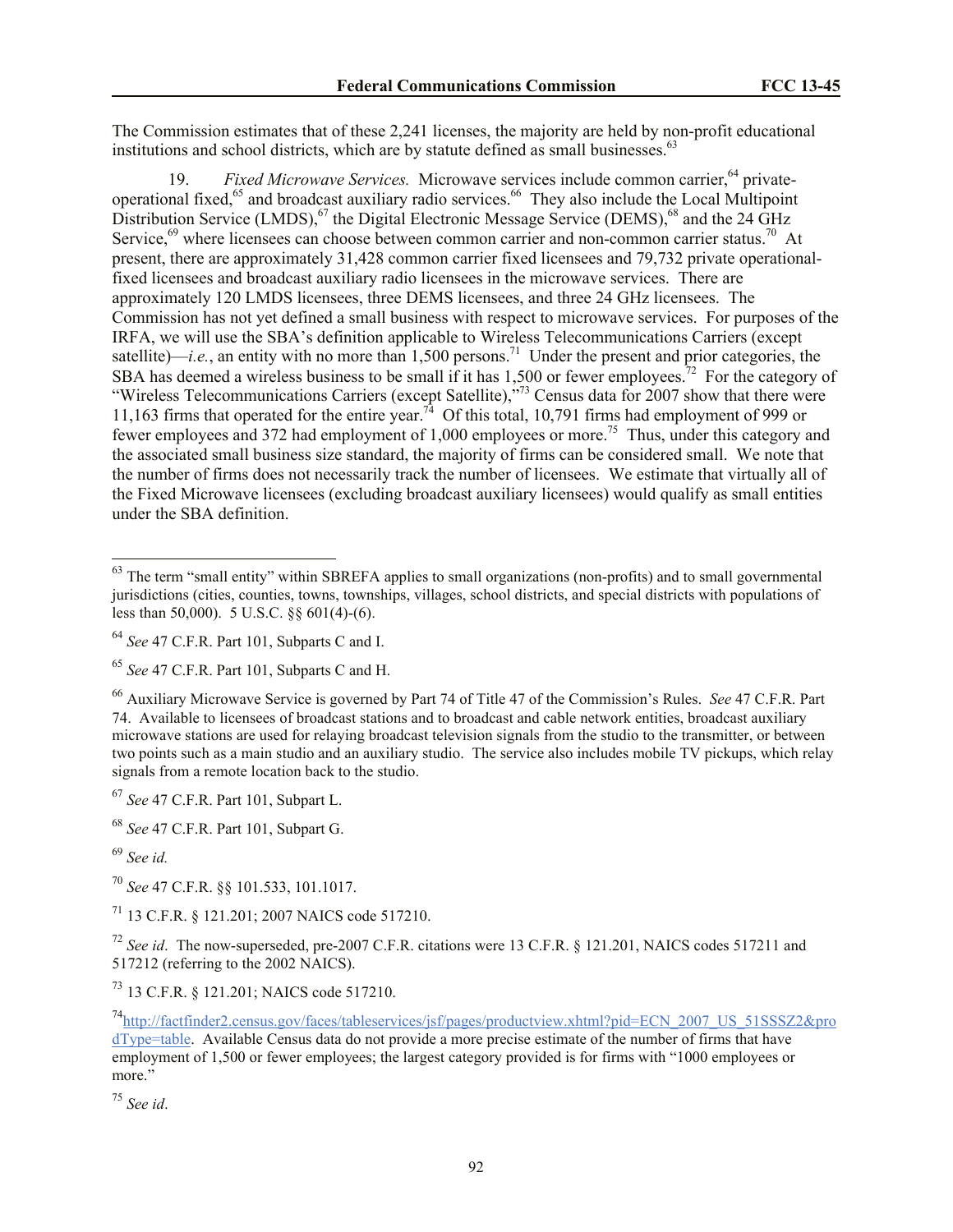The Commission estimates that of these 2,241 licenses, the majority are held by non-profit educational institutions and school districts, which are by statute defined as small businesses.<sup>63</sup>

19. *Fixed Microwave Services.* Microwave services include common carrier,<sup>64</sup> privateoperational fixed,<sup>65</sup> and broadcast auxiliary radio services.<sup>66</sup> They also include the Local Multipoint Distribution Service  $(LMDS)$ ,  $^{67}$  the Digital Electronic Message Service (DEMS), $^{68}$  and the 24 GHz Service,<sup>69</sup> where licensees can choose between common carrier and non-common carrier status.<sup>70</sup> At present, there are approximately 31,428 common carrier fixed licensees and 79,732 private operationalfixed licensees and broadcast auxiliary radio licensees in the microwave services. There are approximately 120 LMDS licensees, three DEMS licensees, and three 24 GHz licensees. The Commission has not yet defined a small business with respect to microwave services. For purposes of the IRFA, we will use the SBA's definition applicable to Wireless Telecommunications Carriers (except satellite)—*i.e.*, an entity with no more than 1,500 persons.<sup>71</sup> Under the present and prior categories, the SBA has deemed a wireless business to be small if it has 1,500 or fewer employees.<sup>72</sup> For the category of "Wireless Telecommunications Carriers (except Satellite),"<sup>73</sup> Census data for 2007 show that there were 11,163 firms that operated for the entire year.<sup>74</sup> Of this total, 10,791 firms had employment of 999 or fewer employees and 372 had employment of 1,000 employees or more.<sup>75</sup> Thus, under this category and the associated small business size standard, the majority of firms can be considered small. We note that the number of firms does not necessarily track the number of licensees. We estimate that virtually all of the Fixed Microwave licensees (excluding broadcast auxiliary licensees) would qualify as small entities under the SBA definition.

<sup>67</sup> *See* 47 C.F.R. Part 101, Subpart L.

<sup>68</sup> *See* 47 C.F.R. Part 101, Subpart G.

 $\overline{a}$ 

<sup>70</sup> *See* 47 C.F.R. §§ 101.533, 101.1017.

<sup>71</sup> 13 C.F.R. § 121.201; 2007 NAICS code 517210.

<sup>72</sup> *See id*. The now-superseded, pre-2007 C.F.R. citations were 13 C.F.R. § 121.201, NAICS codes 517211 and 517212 (referring to the 2002 NAICS).

<sup>73</sup> 13 C.F.R. § 121.201; NAICS code 517210.

 $63$  The term "small entity" within SBREFA applies to small organizations (non-profits) and to small governmental jurisdictions (cities, counties, towns, townships, villages, school districts, and special districts with populations of less than 50,000). 5 U.S.C. §§ 601(4)-(6).

<sup>64</sup> *See* 47 C.F.R. Part 101, Subparts C and I.

<sup>65</sup> *See* 47 C.F.R. Part 101, Subparts C and H.

<sup>66</sup> Auxiliary Microwave Service is governed by Part 74 of Title 47 of the Commission's Rules. *See* 47 C.F.R. Part 74. Available to licensees of broadcast stations and to broadcast and cable network entities, broadcast auxiliary microwave stations are used for relaying broadcast television signals from the studio to the transmitter, or between two points such as a main studio and an auxiliary studio. The service also includes mobile TV pickups, which relay signals from a remote location back to the studio.

<sup>69</sup> *See id.*

<sup>74</sup>http://factfinder2.census.gov/faces/tableservices/jsf/pages/productview.xhtml?pid=ECN\_2007\_US\_51SSSZ2&pro dType=table. Available Census data do not provide a more precise estimate of the number of firms that have employment of 1,500 or fewer employees; the largest category provided is for firms with "1000 employees or more."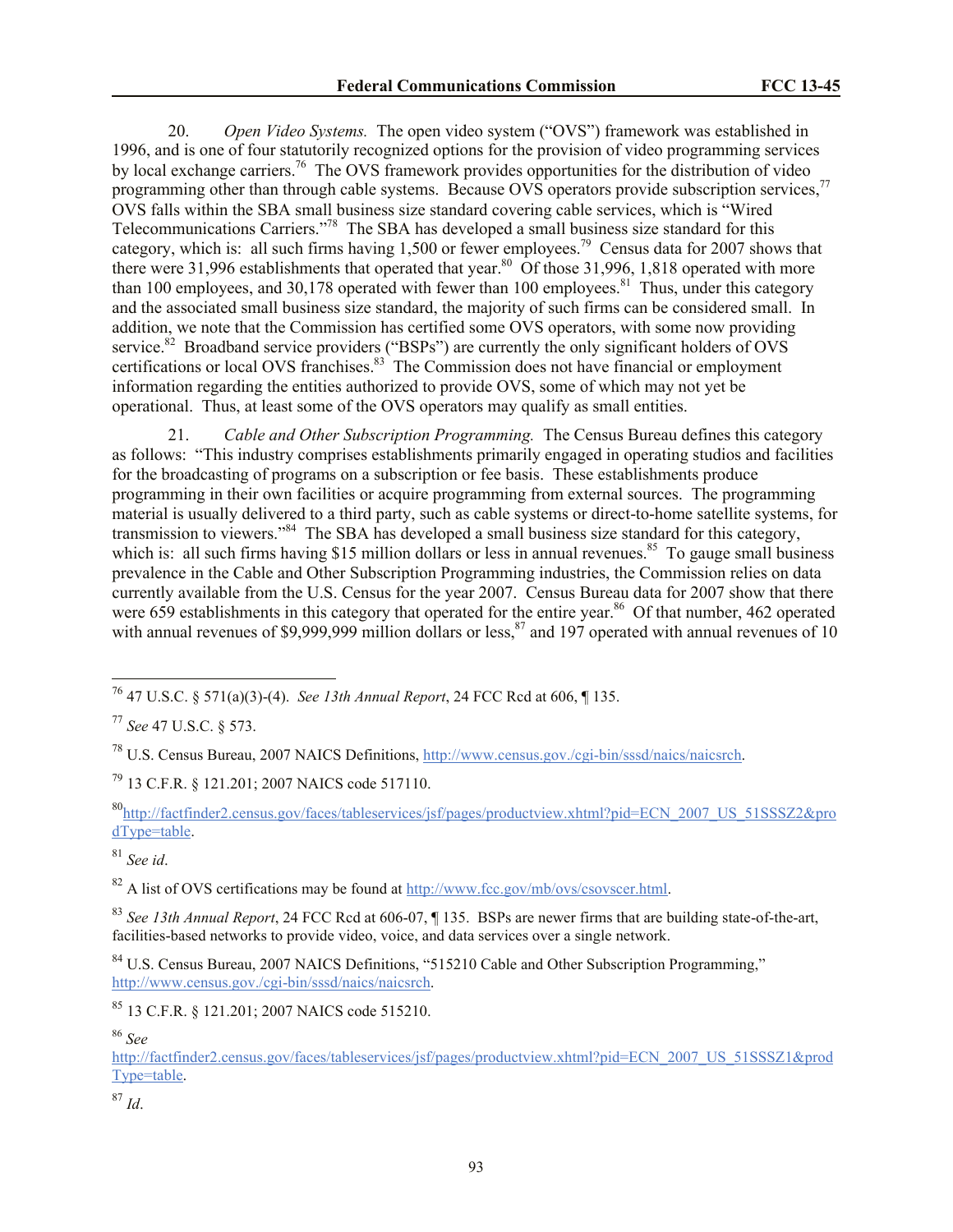20. *Open Video Systems.* The open video system ("OVS") framework was established in 1996, and is one of four statutorily recognized options for the provision of video programming services by local exchange carriers.<sup>76</sup> The OVS framework provides opportunities for the distribution of video programming other than through cable systems. Because  $\overrightarrow{OVS}$  operators provide subscription services,<sup>77</sup> OVS falls within the SBA small business size standard covering cable services, which is "Wired Telecommunications Carriers."<sup>78</sup> The SBA has developed a small business size standard for this category, which is: all such firms having  $1,500$  or fewer employees.<sup>79</sup> Census data for 2007 shows that there were 31,996 establishments that operated that year.<sup>80</sup> Of those 31,996, 1,818 operated with more than 100 employees, and 30,178 operated with fewer than 100 employees.<sup>81</sup> Thus, under this category and the associated small business size standard, the majority of such firms can be considered small. In addition, we note that the Commission has certified some OVS operators, with some now providing service.<sup>82</sup> Broadband service providers ("BSPs") are currently the only significant holders of OVS certifications or local OVS franchises.<sup>83</sup> The Commission does not have financial or employment information regarding the entities authorized to provide OVS, some of which may not yet be operational. Thus, at least some of the OVS operators may qualify as small entities.

21. *Cable and Other Subscription Programming.* The Census Bureau defines this category as follows: "This industry comprises establishments primarily engaged in operating studios and facilities for the broadcasting of programs on a subscription or fee basis. These establishments produce programming in their own facilities or acquire programming from external sources. The programming material is usually delivered to a third party, such as cable systems or direct-to-home satellite systems, for transmission to viewers."<sup>84</sup> The SBA has developed a small business size standard for this category, which is: all such firms having \$15 million dollars or less in annual revenues.<sup>85</sup> To gauge small business prevalence in the Cable and Other Subscription Programming industries, the Commission relies on data currently available from the U.S. Census for the year 2007. Census Bureau data for 2007 show that there were 659 establishments in this category that operated for the entire year.<sup>86</sup> Of that number, 462 operated with annual revenues of \$9,999,999 million dollars or less,<sup>87</sup> and 197 operated with annual revenues of 10

<sup>81</sup> *See id*.

 $\overline{a}$ 

<sup>82</sup> A list of OVS certifications may be found at http://www.fcc.gov/mb/ovs/csovscer.html.

<sup>83</sup> *See 13th Annual Report*, 24 FCC Rcd at 606-07, ¶ 135. BSPs are newer firms that are building state-of-the-art, facilities-based networks to provide video, voice, and data services over a single network.

<sup>84</sup> U.S. Census Bureau, 2007 NAICS Definitions, "515210 Cable and Other Subscription Programming," http://www.census.gov./cgi-bin/sssd/naics/naicsrch.

<sup>86</sup> *See* 

http://factfinder2.census.gov/faces/tableservices/jsf/pages/productview.xhtml?pid=ECN\_2007\_US\_51SSSZ1&prod Type=table.

 $87 \, \text{Id}$ 

<sup>76</sup> 47 U.S.C. § 571(a)(3)-(4). *See 13th Annual Report*, 24 FCC Rcd at 606, ¶ 135.

<sup>77</sup> *See* 47 U.S.C. § 573.

<sup>78</sup> U.S. Census Bureau, 2007 NAICS Definitions, http://www.census.gov./cgi-bin/sssd/naics/naicsrch.

<sup>79</sup> 13 C.F.R. § 121.201; 2007 NAICS code 517110.

<sup>80</sup>http://factfinder2.census.gov/faces/tableservices/jsf/pages/productview.xhtml?pid=ECN\_2007\_US\_51SSSZ2&pro dType=table.

<sup>85</sup> 13 C.F.R. § 121.201; 2007 NAICS code 515210.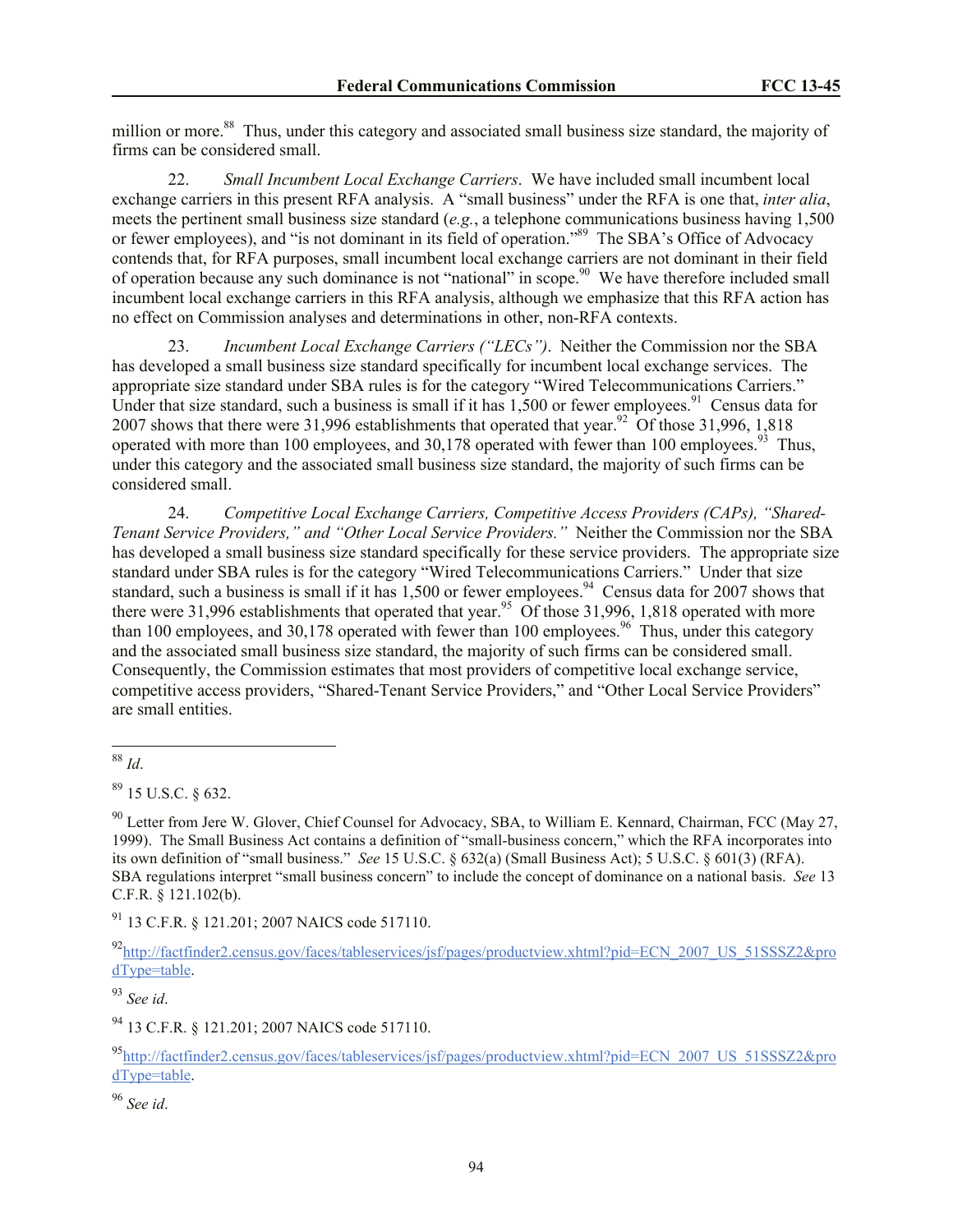million or more.<sup>88</sup> Thus, under this category and associated small business size standard, the majority of firms can be considered small.

22. *Small Incumbent Local Exchange Carriers*. We have included small incumbent local exchange carriers in this present RFA analysis. A "small business" under the RFA is one that, *inter alia*, meets the pertinent small business size standard (*e.g.*, a telephone communications business having 1,500 or fewer employees), and "is not dominant in its field of operation."<sup>89</sup> The SBA's Office of Advocacy contends that, for RFA purposes, small incumbent local exchange carriers are not dominant in their field of operation because any such dominance is not "national" in scope.<sup>90</sup> We have therefore included small incumbent local exchange carriers in this RFA analysis, although we emphasize that this RFA action has no effect on Commission analyses and determinations in other, non-RFA contexts.

23. *Incumbent Local Exchange Carriers ("LECs")*. Neither the Commission nor the SBA has developed a small business size standard specifically for incumbent local exchange services. The appropriate size standard under SBA rules is for the category "Wired Telecommunications Carriers." Under that size standard, such a business is small if it has  $1,500$  or fewer employees.<sup>91</sup> Census data for 2007 shows that there were 31,996 establishments that operated that year.<sup>92</sup> Of those 31,996, 1,818 operated with more than 100 employees, and  $30,178$  operated with fewer than 100 employees.<sup>93</sup> Thus, under this category and the associated small business size standard, the majority of such firms can be considered small.

24. *Competitive Local Exchange Carriers, Competitive Access Providers (CAPs), "Shared-Tenant Service Providers," and "Other Local Service Providers."* Neither the Commission nor the SBA has developed a small business size standard specifically for these service providers. The appropriate size standard under SBA rules is for the category "Wired Telecommunications Carriers." Under that size standard, such a business is small if it has  $1,500$  or fewer employees.<sup>94</sup> Census data for 2007 shows that there were 31,996 establishments that operated that year.<sup>95</sup> Of those 31,996, 1,818 operated with more than 100 employees, and 30,178 operated with fewer than 100 employees.<sup>96</sup> Thus, under this category and the associated small business size standard, the majority of such firms can be considered small. Consequently, the Commission estimates that most providers of competitive local exchange service, competitive access providers, "Shared-Tenant Service Providers," and "Other Local Service Providers" are small entities.

<sup>90</sup> Letter from Jere W. Glover, Chief Counsel for Advocacy, SBA, to William E. Kennard, Chairman, FCC (May 27, 1999). The Small Business Act contains a definition of "small-business concern," which the RFA incorporates into its own definition of "small business." *See* 15 U.S.C. § 632(a) (Small Business Act); 5 U.S.C. § 601(3) (RFA). SBA regulations interpret "small business concern" to include the concept of dominance on a national basis. *See* 13 C.F.R. § 121.102(b).

<sup>91</sup> 13 C.F.R. § 121.201; 2007 NAICS code 517110.

92http://factfinder2.census.gov/faces/tableservices/jsf/pages/productview.xhtml?pid=ECN\_2007\_US\_51SSSZ2&pro dType=table.

<sup>93</sup> *See id*.

<sup>94</sup> 13 C.F.R. § 121.201; 2007 NAICS code 517110.

<sup>95</sup>http://factfinder2.census.gov/faces/tableservices/jsf/pages/productview.xhtml?pid=ECN\_2007\_US\_51SSSZ2&pro dType=table.

l <sup>88</sup> *Id*.

 $89$  15 U.S.C.  $8632$ .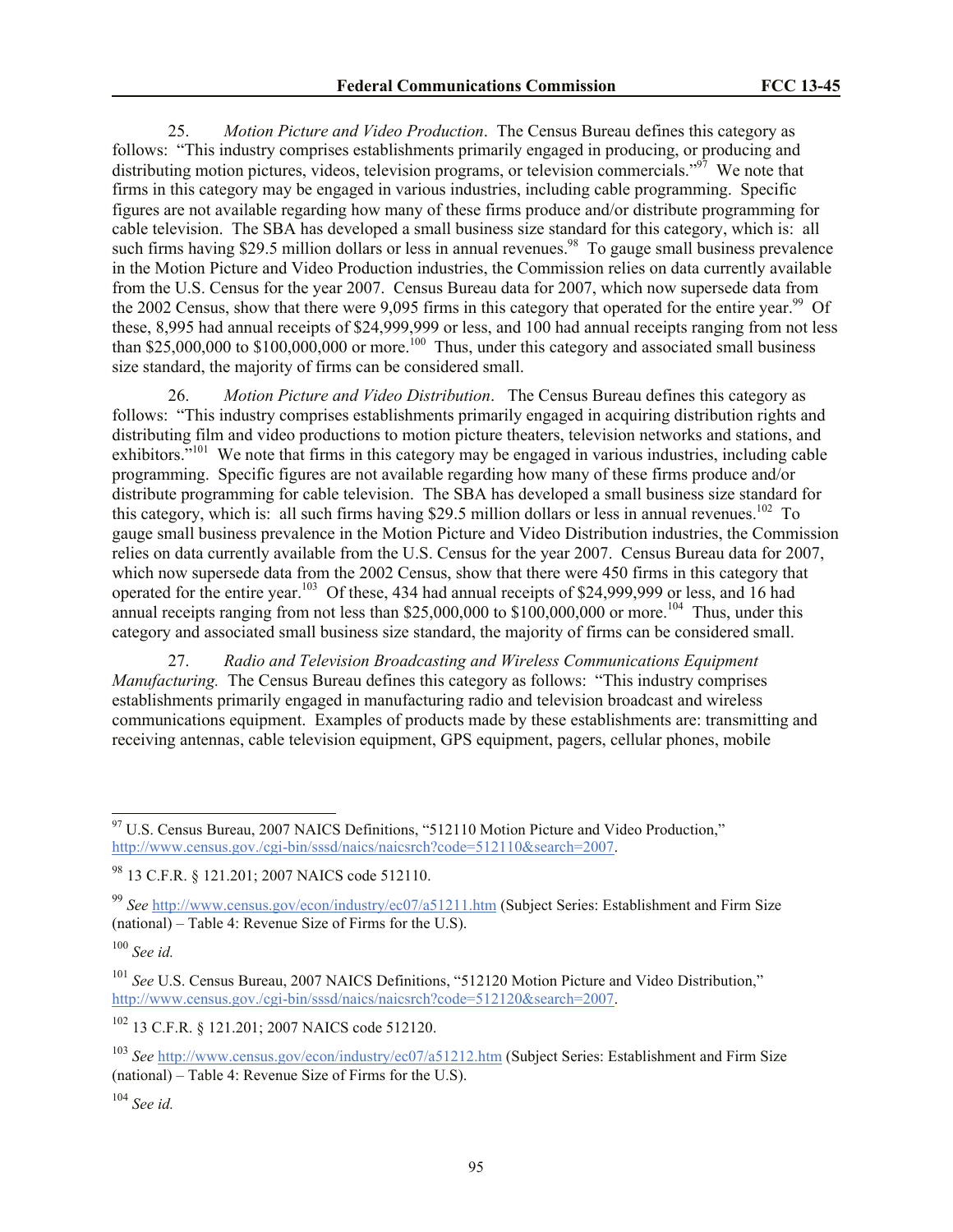25. *Motion Picture and Video Production*. The Census Bureau defines this category as follows: "This industry comprises establishments primarily engaged in producing, or producing and distributing motion pictures, videos, television programs, or television commercials."<sup>97</sup> We note that firms in this category may be engaged in various industries, including cable programming. Specific figures are not available regarding how many of these firms produce and/or distribute programming for cable television. The SBA has developed a small business size standard for this category, which is: all such firms having \$29.5 million dollars or less in annual revenues.<sup>98</sup> To gauge small business prevalence in the Motion Picture and Video Production industries, the Commission relies on data currently available from the U.S. Census for the year 2007. Census Bureau data for 2007, which now supersede data from the 2002 Census, show that there were 9,095 firms in this category that operated for the entire year.<sup>99</sup> Of these, 8,995 had annual receipts of \$24,999,999 or less, and 100 had annual receipts ranging from not less than \$25,000,000 to \$100,000,000 or more.<sup>100</sup> Thus, under this category and associated small business size standard, the majority of firms can be considered small.

26. *Motion Picture and Video Distribution*. The Census Bureau defines this category as follows: "This industry comprises establishments primarily engaged in acquiring distribution rights and distributing film and video productions to motion picture theaters, television networks and stations, and exhibitors."<sup>101</sup> We note that firms in this category may be engaged in various industries, including cable programming. Specific figures are not available regarding how many of these firms produce and/or distribute programming for cable television. The SBA has developed a small business size standard for this category, which is: all such firms having \$29.5 million dollars or less in annual revenues.<sup>102</sup> To gauge small business prevalence in the Motion Picture and Video Distribution industries, the Commission relies on data currently available from the U.S. Census for the year 2007. Census Bureau data for 2007, which now supersede data from the 2002 Census, show that there were 450 firms in this category that operated for the entire year.<sup>103</sup> Of these, 434 had annual receipts of \$24,999,999 or less, and 16 had annual receipts ranging from not less than \$25,000,000 to \$100,000,000 or more.<sup>104</sup> Thus, under this category and associated small business size standard, the majority of firms can be considered small.

27. *Radio and Television Broadcasting and Wireless Communications Equipment Manufacturing.* The Census Bureau defines this category as follows: "This industry comprises establishments primarily engaged in manufacturing radio and television broadcast and wireless communications equipment. Examples of products made by these establishments are: transmitting and receiving antennas, cable television equipment, GPS equipment, pagers, cellular phones, mobile

<sup>100</sup> *See id.*

 $\overline{\phantom{a}}$ 

<sup>102</sup> 13 C.F.R. § 121.201; 2007 NAICS code 512120.

 $97$  U.S. Census Bureau, 2007 NAICS Definitions, "512110 Motion Picture and Video Production," http://www.census.gov./cgi-bin/sssd/naics/naicsrch?code=512110&search=2007.

<sup>98</sup> 13 C.F.R. § 121.201; 2007 NAICS code 512110.

<sup>99</sup> *See* http://www.census.gov/econ/industry/ec07/a51211.htm (Subject Series: Establishment and Firm Size (national) – Table 4: Revenue Size of Firms for the U.S).

<sup>101</sup> *See* U.S. Census Bureau, 2007 NAICS Definitions, "512120 Motion Picture and Video Distribution," http://www.census.gov./cgi-bin/sssd/naics/naicsrch?code=512120&search=2007.

<sup>103</sup> *See* http://www.census.gov/econ/industry/ec07/a51212.htm (Subject Series: Establishment and Firm Size (national) – Table 4: Revenue Size of Firms for the U.S).

<sup>104</sup> *See id.*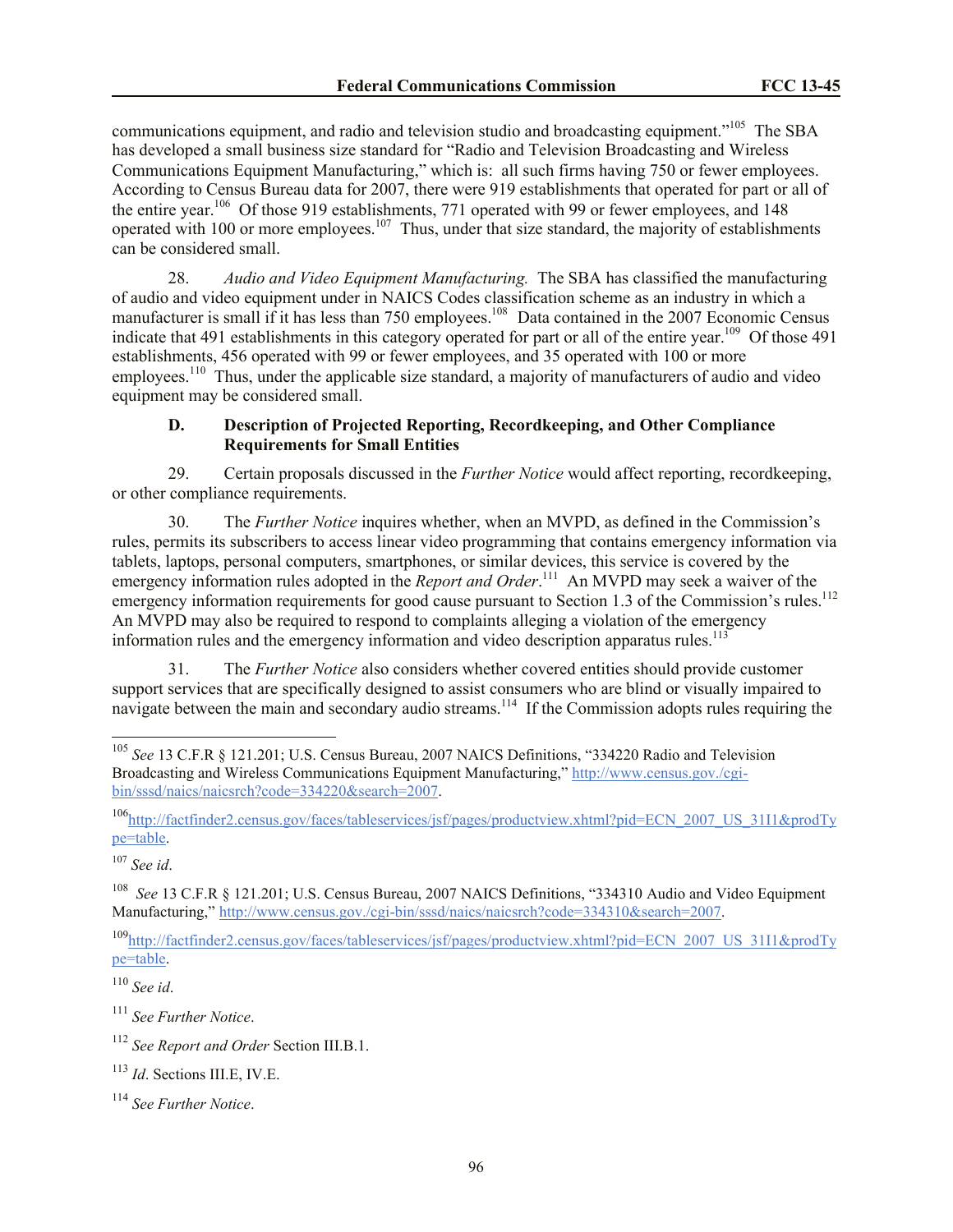communications equipment, and radio and television studio and broadcasting equipment."<sup>105</sup> The SBA has developed a small business size standard for "Radio and Television Broadcasting and Wireless Communications Equipment Manufacturing," which is: all such firms having 750 or fewer employees. According to Census Bureau data for 2007, there were 919 establishments that operated for part or all of the entire year.<sup>106</sup> Of those 919 establishments, 771 operated with 99 or fewer employees, and 148 operated with 100 or more employees.<sup>107</sup> Thus, under that size standard, the majority of establishments can be considered small.

28. *Audio and Video Equipment Manufacturing.*The SBA has classified the manufacturing of audio and video equipment under in NAICS Codes classification scheme as an industry in which a manufacturer is small if it has less than 750 employees.<sup>108</sup> Data contained in the 2007 Economic Census indicate that 491 establishments in this category operated for part or all of the entire year.<sup>109</sup> Of those 491 establishments, 456 operated with 99 or fewer employees, and 35 operated with 100 or more employees.<sup>110</sup> Thus, under the applicable size standard, a majority of manufacturers of audio and video equipment may be considered small.

### **D. Description of Projected Reporting, Recordkeeping, and Other Compliance Requirements for Small Entities**

29. Certain proposals discussed in the *Further Notice* would affect reporting, recordkeeping, or other compliance requirements.

30. The *Further Notice* inquires whether, when an MVPD, as defined in the Commission's rules, permits its subscribers to access linear video programming that contains emergency information via tablets, laptops, personal computers, smartphones, or similar devices, this service is covered by the emergency information rules adopted in the *Report and Order*.<sup>111</sup> An MVPD may seek a waiver of the emergency information requirements for good cause pursuant to Section 1.3 of the Commission's rules.<sup>112</sup> An MVPD may also be required to respond to complaints alleging a violation of the emergency information rules and the emergency information and video description apparatus rules.<sup>113</sup>

31. The *Further Notice* also considers whether covered entities should provide customer support services that are specifically designed to assist consumers who are blind or visually impaired to navigate between the main and secondary audio streams.<sup>114</sup> If the Commission adopts rules requiring the

<sup>107</sup> *See id*.

l

108 *See* 13 C.F.R § 121.201; U.S. Census Bureau, 2007 NAICS Definitions, "334310 Audio and Video Equipment Manufacturing," http://www.census.gov./cgi-bin/sssd/naics/naicsrch?code=334310&search=2007.

<sup>109</sup>http://factfinder2.census.gov/faces/tableservices/jsf/pages/productview.xhtml?pid=ECN\_2007\_US\_31I1&prodTy pe=table.

<sup>110</sup> *See id*.

<sup>111</sup> *See Further Notice*.

<sup>113</sup> *Id*. Sections III.E, IV.E.

<sup>105</sup> *See* 13 C.F.R § 121.201; U.S. Census Bureau, 2007 NAICS Definitions, "334220 Radio and Television Broadcasting and Wireless Communications Equipment Manufacturing," http://www.census.gov./cgibin/sssd/naics/naicsrch?code=334220&search=2007.

<sup>106</sup>http://factfinder2.census.gov/faces/tableservices/jsf/pages/productview.xhtml?pid=ECN\_2007\_US\_31I1&prodTy pe=table.

<sup>112</sup> *See Report and Order* Section III.B.1.

<sup>114</sup> *See Further Notice*.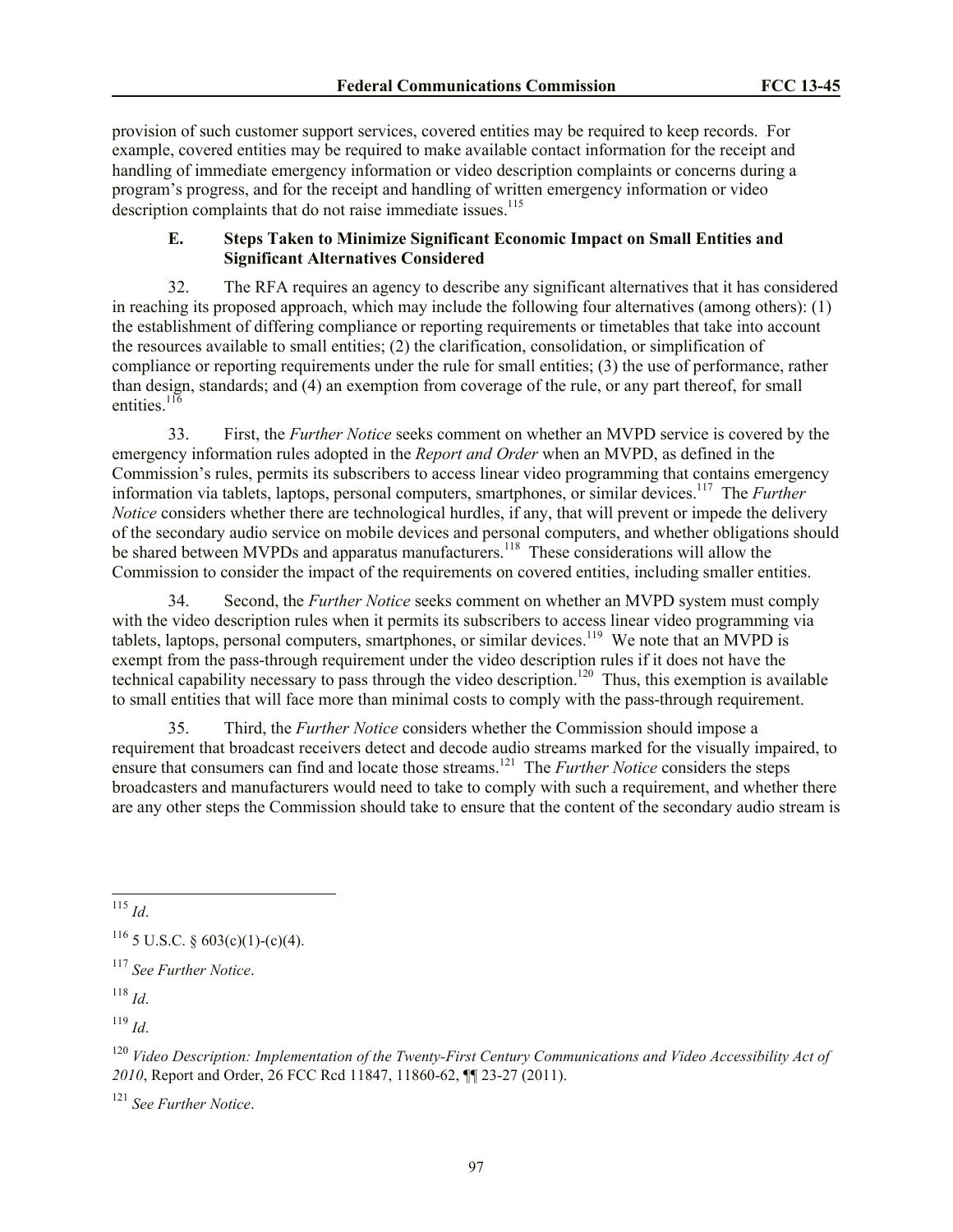provision of such customer support services, covered entities may be required to keep records. For example, covered entities may be required to make available contact information for the receipt and handling of immediate emergency information or video description complaints or concerns during a program's progress, and for the receipt and handling of written emergency information or video description complaints that do not raise immediate issues.<sup>115</sup>

## **E. Steps Taken to Minimize Significant Economic Impact on Small Entities and Significant Alternatives Considered**

32. The RFA requires an agency to describe any significant alternatives that it has considered in reaching its proposed approach, which may include the following four alternatives (among others): (1) the establishment of differing compliance or reporting requirements or timetables that take into account the resources available to small entities; (2) the clarification, consolidation, or simplification of compliance or reporting requirements under the rule for small entities; (3) the use of performance, rather than design, standards; and (4) an exemption from coverage of the rule, or any part thereof, for small entities. $^{116}$ 

33. First, the *Further Notice* seeks comment on whether an MVPD service is covered by the emergency information rules adopted in the *Report and Order* when an MVPD, as defined in the Commission's rules, permits its subscribers to access linear video programming that contains emergency information via tablets, laptops, personal computers, smartphones, or similar devices.<sup>117</sup> The *Further Notice* considers whether there are technological hurdles, if any, that will prevent or impede the delivery of the secondary audio service on mobile devices and personal computers, and whether obligations should be shared between MVPDs and apparatus manufacturers.<sup>118</sup> These considerations will allow the Commission to consider the impact of the requirements on covered entities, including smaller entities.

34. Second, the *Further Notice* seeks comment on whether an MVPD system must comply with the video description rules when it permits its subscribers to access linear video programming via tablets, laptops, personal computers, smartphones, or similar devices.<sup>119</sup> We note that an MVPD is exempt from the pass-through requirement under the video description rules if it does not have the technical capability necessary to pass through the video description.<sup>120</sup> Thus, this exemption is available to small entities that will face more than minimal costs to comply with the pass-through requirement.

35. Third, the *Further Notice* considers whether the Commission should impose a requirement that broadcast receivers detect and decode audio streams marked for the visually impaired, to ensure that consumers can find and locate those streams.<sup>121</sup> The *Further Notice* considers the steps broadcasters and manufacturers would need to take to comply with such a requirement, and whether there are any other steps the Commission should take to ensure that the content of the secondary audio stream is

 $119$  *Id*.

<sup>121</sup> *See Further Notice*.

 $\overline{a}$ <sup>115</sup> *Id*.

 $116$  5 U.S.C. § 603(c)(1)-(c)(4).

<sup>117</sup> *See Further Notice*.

<sup>118</sup> *Id*.

<sup>120</sup> *Video Description: Implementation of the Twenty-First Century Communications and Video Accessibility Act of 2010*, Report and Order, 26 FCC Rcd 11847, 11860-62, ¶¶ 23-27 (2011).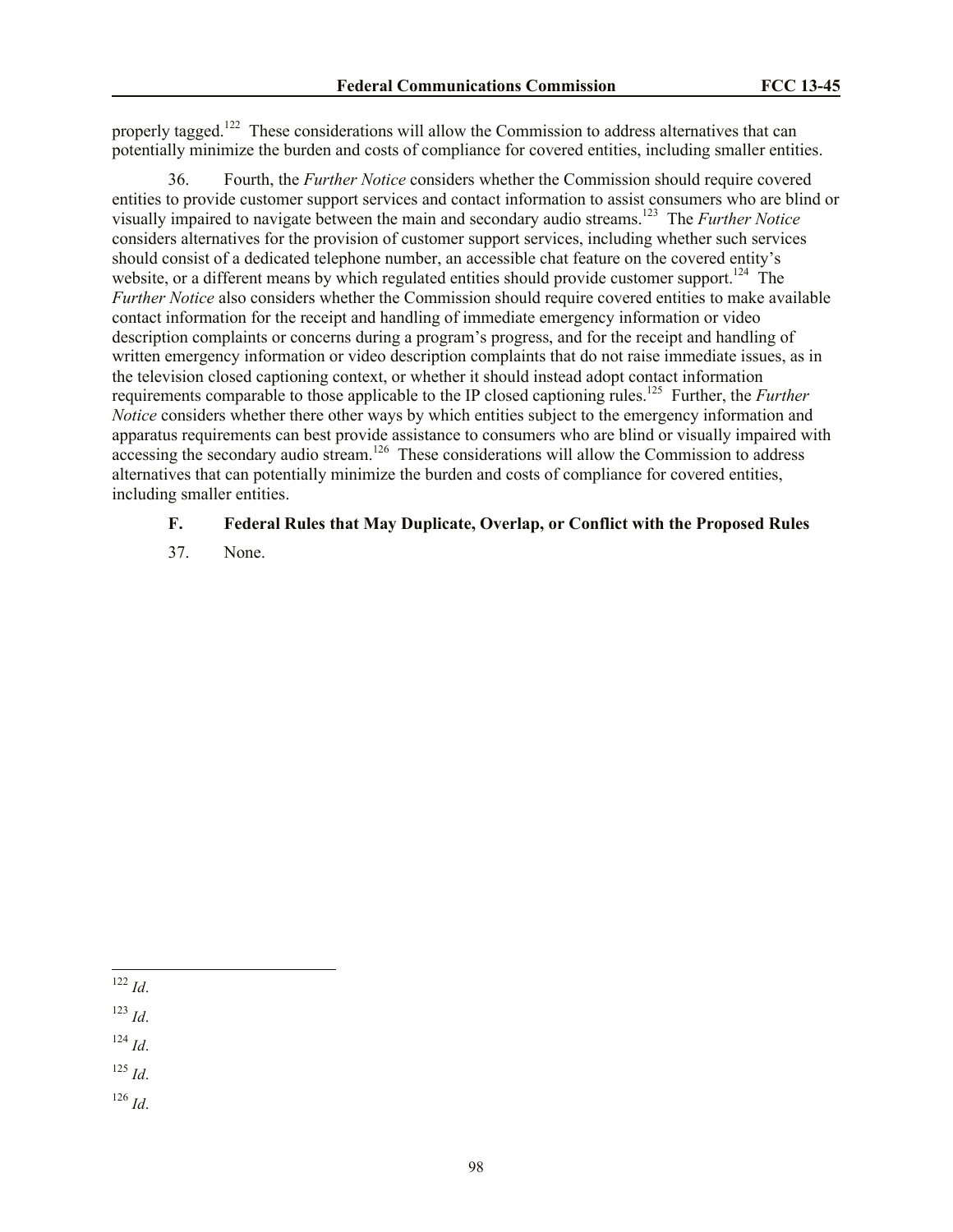properly tagged.<sup>122</sup> These considerations will allow the Commission to address alternatives that can potentially minimize the burden and costs of compliance for covered entities, including smaller entities.

36. Fourth, the *Further Notice* considers whether the Commission should require covered entities to provide customer support services and contact information to assist consumers who are blind or visually impaired to navigate between the main and secondary audio streams.<sup>123</sup> The *Further Notice* considers alternatives for the provision of customer support services, including whether such services should consist of a dedicated telephone number, an accessible chat feature on the covered entity's website, or a different means by which regulated entities should provide customer support.<sup>124</sup> The *Further Notice* also considers whether the Commission should require covered entities to make available contact information for the receipt and handling of immediate emergency information or video description complaints or concerns during a program's progress, and for the receipt and handling of written emergency information or video description complaints that do not raise immediate issues, as in the television closed captioning context, or whether it should instead adopt contact information requirements comparable to those applicable to the IP closed captioning rules.<sup>125</sup> Further, the *Further Notice* considers whether there other ways by which entities subject to the emergency information and apparatus requirements can best provide assistance to consumers who are blind or visually impaired with accessing the secondary audio stream.<sup>126</sup> These considerations will allow the Commission to address alternatives that can potentially minimize the burden and costs of compliance for covered entities, including smaller entities.

#### **F. Federal Rules that May Duplicate, Overlap, or Conflict with the Proposed Rules**

37. None.

<sup>122</sup> *Id*.

l

<sup>123</sup> *Id*.

<sup>124</sup> *Id*.

<sup>125</sup> *Id*.

<sup>126</sup> *Id*.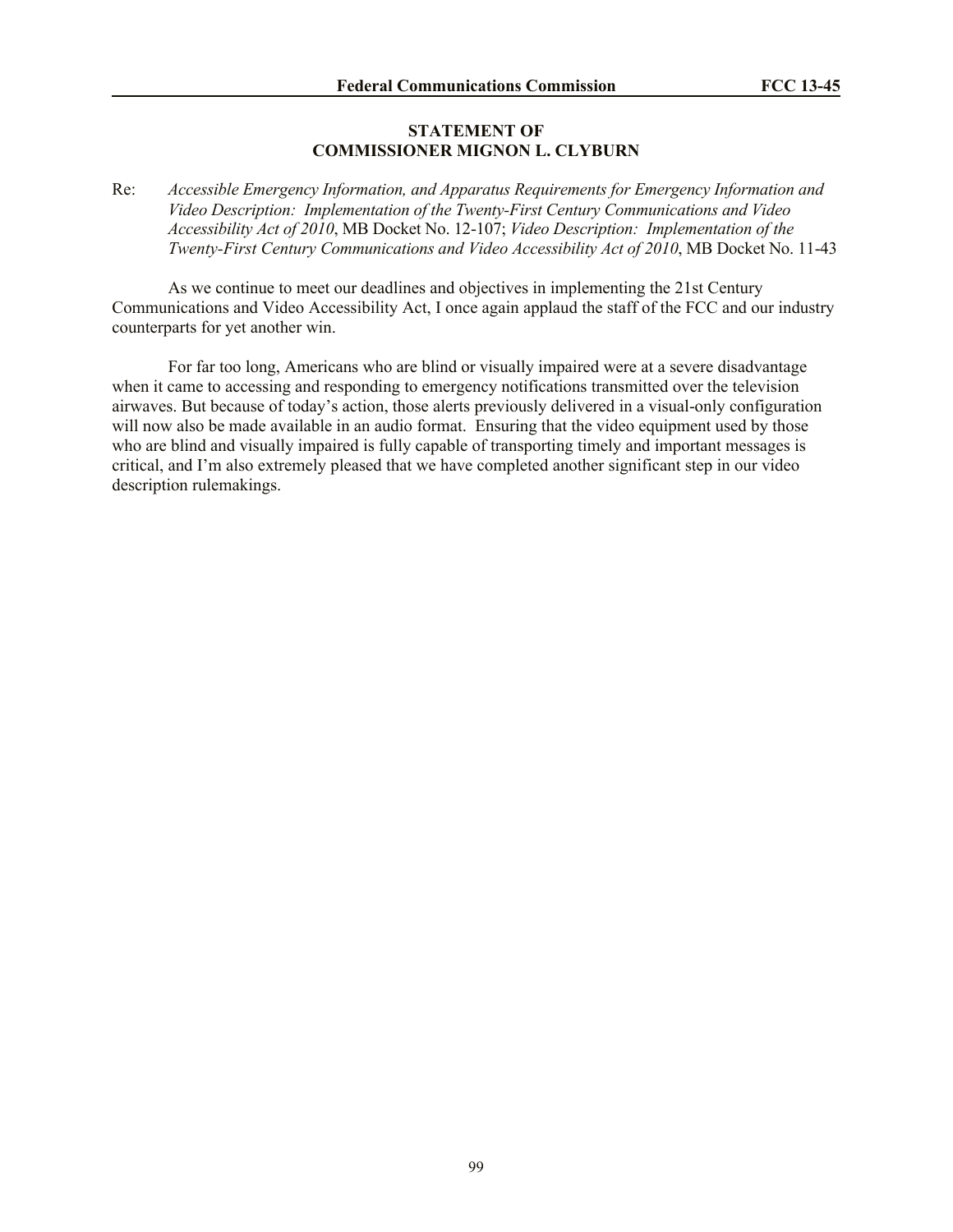### **STATEMENT OF COMMISSIONER MIGNON L. CLYBURN**

Re: *Accessible Emergency Information, and Apparatus Requirements for Emergency Information and Video Description: Implementation of the Twenty-First Century Communications and Video Accessibility Act of 2010*, MB Docket No. 12-107; *Video Description: Implementation of the Twenty-First Century Communications and Video Accessibility Act of 2010*, MB Docket No. 11-43

As we continue to meet our deadlines and objectives in implementing the 21st Century Communications and Video Accessibility Act, I once again applaud the staff of the FCC and our industry counterparts for yet another win.

For far too long, Americans who are blind or visually impaired were at a severe disadvantage when it came to accessing and responding to emergency notifications transmitted over the television airwaves. But because of today's action, those alerts previously delivered in a visual-only configuration will now also be made available in an audio format. Ensuring that the video equipment used by those who are blind and visually impaired is fully capable of transporting timely and important messages is critical, and I'm also extremely pleased that we have completed another significant step in our video description rulemakings.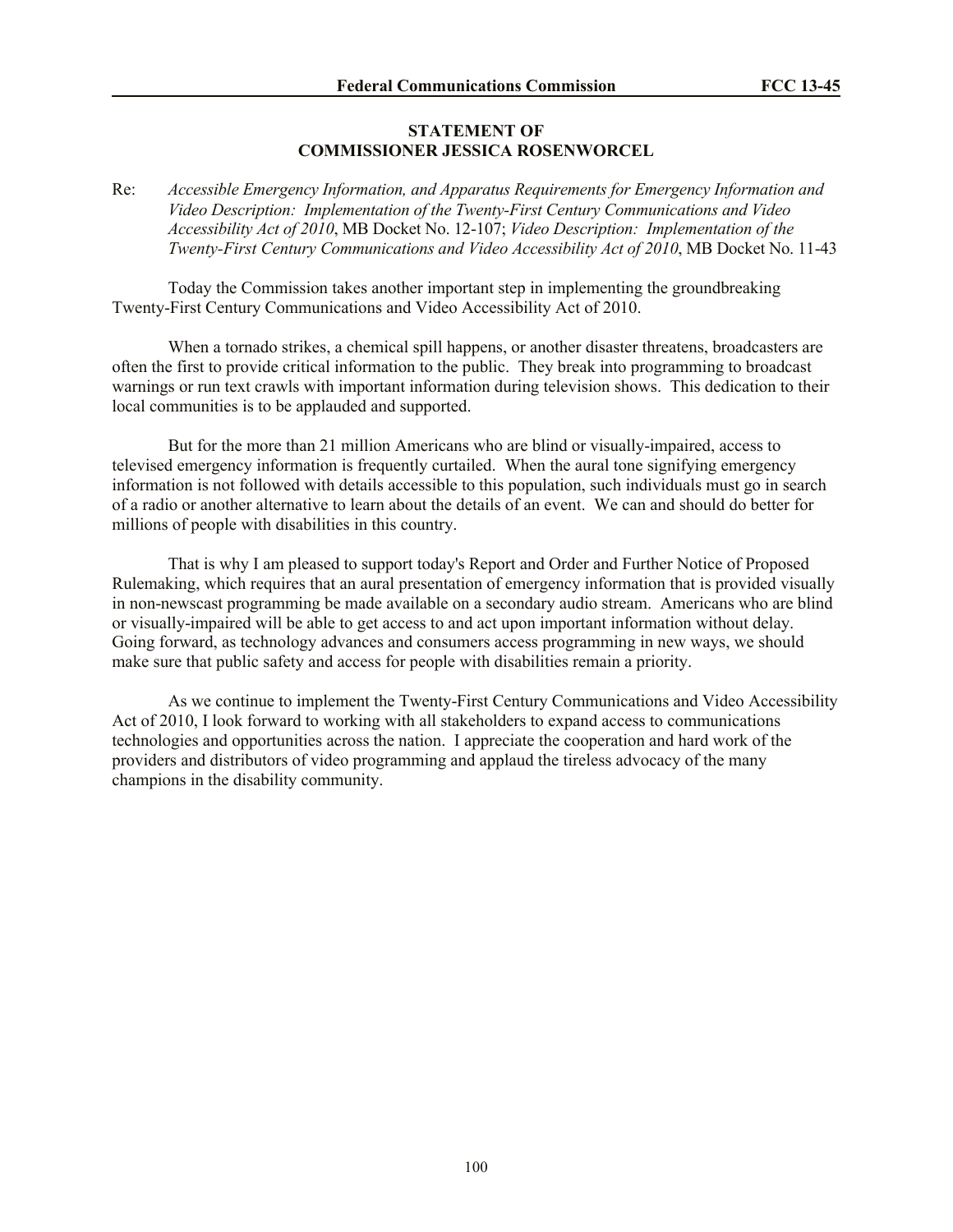#### **STATEMENT OF COMMISSIONER JESSICA ROSENWORCEL**

Re: *Accessible Emergency Information, and Apparatus Requirements for Emergency Information and Video Description: Implementation of the Twenty-First Century Communications and Video Accessibility Act of 2010*, MB Docket No. 12-107; *Video Description: Implementation of the Twenty-First Century Communications and Video Accessibility Act of 2010*, MB Docket No. 11-43

Today the Commission takes another important step in implementing the groundbreaking Twenty-First Century Communications and Video Accessibility Act of 2010.

When a tornado strikes, a chemical spill happens, or another disaster threatens, broadcasters are often the first to provide critical information to the public. They break into programming to broadcast warnings or run text crawls with important information during television shows. This dedication to their local communities is to be applauded and supported.

But for the more than 21 million Americans who are blind or visually-impaired, access to televised emergency information is frequently curtailed. When the aural tone signifying emergency information is not followed with details accessible to this population, such individuals must go in search of a radio or another alternative to learn about the details of an event. We can and should do better for millions of people with disabilities in this country.

That is why I am pleased to support today's Report and Order and Further Notice of Proposed Rulemaking, which requires that an aural presentation of emergency information that is provided visually in non-newscast programming be made available on a secondary audio stream. Americans who are blind or visually-impaired will be able to get access to and act upon important information without delay. Going forward, as technology advances and consumers access programming in new ways, we should make sure that public safety and access for people with disabilities remain a priority.

As we continue to implement the Twenty-First Century Communications and Video Accessibility Act of 2010, I look forward to working with all stakeholders to expand access to communications technologies and opportunities across the nation. I appreciate the cooperation and hard work of the providers and distributors of video programming and applaud the tireless advocacy of the many champions in the disability community.